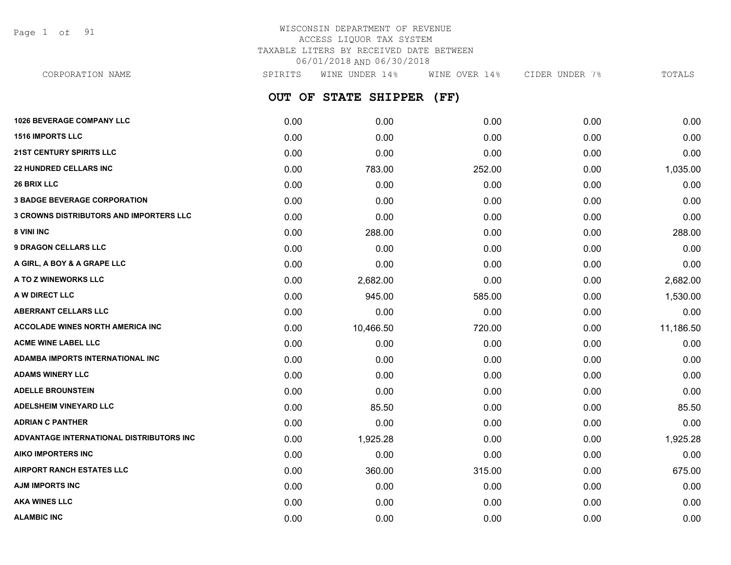Page 1 of 91

## WISCONSIN DEPARTMENT OF REVENUE ACCESS LIQUOR TAX SYSTEM TAXABLE LITERS BY RECEIVED DATE BETWEEN 06/01/2018 AND 06/30/2018

**OUT OF STATE SHIPPER (FF) 1026 BEVERAGE COMPANY LLC** 0.00 0.00 0.00 0.00 0.00 **1516 IMPORTS LLC** 0.00 0.00 0.00 0.00 0.00 **21ST CENTURY SPIRITS LLC** 0.00 0.00 0.00 0.00 0.00 **22 HUNDRED CELLARS INC** 0.00 783.00 252.00 0.00 1,035.00 **26 BRIX LLC** 0.00 0.00 0.00 0.00 0.00 **3 BADGE BEVERAGE CORPORATION** 0.00 0.00 0.00 0.00 0.00 **3 CROWNS DISTRIBUTORS AND IMPORTERS LLC** 0.00 0.00 0.00 0.00 0.00 **8 VINI INC** 6.00 **288.00 288.00 288.00 0.00 0.00 0.00 0.00 0.00 288.00 9 DRAGON CELLARS LLC** 0.00 0.00 0.00 0.00 0.00 **A GIRL, A BOY & A GRAPE LLC** 0.00 0.00 0.00 0.00 0.00 **A TO Z WINEWORKS LLC** 0.00 2,682.00 0.00 0.00 2,682.00 **A W DIRECT LLC** 0.00 945.00 585.00 0.00 1,530.00 **ABERRANT CELLARS LLC** 0.00 0.00 0.00 0.00 0.00 **ACCOLADE WINES NORTH AMERICA INC** 0.00 10,466.50 720.00 0.00 11,186.50 **ACME WINE LABEL LLC** 0.00 0.00 0.00 0.00 0.00 **ADAMBA IMPORTS INTERNATIONAL INC** 0.00 0.00 0.00 0.00 0.00 **ADAMS WINERY LLC** 0.00 0.00 0.00 0.00 0.00 **ADELLE BROUNSTEIN** 0.00 0.00 0.00 0.00 0.00 **ADELSHEIM VINEYARD LLC** 0.00 85.50 0.00 0.00 85.50 **ADRIAN C PANTHER** 0.00 0.00 0.00 0.00 0.00 **ADVANTAGE INTERNATIONAL DISTRIBUTORS INC** 0.00 1,925.28 0.00 0.00 1,925.28 **AIKO IMPORTERS INC** 0.00 0.00 0.00 0.00 0.00 **AIRPORT RANCH ESTATES LLC** 0.00 360.00 315.00 0.00 675.00 **AJM IMPORTS INC** 0.00 0.00 0.00 0.00 0.00 **AKA WINES LLC** 0.00 0.00 0.00 0.00 0.00 CORPORATION NAME SPIRITS WINE UNDER 14% WINE OVER 14% CIDER UNDER 7% TOTALS

**ALAMBIC INC** 0.00 0.00 0.00 0.00 0.00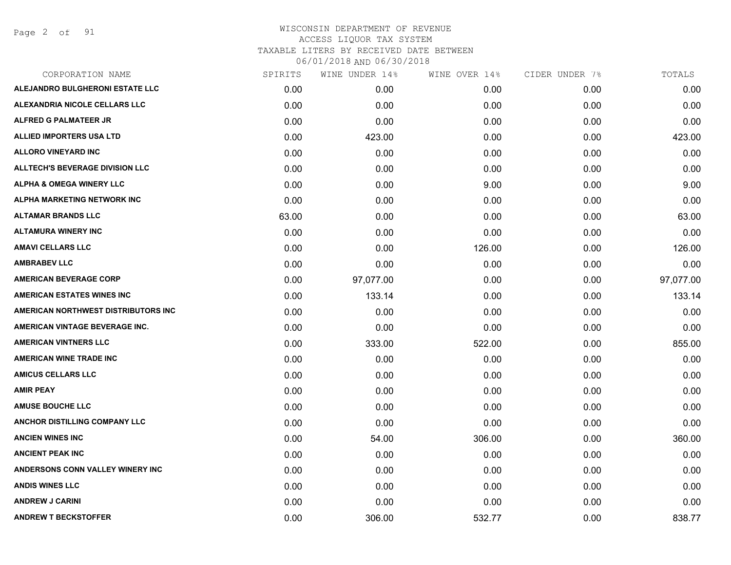Page 2 of 91

| CORPORATION NAME                       | SPIRITS | WINE UNDER 14% | WINE OVER 14% | CIDER UNDER 7% | TOTALS    |
|----------------------------------------|---------|----------------|---------------|----------------|-----------|
| ALEJANDRO BULGHERONI ESTATE LLC        | 0.00    | 0.00           | 0.00          | 0.00           | 0.00      |
| ALEXANDRIA NICOLE CELLARS LLC          | 0.00    | 0.00           | 0.00          | 0.00           | 0.00      |
| <b>ALFRED G PALMATEER JR</b>           | 0.00    | 0.00           | 0.00          | 0.00           | 0.00      |
| ALLIED IMPORTERS USA LTD               | 0.00    | 423.00         | 0.00          | 0.00           | 423.00    |
| <b>ALLORO VINEYARD INC</b>             | 0.00    | 0.00           | 0.00          | 0.00           | 0.00      |
| <b>ALLTECH'S BEVERAGE DIVISION LLC</b> | 0.00    | 0.00           | 0.00          | 0.00           | 0.00      |
| <b>ALPHA &amp; OMEGA WINERY LLC</b>    | 0.00    | 0.00           | 9.00          | 0.00           | 9.00      |
| ALPHA MARKETING NETWORK INC            | 0.00    | 0.00           | 0.00          | 0.00           | 0.00      |
| <b>ALTAMAR BRANDS LLC</b>              | 63.00   | 0.00           | 0.00          | 0.00           | 63.00     |
| <b>ALTAMURA WINERY INC</b>             | 0.00    | 0.00           | 0.00          | 0.00           | 0.00      |
| <b>AMAVI CELLARS LLC</b>               | 0.00    | 0.00           | 126.00        | 0.00           | 126.00    |
| <b>AMBRABEV LLC</b>                    | 0.00    | 0.00           | 0.00          | 0.00           | 0.00      |
| <b>AMERICAN BEVERAGE CORP</b>          | 0.00    | 97,077.00      | 0.00          | 0.00           | 97,077.00 |
| <b>AMERICAN ESTATES WINES INC</b>      | 0.00    | 133.14         | 0.00          | 0.00           | 133.14    |
| AMERICAN NORTHWEST DISTRIBUTORS INC    | 0.00    | 0.00           | 0.00          | 0.00           | 0.00      |
| AMERICAN VINTAGE BEVERAGE INC.         | 0.00    | 0.00           | 0.00          | 0.00           | 0.00      |
| <b>AMERICAN VINTNERS LLC</b>           | 0.00    | 333.00         | 522.00        | 0.00           | 855.00    |
| <b>AMERICAN WINE TRADE INC</b>         | 0.00    | 0.00           | 0.00          | 0.00           | 0.00      |
| <b>AMICUS CELLARS LLC</b>              | 0.00    | 0.00           | 0.00          | 0.00           | 0.00      |
| <b>AMIR PEAY</b>                       | 0.00    | 0.00           | 0.00          | 0.00           | 0.00      |
| <b>AMUSE BOUCHE LLC</b>                | 0.00    | 0.00           | 0.00          | 0.00           | 0.00      |
| ANCHOR DISTILLING COMPANY LLC          | 0.00    | 0.00           | 0.00          | 0.00           | 0.00      |
| <b>ANCIEN WINES INC</b>                | 0.00    | 54.00          | 306.00        | 0.00           | 360.00    |
| <b>ANCIENT PEAK INC</b>                | 0.00    | 0.00           | 0.00          | 0.00           | 0.00      |
| ANDERSONS CONN VALLEY WINERY INC       | 0.00    | 0.00           | 0.00          | 0.00           | 0.00      |
| <b>ANDIS WINES LLC</b>                 | 0.00    | 0.00           | 0.00          | 0.00           | 0.00      |
| <b>ANDREW J CARINI</b>                 | 0.00    | 0.00           | 0.00          | 0.00           | 0.00      |
| <b>ANDREW T BECKSTOFFER</b>            | 0.00    | 306.00         | 532.77        | 0.00           | 838.77    |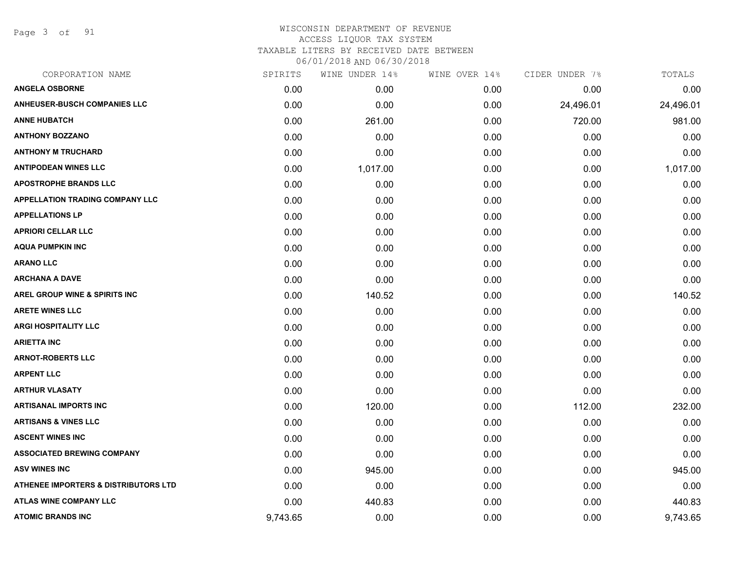Page 3 of 91

| CORPORATION NAME                                | SPIRITS  | WINE UNDER 14% | WINE OVER 14% | CIDER UNDER 7% | TOTALS    |
|-------------------------------------------------|----------|----------------|---------------|----------------|-----------|
| <b>ANGELA OSBORNE</b>                           | 0.00     | 0.00           | 0.00          | 0.00           | 0.00      |
| <b>ANHEUSER-BUSCH COMPANIES LLC</b>             | 0.00     | 0.00           | 0.00          | 24,496.01      | 24,496.01 |
| <b>ANNE HUBATCH</b>                             | 0.00     | 261.00         | 0.00          | 720.00         | 981.00    |
| <b>ANTHONY BOZZANO</b>                          | 0.00     | 0.00           | 0.00          | 0.00           | 0.00      |
| <b>ANTHONY M TRUCHARD</b>                       | 0.00     | 0.00           | 0.00          | 0.00           | 0.00      |
| <b>ANTIPODEAN WINES LLC</b>                     | 0.00     | 1,017.00       | 0.00          | 0.00           | 1,017.00  |
| <b>APOSTROPHE BRANDS LLC</b>                    | 0.00     | 0.00           | 0.00          | 0.00           | 0.00      |
| APPELLATION TRADING COMPANY LLC                 | 0.00     | 0.00           | 0.00          | 0.00           | 0.00      |
| <b>APPELLATIONS LP</b>                          | 0.00     | 0.00           | 0.00          | 0.00           | 0.00      |
| <b>APRIORI CELLAR LLC</b>                       | 0.00     | 0.00           | 0.00          | 0.00           | 0.00      |
| <b>AQUA PUMPKIN INC</b>                         | 0.00     | 0.00           | 0.00          | 0.00           | 0.00      |
| <b>ARANO LLC</b>                                | 0.00     | 0.00           | 0.00          | 0.00           | 0.00      |
| <b>ARCHANA A DAVE</b>                           | 0.00     | 0.00           | 0.00          | 0.00           | 0.00      |
| <b>AREL GROUP WINE &amp; SPIRITS INC</b>        | 0.00     | 140.52         | 0.00          | 0.00           | 140.52    |
| <b>ARETE WINES LLC</b>                          | 0.00     | 0.00           | 0.00          | 0.00           | 0.00      |
| <b>ARGI HOSPITALITY LLC</b>                     | 0.00     | 0.00           | 0.00          | 0.00           | 0.00      |
| <b>ARIETTA INC</b>                              | 0.00     | 0.00           | 0.00          | 0.00           | 0.00      |
| <b>ARNOT-ROBERTS LLC</b>                        | 0.00     | 0.00           | 0.00          | 0.00           | 0.00      |
| <b>ARPENT LLC</b>                               | 0.00     | 0.00           | 0.00          | 0.00           | 0.00      |
| <b>ARTHUR VLASATY</b>                           | 0.00     | 0.00           | 0.00          | 0.00           | 0.00      |
| <b>ARTISANAL IMPORTS INC</b>                    | 0.00     | 120.00         | 0.00          | 112.00         | 232.00    |
| <b>ARTISANS &amp; VINES LLC</b>                 | 0.00     | 0.00           | 0.00          | 0.00           | 0.00      |
| <b>ASCENT WINES INC</b>                         | 0.00     | 0.00           | 0.00          | 0.00           | 0.00      |
| <b>ASSOCIATED BREWING COMPANY</b>               | 0.00     | 0.00           | 0.00          | 0.00           | 0.00      |
| <b>ASV WINES INC</b>                            | 0.00     | 945.00         | 0.00          | 0.00           | 945.00    |
| <b>ATHENEE IMPORTERS &amp; DISTRIBUTORS LTD</b> | 0.00     | 0.00           | 0.00          | 0.00           | 0.00      |
| ATLAS WINE COMPANY LLC                          | 0.00     | 440.83         | 0.00          | 0.00           | 440.83    |
| <b>ATOMIC BRANDS INC</b>                        | 9,743.65 | 0.00           | 0.00          | 0.00           | 9,743.65  |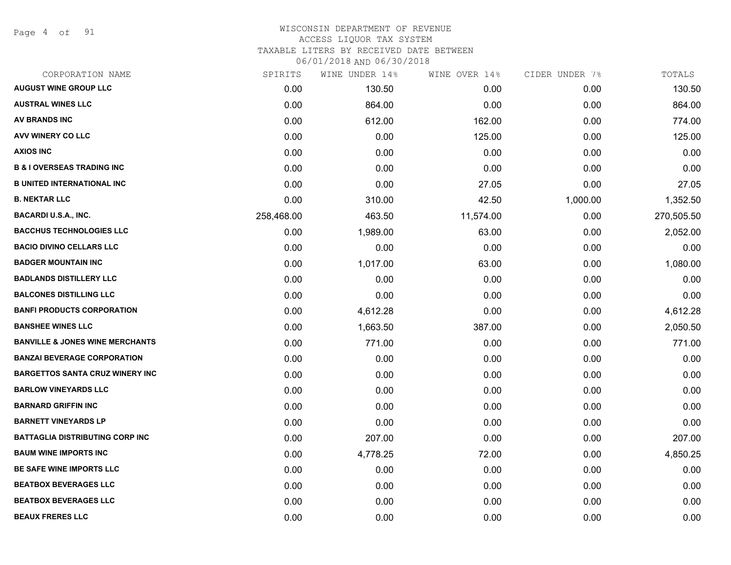Page 4 of 91

# WISCONSIN DEPARTMENT OF REVENUE ACCESS LIQUOR TAX SYSTEM

TAXABLE LITERS BY RECEIVED DATE BETWEEN

| CORPORATION NAME                           | SPIRITS    | WINE UNDER 14% | WINE OVER 14% | CIDER UNDER 7% | TOTALS     |
|--------------------------------------------|------------|----------------|---------------|----------------|------------|
| <b>AUGUST WINE GROUP LLC</b>               | 0.00       | 130.50         | 0.00          | 0.00           | 130.50     |
| <b>AUSTRAL WINES LLC</b>                   | 0.00       | 864.00         | 0.00          | 0.00           | 864.00     |
| <b>AV BRANDS INC</b>                       | 0.00       | 612.00         | 162.00        | 0.00           | 774.00     |
| AVV WINERY CO LLC                          | 0.00       | 0.00           | 125.00        | 0.00           | 125.00     |
| <b>AXIOS INC</b>                           | 0.00       | 0.00           | 0.00          | 0.00           | 0.00       |
| <b>B &amp; I OVERSEAS TRADING INC</b>      | 0.00       | 0.00           | 0.00          | 0.00           | 0.00       |
| <b>B UNITED INTERNATIONAL INC</b>          | 0.00       | 0.00           | 27.05         | 0.00           | 27.05      |
| <b>B. NEKTAR LLC</b>                       | 0.00       | 310.00         | 42.50         | 1,000.00       | 1,352.50   |
| <b>BACARDI U.S.A., INC.</b>                | 258,468.00 | 463.50         | 11,574.00     | 0.00           | 270,505.50 |
| <b>BACCHUS TECHNOLOGIES LLC</b>            | 0.00       | 1,989.00       | 63.00         | 0.00           | 2,052.00   |
| <b>BACIO DIVINO CELLARS LLC</b>            | 0.00       | 0.00           | 0.00          | 0.00           | 0.00       |
| <b>BADGER MOUNTAIN INC</b>                 | 0.00       | 1,017.00       | 63.00         | 0.00           | 1,080.00   |
| <b>BADLANDS DISTILLERY LLC</b>             | 0.00       | 0.00           | 0.00          | 0.00           | 0.00       |
| <b>BALCONES DISTILLING LLC</b>             | 0.00       | 0.00           | 0.00          | 0.00           | 0.00       |
| <b>BANFI PRODUCTS CORPORATION</b>          | 0.00       | 4,612.28       | 0.00          | 0.00           | 4,612.28   |
| <b>BANSHEE WINES LLC</b>                   | 0.00       | 1,663.50       | 387.00        | 0.00           | 2,050.50   |
| <b>BANVILLE &amp; JONES WINE MERCHANTS</b> | 0.00       | 771.00         | 0.00          | 0.00           | 771.00     |
| <b>BANZAI BEVERAGE CORPORATION</b>         | 0.00       | 0.00           | 0.00          | 0.00           | 0.00       |
| <b>BARGETTOS SANTA CRUZ WINERY INC</b>     | 0.00       | 0.00           | 0.00          | 0.00           | 0.00       |
| <b>BARLOW VINEYARDS LLC</b>                | 0.00       | 0.00           | 0.00          | 0.00           | 0.00       |
| <b>BARNARD GRIFFIN INC</b>                 | 0.00       | 0.00           | 0.00          | 0.00           | 0.00       |
| <b>BARNETT VINEYARDS LP</b>                | 0.00       | 0.00           | 0.00          | 0.00           | 0.00       |
| <b>BATTAGLIA DISTRIBUTING CORP INC</b>     | 0.00       | 207.00         | 0.00          | 0.00           | 207.00     |
| <b>BAUM WINE IMPORTS INC</b>               | 0.00       | 4,778.25       | 72.00         | 0.00           | 4,850.25   |
| <b>BE SAFE WINE IMPORTS LLC</b>            | 0.00       | 0.00           | 0.00          | 0.00           | 0.00       |
| <b>BEATBOX BEVERAGES LLC</b>               | 0.00       | 0.00           | 0.00          | 0.00           | 0.00       |
| <b>BEATBOX BEVERAGES LLC</b>               | 0.00       | 0.00           | 0.00          | 0.00           | 0.00       |
| <b>BEAUX FRERES LLC</b>                    | 0.00       | 0.00           | 0.00          | 0.00           | 0.00       |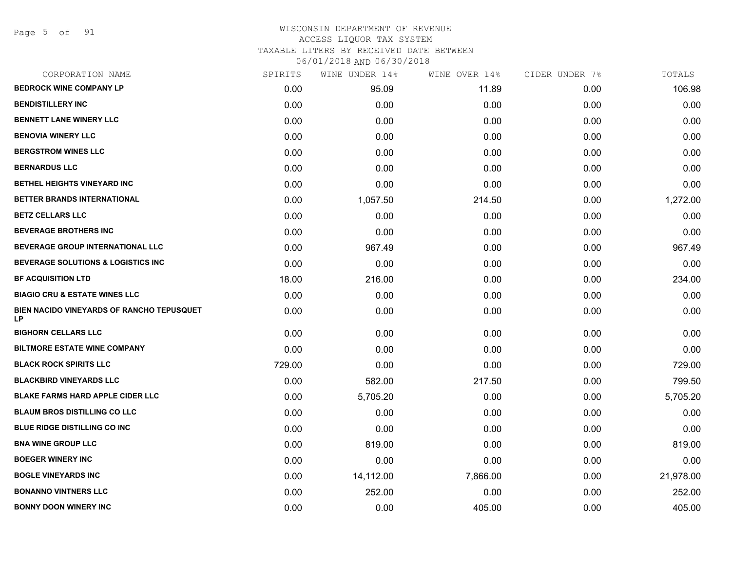Page 5 of 91

| CORPORATION NAME                                | SPIRITS | WINE UNDER 14% | WINE OVER 14% | CIDER UNDER 7% | TOTALS    |
|-------------------------------------------------|---------|----------------|---------------|----------------|-----------|
| <b>BEDROCK WINE COMPANY LP</b>                  | 0.00    | 95.09          | 11.89         | 0.00           | 106.98    |
| <b>BENDISTILLERY INC</b>                        | 0.00    | 0.00           | 0.00          | 0.00           | 0.00      |
| <b>BENNETT LANE WINERY LLC</b>                  | 0.00    | 0.00           | 0.00          | 0.00           | 0.00      |
| <b>BENOVIA WINERY LLC</b>                       | 0.00    | 0.00           | 0.00          | 0.00           | 0.00      |
| <b>BERGSTROM WINES LLC</b>                      | 0.00    | 0.00           | 0.00          | 0.00           | 0.00      |
| <b>BERNARDUS LLC</b>                            | 0.00    | 0.00           | 0.00          | 0.00           | 0.00      |
| BETHEL HEIGHTS VINEYARD INC                     | 0.00    | 0.00           | 0.00          | 0.00           | 0.00      |
| BETTER BRANDS INTERNATIONAL                     | 0.00    | 1,057.50       | 214.50        | 0.00           | 1,272.00  |
| <b>BETZ CELLARS LLC</b>                         | 0.00    | 0.00           | 0.00          | 0.00           | 0.00      |
| <b>BEVERAGE BROTHERS INC</b>                    | 0.00    | 0.00           | 0.00          | 0.00           | 0.00      |
| <b>BEVERAGE GROUP INTERNATIONAL LLC</b>         | 0.00    | 967.49         | 0.00          | 0.00           | 967.49    |
| <b>BEVERAGE SOLUTIONS &amp; LOGISTICS INC</b>   | 0.00    | 0.00           | 0.00          | 0.00           | 0.00      |
| <b>BF ACQUISITION LTD</b>                       | 18.00   | 216.00         | 0.00          | 0.00           | 234.00    |
| <b>BIAGIO CRU &amp; ESTATE WINES LLC</b>        | 0.00    | 0.00           | 0.00          | 0.00           | 0.00      |
| BIEN NACIDO VINEYARDS OF RANCHO TEPUSQUET<br>LP | 0.00    | 0.00           | 0.00          | 0.00           | 0.00      |
| <b>BIGHORN CELLARS LLC</b>                      | 0.00    | 0.00           | 0.00          | 0.00           | 0.00      |
| <b>BILTMORE ESTATE WINE COMPANY</b>             | 0.00    | 0.00           | 0.00          | 0.00           | 0.00      |
| <b>BLACK ROCK SPIRITS LLC</b>                   | 729.00  | 0.00           | 0.00          | 0.00           | 729.00    |
| <b>BLACKBIRD VINEYARDS LLC</b>                  | 0.00    | 582.00         | 217.50        | 0.00           | 799.50    |
| <b>BLAKE FARMS HARD APPLE CIDER LLC</b>         | 0.00    | 5,705.20       | 0.00          | 0.00           | 5,705.20  |
| <b>BLAUM BROS DISTILLING CO LLC</b>             | 0.00    | 0.00           | 0.00          | 0.00           | 0.00      |
| <b>BLUE RIDGE DISTILLING CO INC</b>             | 0.00    | 0.00           | 0.00          | 0.00           | 0.00      |
| <b>BNA WINE GROUP LLC</b>                       | 0.00    | 819.00         | 0.00          | 0.00           | 819.00    |
| <b>BOEGER WINERY INC</b>                        | 0.00    | 0.00           | 0.00          | 0.00           | 0.00      |
| <b>BOGLE VINEYARDS INC</b>                      | 0.00    | 14,112.00      | 7,866.00      | 0.00           | 21,978.00 |
| <b>BONANNO VINTNERS LLC</b>                     | 0.00    | 252.00         | 0.00          | 0.00           | 252.00    |
| <b>BONNY DOON WINERY INC</b>                    | 0.00    | 0.00           | 405.00        | 0.00           | 405.00    |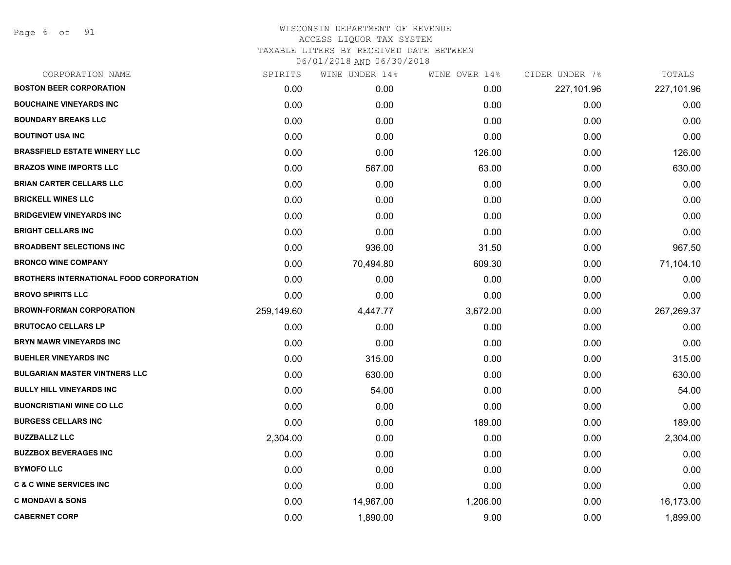Page 6 of 91

| CORPORATION NAME                               | SPIRITS    | WINE UNDER 14% | WINE OVER 14% | CIDER UNDER 7% | TOTALS     |
|------------------------------------------------|------------|----------------|---------------|----------------|------------|
| <b>BOSTON BEER CORPORATION</b>                 | 0.00       | 0.00           | 0.00          | 227,101.96     | 227,101.96 |
| <b>BOUCHAINE VINEYARDS INC</b>                 | 0.00       | 0.00           | 0.00          | 0.00           | 0.00       |
| <b>BOUNDARY BREAKS LLC</b>                     | 0.00       | 0.00           | 0.00          | 0.00           | 0.00       |
| <b>BOUTINOT USA INC</b>                        | 0.00       | 0.00           | 0.00          | 0.00           | 0.00       |
| <b>BRASSFIELD ESTATE WINERY LLC</b>            | 0.00       | 0.00           | 126.00        | 0.00           | 126.00     |
| <b>BRAZOS WINE IMPORTS LLC</b>                 | 0.00       | 567.00         | 63.00         | 0.00           | 630.00     |
| <b>BRIAN CARTER CELLARS LLC</b>                | 0.00       | 0.00           | 0.00          | 0.00           | 0.00       |
| <b>BRICKELL WINES LLC</b>                      | 0.00       | 0.00           | 0.00          | 0.00           | 0.00       |
| <b>BRIDGEVIEW VINEYARDS INC</b>                | 0.00       | 0.00           | 0.00          | 0.00           | 0.00       |
| <b>BRIGHT CELLARS INC</b>                      | 0.00       | 0.00           | 0.00          | 0.00           | 0.00       |
| <b>BROADBENT SELECTIONS INC</b>                | 0.00       | 936.00         | 31.50         | 0.00           | 967.50     |
| <b>BRONCO WINE COMPANY</b>                     | 0.00       | 70,494.80      | 609.30        | 0.00           | 71,104.10  |
| <b>BROTHERS INTERNATIONAL FOOD CORPORATION</b> | 0.00       | 0.00           | 0.00          | 0.00           | 0.00       |
| <b>BROVO SPIRITS LLC</b>                       | 0.00       | 0.00           | 0.00          | 0.00           | 0.00       |
| <b>BROWN-FORMAN CORPORATION</b>                | 259,149.60 | 4,447.77       | 3,672.00      | 0.00           | 267,269.37 |
| <b>BRUTOCAO CELLARS LP</b>                     | 0.00       | 0.00           | 0.00          | 0.00           | 0.00       |
| <b>BRYN MAWR VINEYARDS INC</b>                 | 0.00       | 0.00           | 0.00          | 0.00           | 0.00       |
| <b>BUEHLER VINEYARDS INC</b>                   | 0.00       | 315.00         | 0.00          | 0.00           | 315.00     |
| <b>BULGARIAN MASTER VINTNERS LLC</b>           | 0.00       | 630.00         | 0.00          | 0.00           | 630.00     |
| <b>BULLY HILL VINEYARDS INC</b>                | 0.00       | 54.00          | 0.00          | 0.00           | 54.00      |
| <b>BUONCRISTIANI WINE CO LLC</b>               | 0.00       | 0.00           | 0.00          | 0.00           | 0.00       |
| <b>BURGESS CELLARS INC</b>                     | 0.00       | 0.00           | 189.00        | 0.00           | 189.00     |
| <b>BUZZBALLZ LLC</b>                           | 2,304.00   | 0.00           | 0.00          | 0.00           | 2,304.00   |
| <b>BUZZBOX BEVERAGES INC</b>                   | 0.00       | 0.00           | 0.00          | 0.00           | 0.00       |
| <b>BYMOFO LLC</b>                              | 0.00       | 0.00           | 0.00          | 0.00           | 0.00       |
| <b>C &amp; C WINE SERVICES INC</b>             | 0.00       | 0.00           | 0.00          | 0.00           | 0.00       |
| <b>C MONDAVI &amp; SONS</b>                    | 0.00       | 14,967.00      | 1,206.00      | 0.00           | 16,173.00  |
| <b>CABERNET CORP</b>                           | 0.00       | 1,890.00       | 9.00          | 0.00           | 1,899.00   |
|                                                |            |                |               |                |            |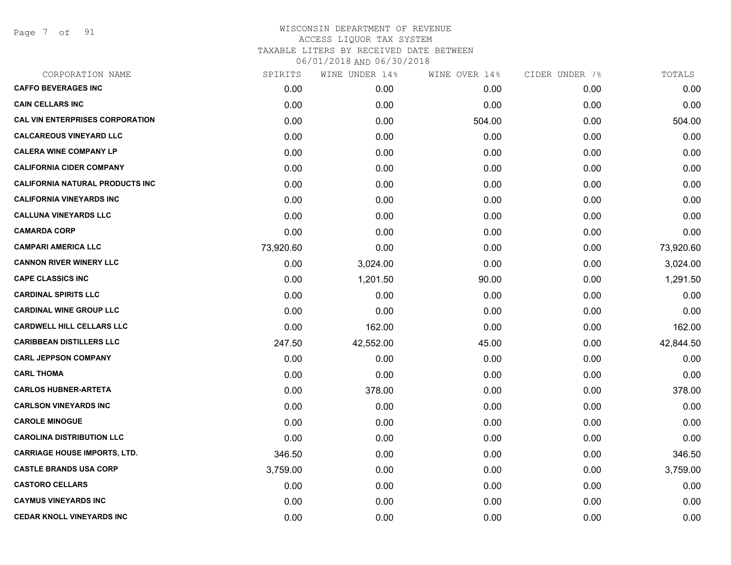Page 7 of 91

| CORPORATION NAME                       | SPIRITS   | WINE UNDER 14% | WINE OVER 14% | CIDER UNDER 7% | TOTALS    |
|----------------------------------------|-----------|----------------|---------------|----------------|-----------|
| <b>CAFFO BEVERAGES INC</b>             | 0.00      | 0.00           | 0.00          | 0.00           | 0.00      |
| <b>CAIN CELLARS INC</b>                | 0.00      | 0.00           | 0.00          | 0.00           | 0.00      |
| <b>CAL VIN ENTERPRISES CORPORATION</b> | 0.00      | 0.00           | 504.00        | 0.00           | 504.00    |
| <b>CALCAREOUS VINEYARD LLC</b>         | 0.00      | 0.00           | 0.00          | 0.00           | 0.00      |
| <b>CALERA WINE COMPANY LP</b>          | 0.00      | 0.00           | 0.00          | 0.00           | 0.00      |
| <b>CALIFORNIA CIDER COMPANY</b>        | 0.00      | 0.00           | 0.00          | 0.00           | 0.00      |
| <b>CALIFORNIA NATURAL PRODUCTS INC</b> | 0.00      | 0.00           | 0.00          | 0.00           | 0.00      |
| <b>CALIFORNIA VINEYARDS INC</b>        | 0.00      | 0.00           | 0.00          | 0.00           | 0.00      |
| <b>CALLUNA VINEYARDS LLC</b>           | 0.00      | 0.00           | 0.00          | 0.00           | 0.00      |
| <b>CAMARDA CORP</b>                    | 0.00      | 0.00           | 0.00          | 0.00           | 0.00      |
| <b>CAMPARI AMERICA LLC</b>             | 73,920.60 | 0.00           | 0.00          | 0.00           | 73,920.60 |
| <b>CANNON RIVER WINERY LLC</b>         | 0.00      | 3,024.00       | 0.00          | 0.00           | 3,024.00  |
| <b>CAPE CLASSICS INC</b>               | 0.00      | 1,201.50       | 90.00         | 0.00           | 1,291.50  |
| <b>CARDINAL SPIRITS LLC</b>            | 0.00      | 0.00           | 0.00          | 0.00           | 0.00      |
| <b>CARDINAL WINE GROUP LLC</b>         | 0.00      | 0.00           | 0.00          | 0.00           | 0.00      |
| <b>CARDWELL HILL CELLARS LLC</b>       | 0.00      | 162.00         | 0.00          | 0.00           | 162.00    |
| <b>CARIBBEAN DISTILLERS LLC</b>        | 247.50    | 42,552.00      | 45.00         | 0.00           | 42,844.50 |
| <b>CARL JEPPSON COMPANY</b>            | 0.00      | 0.00           | 0.00          | 0.00           | 0.00      |
| <b>CARL THOMA</b>                      | 0.00      | 0.00           | 0.00          | 0.00           | 0.00      |
| <b>CARLOS HUBNER-ARTETA</b>            | 0.00      | 378.00         | 0.00          | 0.00           | 378.00    |
| <b>CARLSON VINEYARDS INC</b>           | 0.00      | 0.00           | 0.00          | 0.00           | 0.00      |
| <b>CAROLE MINOGUE</b>                  | 0.00      | 0.00           | 0.00          | 0.00           | 0.00      |
| <b>CAROLINA DISTRIBUTION LLC</b>       | 0.00      | 0.00           | 0.00          | 0.00           | 0.00      |
| <b>CARRIAGE HOUSE IMPORTS, LTD.</b>    | 346.50    | 0.00           | 0.00          | 0.00           | 346.50    |
| <b>CASTLE BRANDS USA CORP</b>          | 3,759.00  | 0.00           | 0.00          | 0.00           | 3,759.00  |
| <b>CASTORO CELLARS</b>                 | 0.00      | 0.00           | 0.00          | 0.00           | 0.00      |
| <b>CAYMUS VINEYARDS INC</b>            | 0.00      | 0.00           | 0.00          | 0.00           | 0.00      |
| <b>CEDAR KNOLL VINEYARDS INC</b>       | 0.00      | 0.00           | 0.00          | 0.00           | 0.00      |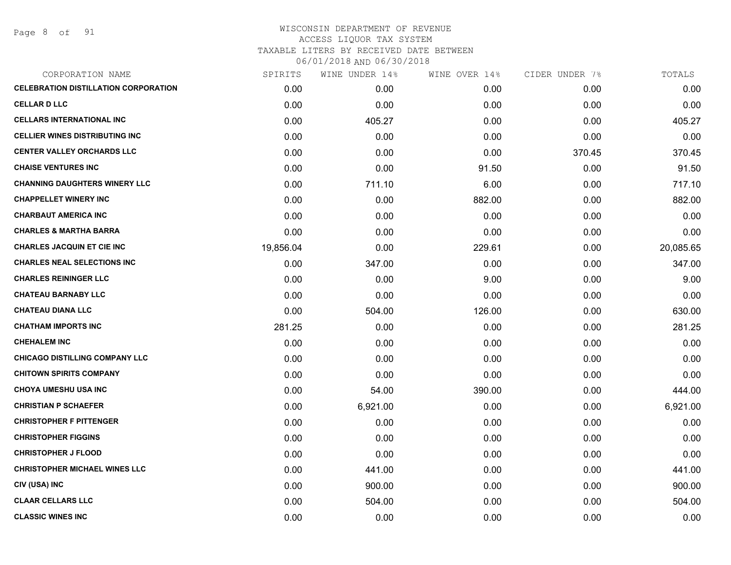Page 8 of 91

|           | WINE UNDER 14% | WINE OVER 14% |        | TOTALS         |
|-----------|----------------|---------------|--------|----------------|
| 0.00      | 0.00           | 0.00          | 0.00   | 0.00           |
| 0.00      | 0.00           | 0.00          | 0.00   | 0.00           |
| 0.00      | 405.27         | 0.00          | 0.00   | 405.27         |
| 0.00      | 0.00           | 0.00          | 0.00   | 0.00           |
| 0.00      | 0.00           | 0.00          | 370.45 | 370.45         |
| 0.00      | 0.00           | 91.50         | 0.00   | 91.50          |
| 0.00      | 711.10         | 6.00          | 0.00   | 717.10         |
| 0.00      | 0.00           | 882.00        | 0.00   | 882.00         |
| 0.00      | 0.00           | 0.00          | 0.00   | 0.00           |
| 0.00      | 0.00           | 0.00          | 0.00   | 0.00           |
| 19,856.04 | 0.00           | 229.61        | 0.00   | 20,085.65      |
| 0.00      | 347.00         | 0.00          | 0.00   | 347.00         |
| 0.00      | 0.00           | 9.00          | 0.00   | 9.00           |
| 0.00      | 0.00           | 0.00          | 0.00   | 0.00           |
| 0.00      | 504.00         | 126.00        | 0.00   | 630.00         |
| 281.25    | 0.00           | 0.00          | 0.00   | 281.25         |
| 0.00      | 0.00           | 0.00          | 0.00   | 0.00           |
| 0.00      | 0.00           | 0.00          | 0.00   | 0.00           |
| 0.00      | 0.00           | 0.00          | 0.00   | 0.00           |
| 0.00      | 54.00          | 390.00        | 0.00   | 444.00         |
| 0.00      | 6,921.00       | 0.00          | 0.00   | 6,921.00       |
| 0.00      | 0.00           | 0.00          | 0.00   | 0.00           |
| 0.00      | 0.00           | 0.00          | 0.00   | 0.00           |
| 0.00      | 0.00           | 0.00          | 0.00   | 0.00           |
| 0.00      | 441.00         | 0.00          | 0.00   | 441.00         |
| 0.00      | 900.00         | 0.00          | 0.00   | 900.00         |
| 0.00      | 504.00         | 0.00          | 0.00   | 504.00         |
| 0.00      | 0.00           | 0.00          | 0.00   | 0.00           |
|           | SPIRITS        |               |        | CIDER UNDER 7% |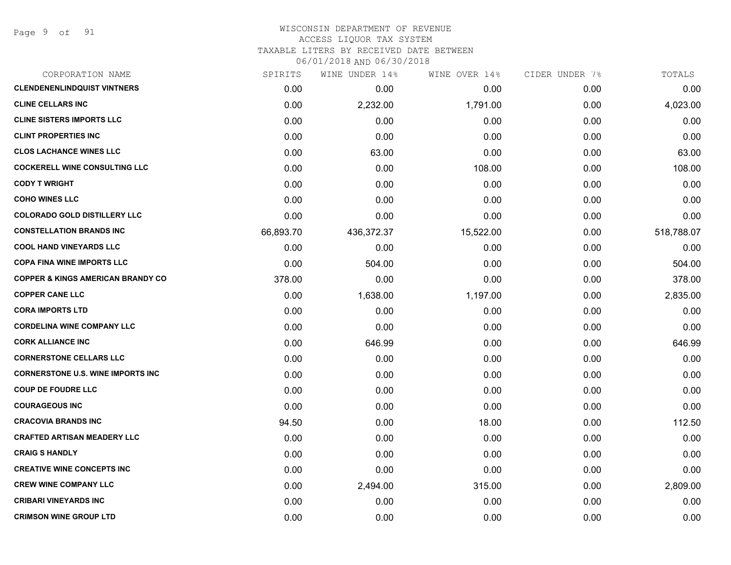Page 9 of 91

| CORPORATION NAME                             | SPIRITS   | WINE UNDER 14% | WINE OVER 14% | CIDER UNDER 7% | TOTALS     |
|----------------------------------------------|-----------|----------------|---------------|----------------|------------|
| <b>CLENDENENLINDQUIST VINTNERS</b>           | 0.00      | 0.00           | 0.00          | 0.00           | 0.00       |
| <b>CLINE CELLARS INC</b>                     | 0.00      | 2,232.00       | 1,791.00      | 0.00           | 4,023.00   |
| <b>CLINE SISTERS IMPORTS LLC</b>             | 0.00      | 0.00           | 0.00          | 0.00           | 0.00       |
| <b>CLINT PROPERTIES INC</b>                  | 0.00      | 0.00           | 0.00          | 0.00           | 0.00       |
| <b>CLOS LACHANCE WINES LLC</b>               | 0.00      | 63.00          | 0.00          | 0.00           | 63.00      |
| <b>COCKERELL WINE CONSULTING LLC</b>         | 0.00      | 0.00           | 108.00        | 0.00           | 108.00     |
| <b>CODY T WRIGHT</b>                         | 0.00      | 0.00           | 0.00          | 0.00           | 0.00       |
| <b>COHO WINES LLC</b>                        | 0.00      | 0.00           | 0.00          | 0.00           | 0.00       |
| <b>COLORADO GOLD DISTILLERY LLC</b>          | 0.00      | 0.00           | 0.00          | 0.00           | 0.00       |
| <b>CONSTELLATION BRANDS INC</b>              | 66,893.70 | 436,372.37     | 15,522.00     | 0.00           | 518,788.07 |
| <b>COOL HAND VINEYARDS LLC</b>               | 0.00      | 0.00           | 0.00          | 0.00           | 0.00       |
| <b>COPA FINA WINE IMPORTS LLC</b>            | 0.00      | 504.00         | 0.00          | 0.00           | 504.00     |
| <b>COPPER &amp; KINGS AMERICAN BRANDY CO</b> | 378.00    | 0.00           | 0.00          | 0.00           | 378.00     |
| <b>COPPER CANE LLC</b>                       | 0.00      | 1,638.00       | 1,197.00      | 0.00           | 2,835.00   |
| <b>CORA IMPORTS LTD</b>                      | 0.00      | 0.00           | 0.00          | 0.00           | 0.00       |
| <b>CORDELINA WINE COMPANY LLC</b>            | 0.00      | 0.00           | 0.00          | 0.00           | 0.00       |
| <b>CORK ALLIANCE INC</b>                     | 0.00      | 646.99         | 0.00          | 0.00           | 646.99     |
| <b>CORNERSTONE CELLARS LLC</b>               | 0.00      | 0.00           | 0.00          | 0.00           | 0.00       |
| <b>CORNERSTONE U.S. WINE IMPORTS INC</b>     | 0.00      | 0.00           | 0.00          | 0.00           | 0.00       |
| <b>COUP DE FOUDRE LLC</b>                    | 0.00      | 0.00           | 0.00          | 0.00           | 0.00       |
| <b>COURAGEOUS INC</b>                        | 0.00      | 0.00           | 0.00          | 0.00           | 0.00       |
| <b>CRACOVIA BRANDS INC</b>                   | 94.50     | 0.00           | 18.00         | 0.00           | 112.50     |
| <b>CRAFTED ARTISAN MEADERY LLC</b>           | 0.00      | 0.00           | 0.00          | 0.00           | 0.00       |
| <b>CRAIG S HANDLY</b>                        | 0.00      | 0.00           | 0.00          | 0.00           | 0.00       |
| <b>CREATIVE WINE CONCEPTS INC</b>            | 0.00      | 0.00           | 0.00          | 0.00           | 0.00       |
| <b>CREW WINE COMPANY LLC</b>                 | 0.00      | 2,494.00       | 315.00        | 0.00           | 2,809.00   |
| <b>CRIBARI VINEYARDS INC</b>                 | 0.00      | 0.00           | 0.00          | 0.00           | 0.00       |
| <b>CRIMSON WINE GROUP LTD</b>                | 0.00      | 0.00           | 0.00          | 0.00           | 0.00       |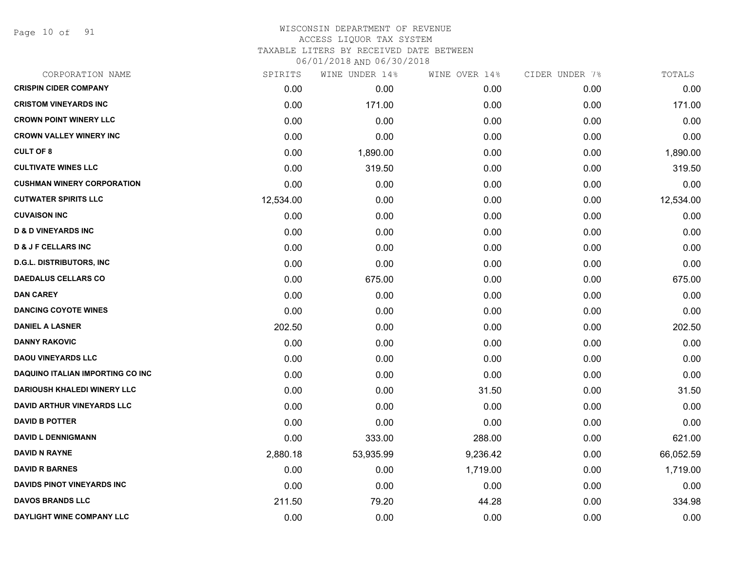Page 10 of 91

# WISCONSIN DEPARTMENT OF REVENUE ACCESS LIQUOR TAX SYSTEM TAXABLE LITERS BY RECEIVED DATE BETWEEN

| CORPORATION NAME                        | SPIRITS   | WINE UNDER 14% | WINE OVER 14% | CIDER UNDER 7% | TOTALS    |
|-----------------------------------------|-----------|----------------|---------------|----------------|-----------|
| <b>CRISPIN CIDER COMPANY</b>            | 0.00      | 0.00           | 0.00          | 0.00           | 0.00      |
| <b>CRISTOM VINEYARDS INC</b>            | 0.00      | 171.00         | 0.00          | 0.00           | 171.00    |
| <b>CROWN POINT WINERY LLC</b>           | 0.00      | 0.00           | 0.00          | 0.00           | 0.00      |
| <b>CROWN VALLEY WINERY INC</b>          | 0.00      | 0.00           | 0.00          | 0.00           | 0.00      |
| <b>CULT OF 8</b>                        | 0.00      | 1,890.00       | 0.00          | 0.00           | 1,890.00  |
| <b>CULTIVATE WINES LLC</b>              | 0.00      | 319.50         | 0.00          | 0.00           | 319.50    |
| <b>CUSHMAN WINERY CORPORATION</b>       | 0.00      | 0.00           | 0.00          | 0.00           | 0.00      |
| <b>CUTWATER SPIRITS LLC</b>             | 12,534.00 | 0.00           | 0.00          | 0.00           | 12,534.00 |
| <b>CUVAISON INC</b>                     | 0.00      | 0.00           | 0.00          | 0.00           | 0.00      |
| <b>D &amp; D VINEYARDS INC</b>          | 0.00      | 0.00           | 0.00          | 0.00           | 0.00      |
| <b>D &amp; J F CELLARS INC</b>          | 0.00      | 0.00           | 0.00          | 0.00           | 0.00      |
| <b>D.G.L. DISTRIBUTORS, INC</b>         | 0.00      | 0.00           | 0.00          | 0.00           | 0.00      |
| <b>DAEDALUS CELLARS CO</b>              | 0.00      | 675.00         | 0.00          | 0.00           | 675.00    |
| <b>DAN CAREY</b>                        | 0.00      | 0.00           | 0.00          | 0.00           | 0.00      |
| <b>DANCING COYOTE WINES</b>             | 0.00      | 0.00           | 0.00          | 0.00           | 0.00      |
| <b>DANIEL A LASNER</b>                  | 202.50    | 0.00           | 0.00          | 0.00           | 202.50    |
| <b>DANNY RAKOVIC</b>                    | 0.00      | 0.00           | 0.00          | 0.00           | 0.00      |
| <b>DAOU VINEYARDS LLC</b>               | 0.00      | 0.00           | 0.00          | 0.00           | 0.00      |
| <b>DAQUINO ITALIAN IMPORTING CO INC</b> | 0.00      | 0.00           | 0.00          | 0.00           | 0.00      |
| <b>DARIOUSH KHALEDI WINERY LLC</b>      | 0.00      | 0.00           | 31.50         | 0.00           | 31.50     |
| <b>DAVID ARTHUR VINEYARDS LLC</b>       | 0.00      | 0.00           | 0.00          | 0.00           | 0.00      |
| <b>DAVID B POTTER</b>                   | 0.00      | 0.00           | 0.00          | 0.00           | 0.00      |
| <b>DAVID L DENNIGMANN</b>               | 0.00      | 333.00         | 288.00        | 0.00           | 621.00    |
| <b>DAVID N RAYNE</b>                    | 2,880.18  | 53,935.99      | 9,236.42      | 0.00           | 66,052.59 |
| <b>DAVID R BARNES</b>                   | 0.00      | 0.00           | 1,719.00      | 0.00           | 1,719.00  |
| <b>DAVIDS PINOT VINEYARDS INC</b>       | 0.00      | 0.00           | 0.00          | 0.00           | 0.00      |
| <b>DAVOS BRANDS LLC</b>                 | 211.50    | 79.20          | 44.28         | 0.00           | 334.98    |
| DAYLIGHT WINE COMPANY LLC               | 0.00      | 0.00           | 0.00          | 0.00           | 0.00      |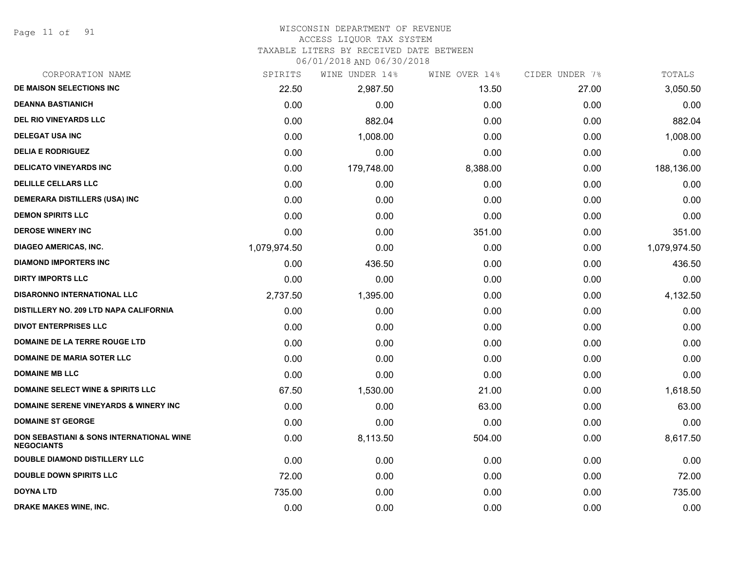Page 11 of 91

# WISCONSIN DEPARTMENT OF REVENUE

# ACCESS LIQUOR TAX SYSTEM

TAXABLE LITERS BY RECEIVED DATE BETWEEN

| CORPORATION NAME                                              | SPIRITS      | WINE UNDER 14% | WINE OVER 14% | CIDER UNDER 7% | TOTALS       |
|---------------------------------------------------------------|--------------|----------------|---------------|----------------|--------------|
| DE MAISON SELECTIONS INC                                      | 22.50        | 2,987.50       | 13.50         | 27.00          | 3,050.50     |
| <b>DEANNA BASTIANICH</b>                                      | 0.00         | 0.00           | 0.00          | 0.00           | 0.00         |
| <b>DEL RIO VINEYARDS LLC</b>                                  | 0.00         | 882.04         | 0.00          | 0.00           | 882.04       |
| <b>DELEGAT USA INC</b>                                        | 0.00         | 1,008.00       | 0.00          | 0.00           | 1,008.00     |
| <b>DELIA E RODRIGUEZ</b>                                      | 0.00         | 0.00           | 0.00          | 0.00           | 0.00         |
| <b>DELICATO VINEYARDS INC</b>                                 | 0.00         | 179,748.00     | 8,388.00      | 0.00           | 188,136.00   |
| <b>DELILLE CELLARS LLC</b>                                    | 0.00         | 0.00           | 0.00          | 0.00           | 0.00         |
| <b>DEMERARA DISTILLERS (USA) INC</b>                          | 0.00         | 0.00           | 0.00          | 0.00           | 0.00         |
| <b>DEMON SPIRITS LLC</b>                                      | 0.00         | 0.00           | 0.00          | 0.00           | 0.00         |
| <b>DEROSE WINERY INC</b>                                      | 0.00         | 0.00           | 351.00        | 0.00           | 351.00       |
| DIAGEO AMERICAS, INC.                                         | 1,079,974.50 | 0.00           | 0.00          | 0.00           | 1,079,974.50 |
| <b>DIAMOND IMPORTERS INC</b>                                  | 0.00         | 436.50         | 0.00          | 0.00           | 436.50       |
| <b>DIRTY IMPORTS LLC</b>                                      | 0.00         | 0.00           | 0.00          | 0.00           | 0.00         |
| DISARONNO INTERNATIONAL LLC                                   | 2,737.50     | 1,395.00       | 0.00          | 0.00           | 4,132.50     |
| DISTILLERY NO. 209 LTD NAPA CALIFORNIA                        | 0.00         | 0.00           | 0.00          | 0.00           | 0.00         |
| <b>DIVOT ENTERPRISES LLC</b>                                  | 0.00         | 0.00           | 0.00          | 0.00           | 0.00         |
| <b>DOMAINE DE LA TERRE ROUGE LTD</b>                          | 0.00         | 0.00           | 0.00          | 0.00           | 0.00         |
| <b>DOMAINE DE MARIA SOTER LLC</b>                             | 0.00         | 0.00           | 0.00          | 0.00           | 0.00         |
| <b>DOMAINE MB LLC</b>                                         | 0.00         | 0.00           | 0.00          | 0.00           | 0.00         |
| <b>DOMAINE SELECT WINE &amp; SPIRITS LLC</b>                  | 67.50        | 1,530.00       | 21.00         | 0.00           | 1,618.50     |
| <b>DOMAINE SERENE VINEYARDS &amp; WINERY INC</b>              | 0.00         | 0.00           | 63.00         | 0.00           | 63.00        |
| <b>DOMAINE ST GEORGE</b>                                      | 0.00         | 0.00           | 0.00          | 0.00           | 0.00         |
| DON SEBASTIANI & SONS INTERNATIONAL WINE<br><b>NEGOCIANTS</b> | 0.00         | 8,113.50       | 504.00        | 0.00           | 8,617.50     |
| <b>DOUBLE DIAMOND DISTILLERY LLC</b>                          | 0.00         | 0.00           | 0.00          | 0.00           | 0.00         |
| <b>DOUBLE DOWN SPIRITS LLC</b>                                | 72.00        | 0.00           | 0.00          | 0.00           | 72.00        |
| DOYNA LTD                                                     | 735.00       | 0.00           | 0.00          | 0.00           | 735.00       |
| <b>DRAKE MAKES WINE, INC.</b>                                 | 0.00         | 0.00           | 0.00          | 0.00           | 0.00         |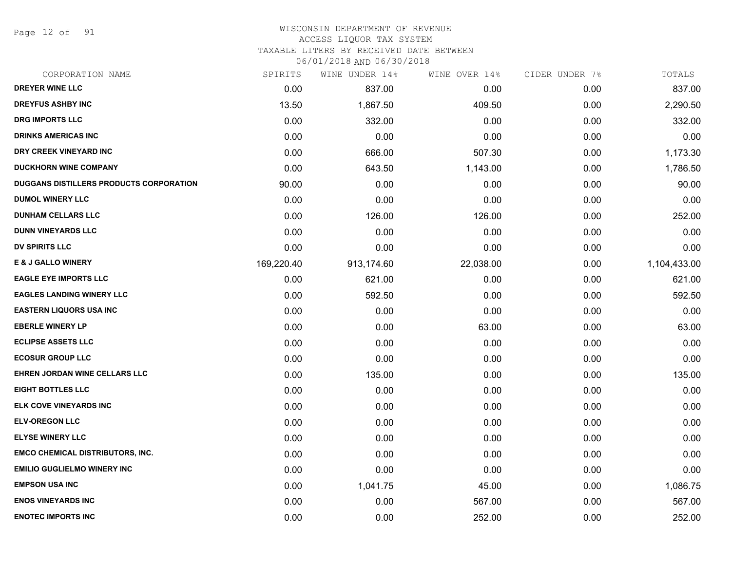Page 12 of 91

# WISCONSIN DEPARTMENT OF REVENUE

# ACCESS LIQUOR TAX SYSTEM

TAXABLE LITERS BY RECEIVED DATE BETWEEN

| CORPORATION NAME                        | SPIRITS    | WINE UNDER 14% | WINE OVER 14% | CIDER UNDER 7% | TOTALS       |
|-----------------------------------------|------------|----------------|---------------|----------------|--------------|
| <b>DREYER WINE LLC</b>                  | 0.00       | 837.00         | 0.00          | 0.00           | 837.00       |
| <b>DREYFUS ASHBY INC</b>                | 13.50      | 1,867.50       | 409.50        | 0.00           | 2,290.50     |
| DRG IMPORTS LLC                         | 0.00       | 332.00         | 0.00          | 0.00           | 332.00       |
| <b>DRINKS AMERICAS INC</b>              | 0.00       | 0.00           | 0.00          | 0.00           | 0.00         |
| DRY CREEK VINEYARD INC                  | 0.00       | 666.00         | 507.30        | 0.00           | 1,173.30     |
| <b>DUCKHORN WINE COMPANY</b>            | 0.00       | 643.50         | 1,143.00      | 0.00           | 1,786.50     |
| DUGGANS DISTILLERS PRODUCTS CORPORATION | 90.00      | 0.00           | 0.00          | 0.00           | 90.00        |
| <b>DUMOL WINERY LLC</b>                 | 0.00       | 0.00           | 0.00          | 0.00           | 0.00         |
| <b>DUNHAM CELLARS LLC</b>               | 0.00       | 126.00         | 126.00        | 0.00           | 252.00       |
| <b>DUNN VINEYARDS LLC</b>               | 0.00       | 0.00           | 0.00          | 0.00           | 0.00         |
| DV SPIRITS LLC                          | 0.00       | 0.00           | 0.00          | 0.00           | 0.00         |
| E & J GALLO WINERY                      | 169,220.40 | 913,174.60     | 22,038.00     | 0.00           | 1,104,433.00 |
| <b>EAGLE EYE IMPORTS LLC</b>            | 0.00       | 621.00         | 0.00          | 0.00           | 621.00       |
| <b>EAGLES LANDING WINERY LLC</b>        | 0.00       | 592.50         | 0.00          | 0.00           | 592.50       |
| <b>EASTERN LIQUORS USA INC</b>          | 0.00       | 0.00           | 0.00          | 0.00           | 0.00         |
| <b>EBERLE WINERY LP</b>                 | 0.00       | 0.00           | 63.00         | 0.00           | 63.00        |
| <b>ECLIPSE ASSETS LLC</b>               | 0.00       | 0.00           | 0.00          | 0.00           | 0.00         |
| <b>ECOSUR GROUP LLC</b>                 | 0.00       | 0.00           | 0.00          | 0.00           | 0.00         |
| EHREN JORDAN WINE CELLARS LLC           | 0.00       | 135.00         | 0.00          | 0.00           | 135.00       |
| <b>EIGHT BOTTLES LLC</b>                | 0.00       | 0.00           | 0.00          | 0.00           | 0.00         |
| ELK COVE VINEYARDS INC                  | 0.00       | 0.00           | 0.00          | 0.00           | 0.00         |
| <b>ELV-OREGON LLC</b>                   | 0.00       | 0.00           | 0.00          | 0.00           | 0.00         |
| <b>ELYSE WINERY LLC</b>                 | 0.00       | 0.00           | 0.00          | 0.00           | 0.00         |
| <b>EMCO CHEMICAL DISTRIBUTORS, INC.</b> | 0.00       | 0.00           | 0.00          | 0.00           | 0.00         |
| <b>EMILIO GUGLIELMO WINERY INC</b>      | 0.00       | 0.00           | 0.00          | 0.00           | 0.00         |
| <b>EMPSON USA INC</b>                   | 0.00       | 1,041.75       | 45.00         | 0.00           | 1,086.75     |
| <b>ENOS VINEYARDS INC</b>               | 0.00       | 0.00           | 567.00        | 0.00           | 567.00       |
| <b>ENOTEC IMPORTS INC</b>               | 0.00       | 0.00           | 252.00        | 0.00           | 252.00       |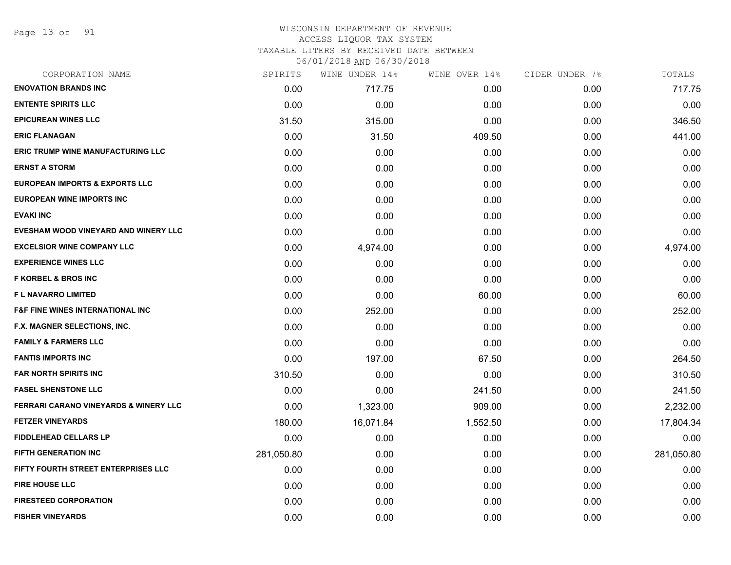Page 13 of 91

# WISCONSIN DEPARTMENT OF REVENUE ACCESS LIQUOR TAX SYSTEM TAXABLE LITERS BY RECEIVED DATE BETWEEN

| CORPORATION NAME                                 | SPIRITS    | WINE UNDER 14% | WINE OVER 14% | CIDER UNDER 7% | TOTALS     |
|--------------------------------------------------|------------|----------------|---------------|----------------|------------|
| <b>ENOVATION BRANDS INC</b>                      | 0.00       | 717.75         | 0.00          | 0.00           | 717.75     |
| <b>ENTENTE SPIRITS LLC</b>                       | 0.00       | 0.00           | 0.00          | 0.00           | 0.00       |
| <b>EPICUREAN WINES LLC</b>                       | 31.50      | 315.00         | 0.00          | 0.00           | 346.50     |
| <b>ERIC FLANAGAN</b>                             | 0.00       | 31.50          | 409.50        | 0.00           | 441.00     |
| <b>ERIC TRUMP WINE MANUFACTURING LLC</b>         | 0.00       | 0.00           | 0.00          | 0.00           | 0.00       |
| <b>ERNST A STORM</b>                             | 0.00       | 0.00           | 0.00          | 0.00           | 0.00       |
| <b>EUROPEAN IMPORTS &amp; EXPORTS LLC</b>        | 0.00       | 0.00           | 0.00          | 0.00           | 0.00       |
| <b>EUROPEAN WINE IMPORTS INC</b>                 | 0.00       | 0.00           | 0.00          | 0.00           | 0.00       |
| <b>EVAKI INC</b>                                 | 0.00       | 0.00           | 0.00          | 0.00           | 0.00       |
| EVESHAM WOOD VINEYARD AND WINERY LLC             | 0.00       | 0.00           | 0.00          | 0.00           | 0.00       |
| <b>EXCELSIOR WINE COMPANY LLC</b>                | 0.00       | 4,974.00       | 0.00          | 0.00           | 4,974.00   |
| <b>EXPERIENCE WINES LLC</b>                      | 0.00       | 0.00           | 0.00          | 0.00           | 0.00       |
| <b>F KORBEL &amp; BROS INC</b>                   | 0.00       | 0.00           | 0.00          | 0.00           | 0.00       |
| <b>FL NAVARRO LIMITED</b>                        | 0.00       | 0.00           | 60.00         | 0.00           | 60.00      |
| <b>F&amp;F FINE WINES INTERNATIONAL INC</b>      | 0.00       | 252.00         | 0.00          | 0.00           | 252.00     |
| F.X. MAGNER SELECTIONS, INC.                     | 0.00       | 0.00           | 0.00          | 0.00           | 0.00       |
| <b>FAMILY &amp; FARMERS LLC</b>                  | 0.00       | 0.00           | 0.00          | 0.00           | 0.00       |
| <b>FANTIS IMPORTS INC</b>                        | 0.00       | 197.00         | 67.50         | 0.00           | 264.50     |
| <b>FAR NORTH SPIRITS INC</b>                     | 310.50     | 0.00           | 0.00          | 0.00           | 310.50     |
| <b>FASEL SHENSTONE LLC</b>                       | 0.00       | 0.00           | 241.50        | 0.00           | 241.50     |
| <b>FERRARI CARANO VINEYARDS &amp; WINERY LLC</b> | 0.00       | 1,323.00       | 909.00        | 0.00           | 2,232.00   |
| <b>FETZER VINEYARDS</b>                          | 180.00     | 16,071.84      | 1,552.50      | 0.00           | 17,804.34  |
| <b>FIDDLEHEAD CELLARS LP</b>                     | 0.00       | 0.00           | 0.00          | 0.00           | 0.00       |
| <b>FIFTH GENERATION INC</b>                      | 281,050.80 | 0.00           | 0.00          | 0.00           | 281,050.80 |
| FIFTY FOURTH STREET ENTERPRISES LLC              | 0.00       | 0.00           | 0.00          | 0.00           | 0.00       |
| <b>FIRE HOUSE LLC</b>                            | 0.00       | 0.00           | 0.00          | 0.00           | 0.00       |
| <b>FIRESTEED CORPORATION</b>                     | 0.00       | 0.00           | 0.00          | 0.00           | 0.00       |
| <b>FISHER VINEYARDS</b>                          | 0.00       | 0.00           | 0.00          | 0.00           | 0.00       |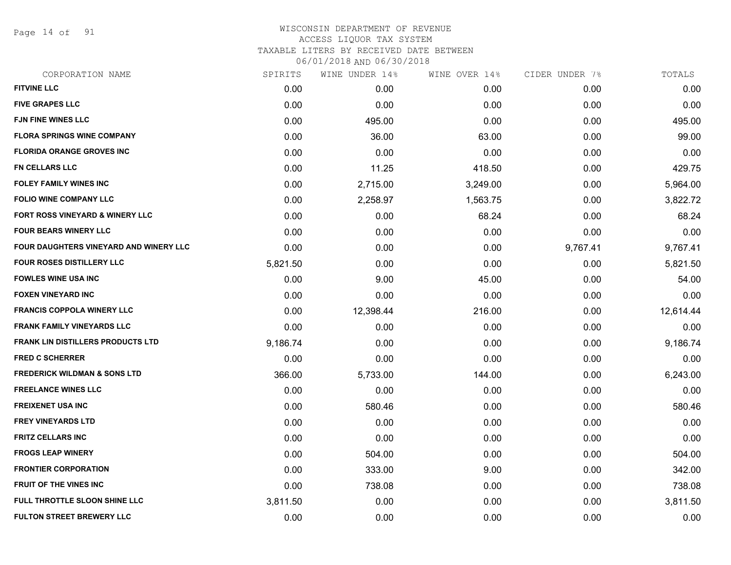Page 14 of 91

| CORPORATION NAME                           | SPIRITS  | WINE UNDER 14% | WINE OVER 14% | CIDER UNDER 7% | TOTALS    |
|--------------------------------------------|----------|----------------|---------------|----------------|-----------|
| <b>FITVINE LLC</b>                         | 0.00     | 0.00           | 0.00          | 0.00           | 0.00      |
| <b>FIVE GRAPES LLC</b>                     | 0.00     | 0.00           | 0.00          | 0.00           | 0.00      |
| <b>FJN FINE WINES LLC</b>                  | 0.00     | 495.00         | 0.00          | 0.00           | 495.00    |
| <b>FLORA SPRINGS WINE COMPANY</b>          | 0.00     | 36.00          | 63.00         | 0.00           | 99.00     |
| <b>FLORIDA ORANGE GROVES INC</b>           | 0.00     | 0.00           | 0.00          | 0.00           | 0.00      |
| <b>FN CELLARS LLC</b>                      | 0.00     | 11.25          | 418.50        | 0.00           | 429.75    |
| <b>FOLEY FAMILY WINES INC</b>              | 0.00     | 2,715.00       | 3,249.00      | 0.00           | 5,964.00  |
| <b>FOLIO WINE COMPANY LLC</b>              | 0.00     | 2,258.97       | 1,563.75      | 0.00           | 3,822.72  |
| <b>FORT ROSS VINEYARD &amp; WINERY LLC</b> | 0.00     | 0.00           | 68.24         | 0.00           | 68.24     |
| <b>FOUR BEARS WINERY LLC</b>               | 0.00     | 0.00           | 0.00          | 0.00           | 0.00      |
| FOUR DAUGHTERS VINEYARD AND WINERY LLC     | 0.00     | 0.00           | 0.00          | 9,767.41       | 9,767.41  |
| FOUR ROSES DISTILLERY LLC                  | 5,821.50 | 0.00           | 0.00          | 0.00           | 5,821.50  |
| <b>FOWLES WINE USA INC</b>                 | 0.00     | 9.00           | 45.00         | 0.00           | 54.00     |
| <b>FOXEN VINEYARD INC</b>                  | 0.00     | 0.00           | 0.00          | 0.00           | 0.00      |
| <b>FRANCIS COPPOLA WINERY LLC</b>          | 0.00     | 12,398.44      | 216.00        | 0.00           | 12,614.44 |
| <b>FRANK FAMILY VINEYARDS LLC</b>          | 0.00     | 0.00           | 0.00          | 0.00           | 0.00      |
| <b>FRANK LIN DISTILLERS PRODUCTS LTD</b>   | 9,186.74 | 0.00           | 0.00          | 0.00           | 9,186.74  |
| <b>FRED C SCHERRER</b>                     | 0.00     | 0.00           | 0.00          | 0.00           | 0.00      |
| <b>FREDERICK WILDMAN &amp; SONS LTD</b>    | 366.00   | 5,733.00       | 144.00        | 0.00           | 6,243.00  |
| <b>FREELANCE WINES LLC</b>                 | 0.00     | 0.00           | 0.00          | 0.00           | 0.00      |
| <b>FREIXENET USA INC</b>                   | 0.00     | 580.46         | 0.00          | 0.00           | 580.46    |
| <b>FREY VINEYARDS LTD</b>                  | 0.00     | 0.00           | 0.00          | 0.00           | 0.00      |
| <b>FRITZ CELLARS INC</b>                   | 0.00     | 0.00           | 0.00          | 0.00           | 0.00      |
| <b>FROGS LEAP WINERY</b>                   | 0.00     | 504.00         | 0.00          | 0.00           | 504.00    |
| <b>FRONTIER CORPORATION</b>                | 0.00     | 333.00         | 9.00          | 0.00           | 342.00    |
| <b>FRUIT OF THE VINES INC</b>              | 0.00     | 738.08         | 0.00          | 0.00           | 738.08    |
| FULL THROTTLE SLOON SHINE LLC              | 3,811.50 | 0.00           | 0.00          | 0.00           | 3,811.50  |
| <b>FULTON STREET BREWERY LLC</b>           | 0.00     | 0.00           | 0.00          | 0.00           | 0.00      |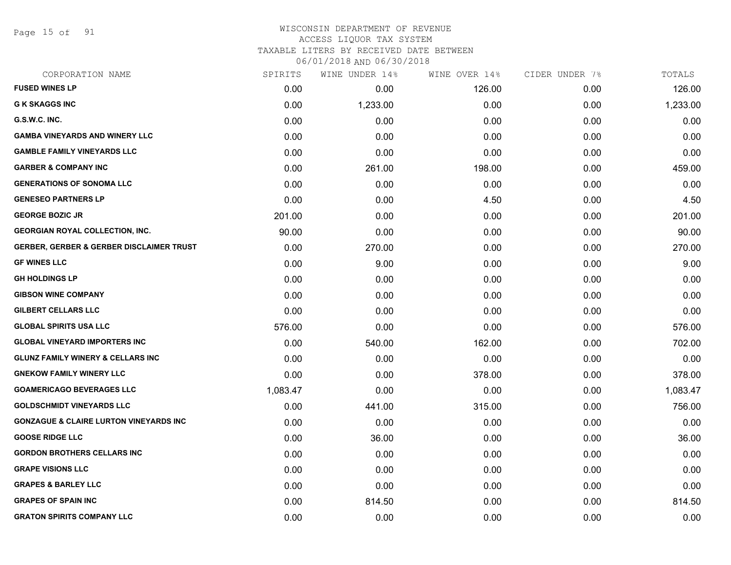Page 15 of 91

# WISCONSIN DEPARTMENT OF REVENUE ACCESS LIQUOR TAX SYSTEM TAXABLE LITERS BY RECEIVED DATE BETWEEN

| CORPORATION NAME                                    | SPIRITS  | WINE UNDER 14% | WINE OVER 14% | CIDER UNDER 7% | TOTALS   |
|-----------------------------------------------------|----------|----------------|---------------|----------------|----------|
| <b>FUSED WINES LP</b>                               | 0.00     | 0.00           | 126.00        | 0.00           | 126.00   |
| <b>G K SKAGGS INC</b>                               | 0.00     | 1,233.00       | 0.00          | 0.00           | 1,233.00 |
| G.S.W.C. INC.                                       | 0.00     | 0.00           | 0.00          | 0.00           | 0.00     |
| <b>GAMBA VINEYARDS AND WINERY LLC</b>               | 0.00     | 0.00           | 0.00          | 0.00           | 0.00     |
| <b>GAMBLE FAMILY VINEYARDS LLC</b>                  | 0.00     | 0.00           | 0.00          | 0.00           | 0.00     |
| <b>GARBER &amp; COMPANY INC</b>                     | 0.00     | 261.00         | 198.00        | 0.00           | 459.00   |
| <b>GENERATIONS OF SONOMA LLC</b>                    | 0.00     | 0.00           | 0.00          | 0.00           | 0.00     |
| <b>GENESEO PARTNERS LP</b>                          | 0.00     | 0.00           | 4.50          | 0.00           | 4.50     |
| <b>GEORGE BOZIC JR</b>                              | 201.00   | 0.00           | 0.00          | 0.00           | 201.00   |
| <b>GEORGIAN ROYAL COLLECTION, INC.</b>              | 90.00    | 0.00           | 0.00          | 0.00           | 90.00    |
| <b>GERBER, GERBER &amp; GERBER DISCLAIMER TRUST</b> | 0.00     | 270.00         | 0.00          | 0.00           | 270.00   |
| <b>GF WINES LLC</b>                                 | 0.00     | 9.00           | 0.00          | 0.00           | 9.00     |
| <b>GH HOLDINGS LP</b>                               | 0.00     | 0.00           | 0.00          | 0.00           | 0.00     |
| <b>GIBSON WINE COMPANY</b>                          | 0.00     | 0.00           | 0.00          | 0.00           | 0.00     |
| <b>GILBERT CELLARS LLC</b>                          | 0.00     | 0.00           | 0.00          | 0.00           | 0.00     |
| <b>GLOBAL SPIRITS USA LLC</b>                       | 576.00   | 0.00           | 0.00          | 0.00           | 576.00   |
| <b>GLOBAL VINEYARD IMPORTERS INC</b>                | 0.00     | 540.00         | 162.00        | 0.00           | 702.00   |
| <b>GLUNZ FAMILY WINERY &amp; CELLARS INC</b>        | 0.00     | 0.00           | 0.00          | 0.00           | 0.00     |
| <b>GNEKOW FAMILY WINERY LLC</b>                     | 0.00     | 0.00           | 378.00        | 0.00           | 378.00   |
| <b>GOAMERICAGO BEVERAGES LLC</b>                    | 1,083.47 | 0.00           | 0.00          | 0.00           | 1,083.47 |
| <b>GOLDSCHMIDT VINEYARDS LLC</b>                    | 0.00     | 441.00         | 315.00        | 0.00           | 756.00   |
| <b>GONZAGUE &amp; CLAIRE LURTON VINEYARDS INC</b>   | 0.00     | 0.00           | 0.00          | 0.00           | 0.00     |
| <b>GOOSE RIDGE LLC</b>                              | 0.00     | 36.00          | 0.00          | 0.00           | 36.00    |
| <b>GORDON BROTHERS CELLARS INC</b>                  | 0.00     | 0.00           | 0.00          | 0.00           | 0.00     |
| <b>GRAPE VISIONS LLC</b>                            | 0.00     | 0.00           | 0.00          | 0.00           | 0.00     |
| <b>GRAPES &amp; BARLEY LLC</b>                      | 0.00     | 0.00           | 0.00          | 0.00           | 0.00     |
| <b>GRAPES OF SPAIN INC</b>                          | 0.00     | 814.50         | 0.00          | 0.00           | 814.50   |
| <b>GRATON SPIRITS COMPANY LLC</b>                   | 0.00     | 0.00           | 0.00          | 0.00           | 0.00     |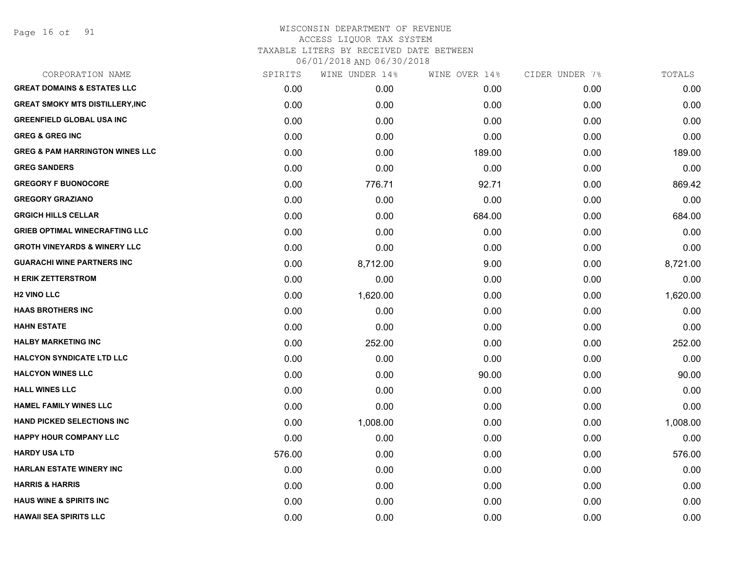Page 16 of 91

| CORPORATION NAME                           | SPIRITS | WINE UNDER 14% | WINE OVER 14% | CIDER UNDER 7% | TOTALS   |
|--------------------------------------------|---------|----------------|---------------|----------------|----------|
| <b>GREAT DOMAINS &amp; ESTATES LLC</b>     | 0.00    | 0.00           | 0.00          | 0.00           | 0.00     |
| <b>GREAT SMOKY MTS DISTILLERY, INC</b>     | 0.00    | 0.00           | 0.00          | 0.00           | 0.00     |
| <b>GREENFIELD GLOBAL USA INC</b>           | 0.00    | 0.00           | 0.00          | 0.00           | 0.00     |
| <b>GREG &amp; GREG INC</b>                 | 0.00    | 0.00           | 0.00          | 0.00           | 0.00     |
| <b>GREG &amp; PAM HARRINGTON WINES LLC</b> | 0.00    | 0.00           | 189.00        | 0.00           | 189.00   |
| <b>GREG SANDERS</b>                        | 0.00    | 0.00           | 0.00          | 0.00           | 0.00     |
| <b>GREGORY F BUONOCORE</b>                 | 0.00    | 776.71         | 92.71         | 0.00           | 869.42   |
| <b>GREGORY GRAZIANO</b>                    | 0.00    | 0.00           | 0.00          | 0.00           | 0.00     |
| <b>GRGICH HILLS CELLAR</b>                 | 0.00    | 0.00           | 684.00        | 0.00           | 684.00   |
| <b>GRIEB OPTIMAL WINECRAFTING LLC</b>      | 0.00    | 0.00           | 0.00          | 0.00           | 0.00     |
| <b>GROTH VINEYARDS &amp; WINERY LLC</b>    | 0.00    | 0.00           | 0.00          | 0.00           | 0.00     |
| <b>GUARACHI WINE PARTNERS INC</b>          | 0.00    | 8,712.00       | 9.00          | 0.00           | 8,721.00 |
| <b>H ERIK ZETTERSTROM</b>                  | 0.00    | 0.00           | 0.00          | 0.00           | 0.00     |
| <b>H<sub>2</sub> VINO LLC</b>              | 0.00    | 1,620.00       | 0.00          | 0.00           | 1,620.00 |
| <b>HAAS BROTHERS INC</b>                   | 0.00    | 0.00           | 0.00          | 0.00           | 0.00     |
| <b>HAHN ESTATE</b>                         | 0.00    | 0.00           | 0.00          | 0.00           | 0.00     |
| <b>HALBY MARKETING INC</b>                 | 0.00    | 252.00         | 0.00          | 0.00           | 252.00   |
| <b>HALCYON SYNDICATE LTD LLC</b>           | 0.00    | 0.00           | 0.00          | 0.00           | 0.00     |
| <b>HALCYON WINES LLC</b>                   | 0.00    | 0.00           | 90.00         | 0.00           | 90.00    |
| <b>HALL WINES LLC</b>                      | 0.00    | 0.00           | 0.00          | 0.00           | 0.00     |
| <b>HAMEL FAMILY WINES LLC</b>              | 0.00    | 0.00           | 0.00          | 0.00           | 0.00     |
| HAND PICKED SELECTIONS INC                 | 0.00    | 1,008.00       | 0.00          | 0.00           | 1,008.00 |
| <b>HAPPY HOUR COMPANY LLC</b>              | 0.00    | 0.00           | 0.00          | 0.00           | 0.00     |
| <b>HARDY USA LTD</b>                       | 576.00  | 0.00           | 0.00          | 0.00           | 576.00   |
| <b>HARLAN ESTATE WINERY INC</b>            | 0.00    | 0.00           | 0.00          | 0.00           | 0.00     |
| <b>HARRIS &amp; HARRIS</b>                 | 0.00    | 0.00           | 0.00          | 0.00           | 0.00     |
| <b>HAUS WINE &amp; SPIRITS INC</b>         | 0.00    | 0.00           | 0.00          | 0.00           | 0.00     |
| <b>HAWAII SEA SPIRITS LLC</b>              | 0.00    | 0.00           | 0.00          | 0.00           | 0.00     |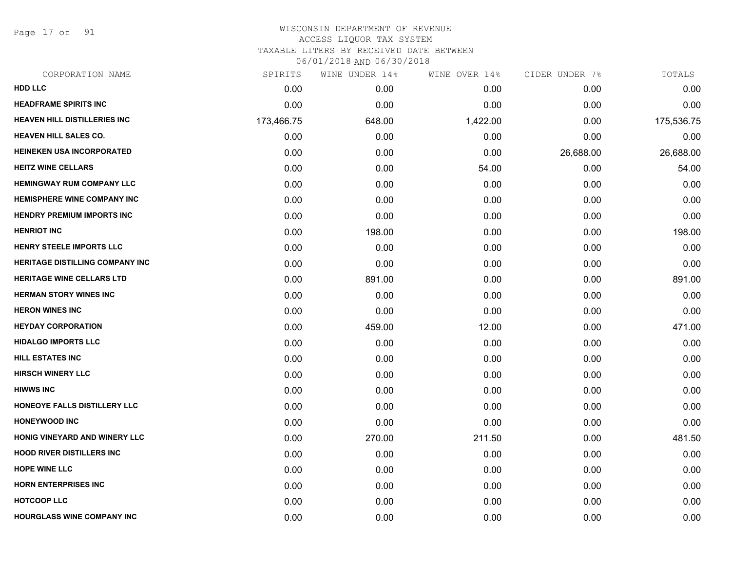Page 17 of 91

| CORPORATION NAME                    | SPIRITS    | WINE UNDER 14% | WINE OVER 14% | CIDER UNDER 7% | TOTALS     |
|-------------------------------------|------------|----------------|---------------|----------------|------------|
| <b>HDD LLC</b>                      | 0.00       | 0.00           | 0.00          | 0.00           | 0.00       |
| <b>HEADFRAME SPIRITS INC</b>        | 0.00       | 0.00           | 0.00          | 0.00           | 0.00       |
| <b>HEAVEN HILL DISTILLERIES INC</b> | 173,466.75 | 648.00         | 1,422.00      | 0.00           | 175,536.75 |
| <b>HEAVEN HILL SALES CO.</b>        | 0.00       | 0.00           | 0.00          | 0.00           | 0.00       |
| <b>HEINEKEN USA INCORPORATED</b>    | 0.00       | 0.00           | 0.00          | 26,688.00      | 26,688.00  |
| <b>HEITZ WINE CELLARS</b>           | 0.00       | 0.00           | 54.00         | 0.00           | 54.00      |
| <b>HEMINGWAY RUM COMPANY LLC</b>    | 0.00       | 0.00           | 0.00          | 0.00           | 0.00       |
| <b>HEMISPHERE WINE COMPANY INC</b>  | 0.00       | 0.00           | 0.00          | 0.00           | 0.00       |
| <b>HENDRY PREMIUM IMPORTS INC</b>   | 0.00       | 0.00           | 0.00          | 0.00           | 0.00       |
| <b>HENRIOT INC</b>                  | 0.00       | 198.00         | 0.00          | 0.00           | 198.00     |
| HENRY STEELE IMPORTS LLC            | 0.00       | 0.00           | 0.00          | 0.00           | 0.00       |
| HERITAGE DISTILLING COMPANY INC     | 0.00       | 0.00           | 0.00          | 0.00           | 0.00       |
| <b>HERITAGE WINE CELLARS LTD</b>    | 0.00       | 891.00         | 0.00          | 0.00           | 891.00     |
| <b>HERMAN STORY WINES INC</b>       | 0.00       | 0.00           | 0.00          | 0.00           | 0.00       |
| <b>HERON WINES INC</b>              | 0.00       | 0.00           | 0.00          | 0.00           | 0.00       |
| <b>HEYDAY CORPORATION</b>           | 0.00       | 459.00         | 12.00         | 0.00           | 471.00     |
| <b>HIDALGO IMPORTS LLC</b>          | 0.00       | 0.00           | 0.00          | 0.00           | 0.00       |
| <b>HILL ESTATES INC</b>             | 0.00       | 0.00           | 0.00          | 0.00           | 0.00       |
| <b>HIRSCH WINERY LLC</b>            | 0.00       | 0.00           | 0.00          | 0.00           | 0.00       |
| <b>HIWWS INC</b>                    | 0.00       | 0.00           | 0.00          | 0.00           | 0.00       |
| HONEOYE FALLS DISTILLERY LLC        | 0.00       | 0.00           | 0.00          | 0.00           | 0.00       |
| <b>HONEYWOOD INC</b>                | 0.00       | 0.00           | 0.00          | 0.00           | 0.00       |
| HONIG VINEYARD AND WINERY LLC       | 0.00       | 270.00         | 211.50        | 0.00           | 481.50     |
| <b>HOOD RIVER DISTILLERS INC.</b>   | 0.00       | 0.00           | 0.00          | 0.00           | 0.00       |
| <b>HOPE WINE LLC</b>                | 0.00       | 0.00           | 0.00          | 0.00           | 0.00       |
| <b>HORN ENTERPRISES INC</b>         | 0.00       | 0.00           | 0.00          | 0.00           | 0.00       |
| <b>HOTCOOP LLC</b>                  | 0.00       | 0.00           | 0.00          | 0.00           | 0.00       |
| <b>HOURGLASS WINE COMPANY INC</b>   | 0.00       | 0.00           | 0.00          | 0.00           | 0.00       |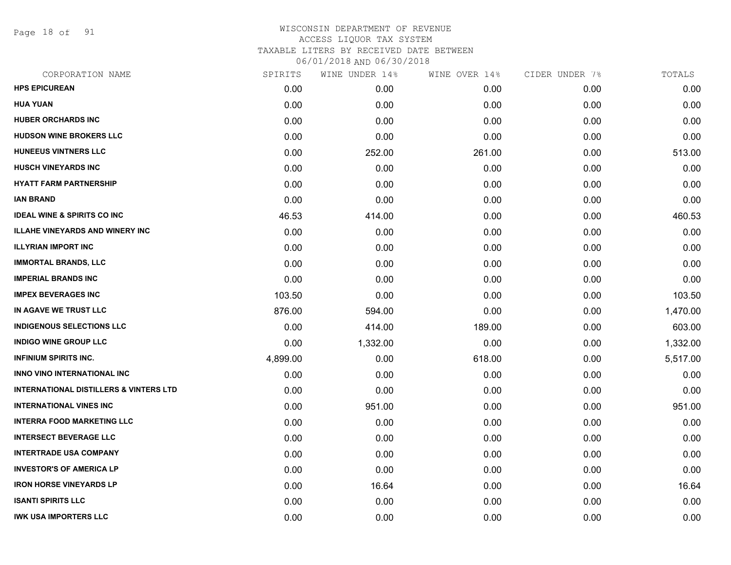Page 18 of 91

| CORPORATION NAME                                  | SPIRITS  | WINE UNDER 14% | WINE OVER 14% | CIDER UNDER 7% | TOTALS   |
|---------------------------------------------------|----------|----------------|---------------|----------------|----------|
| <b>HPS EPICUREAN</b>                              | 0.00     | 0.00           | 0.00          | 0.00           | 0.00     |
| <b>HUA YUAN</b>                                   | 0.00     | 0.00           | 0.00          | 0.00           | 0.00     |
| <b>HUBER ORCHARDS INC</b>                         | 0.00     | 0.00           | 0.00          | 0.00           | 0.00     |
| <b>HUDSON WINE BROKERS LLC</b>                    | 0.00     | 0.00           | 0.00          | 0.00           | 0.00     |
| HUNEEUS VINTNERS LLC                              | 0.00     | 252.00         | 261.00        | 0.00           | 513.00   |
| <b>HUSCH VINEYARDS INC</b>                        | 0.00     | 0.00           | 0.00          | 0.00           | 0.00     |
| <b>HYATT FARM PARTNERSHIP</b>                     | 0.00     | 0.00           | 0.00          | 0.00           | 0.00     |
| <b>IAN BRAND</b>                                  | 0.00     | 0.00           | 0.00          | 0.00           | 0.00     |
| <b>IDEAL WINE &amp; SPIRITS CO INC</b>            | 46.53    | 414.00         | 0.00          | 0.00           | 460.53   |
| <b>ILLAHE VINEYARDS AND WINERY INC</b>            | 0.00     | 0.00           | 0.00          | 0.00           | 0.00     |
| <b>ILLYRIAN IMPORT INC</b>                        | 0.00     | 0.00           | 0.00          | 0.00           | 0.00     |
| <b>IMMORTAL BRANDS, LLC</b>                       | 0.00     | 0.00           | 0.00          | 0.00           | 0.00     |
| <b>IMPERIAL BRANDS INC</b>                        | 0.00     | 0.00           | 0.00          | 0.00           | 0.00     |
| <b>IMPEX BEVERAGES INC</b>                        | 103.50   | 0.00           | 0.00          | 0.00           | 103.50   |
| IN AGAVE WE TRUST LLC                             | 876.00   | 594.00         | 0.00          | 0.00           | 1,470.00 |
| <b>INDIGENOUS SELECTIONS LLC</b>                  | 0.00     | 414.00         | 189.00        | 0.00           | 603.00   |
| <b>INDIGO WINE GROUP LLC</b>                      | 0.00     | 1,332.00       | 0.00          | 0.00           | 1,332.00 |
| <b>INFINIUM SPIRITS INC.</b>                      | 4,899.00 | 0.00           | 618.00        | 0.00           | 5,517.00 |
| INNO VINO INTERNATIONAL INC                       | 0.00     | 0.00           | 0.00          | 0.00           | 0.00     |
| <b>INTERNATIONAL DISTILLERS &amp; VINTERS LTD</b> | 0.00     | 0.00           | 0.00          | 0.00           | 0.00     |
| <b>INTERNATIONAL VINES INC</b>                    | 0.00     | 951.00         | 0.00          | 0.00           | 951.00   |
| <b>INTERRA FOOD MARKETING LLC</b>                 | 0.00     | 0.00           | 0.00          | 0.00           | 0.00     |
| <b>INTERSECT BEVERAGE LLC</b>                     | 0.00     | 0.00           | 0.00          | 0.00           | 0.00     |
| <b>INTERTRADE USA COMPANY</b>                     | 0.00     | 0.00           | 0.00          | 0.00           | 0.00     |
| <b>INVESTOR'S OF AMERICA LP</b>                   | 0.00     | 0.00           | 0.00          | 0.00           | 0.00     |
| <b>IRON HORSE VINEYARDS LP</b>                    | 0.00     | 16.64          | 0.00          | 0.00           | 16.64    |
| <b>ISANTI SPIRITS LLC</b>                         | 0.00     | 0.00           | 0.00          | 0.00           | 0.00     |
| <b>IWK USA IMPORTERS LLC</b>                      | 0.00     | 0.00           | 0.00          | 0.00           | 0.00     |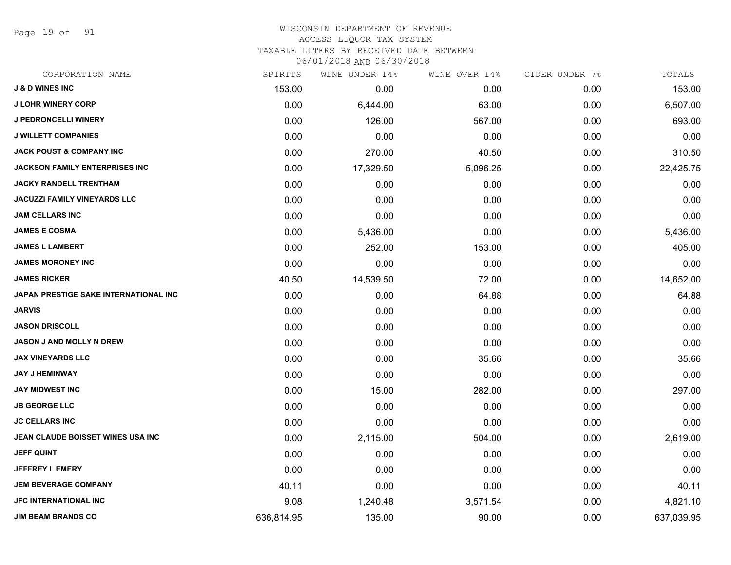Page 19 of 91

| CORPORATION NAME                      | SPIRITS    | WINE UNDER 14% | WINE OVER 14% | CIDER UNDER 7% | TOTALS     |
|---------------------------------------|------------|----------------|---------------|----------------|------------|
| <b>J &amp; D WINES INC</b>            | 153.00     | 0.00           | 0.00          | 0.00           | 153.00     |
| <b>J LOHR WINERY CORP</b>             | 0.00       | 6,444.00       | 63.00         | 0.00           | 6,507.00   |
| <b>J PEDRONCELLI WINERY</b>           | 0.00       | 126.00         | 567.00        | 0.00           | 693.00     |
| <b>J WILLETT COMPANIES</b>            | 0.00       | 0.00           | 0.00          | 0.00           | 0.00       |
| <b>JACK POUST &amp; COMPANY INC</b>   | 0.00       | 270.00         | 40.50         | 0.00           | 310.50     |
| <b>JACKSON FAMILY ENTERPRISES INC</b> | 0.00       | 17,329.50      | 5,096.25      | 0.00           | 22,425.75  |
| <b>JACKY RANDELL TRENTHAM</b>         | 0.00       | 0.00           | 0.00          | 0.00           | 0.00       |
| <b>JACUZZI FAMILY VINEYARDS LLC</b>   | 0.00       | 0.00           | 0.00          | 0.00           | 0.00       |
| <b>JAM CELLARS INC</b>                | 0.00       | 0.00           | 0.00          | 0.00           | 0.00       |
| <b>JAMES E COSMA</b>                  | 0.00       | 5,436.00       | 0.00          | 0.00           | 5,436.00   |
| <b>JAMES L LAMBERT</b>                | 0.00       | 252.00         | 153.00        | 0.00           | 405.00     |
| <b>JAMES MORONEY INC</b>              | 0.00       | 0.00           | 0.00          | 0.00           | 0.00       |
| <b>JAMES RICKER</b>                   | 40.50      | 14,539.50      | 72.00         | 0.00           | 14,652.00  |
| JAPAN PRESTIGE SAKE INTERNATIONAL INC | 0.00       | 0.00           | 64.88         | 0.00           | 64.88      |
| <b>JARVIS</b>                         | 0.00       | 0.00           | 0.00          | 0.00           | 0.00       |
| <b>JASON DRISCOLL</b>                 | 0.00       | 0.00           | 0.00          | 0.00           | 0.00       |
| <b>JASON J AND MOLLY N DREW</b>       | 0.00       | 0.00           | 0.00          | 0.00           | 0.00       |
| <b>JAX VINEYARDS LLC</b>              | 0.00       | 0.00           | 35.66         | 0.00           | 35.66      |
| <b>JAY J HEMINWAY</b>                 | 0.00       | 0.00           | 0.00          | 0.00           | 0.00       |
| <b>JAY MIDWEST INC</b>                | 0.00       | 15.00          | 282.00        | 0.00           | 297.00     |
| <b>JB GEORGE LLC</b>                  | 0.00       | 0.00           | 0.00          | 0.00           | 0.00       |
| <b>JC CELLARS INC</b>                 | 0.00       | 0.00           | 0.00          | 0.00           | 0.00       |
| JEAN CLAUDE BOISSET WINES USA INC     | 0.00       | 2,115.00       | 504.00        | 0.00           | 2,619.00   |
| <b>JEFF QUINT</b>                     | 0.00       | 0.00           | 0.00          | 0.00           | 0.00       |
| <b>JEFFREY L EMERY</b>                | 0.00       | 0.00           | 0.00          | 0.00           | 0.00       |
| <b>JEM BEVERAGE COMPANY</b>           | 40.11      | 0.00           | 0.00          | 0.00           | 40.11      |
| <b>JFC INTERNATIONAL INC</b>          | 9.08       | 1,240.48       | 3,571.54      | 0.00           | 4,821.10   |
| <b>JIM BEAM BRANDS CO</b>             | 636,814.95 | 135.00         | 90.00         | 0.00           | 637,039.95 |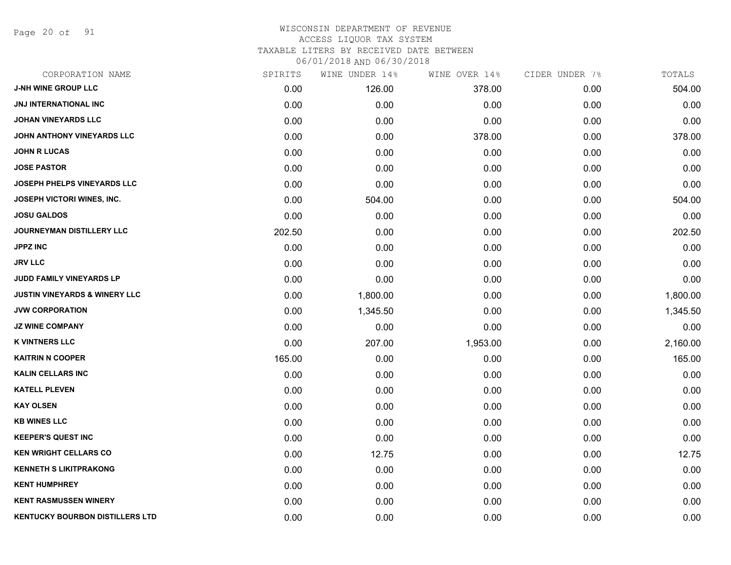Page 20 of 91

| CORPORATION NAME                         | SPIRITS | WINE UNDER 14% | WINE OVER 14% | CIDER UNDER 7% | TOTALS   |
|------------------------------------------|---------|----------------|---------------|----------------|----------|
| <b>J-NH WINE GROUP LLC</b>               | 0.00    | 126.00         | 378.00        | 0.00           | 504.00   |
| JNJ INTERNATIONAL INC                    | 0.00    | 0.00           | 0.00          | 0.00           | 0.00     |
| <b>JOHAN VINEYARDS LLC</b>               | 0.00    | 0.00           | 0.00          | 0.00           | 0.00     |
| JOHN ANTHONY VINEYARDS LLC               | 0.00    | 0.00           | 378.00        | 0.00           | 378.00   |
| <b>JOHN R LUCAS</b>                      | 0.00    | 0.00           | 0.00          | 0.00           | 0.00     |
| <b>JOSE PASTOR</b>                       | 0.00    | 0.00           | 0.00          | 0.00           | 0.00     |
| JOSEPH PHELPS VINEYARDS LLC              | 0.00    | 0.00           | 0.00          | 0.00           | 0.00     |
| <b>JOSEPH VICTORI WINES, INC.</b>        | 0.00    | 504.00         | 0.00          | 0.00           | 504.00   |
| <b>JOSU GALDOS</b>                       | 0.00    | 0.00           | 0.00          | 0.00           | 0.00     |
| <b>JOURNEYMAN DISTILLERY LLC</b>         | 202.50  | 0.00           | 0.00          | 0.00           | 202.50   |
| <b>JPPZ INC</b>                          | 0.00    | 0.00           | 0.00          | 0.00           | 0.00     |
| <b>JRV LLC</b>                           | 0.00    | 0.00           | 0.00          | 0.00           | 0.00     |
| JUDD FAMILY VINEYARDS LP                 | 0.00    | 0.00           | 0.00          | 0.00           | 0.00     |
| <b>JUSTIN VINEYARDS &amp; WINERY LLC</b> | 0.00    | 1,800.00       | 0.00          | 0.00           | 1,800.00 |
| <b>JVW CORPORATION</b>                   | 0.00    | 1,345.50       | 0.00          | 0.00           | 1,345.50 |
| <b>JZ WINE COMPANY</b>                   | 0.00    | 0.00           | 0.00          | 0.00           | 0.00     |
| <b>K VINTNERS LLC</b>                    | 0.00    | 207.00         | 1,953.00      | 0.00           | 2,160.00 |
| <b>KAITRIN N COOPER</b>                  | 165.00  | 0.00           | 0.00          | 0.00           | 165.00   |
| <b>KALIN CELLARS INC</b>                 | 0.00    | 0.00           | 0.00          | 0.00           | 0.00     |
| <b>KATELL PLEVEN</b>                     | 0.00    | 0.00           | 0.00          | 0.00           | 0.00     |
| <b>KAY OLSEN</b>                         | 0.00    | 0.00           | 0.00          | 0.00           | 0.00     |
| <b>KB WINES LLC</b>                      | 0.00    | 0.00           | 0.00          | 0.00           | 0.00     |
| <b>KEEPER'S QUEST INC</b>                | 0.00    | 0.00           | 0.00          | 0.00           | 0.00     |
| <b>KEN WRIGHT CELLARS CO</b>             | 0.00    | 12.75          | 0.00          | 0.00           | 12.75    |
| <b>KENNETH S LIKITPRAKONG</b>            | 0.00    | 0.00           | 0.00          | 0.00           | 0.00     |
| <b>KENT HUMPHREY</b>                     | 0.00    | 0.00           | 0.00          | 0.00           | 0.00     |
| <b>KENT RASMUSSEN WINERY</b>             | 0.00    | 0.00           | 0.00          | 0.00           | 0.00     |
| KENTUCKY BOURBON DISTILLERS LTD          | 0.00    | 0.00           | 0.00          | 0.00           | 0.00     |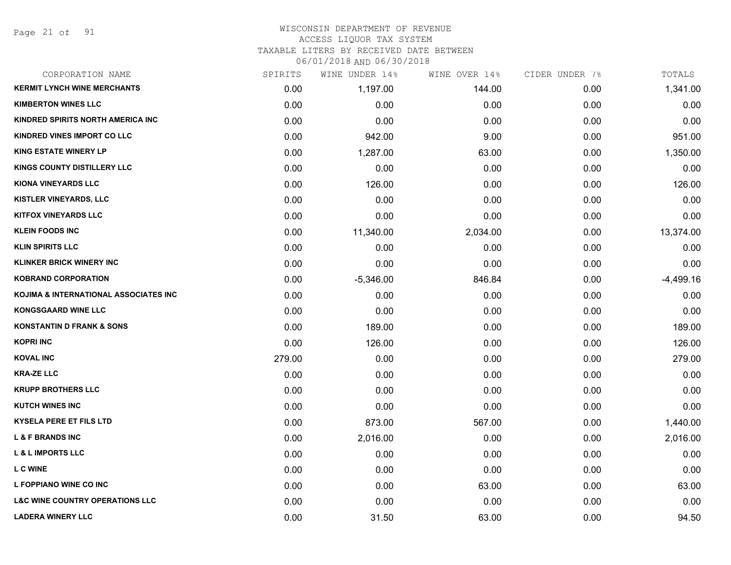#### WISCONSIN DEPARTMENT OF REVENUE ACCESS LIQUOR TAX SYSTEM TAXABLE LITERS BY RECEIVED DATE BETWEEN

| CORPORATION NAME                           | SPIRITS | WINE UNDER 14% | WINE OVER 14% | CIDER UNDER 7% | TOTALS      |
|--------------------------------------------|---------|----------------|---------------|----------------|-------------|
| <b>KERMIT LYNCH WINE MERCHANTS</b>         | 0.00    | 1,197.00       | 144.00        | 0.00           | 1,341.00    |
| <b>KIMBERTON WINES LLC</b>                 | 0.00    | 0.00           | 0.00          | 0.00           | 0.00        |
| KINDRED SPIRITS NORTH AMERICA INC          | 0.00    | 0.00           | 0.00          | 0.00           | 0.00        |
| KINDRED VINES IMPORT CO LLC                | 0.00    | 942.00         | 9.00          | 0.00           | 951.00      |
| <b>KING ESTATE WINERY LP</b>               | 0.00    | 1,287.00       | 63.00         | 0.00           | 1,350.00    |
| <b>KINGS COUNTY DISTILLERY LLC</b>         | 0.00    | 0.00           | 0.00          | 0.00           | 0.00        |
| <b>KIONA VINEYARDS LLC</b>                 | 0.00    | 126.00         | 0.00          | 0.00           | 126.00      |
| KISTLER VINEYARDS, LLC                     | 0.00    | 0.00           | 0.00          | 0.00           | 0.00        |
| <b>KITFOX VINEYARDS LLC</b>                | 0.00    | 0.00           | 0.00          | 0.00           | 0.00        |
| <b>KLEIN FOODS INC</b>                     | 0.00    | 11,340.00      | 2,034.00      | 0.00           | 13,374.00   |
| <b>KLIN SPIRITS LLC</b>                    | 0.00    | 0.00           | 0.00          | 0.00           | 0.00        |
| <b>KLINKER BRICK WINERY INC</b>            | 0.00    | 0.00           | 0.00          | 0.00           | 0.00        |
| <b>KOBRAND CORPORATION</b>                 | 0.00    | $-5,346.00$    | 846.84        | 0.00           | $-4,499.16$ |
| KOJIMA & INTERNATIONAL ASSOCIATES INC      | 0.00    | 0.00           | 0.00          | 0.00           | 0.00        |
| <b>KONGSGAARD WINE LLC</b>                 | 0.00    | 0.00           | 0.00          | 0.00           | 0.00        |
| <b>KONSTANTIN D FRANK &amp; SONS</b>       | 0.00    | 189.00         | 0.00          | 0.00           | 189.00      |
| <b>KOPRI INC</b>                           | 0.00    | 126.00         | 0.00          | 0.00           | 126.00      |
| <b>KOVAL INC</b>                           | 279.00  | 0.00           | 0.00          | 0.00           | 279.00      |
| <b>KRA-ZE LLC</b>                          | 0.00    | 0.00           | 0.00          | 0.00           | 0.00        |
| <b>KRUPP BROTHERS LLC</b>                  | 0.00    | 0.00           | 0.00          | 0.00           | 0.00        |
| <b>KUTCH WINES INC</b>                     | 0.00    | 0.00           | 0.00          | 0.00           | 0.00        |
| <b>KYSELA PERE ET FILS LTD</b>             | 0.00    | 873.00         | 567.00        | 0.00           | 1,440.00    |
| <b>L &amp; F BRANDS INC</b>                | 0.00    | 2,016.00       | 0.00          | 0.00           | 2,016.00    |
| <b>L &amp; L IMPORTS LLC</b>               | 0.00    | 0.00           | 0.00          | 0.00           | 0.00        |
| <b>L C WINE</b>                            | 0.00    | 0.00           | 0.00          | 0.00           | 0.00        |
| L FOPPIANO WINE CO INC                     | 0.00    | 0.00           | 63.00         | 0.00           | 63.00       |
| <b>L&amp;C WINE COUNTRY OPERATIONS LLC</b> | 0.00    | 0.00           | 0.00          | 0.00           | 0.00        |
| <b>LADERA WINERY LLC</b>                   | 0.00    | 31.50          | 63.00         | 0.00           | 94.50       |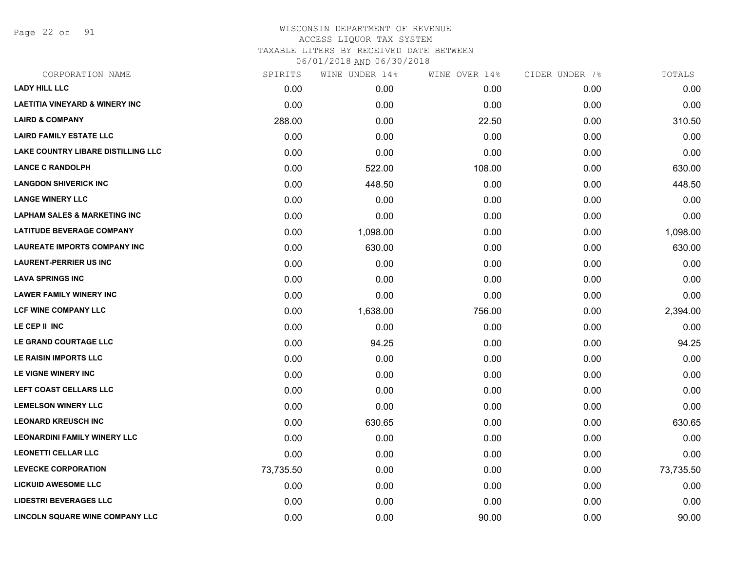Page 22 of 91

| CORPORATION NAME                          | SPIRITS   | WINE UNDER 14% | WINE OVER 14% | CIDER UNDER 7% | TOTALS    |
|-------------------------------------------|-----------|----------------|---------------|----------------|-----------|
| <b>LADY HILL LLC</b>                      | 0.00      | 0.00           | 0.00          | 0.00           | 0.00      |
| <b>LAETITIA VINEYARD &amp; WINERY INC</b> | 0.00      | 0.00           | 0.00          | 0.00           | 0.00      |
| <b>LAIRD &amp; COMPANY</b>                | 288.00    | 0.00           | 22.50         | 0.00           | 310.50    |
| <b>LAIRD FAMILY ESTATE LLC</b>            | 0.00      | 0.00           | 0.00          | 0.00           | 0.00      |
| <b>LAKE COUNTRY LIBARE DISTILLING LLC</b> | 0.00      | 0.00           | 0.00          | 0.00           | 0.00      |
| <b>LANCE C RANDOLPH</b>                   | 0.00      | 522.00         | 108.00        | 0.00           | 630.00    |
| <b>LANGDON SHIVERICK INC</b>              | 0.00      | 448.50         | 0.00          | 0.00           | 448.50    |
| <b>LANGE WINERY LLC</b>                   | 0.00      | 0.00           | 0.00          | 0.00           | 0.00      |
| <b>LAPHAM SALES &amp; MARKETING INC</b>   | 0.00      | 0.00           | 0.00          | 0.00           | 0.00      |
| <b>LATITUDE BEVERAGE COMPANY</b>          | 0.00      | 1,098.00       | 0.00          | 0.00           | 1,098.00  |
| <b>LAUREATE IMPORTS COMPANY INC</b>       | 0.00      | 630.00         | 0.00          | 0.00           | 630.00    |
| <b>LAURENT-PERRIER US INC</b>             | 0.00      | 0.00           | 0.00          | 0.00           | 0.00      |
| <b>LAVA SPRINGS INC</b>                   | 0.00      | 0.00           | 0.00          | 0.00           | 0.00      |
| <b>LAWER FAMILY WINERY INC</b>            | 0.00      | 0.00           | 0.00          | 0.00           | 0.00      |
| <b>LCF WINE COMPANY LLC</b>               | 0.00      | 1,638.00       | 756.00        | 0.00           | 2,394.00  |
| LE CEP II INC                             | 0.00      | 0.00           | 0.00          | 0.00           | 0.00      |
| LE GRAND COURTAGE LLC                     | 0.00      | 94.25          | 0.00          | 0.00           | 94.25     |
| LE RAISIN IMPORTS LLC                     | 0.00      | 0.00           | 0.00          | 0.00           | 0.00      |
| LE VIGNE WINERY INC                       | 0.00      | 0.00           | 0.00          | 0.00           | 0.00      |
| LEFT COAST CELLARS LLC                    | 0.00      | 0.00           | 0.00          | 0.00           | 0.00      |
| <b>LEMELSON WINERY LLC</b>                | 0.00      | 0.00           | 0.00          | 0.00           | 0.00      |
| <b>LEONARD KREUSCH INC</b>                | 0.00      | 630.65         | 0.00          | 0.00           | 630.65    |
| <b>LEONARDINI FAMILY WINERY LLC</b>       | 0.00      | 0.00           | 0.00          | 0.00           | 0.00      |
| <b>LEONETTI CELLAR LLC</b>                | 0.00      | 0.00           | 0.00          | 0.00           | 0.00      |
| <b>LEVECKE CORPORATION</b>                | 73,735.50 | 0.00           | 0.00          | 0.00           | 73,735.50 |
| <b>LICKUID AWESOME LLC</b>                | 0.00      | 0.00           | 0.00          | 0.00           | 0.00      |
| <b>LIDESTRI BEVERAGES LLC</b>             | 0.00      | 0.00           | 0.00          | 0.00           | 0.00      |
| LINCOLN SQUARE WINE COMPANY LLC           | 0.00      | 0.00           | 90.00         | 0.00           | 90.00     |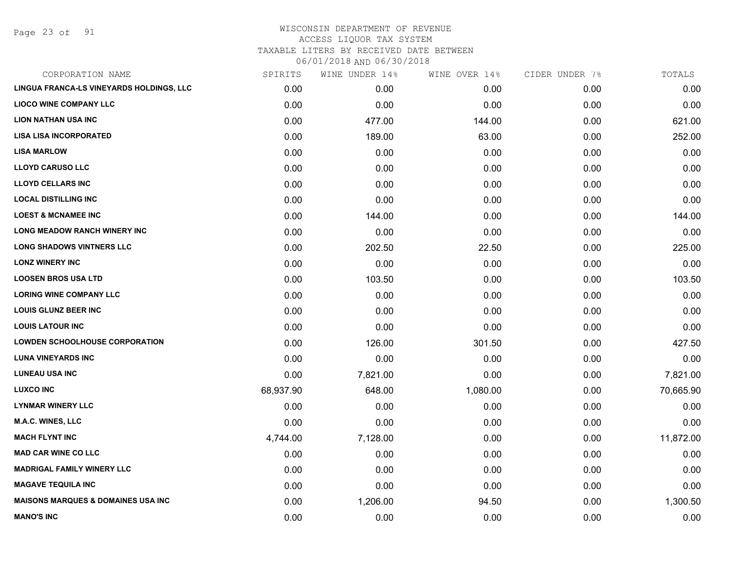Page 23 of 91

# WISCONSIN DEPARTMENT OF REVENUE ACCESS LIQUOR TAX SYSTEM TAXABLE LITERS BY RECEIVED DATE BETWEEN

| CORPORATION NAME                              | SPIRITS   | WINE UNDER 14% | WINE OVER 14% | CIDER UNDER 7% | TOTALS    |
|-----------------------------------------------|-----------|----------------|---------------|----------------|-----------|
| LINGUA FRANCA-LS VINEYARDS HOLDINGS, LLC      | 0.00      | 0.00           | 0.00          | 0.00           | 0.00      |
| <b>LIOCO WINE COMPANY LLC</b>                 | 0.00      | 0.00           | 0.00          | 0.00           | 0.00      |
| <b>LION NATHAN USA INC</b>                    | 0.00      | 477.00         | 144.00        | 0.00           | 621.00    |
| <b>LISA LISA INCORPORATED</b>                 | 0.00      | 189.00         | 63.00         | 0.00           | 252.00    |
| <b>LISA MARLOW</b>                            | 0.00      | 0.00           | 0.00          | 0.00           | 0.00      |
| <b>LLOYD CARUSO LLC</b>                       | 0.00      | 0.00           | 0.00          | 0.00           | 0.00      |
| <b>LLOYD CELLARS INC</b>                      | 0.00      | 0.00           | 0.00          | 0.00           | 0.00      |
| <b>LOCAL DISTILLING INC</b>                   | 0.00      | 0.00           | 0.00          | 0.00           | 0.00      |
| <b>LOEST &amp; MCNAMEE INC</b>                | 0.00      | 144.00         | 0.00          | 0.00           | 144.00    |
| <b>LONG MEADOW RANCH WINERY INC</b>           | 0.00      | 0.00           | 0.00          | 0.00           | 0.00      |
| <b>LONG SHADOWS VINTNERS LLC</b>              | 0.00      | 202.50         | 22.50         | 0.00           | 225.00    |
| <b>LONZ WINERY INC</b>                        | 0.00      | 0.00           | 0.00          | 0.00           | 0.00      |
| <b>LOOSEN BROS USA LTD</b>                    | 0.00      | 103.50         | 0.00          | 0.00           | 103.50    |
| <b>LORING WINE COMPANY LLC</b>                | 0.00      | 0.00           | 0.00          | 0.00           | 0.00      |
| <b>LOUIS GLUNZ BEER INC</b>                   | 0.00      | 0.00           | 0.00          | 0.00           | 0.00      |
| <b>LOUIS LATOUR INC</b>                       | 0.00      | 0.00           | 0.00          | 0.00           | 0.00      |
| <b>LOWDEN SCHOOLHOUSE CORPORATION</b>         | 0.00      | 126.00         | 301.50        | 0.00           | 427.50    |
| <b>LUNA VINEYARDS INC</b>                     | 0.00      | 0.00           | 0.00          | 0.00           | 0.00      |
| <b>LUNEAU USA INC</b>                         | 0.00      | 7,821.00       | 0.00          | 0.00           | 7,821.00  |
| <b>LUXCO INC</b>                              | 68,937.90 | 648.00         | 1,080.00      | 0.00           | 70,665.90 |
| <b>LYNMAR WINERY LLC</b>                      | 0.00      | 0.00           | 0.00          | 0.00           | 0.00      |
| <b>M.A.C. WINES, LLC</b>                      | 0.00      | 0.00           | 0.00          | 0.00           | 0.00      |
| <b>MACH FLYNT INC</b>                         | 4,744.00  | 7,128.00       | 0.00          | 0.00           | 11,872.00 |
| <b>MAD CAR WINE CO LLC</b>                    | 0.00      | 0.00           | 0.00          | 0.00           | 0.00      |
| <b>MADRIGAL FAMILY WINERY LLC</b>             | 0.00      | 0.00           | 0.00          | 0.00           | 0.00      |
| <b>MAGAVE TEQUILA INC</b>                     | 0.00      | 0.00           | 0.00          | 0.00           | 0.00      |
| <b>MAISONS MARQUES &amp; DOMAINES USA INC</b> | 0.00      | 1,206.00       | 94.50         | 0.00           | 1,300.50  |
| <b>MANO'S INC</b>                             | 0.00      | 0.00           | 0.00          | 0.00           | 0.00      |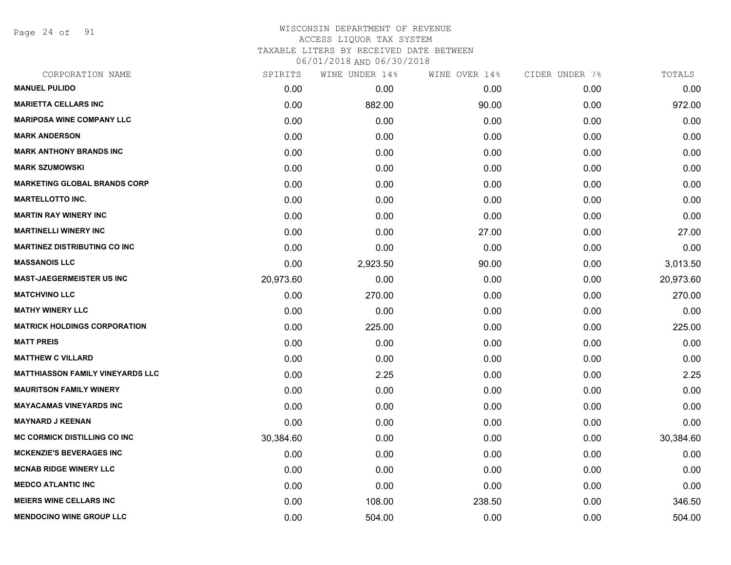Page 24 of 91

| SPIRITS   | WINE UNDER 14% | WINE OVER 14% | CIDER UNDER 7% | TOTALS    |
|-----------|----------------|---------------|----------------|-----------|
| 0.00      | 0.00           | 0.00          | 0.00           | 0.00      |
| 0.00      | 882.00         | 90.00         | 0.00           | 972.00    |
| 0.00      | 0.00           | 0.00          | 0.00           | 0.00      |
| 0.00      | 0.00           | 0.00          | 0.00           | 0.00      |
| 0.00      | 0.00           | 0.00          | 0.00           | 0.00      |
| 0.00      | 0.00           | 0.00          | 0.00           | 0.00      |
| 0.00      | 0.00           | 0.00          | 0.00           | 0.00      |
| 0.00      | 0.00           | 0.00          | 0.00           | 0.00      |
| 0.00      | 0.00           | 0.00          | 0.00           | 0.00      |
| 0.00      | 0.00           | 27.00         | 0.00           | 27.00     |
| 0.00      | 0.00           | 0.00          | 0.00           | 0.00      |
| 0.00      | 2,923.50       | 90.00         | 0.00           | 3,013.50  |
| 20,973.60 | 0.00           | 0.00          | 0.00           | 20,973.60 |
| 0.00      | 270.00         | 0.00          | 0.00           | 270.00    |
| 0.00      | 0.00           | 0.00          | 0.00           | 0.00      |
| 0.00      | 225.00         | 0.00          | 0.00           | 225.00    |
| 0.00      | 0.00           | 0.00          | 0.00           | 0.00      |
| 0.00      | 0.00           | 0.00          | 0.00           | 0.00      |
| 0.00      | 2.25           | 0.00          | 0.00           | 2.25      |
| 0.00      | 0.00           | 0.00          | 0.00           | 0.00      |
| 0.00      | 0.00           | 0.00          | 0.00           | 0.00      |
| 0.00      | 0.00           | 0.00          | 0.00           | 0.00      |
| 30,384.60 | 0.00           | 0.00          | 0.00           | 30,384.60 |
| 0.00      | 0.00           | 0.00          | 0.00           | 0.00      |
| 0.00      | 0.00           | 0.00          | 0.00           | 0.00      |
| 0.00      | 0.00           | 0.00          | 0.00           | 0.00      |
| 0.00      | 108.00         | 238.50        | 0.00           | 346.50    |
| 0.00      | 504.00         | 0.00          | 0.00           | 504.00    |
|           |                |               |                |           |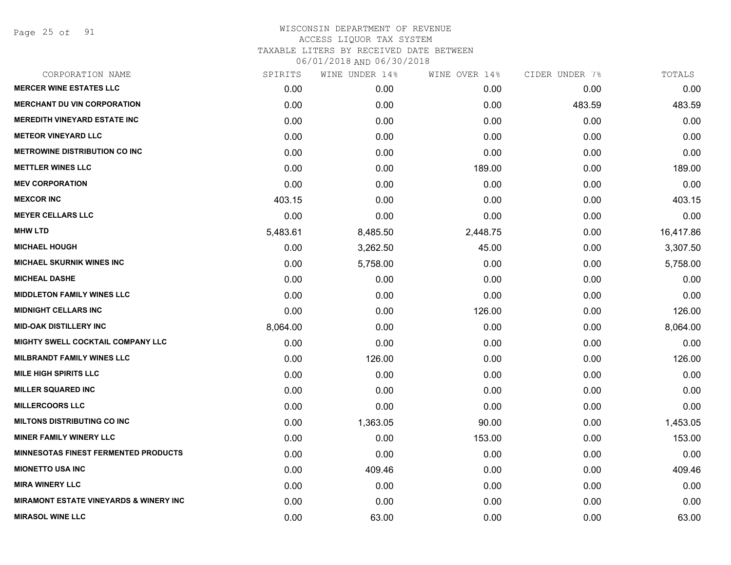Page 25 of 91

| CORPORATION NAME                                  | SPIRITS  | WINE UNDER 14% | WINE OVER 14% | CIDER UNDER 7% | TOTALS    |
|---------------------------------------------------|----------|----------------|---------------|----------------|-----------|
| <b>MERCER WINE ESTATES LLC</b>                    | 0.00     | 0.00           | 0.00          | 0.00           | 0.00      |
| <b>MERCHANT DU VIN CORPORATION</b>                | 0.00     | 0.00           | 0.00          | 483.59         | 483.59    |
| <b>MEREDITH VINEYARD ESTATE INC</b>               | 0.00     | 0.00           | 0.00          | 0.00           | 0.00      |
| <b>METEOR VINEYARD LLC</b>                        | 0.00     | 0.00           | 0.00          | 0.00           | 0.00      |
| <b>METROWINE DISTRIBUTION CO INC</b>              | 0.00     | 0.00           | 0.00          | 0.00           | 0.00      |
| <b>METTLER WINES LLC</b>                          | 0.00     | 0.00           | 189.00        | 0.00           | 189.00    |
| <b>MEV CORPORATION</b>                            | 0.00     | 0.00           | 0.00          | 0.00           | 0.00      |
| <b>MEXCOR INC</b>                                 | 403.15   | 0.00           | 0.00          | 0.00           | 403.15    |
| <b>MEYER CELLARS LLC</b>                          | 0.00     | 0.00           | 0.00          | 0.00           | 0.00      |
| <b>MHW LTD</b>                                    | 5,483.61 | 8,485.50       | 2,448.75      | 0.00           | 16,417.86 |
| <b>MICHAEL HOUGH</b>                              | 0.00     | 3,262.50       | 45.00         | 0.00           | 3,307.50  |
| <b>MICHAEL SKURNIK WINES INC</b>                  | 0.00     | 5,758.00       | 0.00          | 0.00           | 5,758.00  |
| <b>MICHEAL DASHE</b>                              | 0.00     | 0.00           | 0.00          | 0.00           | 0.00      |
| <b>MIDDLETON FAMILY WINES LLC</b>                 | 0.00     | 0.00           | 0.00          | 0.00           | 0.00      |
| <b>MIDNIGHT CELLARS INC</b>                       | 0.00     | 0.00           | 126.00        | 0.00           | 126.00    |
| <b>MID-OAK DISTILLERY INC</b>                     | 8,064.00 | 0.00           | 0.00          | 0.00           | 8,064.00  |
| <b>MIGHTY SWELL COCKTAIL COMPANY LLC</b>          | 0.00     | 0.00           | 0.00          | 0.00           | 0.00      |
| <b>MILBRANDT FAMILY WINES LLC</b>                 | 0.00     | 126.00         | 0.00          | 0.00           | 126.00    |
| <b>MILE HIGH SPIRITS LLC</b>                      | 0.00     | 0.00           | 0.00          | 0.00           | 0.00      |
| <b>MILLER SQUARED INC</b>                         | 0.00     | 0.00           | 0.00          | 0.00           | 0.00      |
| <b>MILLERCOORS LLC</b>                            | 0.00     | 0.00           | 0.00          | 0.00           | 0.00      |
| <b>MILTONS DISTRIBUTING CO INC</b>                | 0.00     | 1,363.05       | 90.00         | 0.00           | 1,453.05  |
| <b>MINER FAMILY WINERY LLC</b>                    | 0.00     | 0.00           | 153.00        | 0.00           | 153.00    |
| <b>MINNESOTAS FINEST FERMENTED PRODUCTS</b>       | 0.00     | 0.00           | 0.00          | 0.00           | 0.00      |
| <b>MIONETTO USA INC</b>                           | 0.00     | 409.46         | 0.00          | 0.00           | 409.46    |
| <b>MIRA WINERY LLC</b>                            | 0.00     | 0.00           | 0.00          | 0.00           | 0.00      |
| <b>MIRAMONT ESTATE VINEYARDS &amp; WINERY INC</b> | 0.00     | 0.00           | 0.00          | 0.00           | 0.00      |
| <b>MIRASOL WINE LLC</b>                           | 0.00     | 63.00          | 0.00          | 0.00           | 63.00     |
|                                                   |          |                |               |                |           |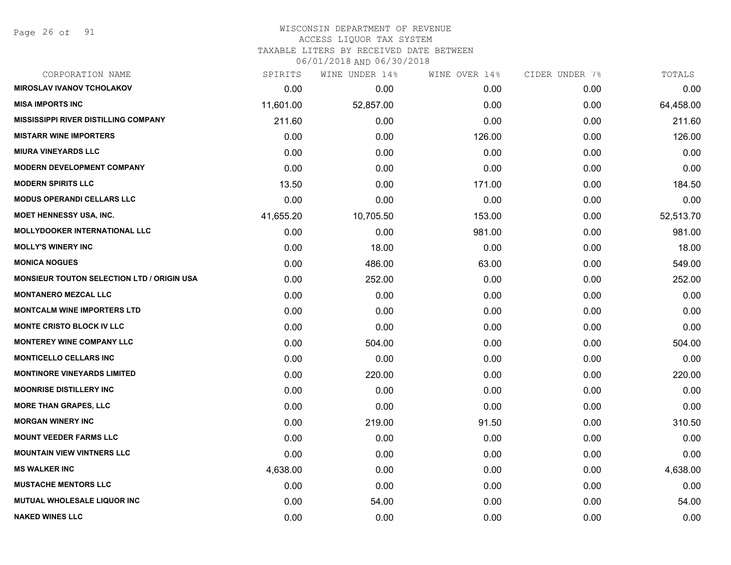#### WISCONSIN DEPARTMENT OF REVENUE ACCESS LIQUOR TAX SYSTEM TAXABLE LITERS BY RECEIVED DATE BETWEEN

| CORPORATION NAME                                  | SPIRITS   | WINE UNDER 14% | WINE OVER 14% | CIDER UNDER 7% | TOTALS    |
|---------------------------------------------------|-----------|----------------|---------------|----------------|-----------|
| <b>MIROSLAV IVANOV TCHOLAKOV</b>                  | 0.00      | 0.00           | 0.00          | 0.00           | 0.00      |
| <b>MISA IMPORTS INC</b>                           | 11,601.00 | 52,857.00      | 0.00          | 0.00           | 64,458.00 |
| MISSISSIPPI RIVER DISTILLING COMPANY              | 211.60    | 0.00           | 0.00          | 0.00           | 211.60    |
| <b>MISTARR WINE IMPORTERS</b>                     | 0.00      | 0.00           | 126.00        | 0.00           | 126.00    |
| <b>MIURA VINEYARDS LLC</b>                        | 0.00      | 0.00           | 0.00          | 0.00           | 0.00      |
| <b>MODERN DEVELOPMENT COMPANY</b>                 | 0.00      | 0.00           | 0.00          | 0.00           | 0.00      |
| <b>MODERN SPIRITS LLC</b>                         | 13.50     | 0.00           | 171.00        | 0.00           | 184.50    |
| <b>MODUS OPERANDI CELLARS LLC</b>                 | 0.00      | 0.00           | 0.00          | 0.00           | 0.00      |
| MOET HENNESSY USA, INC.                           | 41,655.20 | 10,705.50      | 153.00        | 0.00           | 52,513.70 |
| <b>MOLLYDOOKER INTERNATIONAL LLC</b>              | 0.00      | 0.00           | 981.00        | 0.00           | 981.00    |
| <b>MOLLY'S WINERY INC</b>                         | 0.00      | 18.00          | 0.00          | 0.00           | 18.00     |
| <b>MONICA NOGUES</b>                              | 0.00      | 486.00         | 63.00         | 0.00           | 549.00    |
| <b>MONSIEUR TOUTON SELECTION LTD / ORIGIN USA</b> | 0.00      | 252.00         | 0.00          | 0.00           | 252.00    |
| <b>MONTANERO MEZCAL LLC</b>                       | 0.00      | 0.00           | 0.00          | 0.00           | 0.00      |
| <b>MONTCALM WINE IMPORTERS LTD</b>                | 0.00      | 0.00           | 0.00          | 0.00           | 0.00      |
| <b>MONTE CRISTO BLOCK IV LLC</b>                  | 0.00      | 0.00           | 0.00          | 0.00           | 0.00      |
| <b>MONTEREY WINE COMPANY LLC</b>                  | 0.00      | 504.00         | 0.00          | 0.00           | 504.00    |
| <b>MONTICELLO CELLARS INC</b>                     | 0.00      | 0.00           | 0.00          | 0.00           | 0.00      |
| <b>MONTINORE VINEYARDS LIMITED</b>                | 0.00      | 220.00         | 0.00          | 0.00           | 220.00    |
| <b>MOONRISE DISTILLERY INC</b>                    | 0.00      | 0.00           | 0.00          | 0.00           | 0.00      |
| <b>MORE THAN GRAPES, LLC</b>                      | 0.00      | 0.00           | 0.00          | 0.00           | 0.00      |
| <b>MORGAN WINERY INC</b>                          | 0.00      | 219.00         | 91.50         | 0.00           | 310.50    |
| <b>MOUNT VEEDER FARMS LLC</b>                     | 0.00      | 0.00           | 0.00          | 0.00           | 0.00      |
| <b>MOUNTAIN VIEW VINTNERS LLC</b>                 | 0.00      | 0.00           | 0.00          | 0.00           | 0.00      |
| <b>MS WALKER INC</b>                              | 4,638.00  | 0.00           | 0.00          | 0.00           | 4,638.00  |
| <b>MUSTACHE MENTORS LLC</b>                       | 0.00      | 0.00           | 0.00          | 0.00           | 0.00      |
| <b>MUTUAL WHOLESALE LIQUOR INC</b>                | 0.00      | 54.00          | 0.00          | 0.00           | 54.00     |
| <b>NAKED WINES LLC</b>                            | 0.00      | 0.00           | 0.00          | 0.00           | 0.00      |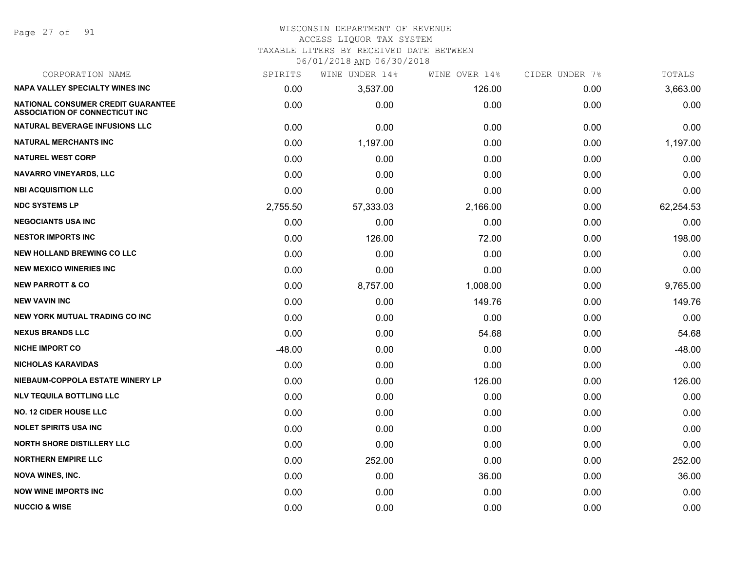Page 27 of 91

#### WISCONSIN DEPARTMENT OF REVENUE ACCESS LIQUOR TAX SYSTEM TAXABLE LITERS BY RECEIVED DATE BETWEEN

| CORPORATION NAME                                                            | SPIRITS  | WINE UNDER 14% | WINE OVER 14% | CIDER UNDER 7% | TOTALS    |
|-----------------------------------------------------------------------------|----------|----------------|---------------|----------------|-----------|
| <b>NAPA VALLEY SPECIALTY WINES INC</b>                                      | 0.00     | 3,537.00       | 126.00        | 0.00           | 3,663.00  |
| NATIONAL CONSUMER CREDIT GUARANTEE<br><b>ASSOCIATION OF CONNECTICUT INC</b> | 0.00     | 0.00           | 0.00          | 0.00           | 0.00      |
| NATURAL BEVERAGE INFUSIONS LLC                                              | 0.00     | 0.00           | 0.00          | 0.00           | 0.00      |
| <b>NATURAL MERCHANTS INC</b>                                                | 0.00     | 1,197.00       | 0.00          | 0.00           | 1,197.00  |
| <b>NATUREL WEST CORP</b>                                                    | 0.00     | 0.00           | 0.00          | 0.00           | 0.00      |
| <b>NAVARRO VINEYARDS, LLC</b>                                               | 0.00     | 0.00           | 0.00          | 0.00           | 0.00      |
| <b>NBI ACQUISITION LLC</b>                                                  | 0.00     | 0.00           | 0.00          | 0.00           | 0.00      |
| <b>NDC SYSTEMS LP</b>                                                       | 2,755.50 | 57,333.03      | 2,166.00      | 0.00           | 62,254.53 |
| <b>NEGOCIANTS USA INC</b>                                                   | 0.00     | 0.00           | 0.00          | 0.00           | 0.00      |
| <b>NESTOR IMPORTS INC</b>                                                   | 0.00     | 126.00         | 72.00         | 0.00           | 198.00    |
| <b>NEW HOLLAND BREWING CO LLC</b>                                           | 0.00     | 0.00           | 0.00          | 0.00           | 0.00      |
| <b>NEW MEXICO WINERIES INC.</b>                                             | 0.00     | 0.00           | 0.00          | 0.00           | 0.00      |
| <b>NEW PARROTT &amp; CO</b>                                                 | 0.00     | 8,757.00       | 1,008.00      | 0.00           | 9,765.00  |
| <b>NEW VAVIN INC</b>                                                        | 0.00     | 0.00           | 149.76        | 0.00           | 149.76    |
| NEW YORK MUTUAL TRADING CO INC                                              | 0.00     | 0.00           | 0.00          | 0.00           | 0.00      |
| <b>NEXUS BRANDS LLC</b>                                                     | 0.00     | 0.00           | 54.68         | 0.00           | 54.68     |
| <b>NICHE IMPORT CO</b>                                                      | $-48.00$ | 0.00           | 0.00          | 0.00           | $-48.00$  |
| <b>NICHOLAS KARAVIDAS</b>                                                   | 0.00     | 0.00           | 0.00          | 0.00           | 0.00      |
| NIEBAUM-COPPOLA ESTATE WINERY LP                                            | 0.00     | 0.00           | 126.00        | 0.00           | 126.00    |
| <b>NLV TEQUILA BOTTLING LLC</b>                                             | 0.00     | 0.00           | 0.00          | 0.00           | 0.00      |
| <b>NO. 12 CIDER HOUSE LLC</b>                                               | 0.00     | 0.00           | 0.00          | 0.00           | 0.00      |
| <b>NOLET SPIRITS USA INC</b>                                                | 0.00     | 0.00           | 0.00          | 0.00           | 0.00      |
| <b>NORTH SHORE DISTILLERY LLC</b>                                           | 0.00     | 0.00           | 0.00          | 0.00           | 0.00      |
| <b>NORTHERN EMPIRE LLC</b>                                                  | 0.00     | 252.00         | 0.00          | 0.00           | 252.00    |
| <b>NOVA WINES, INC.</b>                                                     | 0.00     | 0.00           | 36.00         | 0.00           | 36.00     |
| <b>NOW WINE IMPORTS INC</b>                                                 | 0.00     | 0.00           | 0.00          | 0.00           | 0.00      |
| <b>NUCCIO &amp; WISE</b>                                                    | 0.00     | 0.00           | 0.00          | 0.00           | 0.00      |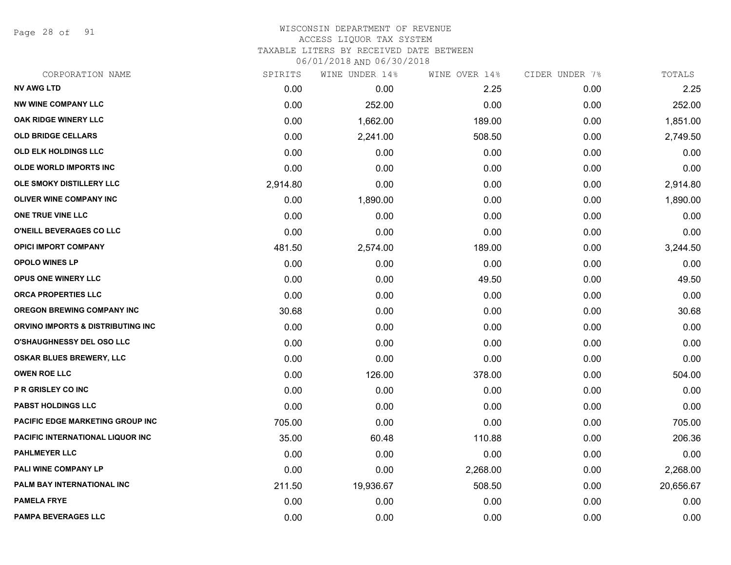Page 28 of 91

## WISCONSIN DEPARTMENT OF REVENUE ACCESS LIQUOR TAX SYSTEM TAXABLE LITERS BY RECEIVED DATE BETWEEN

| CORPORATION NAME                             | SPIRITS  | WINE UNDER 14% | WINE OVER 14% | CIDER UNDER 7% | TOTALS    |
|----------------------------------------------|----------|----------------|---------------|----------------|-----------|
| <b>NV AWG LTD</b>                            | 0.00     | 0.00           | 2.25          | 0.00           | 2.25      |
| <b>NW WINE COMPANY LLC</b>                   | 0.00     | 252.00         | 0.00          | 0.00           | 252.00    |
| <b>OAK RIDGE WINERY LLC</b>                  | 0.00     | 1,662.00       | 189.00        | 0.00           | 1,851.00  |
| <b>OLD BRIDGE CELLARS</b>                    | 0.00     | 2,241.00       | 508.50        | 0.00           | 2,749.50  |
| <b>OLD ELK HOLDINGS LLC</b>                  | 0.00     | 0.00           | 0.00          | 0.00           | 0.00      |
| OLDE WORLD IMPORTS INC                       | 0.00     | 0.00           | 0.00          | 0.00           | 0.00      |
| OLE SMOKY DISTILLERY LLC                     | 2,914.80 | 0.00           | 0.00          | 0.00           | 2,914.80  |
| <b>OLIVER WINE COMPANY INC</b>               | 0.00     | 1,890.00       | 0.00          | 0.00           | 1,890.00  |
| ONE TRUE VINE LLC                            | 0.00     | 0.00           | 0.00          | 0.00           | 0.00      |
| O'NEILL BEVERAGES CO LLC                     | 0.00     | 0.00           | 0.00          | 0.00           | 0.00      |
| <b>OPICI IMPORT COMPANY</b>                  | 481.50   | 2,574.00       | 189.00        | 0.00           | 3,244.50  |
| <b>OPOLO WINES LP</b>                        | 0.00     | 0.00           | 0.00          | 0.00           | 0.00      |
| <b>OPUS ONE WINERY LLC</b>                   | 0.00     | 0.00           | 49.50         | 0.00           | 49.50     |
| <b>ORCA PROPERTIES LLC</b>                   | 0.00     | 0.00           | 0.00          | 0.00           | 0.00      |
| <b>OREGON BREWING COMPANY INC</b>            | 30.68    | 0.00           | 0.00          | 0.00           | 30.68     |
| <b>ORVINO IMPORTS &amp; DISTRIBUTING INC</b> | 0.00     | 0.00           | 0.00          | 0.00           | 0.00      |
| <b>O'SHAUGHNESSY DEL OSO LLC</b>             | 0.00     | 0.00           | 0.00          | 0.00           | 0.00      |
| OSKAR BLUES BREWERY, LLC                     | 0.00     | 0.00           | 0.00          | 0.00           | 0.00      |
| <b>OWEN ROE LLC</b>                          | 0.00     | 126.00         | 378.00        | 0.00           | 504.00    |
| <b>P R GRISLEY CO INC</b>                    | 0.00     | 0.00           | 0.00          | 0.00           | 0.00      |
| <b>PABST HOLDINGS LLC</b>                    | 0.00     | 0.00           | 0.00          | 0.00           | 0.00      |
| PACIFIC EDGE MARKETING GROUP INC             | 705.00   | 0.00           | 0.00          | 0.00           | 705.00    |
| PACIFIC INTERNATIONAL LIQUOR INC             | 35.00    | 60.48          | 110.88        | 0.00           | 206.36    |
| <b>PAHLMEYER LLC</b>                         | 0.00     | 0.00           | 0.00          | 0.00           | 0.00      |
| PALI WINE COMPANY LP                         | 0.00     | 0.00           | 2,268.00      | 0.00           | 2,268.00  |
| PALM BAY INTERNATIONAL INC                   | 211.50   | 19,936.67      | 508.50        | 0.00           | 20,656.67 |
| <b>PAMELA FRYE</b>                           | 0.00     | 0.00           | 0.00          | 0.00           | 0.00      |
| <b>PAMPA BEVERAGES LLC</b>                   | 0.00     | 0.00           | 0.00          | 0.00           | 0.00      |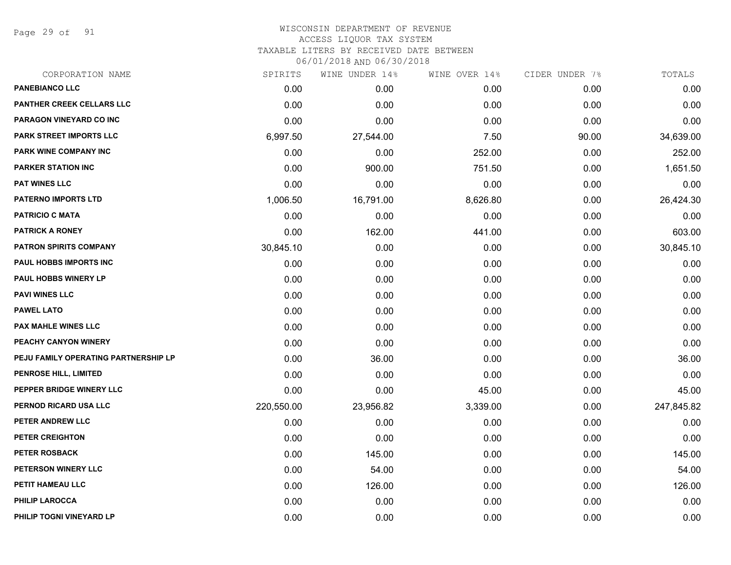Page 29 of 91

#### WISCONSIN DEPARTMENT OF REVENUE ACCESS LIQUOR TAX SYSTEM TAXABLE LITERS BY RECEIVED DATE BETWEEN

| CORPORATION NAME                     | SPIRITS    | WINE UNDER 14% | WINE OVER 14% | CIDER UNDER 7% | TOTALS     |
|--------------------------------------|------------|----------------|---------------|----------------|------------|
| <b>PANEBIANCO LLC</b>                | 0.00       | 0.00           | 0.00          | 0.00           | 0.00       |
| <b>PANTHER CREEK CELLARS LLC</b>     | 0.00       | 0.00           | 0.00          | 0.00           | 0.00       |
| PARAGON VINEYARD CO INC              | 0.00       | 0.00           | 0.00          | 0.00           | 0.00       |
| PARK STREET IMPORTS LLC              | 6,997.50   | 27,544.00      | 7.50          | 90.00          | 34,639.00  |
| PARK WINE COMPANY INC                | 0.00       | 0.00           | 252.00        | 0.00           | 252.00     |
| <b>PARKER STATION INC</b>            | 0.00       | 900.00         | 751.50        | 0.00           | 1,651.50   |
| <b>PAT WINES LLC</b>                 | 0.00       | 0.00           | 0.00          | 0.00           | 0.00       |
| <b>PATERNO IMPORTS LTD</b>           | 1,006.50   | 16,791.00      | 8,626.80      | 0.00           | 26,424.30  |
| <b>PATRICIO C MATA</b>               | 0.00       | 0.00           | 0.00          | 0.00           | 0.00       |
| <b>PATRICK A RONEY</b>               | 0.00       | 162.00         | 441.00        | 0.00           | 603.00     |
| PATRON SPIRITS COMPANY               | 30,845.10  | 0.00           | 0.00          | 0.00           | 30,845.10  |
| PAUL HOBBS IMPORTS INC               | 0.00       | 0.00           | 0.00          | 0.00           | 0.00       |
| <b>PAUL HOBBS WINERY LP</b>          | 0.00       | 0.00           | 0.00          | 0.00           | 0.00       |
| <b>PAVI WINES LLC</b>                | 0.00       | 0.00           | 0.00          | 0.00           | 0.00       |
| <b>PAWEL LATO</b>                    | 0.00       | 0.00           | 0.00          | 0.00           | 0.00       |
| <b>PAX MAHLE WINES LLC</b>           | 0.00       | 0.00           | 0.00          | 0.00           | 0.00       |
| PEACHY CANYON WINERY                 | 0.00       | 0.00           | 0.00          | 0.00           | 0.00       |
| PEJU FAMILY OPERATING PARTNERSHIP LP | 0.00       | 36.00          | 0.00          | 0.00           | 36.00      |
| <b>PENROSE HILL, LIMITED</b>         | 0.00       | 0.00           | 0.00          | 0.00           | 0.00       |
| PEPPER BRIDGE WINERY LLC             | 0.00       | 0.00           | 45.00         | 0.00           | 45.00      |
| PERNOD RICARD USA LLC                | 220,550.00 | 23,956.82      | 3,339.00      | 0.00           | 247,845.82 |
| PETER ANDREW LLC                     | 0.00       | 0.00           | 0.00          | 0.00           | 0.00       |
| PETER CREIGHTON                      | 0.00       | 0.00           | 0.00          | 0.00           | 0.00       |
| <b>PETER ROSBACK</b>                 | 0.00       | 145.00         | 0.00          | 0.00           | 145.00     |
| PETERSON WINERY LLC                  | 0.00       | 54.00          | 0.00          | 0.00           | 54.00      |
| PETIT HAMEAU LLC                     | 0.00       | 126.00         | 0.00          | 0.00           | 126.00     |
| <b>PHILIP LAROCCA</b>                | 0.00       | 0.00           | 0.00          | 0.00           | 0.00       |
| PHILIP TOGNI VINEYARD LP             | 0.00       | 0.00           | 0.00          | 0.00           | 0.00       |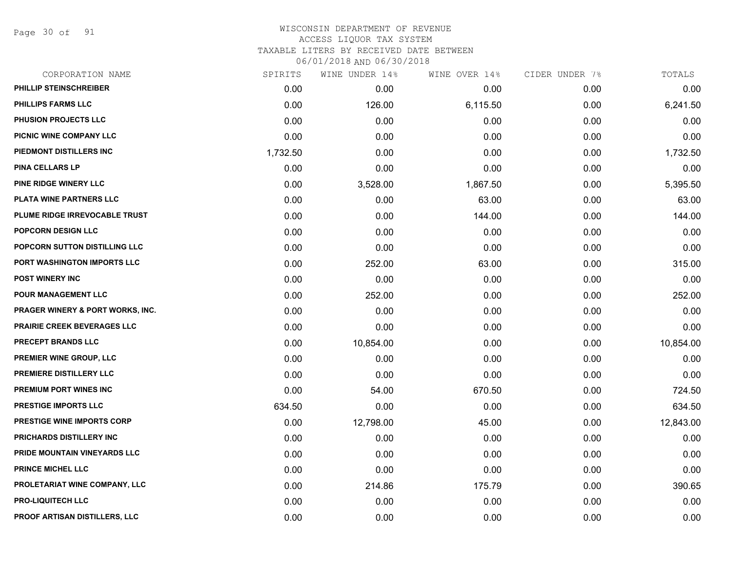Page 30 of 91

| CORPORATION NAME                  | SPIRITS  | WINE UNDER 14% | WINE OVER 14% | CIDER UNDER 7% | TOTALS    |
|-----------------------------------|----------|----------------|---------------|----------------|-----------|
| <b>PHILLIP STEINSCHREIBER</b>     | 0.00     | 0.00           | 0.00          | 0.00           | 0.00      |
| <b>PHILLIPS FARMS LLC</b>         | 0.00     | 126.00         | 6,115.50      | 0.00           | 6,241.50  |
| PHUSION PROJECTS LLC              | 0.00     | 0.00           | 0.00          | 0.00           | 0.00      |
| PICNIC WINE COMPANY LLC           | 0.00     | 0.00           | 0.00          | 0.00           | 0.00      |
| PIEDMONT DISTILLERS INC           | 1,732.50 | 0.00           | 0.00          | 0.00           | 1,732.50  |
| <b>PINA CELLARS LP</b>            | 0.00     | 0.00           | 0.00          | 0.00           | 0.00      |
| PINE RIDGE WINERY LLC             | 0.00     | 3,528.00       | 1,867.50      | 0.00           | 5,395.50  |
| PLATA WINE PARTNERS LLC           | 0.00     | 0.00           | 63.00         | 0.00           | 63.00     |
| PLUME RIDGE IRREVOCABLE TRUST     | 0.00     | 0.00           | 144.00        | 0.00           | 144.00    |
| POPCORN DESIGN LLC                | 0.00     | 0.00           | 0.00          | 0.00           | 0.00      |
| POPCORN SUTTON DISTILLING LLC     | 0.00     | 0.00           | 0.00          | 0.00           | 0.00      |
| PORT WASHINGTON IMPORTS LLC       | 0.00     | 252.00         | 63.00         | 0.00           | 315.00    |
| <b>POST WINERY INC</b>            | 0.00     | 0.00           | 0.00          | 0.00           | 0.00      |
| POUR MANAGEMENT LLC               | 0.00     | 252.00         | 0.00          | 0.00           | 252.00    |
| PRAGER WINERY & PORT WORKS, INC.  | 0.00     | 0.00           | 0.00          | 0.00           | 0.00      |
| PRAIRIE CREEK BEVERAGES LLC       | 0.00     | 0.00           | 0.00          | 0.00           | 0.00      |
| <b>PRECEPT BRANDS LLC</b>         | 0.00     | 10,854.00      | 0.00          | 0.00           | 10,854.00 |
| PREMIER WINE GROUP, LLC           | 0.00     | 0.00           | 0.00          | 0.00           | 0.00      |
| PREMIERE DISTILLERY LLC           | 0.00     | 0.00           | 0.00          | 0.00           | 0.00      |
| PREMIUM PORT WINES INC            | 0.00     | 54.00          | 670.50        | 0.00           | 724.50    |
| <b>PRESTIGE IMPORTS LLC</b>       | 634.50   | 0.00           | 0.00          | 0.00           | 634.50    |
| <b>PRESTIGE WINE IMPORTS CORP</b> | 0.00     | 12,798.00      | 45.00         | 0.00           | 12,843.00 |
| PRICHARDS DISTILLERY INC          | 0.00     | 0.00           | 0.00          | 0.00           | 0.00      |
| PRIDE MOUNTAIN VINEYARDS LLC      | 0.00     | 0.00           | 0.00          | 0.00           | 0.00      |
| <b>PRINCE MICHEL LLC</b>          | 0.00     | 0.00           | 0.00          | 0.00           | 0.00      |
| PROLETARIAT WINE COMPANY, LLC     | 0.00     | 214.86         | 175.79        | 0.00           | 390.65    |
| <b>PRO-LIQUITECH LLC</b>          | 0.00     | 0.00           | 0.00          | 0.00           | 0.00      |
| PROOF ARTISAN DISTILLERS, LLC     | 0.00     | 0.00           | 0.00          | 0.00           | 0.00      |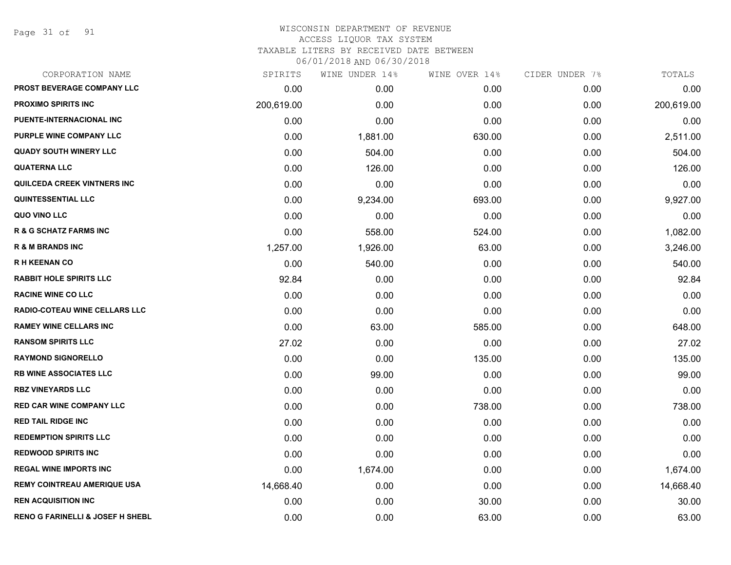Page 31 of 91

#### WISCONSIN DEPARTMENT OF REVENUE ACCESS LIQUOR TAX SYSTEM TAXABLE LITERS BY RECEIVED DATE BETWEEN

| CORPORATION NAME                            | SPIRITS    | WINE UNDER 14% | WINE OVER 14% | CIDER UNDER 7% | TOTALS     |
|---------------------------------------------|------------|----------------|---------------|----------------|------------|
| PROST BEVERAGE COMPANY LLC                  | 0.00       | 0.00           | 0.00          | 0.00           | 0.00       |
| <b>PROXIMO SPIRITS INC</b>                  | 200,619.00 | 0.00           | 0.00          | 0.00           | 200,619.00 |
| PUENTE-INTERNACIONAL INC                    | 0.00       | 0.00           | 0.00          | 0.00           | 0.00       |
| PURPLE WINE COMPANY LLC                     | 0.00       | 1,881.00       | 630.00        | 0.00           | 2,511.00   |
| <b>QUADY SOUTH WINERY LLC</b>               | 0.00       | 504.00         | 0.00          | 0.00           | 504.00     |
| <b>QUATERNA LLC</b>                         | 0.00       | 126.00         | 0.00          | 0.00           | 126.00     |
| QUILCEDA CREEK VINTNERS INC                 | 0.00       | 0.00           | 0.00          | 0.00           | 0.00       |
| <b>QUINTESSENTIAL LLC</b>                   | 0.00       | 9,234.00       | 693.00        | 0.00           | 9,927.00   |
| QUO VINO LLC                                | 0.00       | 0.00           | 0.00          | 0.00           | 0.00       |
| <b>R &amp; G SCHATZ FARMS INC</b>           | 0.00       | 558.00         | 524.00        | 0.00           | 1,082.00   |
| <b>R &amp; M BRANDS INC</b>                 | 1,257.00   | 1,926.00       | 63.00         | 0.00           | 3,246.00   |
| <b>RH KEENAN CO</b>                         | 0.00       | 540.00         | 0.00          | 0.00           | 540.00     |
| <b>RABBIT HOLE SPIRITS LLC</b>              | 92.84      | 0.00           | 0.00          | 0.00           | 92.84      |
| <b>RACINE WINE CO LLC</b>                   | 0.00       | 0.00           | 0.00          | 0.00           | 0.00       |
| RADIO-COTEAU WINE CELLARS LLC               | 0.00       | 0.00           | 0.00          | 0.00           | 0.00       |
| <b>RAMEY WINE CELLARS INC</b>               | 0.00       | 63.00          | 585.00        | 0.00           | 648.00     |
| <b>RANSOM SPIRITS LLC</b>                   | 27.02      | 0.00           | 0.00          | 0.00           | 27.02      |
| <b>RAYMOND SIGNORELLO</b>                   | 0.00       | 0.00           | 135.00        | 0.00           | 135.00     |
| <b>RB WINE ASSOCIATES LLC</b>               | 0.00       | 99.00          | 0.00          | 0.00           | 99.00      |
| <b>RBZ VINEYARDS LLC</b>                    | 0.00       | 0.00           | 0.00          | 0.00           | 0.00       |
| <b>RED CAR WINE COMPANY LLC</b>             | 0.00       | 0.00           | 738.00        | 0.00           | 738.00     |
| <b>RED TAIL RIDGE INC</b>                   | 0.00       | 0.00           | 0.00          | 0.00           | 0.00       |
| <b>REDEMPTION SPIRITS LLC</b>               | 0.00       | 0.00           | 0.00          | 0.00           | 0.00       |
| <b>REDWOOD SPIRITS INC</b>                  | 0.00       | 0.00           | 0.00          | 0.00           | 0.00       |
| <b>REGAL WINE IMPORTS INC</b>               | 0.00       | 1,674.00       | 0.00          | 0.00           | 1,674.00   |
| <b>REMY COINTREAU AMERIQUE USA</b>          | 14,668.40  | 0.00           | 0.00          | 0.00           | 14,668.40  |
| <b>REN ACQUISITION INC</b>                  | 0.00       | 0.00           | 30.00         | 0.00           | 30.00      |
| <b>RENO G FARINELLI &amp; JOSEF H SHEBL</b> | 0.00       | 0.00           | 63.00         | 0.00           | 63.00      |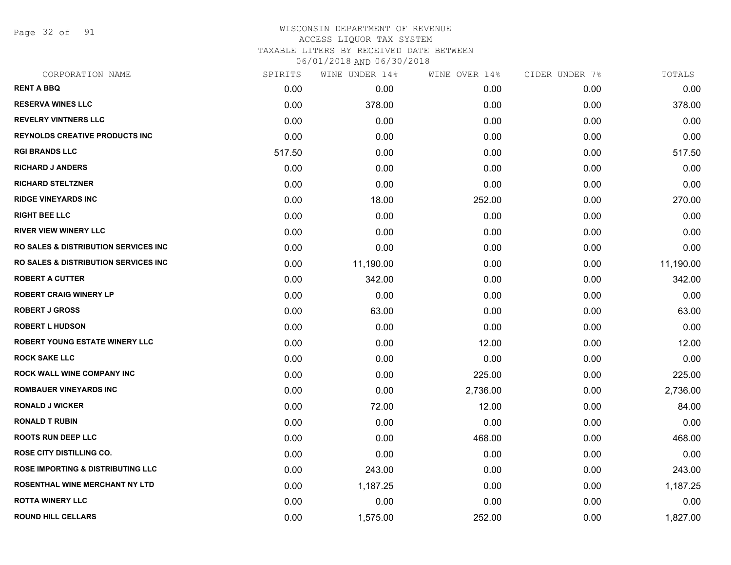Page 32 of 91

#### WISCONSIN DEPARTMENT OF REVENUE ACCESS LIQUOR TAX SYSTEM TAXABLE LITERS BY RECEIVED DATE BETWEEN

| CORPORATION NAME                                 | SPIRITS | WINE UNDER 14% | WINE OVER 14% | CIDER UNDER 7% | TOTALS    |
|--------------------------------------------------|---------|----------------|---------------|----------------|-----------|
| <b>RENT A BBQ</b>                                | 0.00    | 0.00           | 0.00          | 0.00           | 0.00      |
| <b>RESERVA WINES LLC</b>                         | 0.00    | 378.00         | 0.00          | 0.00           | 378.00    |
| <b>REVELRY VINTNERS LLC</b>                      | 0.00    | 0.00           | 0.00          | 0.00           | 0.00      |
| <b>REYNOLDS CREATIVE PRODUCTS INC.</b>           | 0.00    | 0.00           | 0.00          | 0.00           | 0.00      |
| <b>RGI BRANDS LLC</b>                            | 517.50  | 0.00           | 0.00          | 0.00           | 517.50    |
| <b>RICHARD J ANDERS</b>                          | 0.00    | 0.00           | 0.00          | 0.00           | 0.00      |
| <b>RICHARD STELTZNER</b>                         | 0.00    | 0.00           | 0.00          | 0.00           | 0.00      |
| <b>RIDGE VINEYARDS INC</b>                       | 0.00    | 18.00          | 252.00        | 0.00           | 270.00    |
| <b>RIGHT BEE LLC</b>                             | 0.00    | 0.00           | 0.00          | 0.00           | 0.00      |
| <b>RIVER VIEW WINERY LLC</b>                     | 0.00    | 0.00           | 0.00          | 0.00           | 0.00      |
| <b>RO SALES &amp; DISTRIBUTION SERVICES INC.</b> | 0.00    | 0.00           | 0.00          | 0.00           | 0.00      |
| <b>RO SALES &amp; DISTRIBUTION SERVICES INC.</b> | 0.00    | 11,190.00      | 0.00          | 0.00           | 11,190.00 |
| <b>ROBERT A CUTTER</b>                           | 0.00    | 342.00         | 0.00          | 0.00           | 342.00    |
| <b>ROBERT CRAIG WINERY LP</b>                    | 0.00    | 0.00           | 0.00          | 0.00           | 0.00      |
| <b>ROBERT J GROSS</b>                            | 0.00    | 63.00          | 0.00          | 0.00           | 63.00     |
| <b>ROBERT L HUDSON</b>                           | 0.00    | 0.00           | 0.00          | 0.00           | 0.00      |
| <b>ROBERT YOUNG ESTATE WINERY LLC</b>            | 0.00    | 0.00           | 12.00         | 0.00           | 12.00     |
| <b>ROCK SAKE LLC</b>                             | 0.00    | 0.00           | 0.00          | 0.00           | 0.00      |
| <b>ROCK WALL WINE COMPANY INC</b>                | 0.00    | 0.00           | 225.00        | 0.00           | 225.00    |
| <b>ROMBAUER VINEYARDS INC</b>                    | 0.00    | 0.00           | 2,736.00      | 0.00           | 2,736.00  |
| <b>RONALD J WICKER</b>                           | 0.00    | 72.00          | 12.00         | 0.00           | 84.00     |
| <b>RONALD T RUBIN</b>                            | 0.00    | 0.00           | 0.00          | 0.00           | 0.00      |
| <b>ROOTS RUN DEEP LLC</b>                        | 0.00    | 0.00           | 468.00        | 0.00           | 468.00    |
| <b>ROSE CITY DISTILLING CO.</b>                  | 0.00    | 0.00           | 0.00          | 0.00           | 0.00      |
| <b>ROSE IMPORTING &amp; DISTRIBUTING LLC</b>     | 0.00    | 243.00         | 0.00          | 0.00           | 243.00    |
| ROSENTHAL WINE MERCHANT NY LTD                   | 0.00    | 1,187.25       | 0.00          | 0.00           | 1,187.25  |
| <b>ROTTA WINERY LLC</b>                          | 0.00    | 0.00           | 0.00          | 0.00           | 0.00      |
| <b>ROUND HILL CELLARS</b>                        | 0.00    | 1,575.00       | 252.00        | 0.00           | 1,827.00  |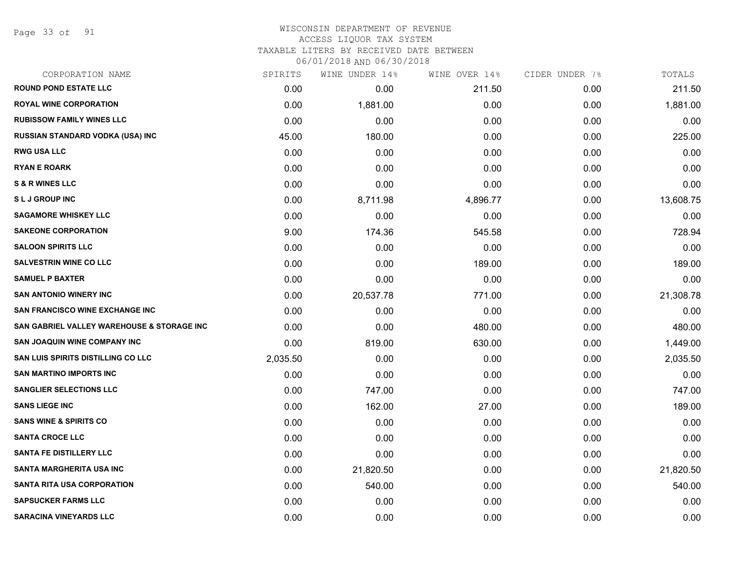Page 33 of 91

#### WISCONSIN DEPARTMENT OF REVENUE ACCESS LIQUOR TAX SYSTEM

TAXABLE LITERS BY RECEIVED DATE BETWEEN

| CORPORATION NAME                           | SPIRITS  | WINE UNDER 14% | WINE OVER 14% | CIDER UNDER 7% | TOTALS    |
|--------------------------------------------|----------|----------------|---------------|----------------|-----------|
| <b>ROUND POND ESTATE LLC</b>               | 0.00     | 0.00           | 211.50        | 0.00           | 211.50    |
| <b>ROYAL WINE CORPORATION</b>              | 0.00     | 1,881.00       | 0.00          | 0.00           | 1,881.00  |
| <b>RUBISSOW FAMILY WINES LLC</b>           | 0.00     | 0.00           | 0.00          | 0.00           | 0.00      |
| RUSSIAN STANDARD VODKA (USA) INC           | 45.00    | 180.00         | 0.00          | 0.00           | 225.00    |
| <b>RWG USA LLC</b>                         | 0.00     | 0.00           | 0.00          | 0.00           | 0.00      |
| <b>RYAN E ROARK</b>                        | 0.00     | 0.00           | 0.00          | 0.00           | 0.00      |
| <b>S &amp; R WINES LLC</b>                 | 0.00     | 0.00           | 0.00          | 0.00           | 0.00      |
| <b>SLJ GROUP INC</b>                       | 0.00     | 8,711.98       | 4,896.77      | 0.00           | 13,608.75 |
| <b>SAGAMORE WHISKEY LLC</b>                | 0.00     | 0.00           | 0.00          | 0.00           | 0.00      |
| <b>SAKEONE CORPORATION</b>                 | 9.00     | 174.36         | 545.58        | 0.00           | 728.94    |
| <b>SALOON SPIRITS LLC</b>                  | 0.00     | 0.00           | 0.00          | 0.00           | 0.00      |
| <b>SALVESTRIN WINE CO LLC</b>              | 0.00     | 0.00           | 189.00        | 0.00           | 189.00    |
| <b>SAMUEL P BAXTER</b>                     | 0.00     | 0.00           | 0.00          | 0.00           | 0.00      |
| <b>SAN ANTONIO WINERY INC</b>              | 0.00     | 20,537.78      | 771.00        | 0.00           | 21,308.78 |
| <b>SAN FRANCISCO WINE EXCHANGE INC</b>     | 0.00     | 0.00           | 0.00          | 0.00           | 0.00      |
| SAN GABRIEL VALLEY WAREHOUSE & STORAGE INC | 0.00     | 0.00           | 480.00        | 0.00           | 480.00    |
| <b>SAN JOAQUIN WINE COMPANY INC</b>        | 0.00     | 819.00         | 630.00        | 0.00           | 1,449.00  |
| <b>SAN LUIS SPIRITS DISTILLING CO LLC</b>  | 2,035.50 | 0.00           | 0.00          | 0.00           | 2,035.50  |
| <b>SAN MARTINO IMPORTS INC</b>             | 0.00     | 0.00           | 0.00          | 0.00           | 0.00      |
| <b>SANGLIER SELECTIONS LLC</b>             | 0.00     | 747.00         | 0.00          | 0.00           | 747.00    |
| <b>SANS LIEGE INC</b>                      | 0.00     | 162.00         | 27.00         | 0.00           | 189.00    |
| <b>SANS WINE &amp; SPIRITS CO</b>          | 0.00     | 0.00           | 0.00          | 0.00           | 0.00      |
| <b>SANTA CROCE LLC</b>                     | 0.00     | 0.00           | 0.00          | 0.00           | 0.00      |
| <b>SANTA FE DISTILLERY LLC</b>             | 0.00     | 0.00           | 0.00          | 0.00           | 0.00      |
| <b>SANTA MARGHERITA USA INC</b>            | 0.00     | 21,820.50      | 0.00          | 0.00           | 21,820.50 |
| <b>SANTA RITA USA CORPORATION</b>          | 0.00     | 540.00         | 0.00          | 0.00           | 540.00    |
| <b>SAPSUCKER FARMS LLC</b>                 | 0.00     | 0.00           | 0.00          | 0.00           | 0.00      |
| <b>SARACINA VINEYARDS LLC</b>              | 0.00     | 0.00           | 0.00          | 0.00           | 0.00      |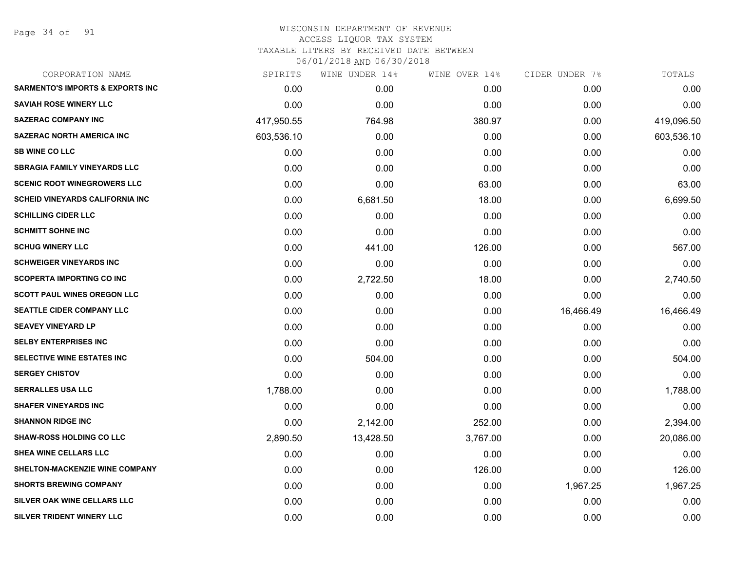Page 34 of 91

| SPIRITS    | WINE UNDER 14% | WINE OVER 14% | CIDER UNDER 7% | TOTALS     |
|------------|----------------|---------------|----------------|------------|
| 0.00       | 0.00           | 0.00          | 0.00           | 0.00       |
| 0.00       | 0.00           | 0.00          | 0.00           | 0.00       |
| 417,950.55 | 764.98         | 380.97        | 0.00           | 419,096.50 |
| 603,536.10 | 0.00           | 0.00          | 0.00           | 603,536.10 |
| 0.00       | 0.00           | 0.00          | 0.00           | 0.00       |
| 0.00       | 0.00           | 0.00          | 0.00           | 0.00       |
| 0.00       | 0.00           | 63.00         | 0.00           | 63.00      |
| 0.00       | 6,681.50       | 18.00         | 0.00           | 6,699.50   |
| 0.00       | 0.00           | 0.00          | 0.00           | 0.00       |
| 0.00       | 0.00           | 0.00          | 0.00           | 0.00       |
| 0.00       | 441.00         | 126.00        | 0.00           | 567.00     |
| 0.00       | 0.00           | 0.00          | 0.00           | 0.00       |
| 0.00       | 2,722.50       | 18.00         | 0.00           | 2,740.50   |
| 0.00       | 0.00           | 0.00          | 0.00           | 0.00       |
| 0.00       | 0.00           | 0.00          | 16,466.49      | 16,466.49  |
| 0.00       | 0.00           | 0.00          | 0.00           | 0.00       |
| 0.00       | 0.00           | 0.00          | 0.00           | 0.00       |
| 0.00       | 504.00         | 0.00          | 0.00           | 504.00     |
| 0.00       | 0.00           | 0.00          | 0.00           | 0.00       |
| 1,788.00   | 0.00           | 0.00          | 0.00           | 1,788.00   |
| 0.00       | 0.00           | 0.00          | 0.00           | 0.00       |
| 0.00       | 2,142.00       | 252.00        | 0.00           | 2,394.00   |
| 2,890.50   | 13,428.50      | 3,767.00      | 0.00           | 20,086.00  |
| 0.00       | 0.00           | 0.00          | 0.00           | 0.00       |
| 0.00       | 0.00           | 126.00        | 0.00           | 126.00     |
| 0.00       | 0.00           | 0.00          | 1,967.25       | 1,967.25   |
| 0.00       | 0.00           | 0.00          | 0.00           | 0.00       |
| 0.00       | 0.00           | 0.00          | 0.00           | 0.00       |
|            |                |               |                |            |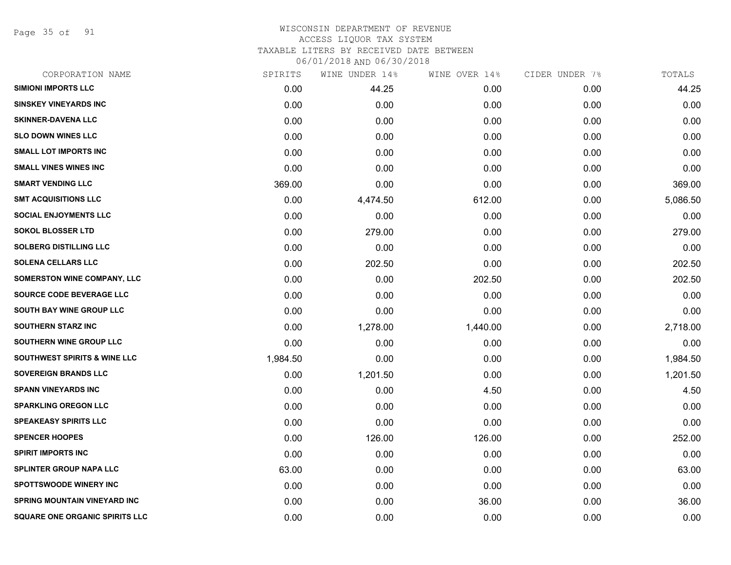Page 35 of 91

#### WISCONSIN DEPARTMENT OF REVENUE ACCESS LIQUOR TAX SYSTEM TAXABLE LITERS BY RECEIVED DATE BETWEEN

| CORPORATION NAME                        | SPIRITS  | WINE UNDER 14% | WINE OVER 14% | CIDER UNDER 7% | TOTALS   |
|-----------------------------------------|----------|----------------|---------------|----------------|----------|
| <b>SIMIONI IMPORTS LLC</b>              | 0.00     | 44.25          | 0.00          | 0.00           | 44.25    |
| <b>SINSKEY VINEYARDS INC</b>            | 0.00     | 0.00           | 0.00          | 0.00           | 0.00     |
| <b>SKINNER-DAVENA LLC</b>               | 0.00     | 0.00           | 0.00          | 0.00           | 0.00     |
| <b>SLO DOWN WINES LLC</b>               | 0.00     | 0.00           | 0.00          | 0.00           | 0.00     |
| <b>SMALL LOT IMPORTS INC</b>            | 0.00     | 0.00           | 0.00          | 0.00           | 0.00     |
| <b>SMALL VINES WINES INC</b>            | 0.00     | 0.00           | 0.00          | 0.00           | 0.00     |
| <b>SMART VENDING LLC</b>                | 369.00   | 0.00           | 0.00          | 0.00           | 369.00   |
| <b>SMT ACQUISITIONS LLC</b>             | 0.00     | 4,474.50       | 612.00        | 0.00           | 5,086.50 |
| <b>SOCIAL ENJOYMENTS LLC</b>            | 0.00     | 0.00           | 0.00          | 0.00           | 0.00     |
| <b>SOKOL BLOSSER LTD</b>                | 0.00     | 279.00         | 0.00          | 0.00           | 279.00   |
| <b>SOLBERG DISTILLING LLC</b>           | 0.00     | 0.00           | 0.00          | 0.00           | 0.00     |
| <b>SOLENA CELLARS LLC</b>               | 0.00     | 202.50         | 0.00          | 0.00           | 202.50   |
| SOMERSTON WINE COMPANY, LLC             | 0.00     | 0.00           | 202.50        | 0.00           | 202.50   |
| <b>SOURCE CODE BEVERAGE LLC</b>         | 0.00     | 0.00           | 0.00          | 0.00           | 0.00     |
| SOUTH BAY WINE GROUP LLC                | 0.00     | 0.00           | 0.00          | 0.00           | 0.00     |
| <b>SOUTHERN STARZ INC</b>               | 0.00     | 1,278.00       | 1,440.00      | 0.00           | 2,718.00 |
| <b>SOUTHERN WINE GROUP LLC</b>          | 0.00     | 0.00           | 0.00          | 0.00           | 0.00     |
| <b>SOUTHWEST SPIRITS &amp; WINE LLC</b> | 1,984.50 | 0.00           | 0.00          | 0.00           | 1,984.50 |
| <b>SOVEREIGN BRANDS LLC</b>             | 0.00     | 1,201.50       | 0.00          | 0.00           | 1,201.50 |
| <b>SPANN VINEYARDS INC</b>              | 0.00     | 0.00           | 4.50          | 0.00           | 4.50     |
| <b>SPARKLING OREGON LLC</b>             | 0.00     | 0.00           | 0.00          | 0.00           | 0.00     |
| <b>SPEAKEASY SPIRITS LLC</b>            | 0.00     | 0.00           | 0.00          | 0.00           | 0.00     |
| <b>SPENCER HOOPES</b>                   | 0.00     | 126.00         | 126.00        | 0.00           | 252.00   |
| <b>SPIRIT IMPORTS INC</b>               | 0.00     | 0.00           | 0.00          | 0.00           | 0.00     |
| <b>SPLINTER GROUP NAPA LLC</b>          | 63.00    | 0.00           | 0.00          | 0.00           | 63.00    |
| <b>SPOTTSWOODE WINERY INC</b>           | 0.00     | 0.00           | 0.00          | 0.00           | 0.00     |
| <b>SPRING MOUNTAIN VINEYARD INC</b>     | 0.00     | 0.00           | 36.00         | 0.00           | 36.00    |
| <b>SQUARE ONE ORGANIC SPIRITS LLC</b>   | 0.00     | 0.00           | 0.00          | 0.00           | 0.00     |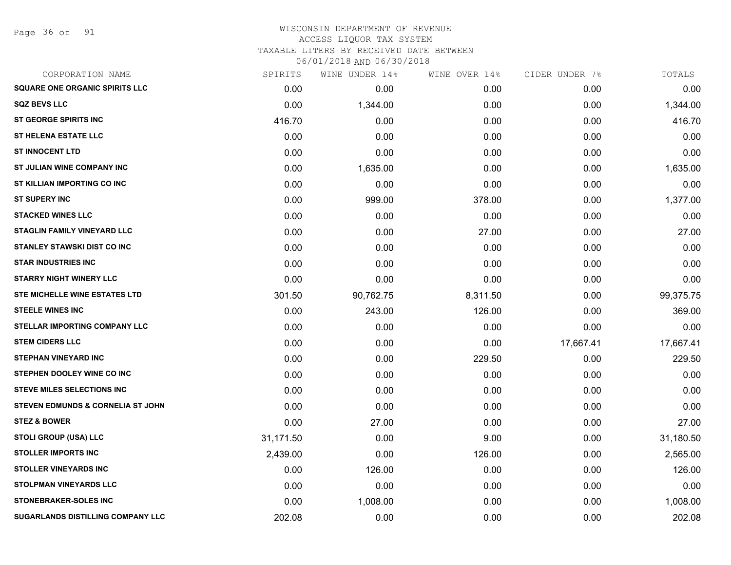Page 36 of 91

# WISCONSIN DEPARTMENT OF REVENUE ACCESS LIQUOR TAX SYSTEM TAXABLE LITERS BY RECEIVED DATE BETWEEN

| CORPORATION NAME                      | SPIRITS   | WINE UNDER 14% | WINE OVER 14% | CIDER UNDER 7% | TOTALS    |
|---------------------------------------|-----------|----------------|---------------|----------------|-----------|
| <b>SQUARE ONE ORGANIC SPIRITS LLC</b> | 0.00      | 0.00           | 0.00          | 0.00           | 0.00      |
| <b>SQZ BEVS LLC</b>                   | 0.00      | 1,344.00       | 0.00          | 0.00           | 1,344.00  |
| <b>ST GEORGE SPIRITS INC</b>          | 416.70    | 0.00           | 0.00          | 0.00           | 416.70    |
| <b>ST HELENA ESTATE LLC</b>           | 0.00      | 0.00           | 0.00          | 0.00           | 0.00      |
| <b>ST INNOCENT LTD</b>                | 0.00      | 0.00           | 0.00          | 0.00           | 0.00      |
| ST JULIAN WINE COMPANY INC            | 0.00      | 1,635.00       | 0.00          | 0.00           | 1,635.00  |
| ST KILLIAN IMPORTING CO INC           | 0.00      | 0.00           | 0.00          | 0.00           | 0.00      |
| <b>ST SUPERY INC</b>                  | 0.00      | 999.00         | 378.00        | 0.00           | 1,377.00  |
| <b>STACKED WINES LLC</b>              | 0.00      | 0.00           | 0.00          | 0.00           | 0.00      |
| STAGLIN FAMILY VINEYARD LLC           | 0.00      | 0.00           | 27.00         | 0.00           | 27.00     |
| <b>STANLEY STAWSKI DIST CO INC</b>    | 0.00      | 0.00           | 0.00          | 0.00           | 0.00      |
| <b>STAR INDUSTRIES INC</b>            | 0.00      | 0.00           | 0.00          | 0.00           | 0.00      |
| <b>STARRY NIGHT WINERY LLC</b>        | 0.00      | 0.00           | 0.00          | 0.00           | 0.00      |
| <b>STE MICHELLE WINE ESTATES LTD</b>  | 301.50    | 90,762.75      | 8,311.50      | 0.00           | 99,375.75 |
| <b>STEELE WINES INC</b>               | 0.00      | 243.00         | 126.00        | 0.00           | 369.00    |
| <b>STELLAR IMPORTING COMPANY LLC</b>  | 0.00      | 0.00           | 0.00          | 0.00           | 0.00      |
| <b>STEM CIDERS LLC</b>                | 0.00      | 0.00           | 0.00          | 17,667.41      | 17,667.41 |
| <b>STEPHAN VINEYARD INC</b>           | 0.00      | 0.00           | 229.50        | 0.00           | 229.50    |
| STEPHEN DOOLEY WINE CO INC            | 0.00      | 0.00           | 0.00          | 0.00           | 0.00      |
| <b>STEVE MILES SELECTIONS INC</b>     | 0.00      | 0.00           | 0.00          | 0.00           | 0.00      |
| STEVEN EDMUNDS & CORNELIA ST JOHN     | 0.00      | 0.00           | 0.00          | 0.00           | 0.00      |
| <b>STEZ &amp; BOWER</b>               | 0.00      | 27.00          | 0.00          | 0.00           | 27.00     |
| <b>STOLI GROUP (USA) LLC</b>          | 31,171.50 | 0.00           | 9.00          | 0.00           | 31,180.50 |
| <b>STOLLER IMPORTS INC</b>            | 2,439.00  | 0.00           | 126.00        | 0.00           | 2,565.00  |
| <b>STOLLER VINEYARDS INC</b>          | 0.00      | 126.00         | 0.00          | 0.00           | 126.00    |
| <b>STOLPMAN VINEYARDS LLC</b>         | 0.00      | 0.00           | 0.00          | 0.00           | 0.00      |
| <b>STONEBRAKER-SOLES INC</b>          | 0.00      | 1,008.00       | 0.00          | 0.00           | 1,008.00  |
| SUGARLANDS DISTILLING COMPANY LLC     | 202.08    | 0.00           | 0.00          | 0.00           | 202.08    |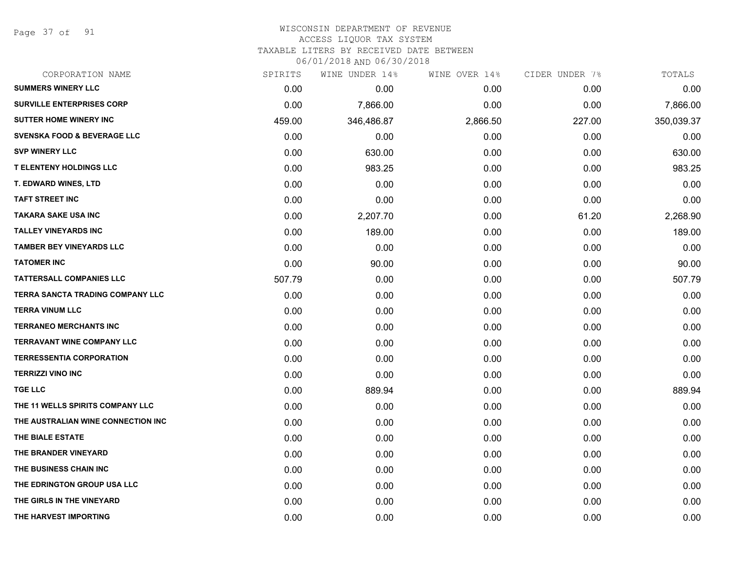Page 37 of 91

| CORPORATION NAME                       | SPIRITS | WINE UNDER 14% | WINE OVER 14% | CIDER UNDER 7% | TOTALS     |
|----------------------------------------|---------|----------------|---------------|----------------|------------|
| <b>SUMMERS WINERY LLC</b>              | 0.00    | 0.00           | 0.00          | 0.00           | 0.00       |
| <b>SURVILLE ENTERPRISES CORP</b>       | 0.00    | 7,866.00       | 0.00          | 0.00           | 7,866.00   |
| SUTTER HOME WINERY INC                 | 459.00  | 346,486.87     | 2,866.50      | 227.00         | 350,039.37 |
| <b>SVENSKA FOOD &amp; BEVERAGE LLC</b> | 0.00    | 0.00           | 0.00          | 0.00           | 0.00       |
| <b>SVP WINERY LLC</b>                  | 0.00    | 630.00         | 0.00          | 0.00           | 630.00     |
| <b>T ELENTENY HOLDINGS LLC</b>         | 0.00    | 983.25         | 0.00          | 0.00           | 983.25     |
| <b>T. EDWARD WINES, LTD</b>            | 0.00    | 0.00           | 0.00          | 0.00           | 0.00       |
| <b>TAFT STREET INC</b>                 | 0.00    | 0.00           | 0.00          | 0.00           | 0.00       |
| <b>TAKARA SAKE USA INC</b>             | 0.00    | 2,207.70       | 0.00          | 61.20          | 2,268.90   |
| <b>TALLEY VINEYARDS INC</b>            | 0.00    | 189.00         | 0.00          | 0.00           | 189.00     |
| <b>TAMBER BEY VINEYARDS LLC</b>        | 0.00    | 0.00           | 0.00          | 0.00           | 0.00       |
| <b>TATOMER INC</b>                     | 0.00    | 90.00          | 0.00          | 0.00           | 90.00      |
| <b>TATTERSALL COMPANIES LLC</b>        | 507.79  | 0.00           | 0.00          | 0.00           | 507.79     |
| TERRA SANCTA TRADING COMPANY LLC       | 0.00    | 0.00           | 0.00          | 0.00           | 0.00       |
| <b>TERRA VINUM LLC</b>                 | 0.00    | 0.00           | 0.00          | 0.00           | 0.00       |
| <b>TERRANEO MERCHANTS INC</b>          | 0.00    | 0.00           | 0.00          | 0.00           | 0.00       |
| <b>TERRAVANT WINE COMPANY LLC</b>      | 0.00    | 0.00           | 0.00          | 0.00           | 0.00       |
| <b>TERRESSENTIA CORPORATION</b>        | 0.00    | 0.00           | 0.00          | 0.00           | 0.00       |
| <b>TERRIZZI VINO INC</b>               | 0.00    | 0.00           | 0.00          | 0.00           | 0.00       |
| <b>TGE LLC</b>                         | 0.00    | 889.94         | 0.00          | 0.00           | 889.94     |
| THE 11 WELLS SPIRITS COMPANY LLC       | 0.00    | 0.00           | 0.00          | 0.00           | 0.00       |
| THE AUSTRALIAN WINE CONNECTION INC     | 0.00    | 0.00           | 0.00          | 0.00           | 0.00       |
| THE BIALE ESTATE                       | 0.00    | 0.00           | 0.00          | 0.00           | 0.00       |
| THE BRANDER VINEYARD                   | 0.00    | 0.00           | 0.00          | 0.00           | 0.00       |
| THE BUSINESS CHAIN INC                 | 0.00    | 0.00           | 0.00          | 0.00           | 0.00       |
| THE EDRINGTON GROUP USA LLC            | 0.00    | 0.00           | 0.00          | 0.00           | 0.00       |
| THE GIRLS IN THE VINEYARD              | 0.00    | 0.00           | 0.00          | 0.00           | 0.00       |
| THE HARVEST IMPORTING                  | 0.00    | 0.00           | 0.00          | 0.00           | 0.00       |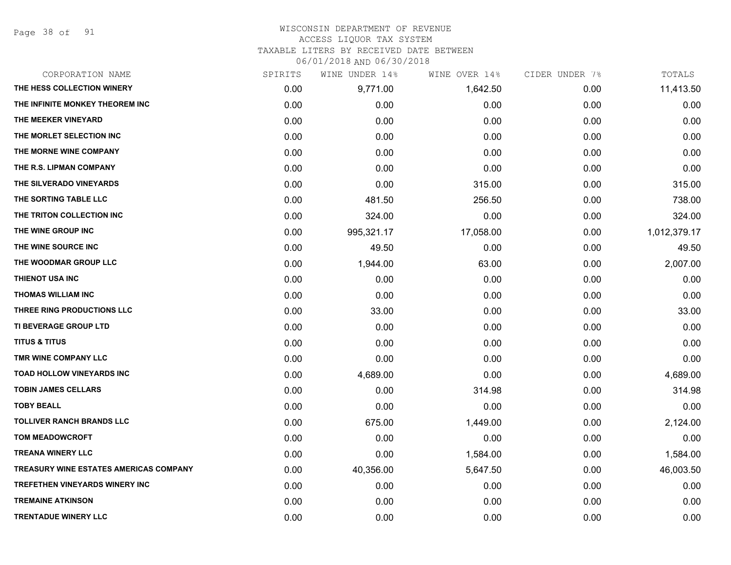Page 38 of 91

# WISCONSIN DEPARTMENT OF REVENUE ACCESS LIQUOR TAX SYSTEM TAXABLE LITERS BY RECEIVED DATE BETWEEN

| CORPORATION NAME                       | SPIRITS | WINE UNDER 14% | WINE OVER 14% | CIDER UNDER 7% | TOTALS       |
|----------------------------------------|---------|----------------|---------------|----------------|--------------|
| THE HESS COLLECTION WINERY             | 0.00    | 9,771.00       | 1,642.50      | 0.00           | 11,413.50    |
| THE INFINITE MONKEY THEOREM INC.       | 0.00    | 0.00           | 0.00          | 0.00           | 0.00         |
| THE MEEKER VINEYARD                    | 0.00    | 0.00           | 0.00          | 0.00           | 0.00         |
| THE MORLET SELECTION INC               | 0.00    | 0.00           | 0.00          | 0.00           | 0.00         |
| THE MORNE WINE COMPANY                 | 0.00    | 0.00           | 0.00          | 0.00           | 0.00         |
| THE R.S. LIPMAN COMPANY                | 0.00    | 0.00           | 0.00          | 0.00           | 0.00         |
| THE SILVERADO VINEYARDS                | 0.00    | 0.00           | 315.00        | 0.00           | 315.00       |
| THE SORTING TABLE LLC                  | 0.00    | 481.50         | 256.50        | 0.00           | 738.00       |
| THE TRITON COLLECTION INC              | 0.00    | 324.00         | 0.00          | 0.00           | 324.00       |
| THE WINE GROUP INC                     | 0.00    | 995,321.17     | 17,058.00     | 0.00           | 1,012,379.17 |
| THE WINE SOURCE INC                    | 0.00    | 49.50          | 0.00          | 0.00           | 49.50        |
| THE WOODMAR GROUP LLC                  | 0.00    | 1,944.00       | 63.00         | 0.00           | 2,007.00     |
| <b>THIENOT USA INC</b>                 | 0.00    | 0.00           | 0.00          | 0.00           | 0.00         |
| <b>THOMAS WILLIAM INC</b>              | 0.00    | 0.00           | 0.00          | 0.00           | 0.00         |
| THREE RING PRODUCTIONS LLC             | 0.00    | 33.00          | 0.00          | 0.00           | 33.00        |
| TI BEVERAGE GROUP LTD                  | 0.00    | 0.00           | 0.00          | 0.00           | 0.00         |
| <b>TITUS &amp; TITUS</b>               | 0.00    | 0.00           | 0.00          | 0.00           | 0.00         |
| TMR WINE COMPANY LLC                   | 0.00    | 0.00           | 0.00          | 0.00           | 0.00         |
| <b>TOAD HOLLOW VINEYARDS INC</b>       | 0.00    | 4,689.00       | 0.00          | 0.00           | 4,689.00     |
| <b>TOBIN JAMES CELLARS</b>             | 0.00    | 0.00           | 314.98        | 0.00           | 314.98       |
| <b>TOBY BEALL</b>                      | 0.00    | 0.00           | 0.00          | 0.00           | 0.00         |
| <b>TOLLIVER RANCH BRANDS LLC</b>       | 0.00    | 675.00         | 1,449.00      | 0.00           | 2,124.00     |
| <b>TOM MEADOWCROFT</b>                 | 0.00    | 0.00           | 0.00          | 0.00           | 0.00         |
| <b>TREANA WINERY LLC</b>               | 0.00    | 0.00           | 1,584.00      | 0.00           | 1,584.00     |
| TREASURY WINE ESTATES AMERICAS COMPANY | 0.00    | 40,356.00      | 5,647.50      | 0.00           | 46,003.50    |
| TREFETHEN VINEYARDS WINERY INC         | 0.00    | 0.00           | 0.00          | 0.00           | 0.00         |
| <b>TREMAINE ATKINSON</b>               | 0.00    | 0.00           | 0.00          | 0.00           | 0.00         |
| <b>TRENTADUE WINERY LLC</b>            | 0.00    | 0.00           | 0.00          | 0.00           | 0.00         |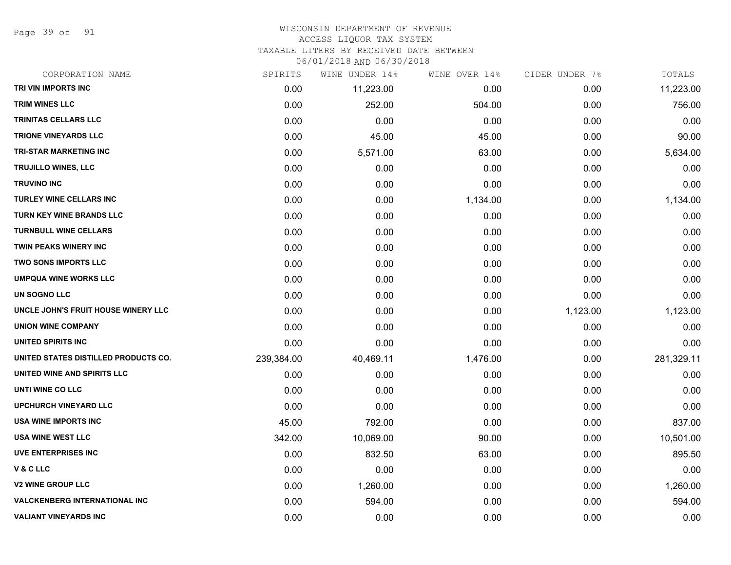Page 39 of 91

#### WISCONSIN DEPARTMENT OF REVENUE ACCESS LIQUOR TAX SYSTEM

TAXABLE LITERS BY RECEIVED DATE BETWEEN

| CORPORATION NAME                     | SPIRITS    | WINE UNDER 14% | WINE OVER 14% | CIDER UNDER 7% | TOTALS     |
|--------------------------------------|------------|----------------|---------------|----------------|------------|
| TRI VIN IMPORTS INC                  | 0.00       | 11,223.00      | 0.00          | 0.00           | 11,223.00  |
| <b>TRIM WINES LLC</b>                | 0.00       | 252.00         | 504.00        | 0.00           | 756.00     |
| <b>TRINITAS CELLARS LLC</b>          | 0.00       | 0.00           | 0.00          | 0.00           | 0.00       |
| <b>TRIONE VINEYARDS LLC</b>          | 0.00       | 45.00          | 45.00         | 0.00           | 90.00      |
| <b>TRI-STAR MARKETING INC</b>        | 0.00       | 5,571.00       | 63.00         | 0.00           | 5,634.00   |
| <b>TRUJILLO WINES, LLC</b>           | 0.00       | 0.00           | 0.00          | 0.00           | 0.00       |
| <b>TRUVINO INC</b>                   | 0.00       | 0.00           | 0.00          | 0.00           | 0.00       |
| <b>TURLEY WINE CELLARS INC</b>       | 0.00       | 0.00           | 1,134.00      | 0.00           | 1,134.00   |
| TURN KEY WINE BRANDS LLC             | 0.00       | 0.00           | 0.00          | 0.00           | 0.00       |
| <b>TURNBULL WINE CELLARS</b>         | 0.00       | 0.00           | 0.00          | 0.00           | 0.00       |
| <b>TWIN PEAKS WINERY INC</b>         | 0.00       | 0.00           | 0.00          | 0.00           | 0.00       |
| <b>TWO SONS IMPORTS LLC</b>          | 0.00       | 0.00           | 0.00          | 0.00           | 0.00       |
| <b>UMPQUA WINE WORKS LLC</b>         | 0.00       | 0.00           | 0.00          | 0.00           | 0.00       |
| UN SOGNO LLC                         | 0.00       | 0.00           | 0.00          | 0.00           | 0.00       |
| UNCLE JOHN'S FRUIT HOUSE WINERY LLC  | 0.00       | 0.00           | 0.00          | 1,123.00       | 1,123.00   |
| <b>UNION WINE COMPANY</b>            | 0.00       | 0.00           | 0.00          | 0.00           | 0.00       |
| <b>UNITED SPIRITS INC</b>            | 0.00       | 0.00           | 0.00          | 0.00           | 0.00       |
| UNITED STATES DISTILLED PRODUCTS CO. | 239,384.00 | 40,469.11      | 1,476.00      | 0.00           | 281,329.11 |
| UNITED WINE AND SPIRITS LLC          | 0.00       | 0.00           | 0.00          | 0.00           | 0.00       |
| UNTI WINE CO LLC                     | 0.00       | 0.00           | 0.00          | 0.00           | 0.00       |
| <b>UPCHURCH VINEYARD LLC</b>         | 0.00       | 0.00           | 0.00          | 0.00           | 0.00       |
| <b>USA WINE IMPORTS INC</b>          | 45.00      | 792.00         | 0.00          | 0.00           | 837.00     |
| <b>USA WINE WEST LLC</b>             | 342.00     | 10,069.00      | 90.00         | 0.00           | 10,501.00  |
| UVE ENTERPRISES INC                  | 0.00       | 832.50         | 63.00         | 0.00           | 895.50     |
| V & C LLC                            | 0.00       | 0.00           | 0.00          | 0.00           | 0.00       |
| <b>V2 WINE GROUP LLC</b>             | 0.00       | 1,260.00       | 0.00          | 0.00           | 1,260.00   |
| <b>VALCKENBERG INTERNATIONAL INC</b> | 0.00       | 594.00         | 0.00          | 0.00           | 594.00     |
| <b>VALIANT VINEYARDS INC</b>         | 0.00       | 0.00           | 0.00          | 0.00           | 0.00       |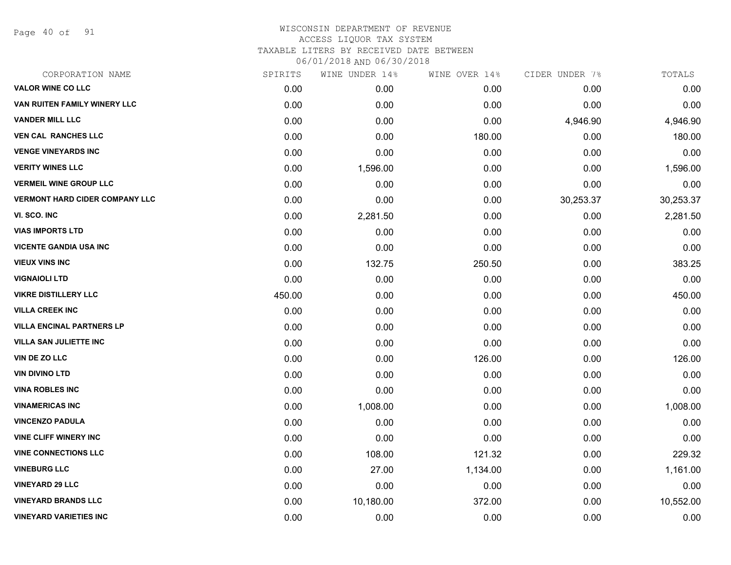Page 40 of 91

| CORPORATION NAME                      | SPIRITS | WINE UNDER 14% | WINE OVER 14% | CIDER UNDER 7% | TOTALS    |
|---------------------------------------|---------|----------------|---------------|----------------|-----------|
| <b>VALOR WINE CO LLC</b>              | 0.00    | 0.00           | 0.00          | 0.00           | 0.00      |
| VAN RUITEN FAMILY WINERY LLC          | 0.00    | 0.00           | 0.00          | 0.00           | 0.00      |
| <b>VANDER MILL LLC</b>                | 0.00    | 0.00           | 0.00          | 4,946.90       | 4,946.90  |
| <b>VEN CAL RANCHES LLC</b>            | 0.00    | 0.00           | 180.00        | 0.00           | 180.00    |
| <b>VENGE VINEYARDS INC</b>            | 0.00    | 0.00           | 0.00          | 0.00           | 0.00      |
| <b>VERITY WINES LLC</b>               | 0.00    | 1,596.00       | 0.00          | 0.00           | 1,596.00  |
| <b>VERMEIL WINE GROUP LLC</b>         | 0.00    | 0.00           | 0.00          | 0.00           | 0.00      |
| <b>VERMONT HARD CIDER COMPANY LLC</b> | 0.00    | 0.00           | 0.00          | 30,253.37      | 30,253.37 |
| VI. SCO. INC                          | 0.00    | 2,281.50       | 0.00          | 0.00           | 2,281.50  |
| <b>VIAS IMPORTS LTD</b>               | 0.00    | 0.00           | 0.00          | 0.00           | 0.00      |
| <b>VICENTE GANDIA USA INC</b>         | 0.00    | 0.00           | 0.00          | 0.00           | 0.00      |
| <b>VIEUX VINS INC</b>                 | 0.00    | 132.75         | 250.50        | 0.00           | 383.25    |
| <b>VIGNAIOLI LTD</b>                  | 0.00    | 0.00           | 0.00          | 0.00           | 0.00      |
| <b>VIKRE DISTILLERY LLC</b>           | 450.00  | 0.00           | 0.00          | 0.00           | 450.00    |
| <b>VILLA CREEK INC</b>                | 0.00    | 0.00           | 0.00          | 0.00           | 0.00      |
| <b>VILLA ENCINAL PARTNERS LP</b>      | 0.00    | 0.00           | 0.00          | 0.00           | 0.00      |
| <b>VILLA SAN JULIETTE INC</b>         | 0.00    | 0.00           | 0.00          | 0.00           | 0.00      |
| VIN DE ZO LLC                         | 0.00    | 0.00           | 126.00        | 0.00           | 126.00    |
| <b>VIN DIVINO LTD</b>                 | 0.00    | 0.00           | 0.00          | 0.00           | 0.00      |
| <b>VINA ROBLES INC</b>                | 0.00    | 0.00           | 0.00          | 0.00           | 0.00      |
| <b>VINAMERICAS INC</b>                | 0.00    | 1,008.00       | 0.00          | 0.00           | 1,008.00  |
| <b>VINCENZO PADULA</b>                | 0.00    | 0.00           | 0.00          | 0.00           | 0.00      |
| <b>VINE CLIFF WINERY INC</b>          | 0.00    | 0.00           | 0.00          | 0.00           | 0.00      |
| <b>VINE CONNECTIONS LLC</b>           | 0.00    | 108.00         | 121.32        | 0.00           | 229.32    |
| <b>VINEBURG LLC</b>                   | 0.00    | 27.00          | 1,134.00      | 0.00           | 1,161.00  |
| <b>VINEYARD 29 LLC</b>                | 0.00    | 0.00           | 0.00          | 0.00           | 0.00      |
| <b>VINEYARD BRANDS LLC</b>            | 0.00    | 10,180.00      | 372.00        | 0.00           | 10,552.00 |
| <b>VINEYARD VARIETIES INC</b>         | 0.00    | 0.00           | 0.00          | 0.00           | 0.00      |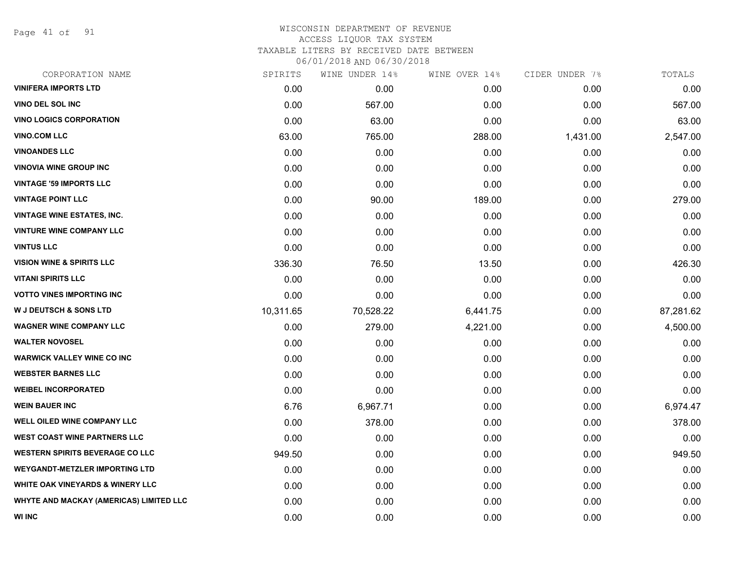Page 41 of 91

| CORPORATION NAME                            | SPIRITS   | WINE UNDER 14% | WINE OVER 14% | CIDER UNDER 7% | TOTALS    |
|---------------------------------------------|-----------|----------------|---------------|----------------|-----------|
| <b>VINIFERA IMPORTS LTD</b>                 | 0.00      | 0.00           | 0.00          | 0.00           | 0.00      |
| <b>VINO DEL SOL INC</b>                     | 0.00      | 567.00         | 0.00          | 0.00           | 567.00    |
| <b>VINO LOGICS CORPORATION</b>              | 0.00      | 63.00          | 0.00          | 0.00           | 63.00     |
| <b>VINO.COM LLC</b>                         | 63.00     | 765.00         | 288.00        | 1,431.00       | 2,547.00  |
| <b>VINOANDES LLC</b>                        | 0.00      | 0.00           | 0.00          | 0.00           | 0.00      |
| <b>VINOVIA WINE GROUP INC</b>               | 0.00      | 0.00           | 0.00          | 0.00           | 0.00      |
| <b>VINTAGE '59 IMPORTS LLC</b>              | 0.00      | 0.00           | 0.00          | 0.00           | 0.00      |
| <b>VINTAGE POINT LLC</b>                    | 0.00      | 90.00          | 189.00        | 0.00           | 279.00    |
| <b>VINTAGE WINE ESTATES, INC.</b>           | 0.00      | 0.00           | 0.00          | 0.00           | 0.00      |
| <b>VINTURE WINE COMPANY LLC</b>             | 0.00      | 0.00           | 0.00          | 0.00           | 0.00      |
| <b>VINTUS LLC</b>                           | 0.00      | 0.00           | 0.00          | 0.00           | 0.00      |
| <b>VISION WINE &amp; SPIRITS LLC</b>        | 336.30    | 76.50          | 13.50         | 0.00           | 426.30    |
| <b>VITANI SPIRITS LLC</b>                   | 0.00      | 0.00           | 0.00          | 0.00           | 0.00      |
| <b>VOTTO VINES IMPORTING INC</b>            | 0.00      | 0.00           | 0.00          | 0.00           | 0.00      |
| <b>W J DEUTSCH &amp; SONS LTD</b>           | 10,311.65 | 70,528.22      | 6,441.75      | 0.00           | 87,281.62 |
| <b>WAGNER WINE COMPANY LLC</b>              | 0.00      | 279.00         | 4,221.00      | 0.00           | 4,500.00  |
| <b>WALTER NOVOSEL</b>                       | 0.00      | 0.00           | 0.00          | 0.00           | 0.00      |
| <b>WARWICK VALLEY WINE CO INC</b>           | 0.00      | 0.00           | 0.00          | 0.00           | 0.00      |
| <b>WEBSTER BARNES LLC</b>                   | 0.00      | 0.00           | 0.00          | 0.00           | 0.00      |
| <b>WEIBEL INCORPORATED</b>                  | 0.00      | 0.00           | 0.00          | 0.00           | 0.00      |
| <b>WEIN BAUER INC</b>                       | 6.76      | 6,967.71       | 0.00          | 0.00           | 6,974.47  |
| <b>WELL OILED WINE COMPANY LLC</b>          | 0.00      | 378.00         | 0.00          | 0.00           | 378.00    |
| <b>WEST COAST WINE PARTNERS LLC</b>         | 0.00      | 0.00           | 0.00          | 0.00           | 0.00      |
| <b>WESTERN SPIRITS BEVERAGE CO LLC</b>      | 949.50    | 0.00           | 0.00          | 0.00           | 949.50    |
| <b>WEYGANDT-METZLER IMPORTING LTD</b>       | 0.00      | 0.00           | 0.00          | 0.00           | 0.00      |
| <b>WHITE OAK VINEYARDS &amp; WINERY LLC</b> | 0.00      | 0.00           | 0.00          | 0.00           | 0.00      |
| WHYTE AND MACKAY (AMERICAS) LIMITED LLC     | 0.00      | 0.00           | 0.00          | 0.00           | 0.00      |
| <b>WI INC</b>                               | 0.00      | 0.00           | 0.00          | 0.00           | 0.00      |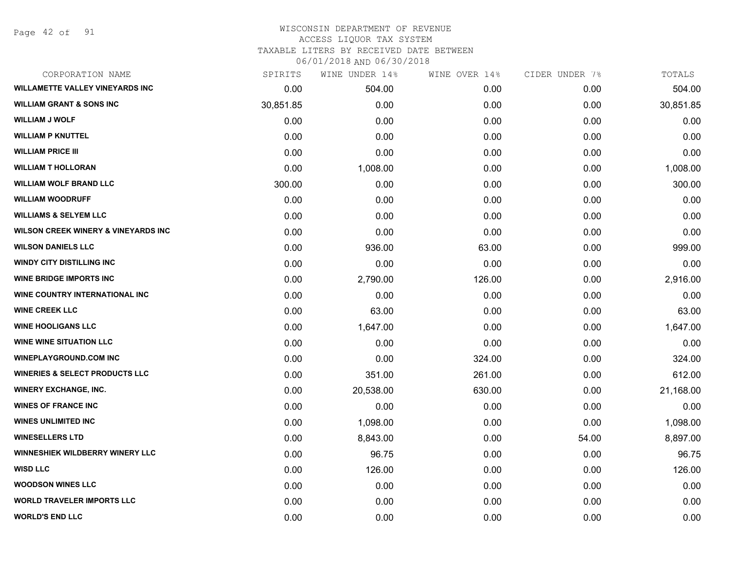Page 42 of 91

#### WISCONSIN DEPARTMENT OF REVENUE ACCESS LIQUOR TAX SYSTEM TAXABLE LITERS BY RECEIVED DATE BETWEEN

| CORPORATION NAME                               | SPIRITS   | WINE UNDER 14% | WINE OVER 14% | CIDER UNDER 7% | TOTALS    |
|------------------------------------------------|-----------|----------------|---------------|----------------|-----------|
| WILLAMETTE VALLEY VINEYARDS INC                | 0.00      | 504.00         | 0.00          | 0.00           | 504.00    |
| <b>WILLIAM GRANT &amp; SONS INC</b>            | 30,851.85 | 0.00           | 0.00          | 0.00           | 30,851.85 |
| <b>WILLIAM J WOLF</b>                          | 0.00      | 0.00           | 0.00          | 0.00           | 0.00      |
| <b>WILLIAM P KNUTTEL</b>                       | 0.00      | 0.00           | 0.00          | 0.00           | 0.00      |
| <b>WILLIAM PRICE III</b>                       | 0.00      | 0.00           | 0.00          | 0.00           | 0.00      |
| <b>WILLIAM T HOLLORAN</b>                      | 0.00      | 1,008.00       | 0.00          | 0.00           | 1,008.00  |
| <b>WILLIAM WOLF BRAND LLC</b>                  | 300.00    | 0.00           | 0.00          | 0.00           | 300.00    |
| <b>WILLIAM WOODRUFF</b>                        | 0.00      | 0.00           | 0.00          | 0.00           | 0.00      |
| <b>WILLIAMS &amp; SELYEM LLC</b>               | 0.00      | 0.00           | 0.00          | 0.00           | 0.00      |
| <b>WILSON CREEK WINERY &amp; VINEYARDS INC</b> | 0.00      | 0.00           | 0.00          | 0.00           | 0.00      |
| <b>WILSON DANIELS LLC</b>                      | 0.00      | 936.00         | 63.00         | 0.00           | 999.00    |
| <b>WINDY CITY DISTILLING INC</b>               | 0.00      | 0.00           | 0.00          | 0.00           | 0.00      |
| <b>WINE BRIDGE IMPORTS INC</b>                 | 0.00      | 2,790.00       | 126.00        | 0.00           | 2,916.00  |
| <b>WINE COUNTRY INTERNATIONAL INC</b>          | 0.00      | 0.00           | 0.00          | 0.00           | 0.00      |
| <b>WINE CREEK LLC</b>                          | 0.00      | 63.00          | 0.00          | 0.00           | 63.00     |
| <b>WINE HOOLIGANS LLC</b>                      | 0.00      | 1,647.00       | 0.00          | 0.00           | 1,647.00  |
| <b>WINE WINE SITUATION LLC</b>                 | 0.00      | 0.00           | 0.00          | 0.00           | 0.00      |
| <b>WINEPLAYGROUND.COM INC</b>                  | 0.00      | 0.00           | 324.00        | 0.00           | 324.00    |
| <b>WINERIES &amp; SELECT PRODUCTS LLC</b>      | 0.00      | 351.00         | 261.00        | 0.00           | 612.00    |
| <b>WINERY EXCHANGE, INC.</b>                   | 0.00      | 20,538.00      | 630.00        | 0.00           | 21,168.00 |
| <b>WINES OF FRANCE INC</b>                     | 0.00      | 0.00           | 0.00          | 0.00           | 0.00      |
| <b>WINES UNLIMITED INC</b>                     | 0.00      | 1,098.00       | 0.00          | 0.00           | 1,098.00  |
| <b>WINESELLERS LTD</b>                         | 0.00      | 8,843.00       | 0.00          | 54.00          | 8,897.00  |
| WINNESHIEK WILDBERRY WINERY LLC                | 0.00      | 96.75          | 0.00          | 0.00           | 96.75     |
| <b>WISD LLC</b>                                | 0.00      | 126.00         | 0.00          | 0.00           | 126.00    |
| <b>WOODSON WINES LLC</b>                       | 0.00      | 0.00           | 0.00          | 0.00           | 0.00      |
| <b>WORLD TRAVELER IMPORTS LLC</b>              | 0.00      | 0.00           | 0.00          | 0.00           | 0.00      |
| <b>WORLD'S END LLC</b>                         | 0.00      | 0.00           | 0.00          | 0.00           | 0.00      |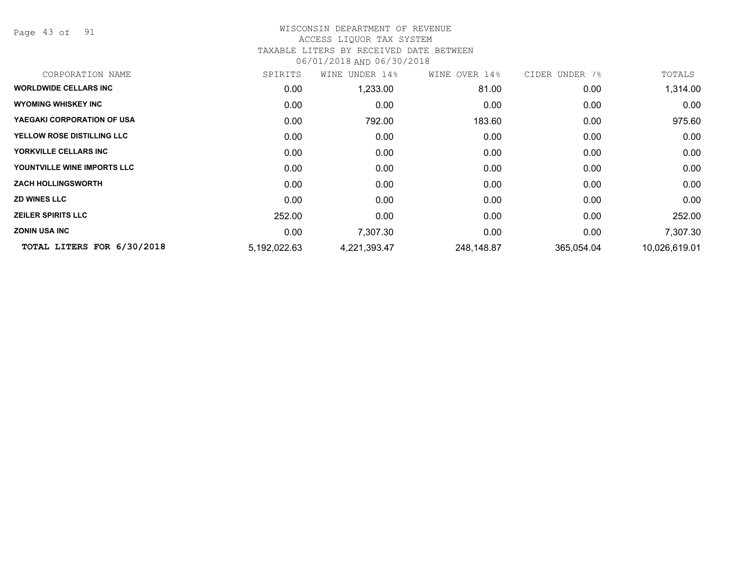Page 43 of 91

| CORPORATION NAME             | SPIRITS      | UNDER 14%<br>WINE | WINE OVER 14% | CIDER UNDER 7% | TOTALS        |
|------------------------------|--------------|-------------------|---------------|----------------|---------------|
| <b>WORLDWIDE CELLARS INC</b> | 0.00         | 1,233.00          | 81.00         | 0.00           | 1,314.00      |
| <b>WYOMING WHISKEY INC</b>   | 0.00         | 0.00              | 0.00          | 0.00           | 0.00          |
| YAEGAKI CORPORATION OF USA   | 0.00         | 792.00            | 183.60        | 0.00           | 975.60        |
| YELLOW ROSE DISTILLING LLC   | 0.00         | 0.00              | 0.00          | 0.00           | 0.00          |
| YORKVILLE CELLARS INC        | 0.00         | 0.00              | 0.00          | 0.00           | 0.00          |
| YOUNTVILLE WINE IMPORTS LLC  | 0.00         | 0.00              | 0.00          | 0.00           | 0.00          |
| <b>ZACH HOLLINGSWORTH</b>    | 0.00         | 0.00              | 0.00          | 0.00           | 0.00          |
| <b>ZD WINES LLC</b>          | 0.00         | 0.00              | 0.00          | 0.00           | 0.00          |
| <b>ZEILER SPIRITS LLC</b>    | 252.00       | 0.00              | 0.00          | 0.00           | 252.00        |
| <b>ZONIN USA INC</b>         | 0.00         | 7,307.30          | 0.00          | 0.00           | 7,307.30      |
| TOTAL LITERS FOR 6/30/2018   | 5,192,022.63 | 4,221,393.47      | 248,148.87    | 365,054.04     | 10,026,619.01 |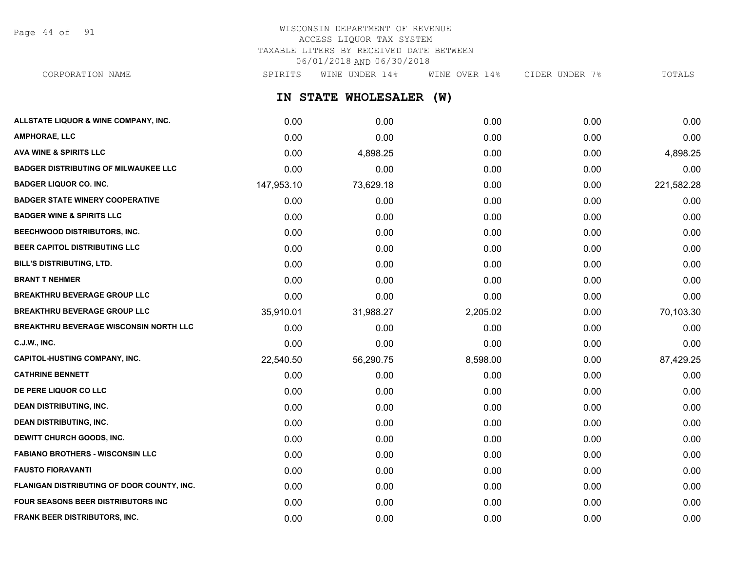Page 44 of 91

# WISCONSIN DEPARTMENT OF REVENUE ACCESS LIQUOR TAX SYSTEM TAXABLE LITERS BY RECEIVED DATE BETWEEN 06/01/2018 AND 06/30/2018

CORPORATION NAME SPIRITS WINE UNDER 14% WINE OVER 14% CIDER UNDER 7% TOTALS

**IN STATE WHOLESALER (W)**

| ALLSTATE LIQUOR & WINE COMPANY, INC.          | 0.00       | 0.00      | 0.00     | 0.00 | 0.00       |
|-----------------------------------------------|------------|-----------|----------|------|------------|
| <b>AMPHORAE, LLC</b>                          | 0.00       | 0.00      | 0.00     | 0.00 | 0.00       |
| <b>AVA WINE &amp; SPIRITS LLC</b>             | 0.00       | 4,898.25  | 0.00     | 0.00 | 4,898.25   |
| <b>BADGER DISTRIBUTING OF MILWAUKEE LLC</b>   | 0.00       | 0.00      | 0.00     | 0.00 | 0.00       |
| <b>BADGER LIQUOR CO. INC.</b>                 | 147,953.10 | 73,629.18 | 0.00     | 0.00 | 221,582.28 |
| <b>BADGER STATE WINERY COOPERATIVE</b>        | 0.00       | 0.00      | 0.00     | 0.00 | 0.00       |
| <b>BADGER WINE &amp; SPIRITS LLC</b>          | 0.00       | 0.00      | 0.00     | 0.00 | 0.00       |
| <b>BEECHWOOD DISTRIBUTORS, INC.</b>           | 0.00       | 0.00      | 0.00     | 0.00 | 0.00       |
| BEER CAPITOL DISTRIBUTING LLC                 | 0.00       | 0.00      | 0.00     | 0.00 | 0.00       |
| <b>BILL'S DISTRIBUTING, LTD.</b>              | 0.00       | 0.00      | 0.00     | 0.00 | 0.00       |
| <b>BRANT T NEHMER</b>                         | 0.00       | 0.00      | 0.00     | 0.00 | 0.00       |
| <b>BREAKTHRU BEVERAGE GROUP LLC</b>           | 0.00       | 0.00      | 0.00     | 0.00 | 0.00       |
| <b>BREAKTHRU BEVERAGE GROUP LLC</b>           | 35,910.01  | 31,988.27 | 2,205.02 | 0.00 | 70,103.30  |
| <b>BREAKTHRU BEVERAGE WISCONSIN NORTH LLC</b> | 0.00       | 0.00      | 0.00     | 0.00 | 0.00       |
| <b>C.J.W., INC.</b>                           | 0.00       | 0.00      | 0.00     | 0.00 | 0.00       |
| <b>CAPITOL-HUSTING COMPANY, INC.</b>          | 22,540.50  | 56,290.75 | 8,598.00 | 0.00 | 87,429.25  |
| <b>CATHRINE BENNETT</b>                       | 0.00       | 0.00      | 0.00     | 0.00 | 0.00       |
| DE PERE LIQUOR CO LLC                         | 0.00       | 0.00      | 0.00     | 0.00 | 0.00       |
| <b>DEAN DISTRIBUTING, INC.</b>                | 0.00       | 0.00      | 0.00     | 0.00 | 0.00       |
| <b>DEAN DISTRIBUTING, INC.</b>                | 0.00       | 0.00      | 0.00     | 0.00 | 0.00       |
| <b>DEWITT CHURCH GOODS, INC.</b>              | 0.00       | 0.00      | 0.00     | 0.00 | 0.00       |
| <b>FABIANO BROTHERS - WISCONSIN LLC</b>       | 0.00       | 0.00      | 0.00     | 0.00 | 0.00       |
| <b>FAUSTO FIORAVANTI</b>                      | 0.00       | 0.00      | 0.00     | 0.00 | 0.00       |
| FLANIGAN DISTRIBUTING OF DOOR COUNTY, INC.    | 0.00       | 0.00      | 0.00     | 0.00 | 0.00       |
| <b>FOUR SEASONS BEER DISTRIBUTORS INC.</b>    | 0.00       | 0.00      | 0.00     | 0.00 | 0.00       |
| FRANK BEER DISTRIBUTORS, INC.                 | 0.00       | 0.00      | 0.00     | 0.00 | 0.00       |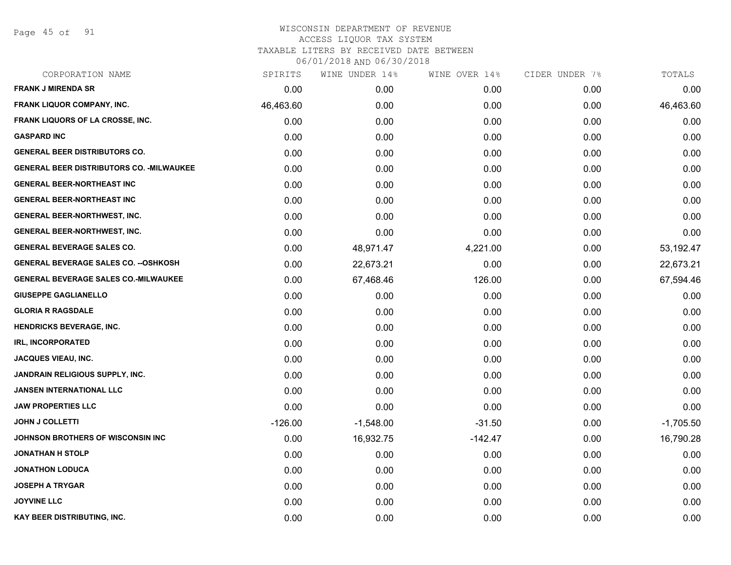Page 45 of 91

| CORPORATION NAME                                 | SPIRITS   | WINE UNDER 14% | WINE OVER 14% | CIDER UNDER 7% | TOTALS      |
|--------------------------------------------------|-----------|----------------|---------------|----------------|-------------|
| <b>FRANK J MIRENDA SR</b>                        | 0.00      | 0.00           | 0.00          | 0.00           | 0.00        |
| FRANK LIQUOR COMPANY, INC.                       | 46,463.60 | 0.00           | 0.00          | 0.00           | 46,463.60   |
| FRANK LIQUORS OF LA CROSSE, INC.                 | 0.00      | 0.00           | 0.00          | 0.00           | 0.00        |
| <b>GASPARD INC</b>                               | 0.00      | 0.00           | 0.00          | 0.00           | 0.00        |
| <b>GENERAL BEER DISTRIBUTORS CO.</b>             | 0.00      | 0.00           | 0.00          | 0.00           | 0.00        |
| <b>GENERAL BEER DISTRIBUTORS CO. - MILWAUKEE</b> | 0.00      | 0.00           | 0.00          | 0.00           | 0.00        |
| <b>GENERAL BEER-NORTHEAST INC</b>                | 0.00      | 0.00           | 0.00          | 0.00           | 0.00        |
| <b>GENERAL BEER-NORTHEAST INC</b>                | 0.00      | 0.00           | 0.00          | 0.00           | 0.00        |
| <b>GENERAL BEER-NORTHWEST, INC.</b>              | 0.00      | 0.00           | 0.00          | 0.00           | 0.00        |
| <b>GENERAL BEER-NORTHWEST, INC.</b>              | 0.00      | 0.00           | 0.00          | 0.00           | 0.00        |
| <b>GENERAL BEVERAGE SALES CO.</b>                | 0.00      | 48,971.47      | 4,221.00      | 0.00           | 53,192.47   |
| <b>GENERAL BEVERAGE SALES CO. -- OSHKOSH</b>     | 0.00      | 22,673.21      | 0.00          | 0.00           | 22,673.21   |
| <b>GENERAL BEVERAGE SALES CO.-MILWAUKEE</b>      | 0.00      | 67,468.46      | 126.00        | 0.00           | 67,594.46   |
| <b>GIUSEPPE GAGLIANELLO</b>                      | 0.00      | 0.00           | 0.00          | 0.00           | 0.00        |
| <b>GLORIA R RAGSDALE</b>                         | 0.00      | 0.00           | 0.00          | 0.00           | 0.00        |
| <b>HENDRICKS BEVERAGE, INC.</b>                  | 0.00      | 0.00           | 0.00          | 0.00           | 0.00        |
| <b>IRL, INCORPORATED</b>                         | 0.00      | 0.00           | 0.00          | 0.00           | 0.00        |
| <b>JACQUES VIEAU, INC.</b>                       | 0.00      | 0.00           | 0.00          | 0.00           | 0.00        |
| JANDRAIN RELIGIOUS SUPPLY, INC.                  | 0.00      | 0.00           | 0.00          | 0.00           | 0.00        |
| <b>JANSEN INTERNATIONAL LLC</b>                  | 0.00      | 0.00           | 0.00          | 0.00           | 0.00        |
| <b>JAW PROPERTIES LLC</b>                        | 0.00      | 0.00           | 0.00          | 0.00           | 0.00        |
| <b>JOHN J COLLETTI</b>                           | $-126.00$ | $-1,548.00$    | $-31.50$      | 0.00           | $-1,705.50$ |
| JOHNSON BROTHERS OF WISCONSIN INC                | 0.00      | 16,932.75      | $-142.47$     | 0.00           | 16,790.28   |
| <b>JONATHAN H STOLP</b>                          | 0.00      | 0.00           | 0.00          | 0.00           | 0.00        |
| <b>JONATHON LODUCA</b>                           | 0.00      | 0.00           | 0.00          | 0.00           | 0.00        |
| <b>JOSEPH A TRYGAR</b>                           | 0.00      | 0.00           | 0.00          | 0.00           | 0.00        |
| <b>JOYVINE LLC</b>                               | 0.00      | 0.00           | 0.00          | 0.00           | 0.00        |
| <b>KAY BEER DISTRIBUTING, INC.</b>               | 0.00      | 0.00           | 0.00          | 0.00           | 0.00        |
|                                                  |           |                |               |                |             |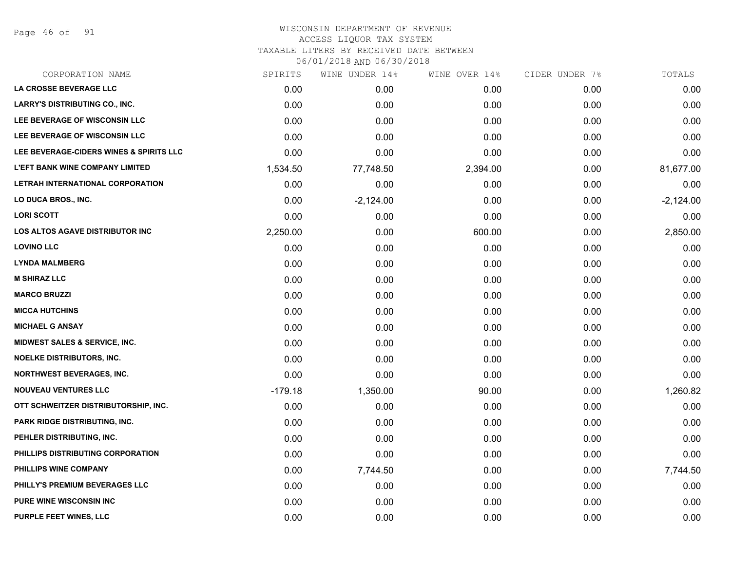Page 46 of 91

# WISCONSIN DEPARTMENT OF REVENUE ACCESS LIQUOR TAX SYSTEM TAXABLE LITERS BY RECEIVED DATE BETWEEN

| CORPORATION NAME                         | SPIRITS   | WINE UNDER 14% | WINE OVER 14% | CIDER UNDER 7% | TOTALS      |
|------------------------------------------|-----------|----------------|---------------|----------------|-------------|
| LA CROSSE BEVERAGE LLC                   | 0.00      | 0.00           | 0.00          | 0.00           | 0.00        |
| <b>LARRY'S DISTRIBUTING CO., INC.</b>    | 0.00      | 0.00           | 0.00          | 0.00           | 0.00        |
| LEE BEVERAGE OF WISCONSIN LLC            | 0.00      | 0.00           | 0.00          | 0.00           | 0.00        |
| LEE BEVERAGE OF WISCONSIN LLC            | 0.00      | 0.00           | 0.00          | 0.00           | 0.00        |
| LEE BEVERAGE-CIDERS WINES & SPIRITS LLC  | 0.00      | 0.00           | 0.00          | 0.00           | 0.00        |
| <b>L'EFT BANK WINE COMPANY LIMITED</b>   | 1,534.50  | 77,748.50      | 2,394.00      | 0.00           | 81,677.00   |
| LETRAH INTERNATIONAL CORPORATION         | 0.00      | 0.00           | 0.00          | 0.00           | 0.00        |
| LO DUCA BROS., INC.                      | 0.00      | $-2,124.00$    | 0.00          | 0.00           | $-2,124.00$ |
| <b>LORI SCOTT</b>                        | 0.00      | 0.00           | 0.00          | 0.00           | 0.00        |
| <b>LOS ALTOS AGAVE DISTRIBUTOR INC</b>   | 2,250.00  | 0.00           | 600.00        | 0.00           | 2,850.00    |
| <b>LOVINO LLC</b>                        | 0.00      | 0.00           | 0.00          | 0.00           | 0.00        |
| <b>LYNDA MALMBERG</b>                    | 0.00      | 0.00           | 0.00          | 0.00           | 0.00        |
| <b>M SHIRAZ LLC</b>                      | 0.00      | 0.00           | 0.00          | 0.00           | 0.00        |
| <b>MARCO BRUZZI</b>                      | 0.00      | 0.00           | 0.00          | 0.00           | 0.00        |
| <b>MICCA HUTCHINS</b>                    | 0.00      | 0.00           | 0.00          | 0.00           | 0.00        |
| <b>MICHAEL G ANSAY</b>                   | 0.00      | 0.00           | 0.00          | 0.00           | 0.00        |
| <b>MIDWEST SALES &amp; SERVICE, INC.</b> | 0.00      | 0.00           | 0.00          | 0.00           | 0.00        |
| <b>NOELKE DISTRIBUTORS, INC.</b>         | 0.00      | 0.00           | 0.00          | 0.00           | 0.00        |
| <b>NORTHWEST BEVERAGES, INC.</b>         | 0.00      | 0.00           | 0.00          | 0.00           | 0.00        |
| <b>NOUVEAU VENTURES LLC</b>              | $-179.18$ | 1,350.00       | 90.00         | 0.00           | 1,260.82    |
| OTT SCHWEITZER DISTRIBUTORSHIP, INC.     | 0.00      | 0.00           | 0.00          | 0.00           | 0.00        |
| PARK RIDGE DISTRIBUTING, INC.            | 0.00      | 0.00           | 0.00          | 0.00           | 0.00        |
| PEHLER DISTRIBUTING, INC.                | 0.00      | 0.00           | 0.00          | 0.00           | 0.00        |
| PHILLIPS DISTRIBUTING CORPORATION        | 0.00      | 0.00           | 0.00          | 0.00           | 0.00        |
| PHILLIPS WINE COMPANY                    | 0.00      | 7,744.50       | 0.00          | 0.00           | 7,744.50    |
| PHILLY'S PREMIUM BEVERAGES LLC           | 0.00      | 0.00           | 0.00          | 0.00           | 0.00        |
| <b>PURE WINE WISCONSIN INC</b>           | 0.00      | 0.00           | 0.00          | 0.00           | 0.00        |
| PURPLE FEET WINES, LLC                   | 0.00      | 0.00           | 0.00          | 0.00           | 0.00        |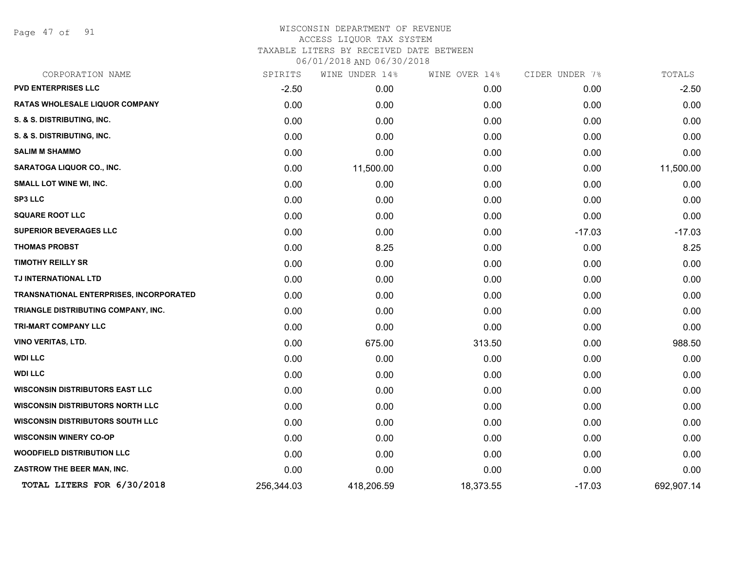Page 47 of 91

| CORPORATION NAME                        | SPIRITS    | WINE UNDER 14% | WINE OVER 14% | CIDER UNDER 7% | TOTALS     |
|-----------------------------------------|------------|----------------|---------------|----------------|------------|
| <b>PVD ENTERPRISES LLC</b>              | $-2.50$    | 0.00           | 0.00          | 0.00           | $-2.50$    |
| RATAS WHOLESALE LIQUOR COMPANY          | 0.00       | 0.00           | 0.00          | 0.00           | 0.00       |
| S. & S. DISTRIBUTING, INC.              | 0.00       | 0.00           | 0.00          | 0.00           | 0.00       |
| S. & S. DISTRIBUTING, INC.              | 0.00       | 0.00           | 0.00          | 0.00           | 0.00       |
| <b>SALIM M SHAMMO</b>                   | 0.00       | 0.00           | 0.00          | 0.00           | 0.00       |
| SARATOGA LIQUOR CO., INC.               | 0.00       | 11,500.00      | 0.00          | 0.00           | 11,500.00  |
| SMALL LOT WINE WI, INC.                 | 0.00       | 0.00           | 0.00          | 0.00           | 0.00       |
| <b>SP3 LLC</b>                          | 0.00       | 0.00           | 0.00          | 0.00           | 0.00       |
| <b>SQUARE ROOT LLC</b>                  | 0.00       | 0.00           | 0.00          | 0.00           | 0.00       |
| <b>SUPERIOR BEVERAGES LLC</b>           | 0.00       | 0.00           | 0.00          | $-17.03$       | $-17.03$   |
| <b>THOMAS PROBST</b>                    | 0.00       | 8.25           | 0.00          | 0.00           | 8.25       |
| <b>TIMOTHY REILLY SR</b>                | 0.00       | 0.00           | 0.00          | 0.00           | 0.00       |
| TJ INTERNATIONAL LTD                    | 0.00       | 0.00           | 0.00          | 0.00           | 0.00       |
| TRANSNATIONAL ENTERPRISES, INCORPORATED | 0.00       | 0.00           | 0.00          | 0.00           | 0.00       |
| TRIANGLE DISTRIBUTING COMPANY, INC.     | 0.00       | 0.00           | 0.00          | 0.00           | 0.00       |
| TRI-MART COMPANY LLC                    | 0.00       | 0.00           | 0.00          | 0.00           | 0.00       |
| <b>VINO VERITAS, LTD.</b>               | 0.00       | 675.00         | 313.50        | 0.00           | 988.50     |
| <b>WDI LLC</b>                          | 0.00       | 0.00           | 0.00          | 0.00           | 0.00       |
| <b>WDI LLC</b>                          | 0.00       | 0.00           | 0.00          | 0.00           | 0.00       |
| <b>WISCONSIN DISTRIBUTORS EAST LLC</b>  | 0.00       | 0.00           | 0.00          | 0.00           | 0.00       |
| <b>WISCONSIN DISTRIBUTORS NORTH LLC</b> | 0.00       | 0.00           | 0.00          | 0.00           | 0.00       |
| <b>WISCONSIN DISTRIBUTORS SOUTH LLC</b> | 0.00       | 0.00           | 0.00          | 0.00           | 0.00       |
| <b>WISCONSIN WINERY CO-OP</b>           | 0.00       | 0.00           | 0.00          | 0.00           | 0.00       |
| <b>WOODFIELD DISTRIBUTION LLC</b>       | 0.00       | 0.00           | 0.00          | 0.00           | 0.00       |
| ZASTROW THE BEER MAN, INC.              | 0.00       | 0.00           | 0.00          | 0.00           | 0.00       |
| TOTAL LITERS FOR 6/30/2018              | 256,344.03 | 418,206.59     | 18,373.55     | $-17.03$       | 692,907.14 |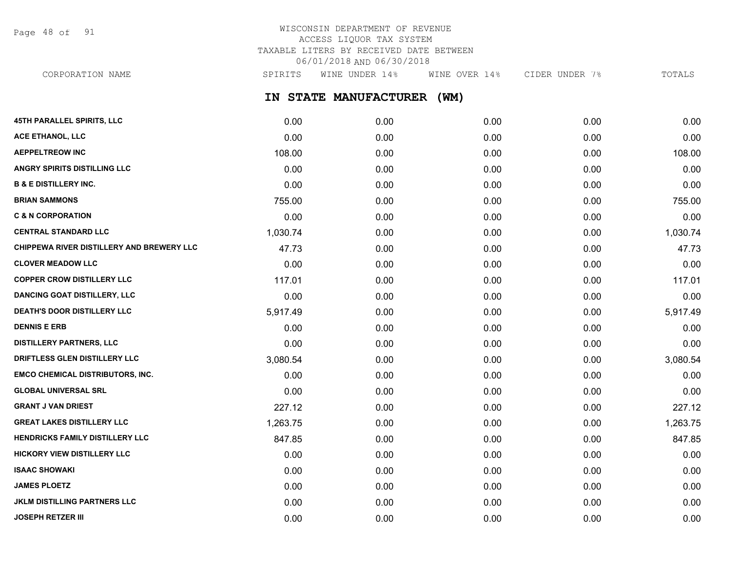Page 48 of 91

# WISCONSIN DEPARTMENT OF REVENUE ACCESS LIQUOR TAX SYSTEM TAXABLE LITERS BY RECEIVED DATE BETWEEN 06/01/2018 AND 06/30/2018

CORPORATION NAME SPIRITS WINE UNDER 14% WINE OVER 14% CIDER UNDER 7% TOTALS

**IN STATE MANUFACTURER (WM)**

| 45TH PARALLEL SPIRITS, LLC                | 0.00     | 0.00 | 0.00 | 0.00 | 0.00     |
|-------------------------------------------|----------|------|------|------|----------|
| <b>ACE ETHANOL, LLC</b>                   | 0.00     | 0.00 | 0.00 | 0.00 | 0.00     |
| <b>AEPPELTREOW INC</b>                    | 108.00   | 0.00 | 0.00 | 0.00 | 108.00   |
| <b>ANGRY SPIRITS DISTILLING LLC</b>       | 0.00     | 0.00 | 0.00 | 0.00 | 0.00     |
| <b>B &amp; E DISTILLERY INC.</b>          | 0.00     | 0.00 | 0.00 | 0.00 | 0.00     |
| <b>BRIAN SAMMONS</b>                      | 755.00   | 0.00 | 0.00 | 0.00 | 755.00   |
| <b>C &amp; N CORPORATION</b>              | 0.00     | 0.00 | 0.00 | 0.00 | 0.00     |
| <b>CENTRAL STANDARD LLC</b>               | 1,030.74 | 0.00 | 0.00 | 0.00 | 1,030.74 |
| CHIPPEWA RIVER DISTILLERY AND BREWERY LLC | 47.73    | 0.00 | 0.00 | 0.00 | 47.73    |
| <b>CLOVER MEADOW LLC</b>                  | 0.00     | 0.00 | 0.00 | 0.00 | 0.00     |
| <b>COPPER CROW DISTILLERY LLC</b>         | 117.01   | 0.00 | 0.00 | 0.00 | 117.01   |
| <b>DANCING GOAT DISTILLERY, LLC</b>       | 0.00     | 0.00 | 0.00 | 0.00 | 0.00     |
| DEATH'S DOOR DISTILLERY LLC               | 5,917.49 | 0.00 | 0.00 | 0.00 | 5,917.49 |
| <b>DENNIS E ERB</b>                       | 0.00     | 0.00 | 0.00 | 0.00 | 0.00     |
| <b>DISTILLERY PARTNERS, LLC</b>           | 0.00     | 0.00 | 0.00 | 0.00 | 0.00     |
| DRIFTLESS GLEN DISTILLERY LLC             | 3,080.54 | 0.00 | 0.00 | 0.00 | 3,080.54 |
| <b>EMCO CHEMICAL DISTRIBUTORS, INC.</b>   | 0.00     | 0.00 | 0.00 | 0.00 | 0.00     |
| <b>GLOBAL UNIVERSAL SRL</b>               | 0.00     | 0.00 | 0.00 | 0.00 | 0.00     |
| <b>GRANT J VAN DRIEST</b>                 | 227.12   | 0.00 | 0.00 | 0.00 | 227.12   |
| <b>GREAT LAKES DISTILLERY LLC</b>         | 1,263.75 | 0.00 | 0.00 | 0.00 | 1,263.75 |
| HENDRICKS FAMILY DISTILLERY LLC           | 847.85   | 0.00 | 0.00 | 0.00 | 847.85   |
| <b>HICKORY VIEW DISTILLERY LLC</b>        | 0.00     | 0.00 | 0.00 | 0.00 | 0.00     |
| <b>ISAAC SHOWAKI</b>                      | 0.00     | 0.00 | 0.00 | 0.00 | 0.00     |
| <b>JAMES PLOETZ</b>                       | 0.00     | 0.00 | 0.00 | 0.00 | 0.00     |
| <b>JKLM DISTILLING PARTNERS LLC</b>       | 0.00     | 0.00 | 0.00 | 0.00 | 0.00     |
| <b>JOSEPH RETZER III</b>                  | 0.00     | 0.00 | 0.00 | 0.00 | 0.00     |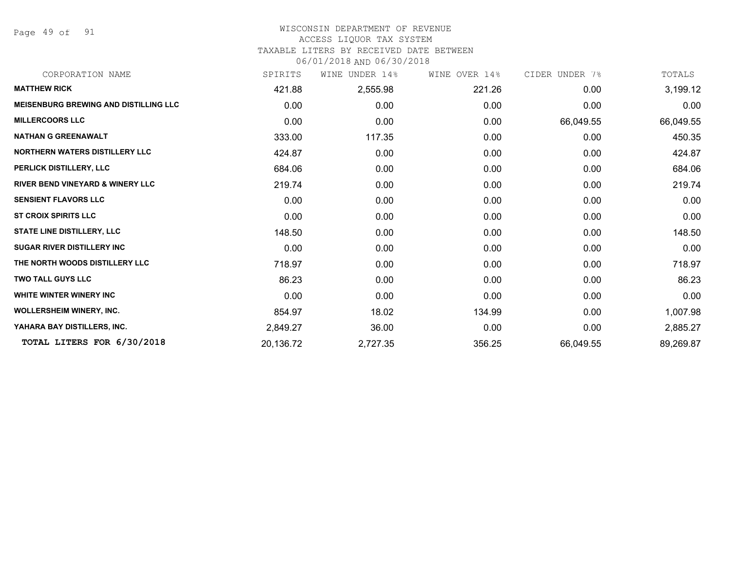Page 49 of 91

#### WISCONSIN DEPARTMENT OF REVENUE ACCESS LIQUOR TAX SYSTEM

### TAXABLE LITERS BY RECEIVED DATE BETWEEN

| CORPORATION NAME                             | SPIRITS   | UNDER 14%<br>WINE | WINE OVER 14% | CIDER UNDER 7% | TOTALS    |
|----------------------------------------------|-----------|-------------------|---------------|----------------|-----------|
| <b>MATTHEW RICK</b>                          | 421.88    | 2,555.98          | 221.26        | 0.00           | 3,199.12  |
| <b>MEISENBURG BREWING AND DISTILLING LLC</b> | 0.00      | 0.00              | 0.00          | 0.00           | 0.00      |
| <b>MILLERCOORS LLC</b>                       | 0.00      | 0.00              | 0.00          | 66,049.55      | 66,049.55 |
| <b>NATHAN G GREENAWALT</b>                   | 333.00    | 117.35            | 0.00          | 0.00           | 450.35    |
| <b>NORTHERN WATERS DISTILLERY LLC</b>        | 424.87    | 0.00              | 0.00          | 0.00           | 424.87    |
| PERLICK DISTILLERY, LLC                      | 684.06    | 0.00              | 0.00          | 0.00           | 684.06    |
| <b>RIVER BEND VINEYARD &amp; WINERY LLC</b>  | 219.74    | 0.00              | 0.00          | 0.00           | 219.74    |
| <b>SENSIENT FLAVORS LLC</b>                  | 0.00      | 0.00              | 0.00          | 0.00           | 0.00      |
| <b>ST CROIX SPIRITS LLC</b>                  | 0.00      | 0.00              | 0.00          | 0.00           | 0.00      |
| <b>STATE LINE DISTILLERY, LLC</b>            | 148.50    | 0.00              | 0.00          | 0.00           | 148.50    |
| <b>SUGAR RIVER DISTILLERY INC</b>            | 0.00      | 0.00              | 0.00          | 0.00           | 0.00      |
| THE NORTH WOODS DISTILLERY LLC               | 718.97    | 0.00              | 0.00          | 0.00           | 718.97    |
| <b>TWO TALL GUYS LLC</b>                     | 86.23     | 0.00              | 0.00          | 0.00           | 86.23     |
| WHITE WINTER WINERY INC                      | 0.00      | 0.00              | 0.00          | 0.00           | 0.00      |
| <b>WOLLERSHEIM WINERY, INC.</b>              | 854.97    | 18.02             | 134.99        | 0.00           | 1,007.98  |
| YAHARA BAY DISTILLERS, INC.                  | 2,849.27  | 36.00             | 0.00          | 0.00           | 2,885.27  |
| TOTAL LITERS FOR 6/30/2018                   | 20,136.72 | 2,727.35          | 356.25        | 66,049.55      | 89,269.87 |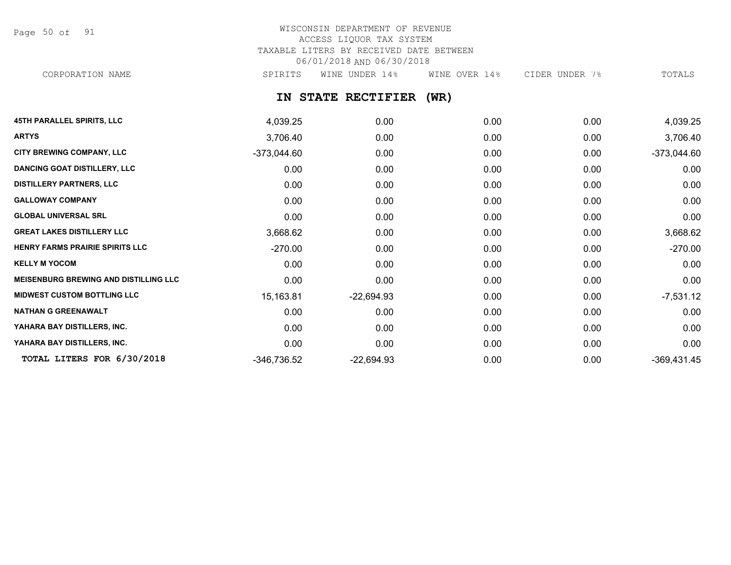Page 50 of 91

# WISCONSIN DEPARTMENT OF REVENUE ACCESS LIQUOR TAX SYSTEM TAXABLE LITERS BY RECEIVED DATE BETWEEN 06/01/2018 AND 06/30/2018

CORPORATION NAME SPIRITS WINE UNDER 14% WINE OVER 14% CIDER UNDER 7% TOTALS

**IN STATE RECTIFIER (WR)**

| <b>45TH PARALLEL SPIRITS, LLC</b>            | 4,039.25      | 0.00         | 0.00 | 0.00 | 4,039.25      |
|----------------------------------------------|---------------|--------------|------|------|---------------|
| <b>ARTYS</b>                                 | 3,706.40      | 0.00         | 0.00 | 0.00 | 3,706.40      |
| <b>CITY BREWING COMPANY, LLC</b>             | $-373,044.60$ | 0.00         | 0.00 | 0.00 | $-373,044.60$ |
| <b>DANCING GOAT DISTILLERY, LLC</b>          | 0.00          | 0.00         | 0.00 | 0.00 | 0.00          |
| <b>DISTILLERY PARTNERS, LLC</b>              | 0.00          | 0.00         | 0.00 | 0.00 | 0.00          |
| <b>GALLOWAY COMPANY</b>                      | 0.00          | 0.00         | 0.00 | 0.00 | 0.00          |
| <b>GLOBAL UNIVERSAL SRL</b>                  | 0.00          | 0.00         | 0.00 | 0.00 | 0.00          |
| <b>GREAT LAKES DISTILLERY LLC</b>            | 3,668.62      | 0.00         | 0.00 | 0.00 | 3,668.62      |
| HENRY FARMS PRAIRIE SPIRITS LLC              | $-270.00$     | 0.00         | 0.00 | 0.00 | $-270.00$     |
| <b>KELLY M YOCOM</b>                         | 0.00          | 0.00         | 0.00 | 0.00 | 0.00          |
| <b>MEISENBURG BREWING AND DISTILLING LLC</b> | 0.00          | 0.00         | 0.00 | 0.00 | 0.00          |
| <b>MIDWEST CUSTOM BOTTLING LLC</b>           | 15,163.81     | $-22,694.93$ | 0.00 | 0.00 | $-7,531.12$   |
| <b>NATHAN G GREENAWALT</b>                   | 0.00          | 0.00         | 0.00 | 0.00 | 0.00          |
| YAHARA BAY DISTILLERS, INC.                  | 0.00          | 0.00         | 0.00 | 0.00 | 0.00          |
| YAHARA BAY DISTILLERS, INC.                  | 0.00          | 0.00         | 0.00 | 0.00 | 0.00          |
| TOTAL LITERS FOR 6/30/2018                   | -346,736.52   | $-22,694.93$ | 0.00 | 0.00 | $-369,431.45$ |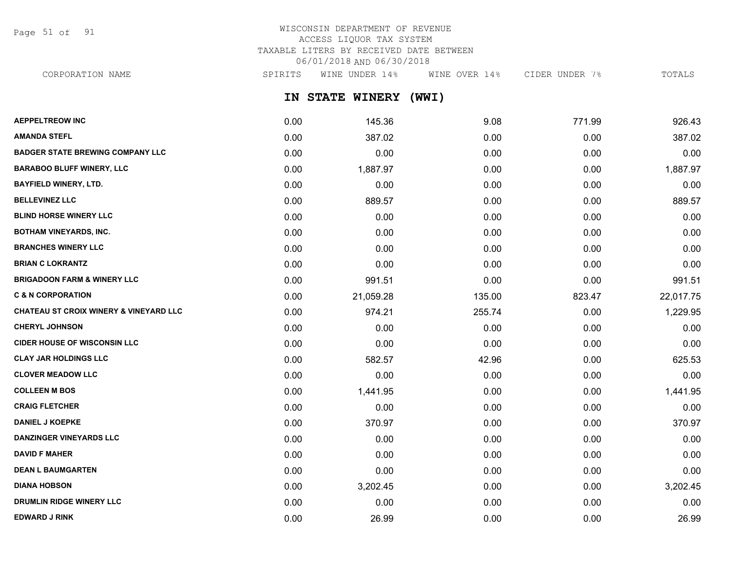Page 51 of 91

# WISCONSIN DEPARTMENT OF REVENUE ACCESS LIQUOR TAX SYSTEM TAXABLE LITERS BY RECEIVED DATE BETWEEN 06/01/2018 AND 06/30/2018

**IN STATE WINERY (WWI)** CORPORATION NAME SPIRITS WINE UNDER 14% WINE OVER 14% CIDER UNDER 7% TOTALS

| <b>AEPPELTREOW INC</b>                            | 0.00 | 145.36    | 9.08   | 771.99 | 926.43    |
|---------------------------------------------------|------|-----------|--------|--------|-----------|
| <b>AMANDA STEFL</b>                               | 0.00 | 387.02    | 0.00   | 0.00   | 387.02    |
| <b>BADGER STATE BREWING COMPANY LLC</b>           | 0.00 | 0.00      | 0.00   | 0.00   | 0.00      |
| <b>BARABOO BLUFF WINERY, LLC</b>                  | 0.00 | 1,887.97  | 0.00   | 0.00   | 1,887.97  |
| <b>BAYFIELD WINERY, LTD.</b>                      | 0.00 | 0.00      | 0.00   | 0.00   | 0.00      |
| <b>BELLEVINEZ LLC</b>                             | 0.00 | 889.57    | 0.00   | 0.00   | 889.57    |
| <b>BLIND HORSE WINERY LLC</b>                     | 0.00 | 0.00      | 0.00   | 0.00   | 0.00      |
| <b>BOTHAM VINEYARDS, INC.</b>                     | 0.00 | 0.00      | 0.00   | 0.00   | 0.00      |
| <b>BRANCHES WINERY LLC</b>                        | 0.00 | 0.00      | 0.00   | 0.00   | 0.00      |
| <b>BRIAN C LOKRANTZ</b>                           | 0.00 | 0.00      | 0.00   | 0.00   | 0.00      |
| <b>BRIGADOON FARM &amp; WINERY LLC</b>            | 0.00 | 991.51    | 0.00   | 0.00   | 991.51    |
| <b>C &amp; N CORPORATION</b>                      | 0.00 | 21,059.28 | 135.00 | 823.47 | 22,017.75 |
| <b>CHATEAU ST CROIX WINERY &amp; VINEYARD LLC</b> | 0.00 | 974.21    | 255.74 | 0.00   | 1,229.95  |
| <b>CHERYL JOHNSON</b>                             | 0.00 | 0.00      | 0.00   | 0.00   | 0.00      |
| <b>CIDER HOUSE OF WISCONSIN LLC</b>               | 0.00 | 0.00      | 0.00   | 0.00   | 0.00      |
| <b>CLAY JAR HOLDINGS LLC</b>                      | 0.00 | 582.57    | 42.96  | 0.00   | 625.53    |
| <b>CLOVER MEADOW LLC</b>                          | 0.00 | 0.00      | 0.00   | 0.00   | 0.00      |
| <b>COLLEEN M BOS</b>                              | 0.00 | 1,441.95  | 0.00   | 0.00   | 1,441.95  |
| <b>CRAIG FLETCHER</b>                             | 0.00 | 0.00      | 0.00   | 0.00   | 0.00      |
| <b>DANIEL J KOEPKE</b>                            | 0.00 | 370.97    | 0.00   | 0.00   | 370.97    |
| <b>DANZINGER VINEYARDS LLC</b>                    | 0.00 | 0.00      | 0.00   | 0.00   | 0.00      |
| <b>DAVID F MAHER</b>                              | 0.00 | 0.00      | 0.00   | 0.00   | 0.00      |
| <b>DEAN L BAUMGARTEN</b>                          | 0.00 | 0.00      | 0.00   | 0.00   | 0.00      |
| <b>DIANA HOBSON</b>                               | 0.00 | 3,202.45  | 0.00   | 0.00   | 3,202.45  |
| <b>DRUMLIN RIDGE WINERY LLC</b>                   | 0.00 | 0.00      | 0.00   | 0.00   | 0.00      |
| <b>EDWARD J RINK</b>                              | 0.00 | 26.99     | 0.00   | 0.00   | 26.99     |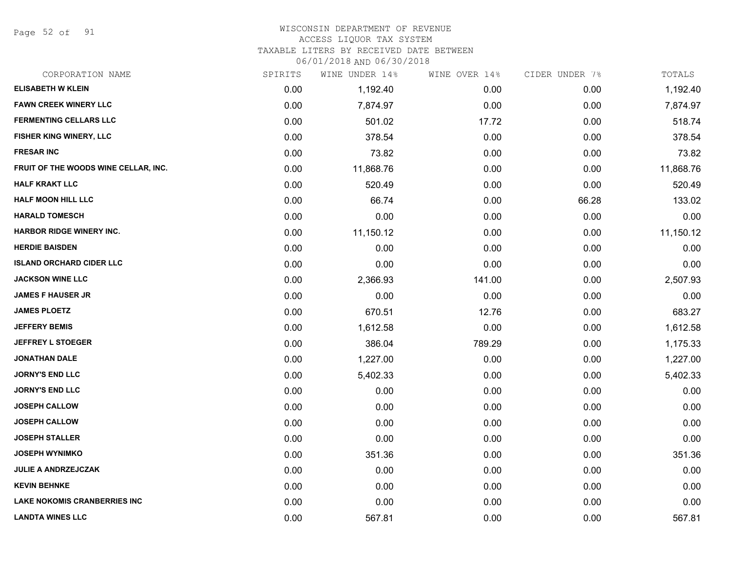Page 52 of 91

# WISCONSIN DEPARTMENT OF REVENUE

### ACCESS LIQUOR TAX SYSTEM

TAXABLE LITERS BY RECEIVED DATE BETWEEN

| CORPORATION NAME                     | SPIRITS | WINE UNDER 14% | WINE OVER 14% | CIDER UNDER 7% | TOTALS    |
|--------------------------------------|---------|----------------|---------------|----------------|-----------|
| <b>ELISABETH W KLEIN</b>             | 0.00    | 1,192.40       | 0.00          | 0.00           | 1,192.40  |
| <b>FAWN CREEK WINERY LLC</b>         | 0.00    | 7,874.97       | 0.00          | 0.00           | 7,874.97  |
| <b>FERMENTING CELLARS LLC</b>        | 0.00    | 501.02         | 17.72         | 0.00           | 518.74    |
| FISHER KING WINERY, LLC              | 0.00    | 378.54         | 0.00          | 0.00           | 378.54    |
| <b>FRESAR INC</b>                    | 0.00    | 73.82          | 0.00          | 0.00           | 73.82     |
| FRUIT OF THE WOODS WINE CELLAR, INC. | 0.00    | 11,868.76      | 0.00          | 0.00           | 11,868.76 |
| <b>HALF KRAKT LLC</b>                | 0.00    | 520.49         | 0.00          | 0.00           | 520.49    |
| <b>HALF MOON HILL LLC</b>            | 0.00    | 66.74          | 0.00          | 66.28          | 133.02    |
| <b>HARALD TOMESCH</b>                | 0.00    | 0.00           | 0.00          | 0.00           | 0.00      |
| <b>HARBOR RIDGE WINERY INC.</b>      | 0.00    | 11,150.12      | 0.00          | 0.00           | 11,150.12 |
| <b>HERDIE BAISDEN</b>                | 0.00    | 0.00           | 0.00          | 0.00           | 0.00      |
| <b>ISLAND ORCHARD CIDER LLC</b>      | 0.00    | 0.00           | 0.00          | 0.00           | 0.00      |
| <b>JACKSON WINE LLC</b>              | 0.00    | 2,366.93       | 141.00        | 0.00           | 2,507.93  |
| <b>JAMES F HAUSER JR</b>             | 0.00    | 0.00           | 0.00          | 0.00           | 0.00      |
| <b>JAMES PLOETZ</b>                  | 0.00    | 670.51         | 12.76         | 0.00           | 683.27    |
| <b>JEFFERY BEMIS</b>                 | 0.00    | 1,612.58       | 0.00          | 0.00           | 1,612.58  |
| <b>JEFFREY L STOEGER</b>             | 0.00    | 386.04         | 789.29        | 0.00           | 1,175.33  |
| <b>JONATHAN DALE</b>                 | 0.00    | 1,227.00       | 0.00          | 0.00           | 1,227.00  |
| <b>JORNY'S END LLC</b>               | 0.00    | 5,402.33       | 0.00          | 0.00           | 5,402.33  |
| <b>JORNY'S END LLC</b>               | 0.00    | 0.00           | 0.00          | 0.00           | 0.00      |
| <b>JOSEPH CALLOW</b>                 | 0.00    | 0.00           | 0.00          | 0.00           | 0.00      |
| <b>JOSEPH CALLOW</b>                 | 0.00    | 0.00           | 0.00          | 0.00           | 0.00      |
| <b>JOSEPH STALLER</b>                | 0.00    | 0.00           | 0.00          | 0.00           | 0.00      |
| <b>JOSEPH WYNIMKO</b>                | 0.00    | 351.36         | 0.00          | 0.00           | 351.36    |
| <b>JULIE A ANDRZEJCZAK</b>           | 0.00    | 0.00           | 0.00          | 0.00           | 0.00      |
| <b>KEVIN BEHNKE</b>                  | 0.00    | 0.00           | 0.00          | 0.00           | 0.00      |
| <b>LAKE NOKOMIS CRANBERRIES INC</b>  | 0.00    | 0.00           | 0.00          | 0.00           | 0.00      |
| <b>LANDTA WINES LLC</b>              | 0.00    | 567.81         | 0.00          | 0.00           | 567.81    |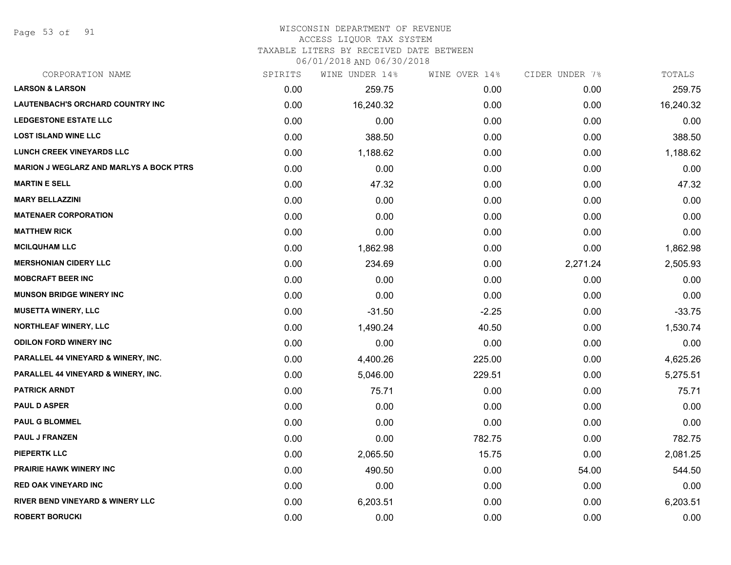Page 53 of 91

#### WISCONSIN DEPARTMENT OF REVENUE ACCESS LIQUOR TAX SYSTEM

TAXABLE LITERS BY RECEIVED DATE BETWEEN

| CORPORATION NAME                               | SPIRITS | WINE UNDER 14% | WINE OVER 14% | CIDER UNDER 7% | TOTALS    |
|------------------------------------------------|---------|----------------|---------------|----------------|-----------|
| <b>LARSON &amp; LARSON</b>                     | 0.00    | 259.75         | 0.00          | 0.00           | 259.75    |
| LAUTENBACH'S ORCHARD COUNTRY INC               | 0.00    | 16,240.32      | 0.00          | 0.00           | 16,240.32 |
| <b>LEDGESTONE ESTATE LLC</b>                   | 0.00    | 0.00           | 0.00          | 0.00           | 0.00      |
| <b>LOST ISLAND WINE LLC</b>                    | 0.00    | 388.50         | 0.00          | 0.00           | 388.50    |
| <b>LUNCH CREEK VINEYARDS LLC</b>               | 0.00    | 1,188.62       | 0.00          | 0.00           | 1,188.62  |
| <b>MARION J WEGLARZ AND MARLYS A BOCK PTRS</b> | 0.00    | 0.00           | 0.00          | 0.00           | 0.00      |
| <b>MARTIN E SELL</b>                           | 0.00    | 47.32          | 0.00          | 0.00           | 47.32     |
| <b>MARY BELLAZZINI</b>                         | 0.00    | 0.00           | 0.00          | 0.00           | 0.00      |
| <b>MATENAER CORPORATION</b>                    | 0.00    | 0.00           | 0.00          | 0.00           | 0.00      |
| <b>MATTHEW RICK</b>                            | 0.00    | 0.00           | 0.00          | 0.00           | 0.00      |
| <b>MCILQUHAM LLC</b>                           | 0.00    | 1,862.98       | 0.00          | 0.00           | 1,862.98  |
| <b>MERSHONIAN CIDERY LLC</b>                   | 0.00    | 234.69         | 0.00          | 2,271.24       | 2,505.93  |
| <b>MOBCRAFT BEER INC</b>                       | 0.00    | 0.00           | 0.00          | 0.00           | 0.00      |
| <b>MUNSON BRIDGE WINERY INC</b>                | 0.00    | 0.00           | 0.00          | 0.00           | 0.00      |
| <b>MUSETTA WINERY, LLC</b>                     | 0.00    | $-31.50$       | $-2.25$       | 0.00           | $-33.75$  |
| NORTHLEAF WINERY, LLC                          | 0.00    | 1,490.24       | 40.50         | 0.00           | 1,530.74  |
| <b>ODILON FORD WINERY INC</b>                  | 0.00    | 0.00           | 0.00          | 0.00           | 0.00      |
| PARALLEL 44 VINEYARD & WINERY, INC.            | 0.00    | 4,400.26       | 225.00        | 0.00           | 4,625.26  |
| PARALLEL 44 VINEYARD & WINERY, INC.            | 0.00    | 5,046.00       | 229.51        | 0.00           | 5,275.51  |
| <b>PATRICK ARNDT</b>                           | 0.00    | 75.71          | 0.00          | 0.00           | 75.71     |
| <b>PAUL D ASPER</b>                            | 0.00    | 0.00           | 0.00          | 0.00           | 0.00      |
| <b>PAUL G BLOMMEL</b>                          | 0.00    | 0.00           | 0.00          | 0.00           | 0.00      |
| <b>PAUL J FRANZEN</b>                          | 0.00    | 0.00           | 782.75        | 0.00           | 782.75    |
| <b>PIEPERTK LLC</b>                            | 0.00    | 2,065.50       | 15.75         | 0.00           | 2,081.25  |
| <b>PRAIRIE HAWK WINERY INC</b>                 | 0.00    | 490.50         | 0.00          | 54.00          | 544.50    |
| <b>RED OAK VINEYARD INC</b>                    | 0.00    | 0.00           | 0.00          | 0.00           | 0.00      |
| RIVER BEND VINEYARD & WINERY LLC               | 0.00    | 6,203.51       | 0.00          | 0.00           | 6,203.51  |
| <b>ROBERT BORUCKI</b>                          | 0.00    | 0.00           | 0.00          | 0.00           | 0.00      |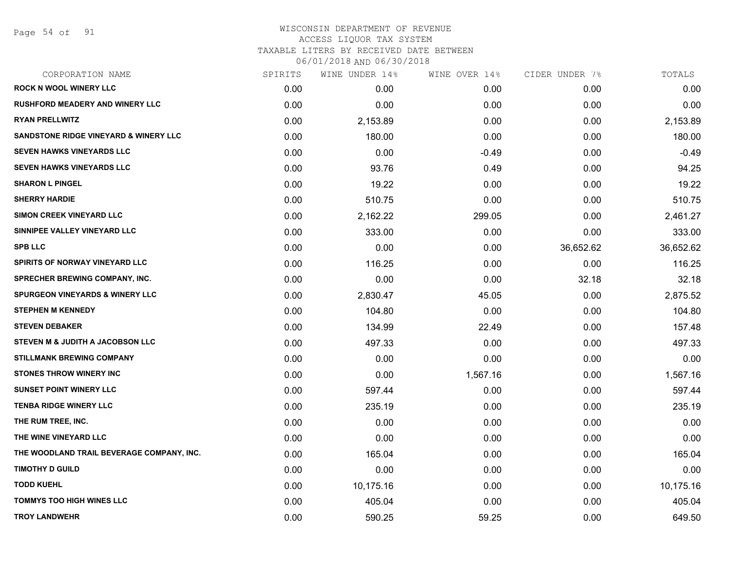#### WISCONSIN DEPARTMENT OF REVENUE ACCESS LIQUOR TAX SYSTEM TAXABLE LITERS BY RECEIVED DATE BETWEEN

| CORPORATION NAME                           | SPIRITS | WINE UNDER 14% | WINE OVER 14% | CIDER UNDER 7% | TOTALS    |
|--------------------------------------------|---------|----------------|---------------|----------------|-----------|
| <b>ROCK N WOOL WINERY LLC</b>              | 0.00    | 0.00           | 0.00          | 0.00           | 0.00      |
| <b>RUSHFORD MEADERY AND WINERY LLC</b>     | 0.00    | 0.00           | 0.00          | 0.00           | 0.00      |
| <b>RYAN PRELLWITZ</b>                      | 0.00    | 2,153.89       | 0.00          | 0.00           | 2,153.89  |
| SANDSTONE RIDGE VINEYARD & WINERY LLC      | 0.00    | 180.00         | 0.00          | 0.00           | 180.00    |
| <b>SEVEN HAWKS VINEYARDS LLC</b>           | 0.00    | 0.00           | $-0.49$       | 0.00           | $-0.49$   |
| <b>SEVEN HAWKS VINEYARDS LLC</b>           | 0.00    | 93.76          | 0.49          | 0.00           | 94.25     |
| <b>SHARON L PINGEL</b>                     | 0.00    | 19.22          | 0.00          | 0.00           | 19.22     |
| <b>SHERRY HARDIE</b>                       | 0.00    | 510.75         | 0.00          | 0.00           | 510.75    |
| <b>SIMON CREEK VINEYARD LLC</b>            | 0.00    | 2,162.22       | 299.05        | 0.00           | 2,461.27  |
| SINNIPEE VALLEY VINEYARD LLC               | 0.00    | 333.00         | 0.00          | 0.00           | 333.00    |
| <b>SPB LLC</b>                             | 0.00    | 0.00           | 0.00          | 36,652.62      | 36,652.62 |
| SPIRITS OF NORWAY VINEYARD LLC             | 0.00    | 116.25         | 0.00          | 0.00           | 116.25    |
| SPRECHER BREWING COMPANY, INC.             | 0.00    | 0.00           | 0.00          | 32.18          | 32.18     |
| <b>SPURGEON VINEYARDS &amp; WINERY LLC</b> | 0.00    | 2,830.47       | 45.05         | 0.00           | 2,875.52  |
| <b>STEPHEN M KENNEDY</b>                   | 0.00    | 104.80         | 0.00          | 0.00           | 104.80    |
| <b>STEVEN DEBAKER</b>                      | 0.00    | 134.99         | 22.49         | 0.00           | 157.48    |
| STEVEN M & JUDITH A JACOBSON LLC           | 0.00    | 497.33         | 0.00          | 0.00           | 497.33    |
| <b>STILLMANK BREWING COMPANY</b>           | 0.00    | 0.00           | 0.00          | 0.00           | 0.00      |
| <b>STONES THROW WINERY INC</b>             | 0.00    | 0.00           | 1,567.16      | 0.00           | 1,567.16  |
| <b>SUNSET POINT WINERY LLC</b>             | 0.00    | 597.44         | 0.00          | 0.00           | 597.44    |
| <b>TENBA RIDGE WINERY LLC</b>              | 0.00    | 235.19         | 0.00          | 0.00           | 235.19    |
| THE RUM TREE, INC.                         | 0.00    | 0.00           | 0.00          | 0.00           | 0.00      |
| THE WINE VINEYARD LLC                      | 0.00    | 0.00           | 0.00          | 0.00           | 0.00      |
| THE WOODLAND TRAIL BEVERAGE COMPANY, INC.  | 0.00    | 165.04         | 0.00          | 0.00           | 165.04    |
| <b>TIMOTHY D GUILD</b>                     | 0.00    | 0.00           | 0.00          | 0.00           | 0.00      |
| <b>TODD KUEHL</b>                          | 0.00    | 10,175.16      | 0.00          | 0.00           | 10,175.16 |
| TOMMYS TOO HIGH WINES LLC                  | 0.00    | 405.04         | 0.00          | 0.00           | 405.04    |
| <b>TROY LANDWEHR</b>                       | 0.00    | 590.25         | 59.25         | 0.00           | 649.50    |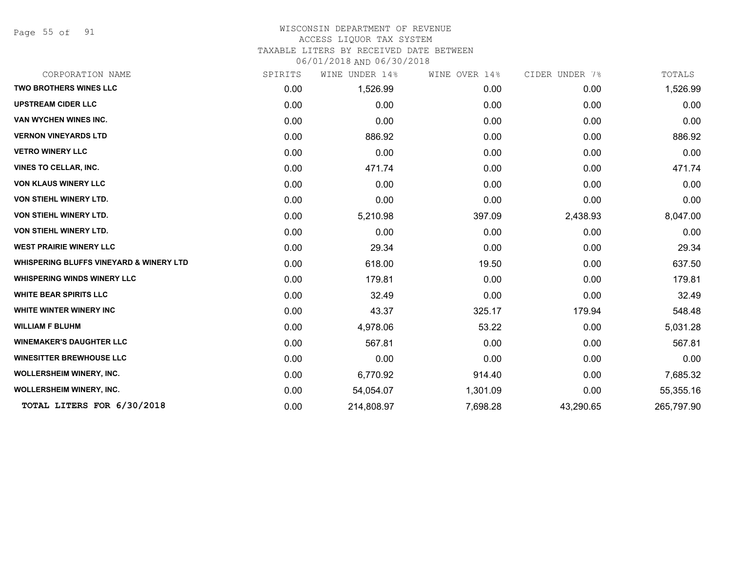Page 55 of 91

#### WISCONSIN DEPARTMENT OF REVENUE ACCESS LIQUOR TAX SYSTEM

TAXABLE LITERS BY RECEIVED DATE BETWEEN

| CORPORATION NAME                                   | SPIRITS | WINE UNDER 14% | WINE OVER 14% | CIDER UNDER 7% | TOTALS     |
|----------------------------------------------------|---------|----------------|---------------|----------------|------------|
| <b>TWO BROTHERS WINES LLC</b>                      | 0.00    | 1,526.99       | 0.00          | 0.00           | 1,526.99   |
| <b>UPSTREAM CIDER LLC</b>                          | 0.00    | 0.00           | 0.00          | 0.00           | 0.00       |
| VAN WYCHEN WINES INC.                              | 0.00    | 0.00           | 0.00          | 0.00           | 0.00       |
| <b>VERNON VINEYARDS LTD</b>                        | 0.00    | 886.92         | 0.00          | 0.00           | 886.92     |
| <b>VETRO WINERY LLC</b>                            | 0.00    | 0.00           | 0.00          | 0.00           | 0.00       |
| <b>VINES TO CELLAR, INC.</b>                       | 0.00    | 471.74         | 0.00          | 0.00           | 471.74     |
| <b>VON KLAUS WINERY LLC</b>                        | 0.00    | 0.00           | 0.00          | 0.00           | 0.00       |
| VON STIEHL WINERY LTD.                             | 0.00    | 0.00           | 0.00          | 0.00           | 0.00       |
| VON STIEHL WINERY LTD.                             | 0.00    | 5,210.98       | 397.09        | 2,438.93       | 8,047.00   |
| <b>VON STIEHL WINERY LTD.</b>                      | 0.00    | 0.00           | 0.00          | 0.00           | 0.00       |
| <b>WEST PRAIRIE WINERY LLC</b>                     | 0.00    | 29.34          | 0.00          | 0.00           | 29.34      |
| <b>WHISPERING BLUFFS VINEYARD &amp; WINERY LTD</b> | 0.00    | 618.00         | 19.50         | 0.00           | 637.50     |
| <b>WHISPERING WINDS WINERY LLC</b>                 | 0.00    | 179.81         | 0.00          | 0.00           | 179.81     |
| <b>WHITE BEAR SPIRITS LLC</b>                      | 0.00    | 32.49          | 0.00          | 0.00           | 32.49      |
| WHITE WINTER WINERY INC                            | 0.00    | 43.37          | 325.17        | 179.94         | 548.48     |
| <b>WILLIAM F BLUHM</b>                             | 0.00    | 4,978.06       | 53.22         | 0.00           | 5,031.28   |
| <b>WINEMAKER'S DAUGHTER LLC</b>                    | 0.00    | 567.81         | 0.00          | 0.00           | 567.81     |
| <b>WINESITTER BREWHOUSE LLC</b>                    | 0.00    | 0.00           | 0.00          | 0.00           | 0.00       |
| <b>WOLLERSHEIM WINERY, INC.</b>                    | 0.00    | 6,770.92       | 914.40        | 0.00           | 7,685.32   |
| <b>WOLLERSHEIM WINERY, INC.</b>                    | 0.00    | 54,054.07      | 1,301.09      | 0.00           | 55,355.16  |
| TOTAL LITERS FOR 6/30/2018                         | 0.00    | 214,808.97     | 7,698.28      | 43,290.65      | 265,797.90 |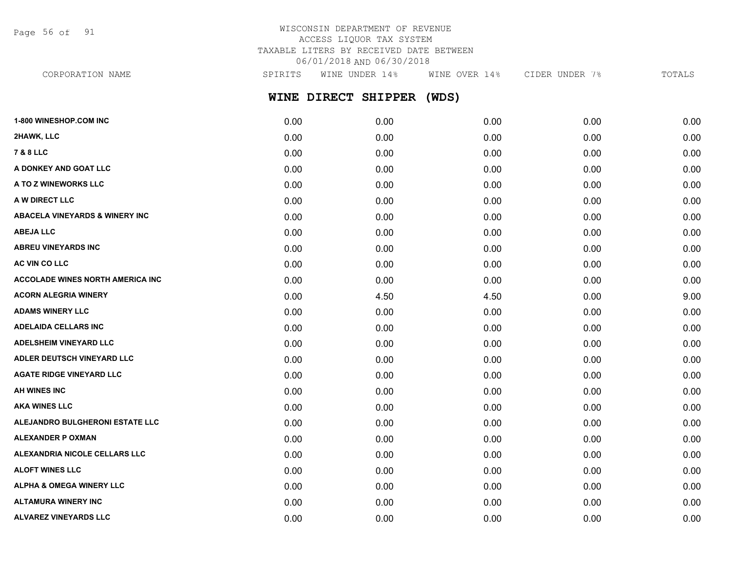Page 56 of 91

# WISCONSIN DEPARTMENT OF REVENUE ACCESS LIQUOR TAX SYSTEM TAXABLE LITERS BY RECEIVED DATE BETWEEN 06/01/2018 AND 06/30/2018

**WINE DIRECT SHIPPER (WDS) 1-800 WINESHOP.COM INC** 0.00 0.00 0.00 0.00 0.00 **2HAWK, LLC** 0.00 0.00 0.00 0.00 0.00 **7 & 8 LLC** 0.00 0.00 0.00 0.00 0.00 **A DONKEY AND GOAT LLC** 0.00 0.00 0.00 0.00 0.00 **A TO Z WINEWORKS LLC** 0.00 0.00 0.00 0.00 0.00 **A W DIRECT LLC** 0.00 0.00 0.00 0.00 0.00 **ABACELA VINEYARDS & WINERY INC** 0.00 0.00 0.00 0.00 0.00 **ABEJA LLC** 0.00 0.00 0.00 0.00 0.00 **ABREU VINEYARDS INC** 0.00 0.00 0.00 0.00 0.00 **AC VIN CO LLC** 0.00 0.00 0.00 0.00 0.00 **ACCOLADE WINES NORTH AMERICA INC** 0.00 0.00 0.00 0.00 0.00 **ACORN ALEGRIA WINERY** 0.00 4.50 4.50 0.00 9.00 **ADAMS WINERY LLC** 0.00 0.00 0.00 0.00 0.00 **ADELAIDA CELLARS INC** 0.00 0.00 0.00 0.00 0.00 **ADELSHEIM VINEYARD LLC** 0.00 0.00 0.00 0.00 0.00 **ADLER DEUTSCH VINEYARD LLC** 0.00 0.00 0.00 0.00 0.00 **AGATE RIDGE VINEYARD LLC** 0.00 0.00 0.00 0.00 0.00 CORPORATION NAME SPIRITS WINE UNDER 14% WINE OVER 14% CIDER UNDER 7% TOTALS

**AH WINES INC** 0.00 0.00 0.00 0.00 0.00 **AKA WINES LLC** 0.00 0.00 0.00 0.00 0.00 **ALEJANDRO BULGHERONI ESTATE LLC** 0.00 0.00 0.00 0.00 0.00 **ALEXANDER P OXMAN** 0.00 0.00 0.00 0.00 0.00 **ALEXANDRIA NICOLE CELLARS LLC** 0.00 0.00 0.00 0.00 0.00 **ALOFT WINES LLC** 0.00 0.00 0.00 0.00 0.00 **ALPHA & OMEGA WINERY LLC**  $\begin{array}{ccc} 0.00 & 0.00 & 0.00 & 0.00 & 0.00 & 0.00 \end{array}$ **ALTAMURA WINERY INC** 0.00 0.00 0.00 0.00 0.00 **ALVAREZ VINEYARDS LLC** 0.00 0.00 0.00 0.00 0.00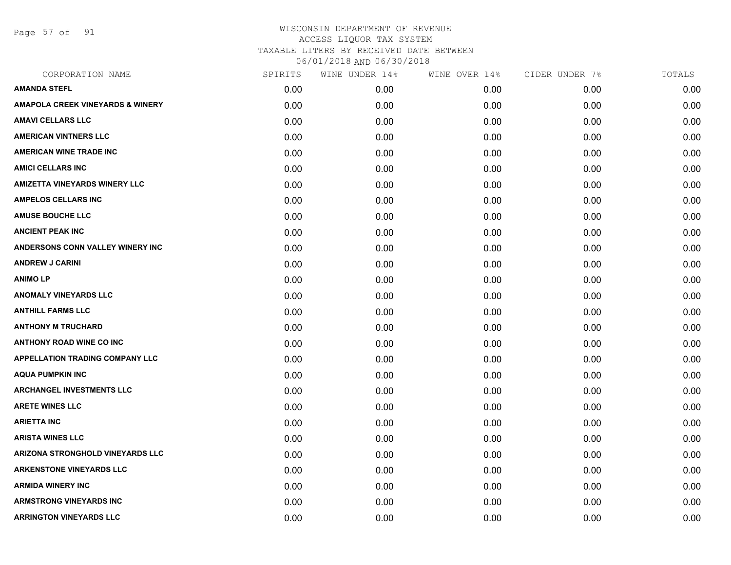Page 57 of 91

| CORPORATION NAME                            | SPIRITS | WINE UNDER 14% | WINE OVER 14% | CIDER UNDER 7% | TOTALS |
|---------------------------------------------|---------|----------------|---------------|----------------|--------|
| <b>AMANDA STEFL</b>                         | 0.00    | 0.00           | 0.00          | 0.00           | 0.00   |
| <b>AMAPOLA CREEK VINEYARDS &amp; WINERY</b> | 0.00    | 0.00           | 0.00          | 0.00           | 0.00   |
| <b>AMAVI CELLARS LLC</b>                    | 0.00    | 0.00           | 0.00          | 0.00           | 0.00   |
| <b>AMERICAN VINTNERS LLC</b>                | 0.00    | 0.00           | 0.00          | 0.00           | 0.00   |
| <b>AMERICAN WINE TRADE INC</b>              | 0.00    | 0.00           | 0.00          | 0.00           | 0.00   |
| <b>AMICI CELLARS INC</b>                    | 0.00    | 0.00           | 0.00          | 0.00           | 0.00   |
| <b>AMIZETTA VINEYARDS WINERY LLC</b>        | 0.00    | 0.00           | 0.00          | 0.00           | 0.00   |
| <b>AMPELOS CELLARS INC</b>                  | 0.00    | 0.00           | 0.00          | 0.00           | 0.00   |
| <b>AMUSE BOUCHE LLC</b>                     | 0.00    | 0.00           | 0.00          | 0.00           | 0.00   |
| <b>ANCIENT PEAK INC</b>                     | 0.00    | 0.00           | 0.00          | 0.00           | 0.00   |
| <b>ANDERSONS CONN VALLEY WINERY INC</b>     | 0.00    | 0.00           | 0.00          | 0.00           | 0.00   |
| <b>ANDREW J CARINI</b>                      | 0.00    | 0.00           | 0.00          | 0.00           | 0.00   |
| <b>ANIMOLP</b>                              | 0.00    | 0.00           | 0.00          | 0.00           | 0.00   |
| <b>ANOMALY VINEYARDS LLC</b>                | 0.00    | 0.00           | 0.00          | 0.00           | 0.00   |
| <b>ANTHILL FARMS LLC</b>                    | 0.00    | 0.00           | 0.00          | 0.00           | 0.00   |
| <b>ANTHONY M TRUCHARD</b>                   | 0.00    | 0.00           | 0.00          | 0.00           | 0.00   |
| <b>ANTHONY ROAD WINE CO INC</b>             | 0.00    | 0.00           | 0.00          | 0.00           | 0.00   |
| <b>APPELLATION TRADING COMPANY LLC</b>      | 0.00    | 0.00           | 0.00          | 0.00           | 0.00   |
| <b>AQUA PUMPKIN INC</b>                     | 0.00    | 0.00           | 0.00          | 0.00           | 0.00   |
| <b>ARCHANGEL INVESTMENTS LLC</b>            | 0.00    | 0.00           | 0.00          | 0.00           | 0.00   |
| <b>ARETE WINES LLC</b>                      | 0.00    | 0.00           | 0.00          | 0.00           | 0.00   |
| <b>ARIETTA INC</b>                          | 0.00    | 0.00           | 0.00          | 0.00           | 0.00   |
| <b>ARISTA WINES LLC</b>                     | 0.00    | 0.00           | 0.00          | 0.00           | 0.00   |
| ARIZONA STRONGHOLD VINEYARDS LLC            | 0.00    | 0.00           | 0.00          | 0.00           | 0.00   |
| <b>ARKENSTONE VINEYARDS LLC</b>             | 0.00    | 0.00           | 0.00          | 0.00           | 0.00   |
| <b>ARMIDA WINERY INC</b>                    | 0.00    | 0.00           | 0.00          | 0.00           | 0.00   |
| <b>ARMSTRONG VINEYARDS INC</b>              | 0.00    | 0.00           | 0.00          | 0.00           | 0.00   |
| <b>ARRINGTON VINEYARDS LLC</b>              | 0.00    | 0.00           | 0.00          | 0.00           | 0.00   |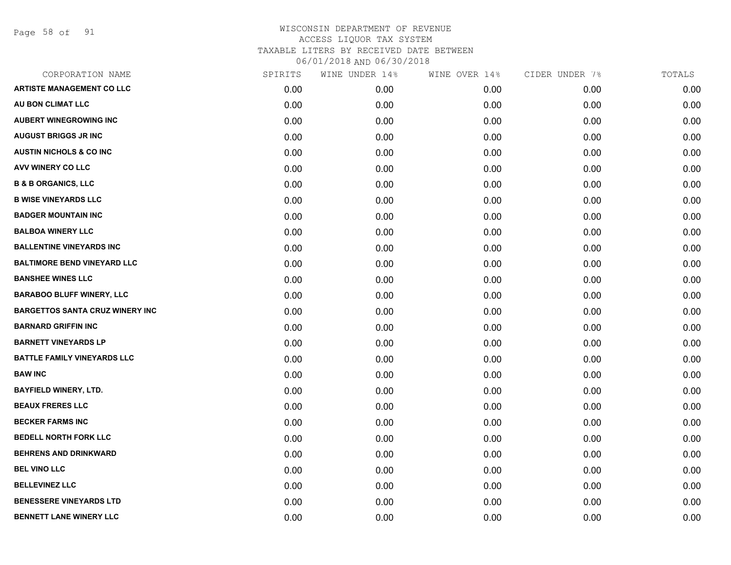Page 58 of 91

| CORPORATION NAME                       | SPIRITS | WINE UNDER 14% | WINE OVER 14% | CIDER UNDER 7% | TOTALS |
|----------------------------------------|---------|----------------|---------------|----------------|--------|
| <b>ARTISTE MANAGEMENT CO LLC</b>       | 0.00    | 0.00           | 0.00          | 0.00           | 0.00   |
| AU BON CLIMAT LLC                      | 0.00    | 0.00           | 0.00          | 0.00           | 0.00   |
| <b>AUBERT WINEGROWING INC</b>          | 0.00    | 0.00           | 0.00          | 0.00           | 0.00   |
| <b>AUGUST BRIGGS JR INC</b>            | 0.00    | 0.00           | 0.00          | 0.00           | 0.00   |
| <b>AUSTIN NICHOLS &amp; CO INC</b>     | 0.00    | 0.00           | 0.00          | 0.00           | 0.00   |
| <b>AVV WINERY CO LLC</b>               | 0.00    | 0.00           | 0.00          | 0.00           | 0.00   |
| <b>B &amp; B ORGANICS, LLC</b>         | 0.00    | 0.00           | 0.00          | 0.00           | 0.00   |
| <b>B WISE VINEYARDS LLC</b>            | 0.00    | 0.00           | 0.00          | 0.00           | 0.00   |
| <b>BADGER MOUNTAIN INC</b>             | 0.00    | 0.00           | 0.00          | 0.00           | 0.00   |
| <b>BALBOA WINERY LLC</b>               | 0.00    | 0.00           | 0.00          | 0.00           | 0.00   |
| <b>BALLENTINE VINEYARDS INC</b>        | 0.00    | 0.00           | 0.00          | 0.00           | 0.00   |
| <b>BALTIMORE BEND VINEYARD LLC</b>     | 0.00    | 0.00           | 0.00          | 0.00           | 0.00   |
| <b>BANSHEE WINES LLC</b>               | 0.00    | 0.00           | 0.00          | 0.00           | 0.00   |
| <b>BARABOO BLUFF WINERY, LLC</b>       | 0.00    | 0.00           | 0.00          | 0.00           | 0.00   |
| <b>BARGETTOS SANTA CRUZ WINERY INC</b> | 0.00    | 0.00           | 0.00          | 0.00           | 0.00   |
| <b>BARNARD GRIFFIN INC</b>             | 0.00    | 0.00           | 0.00          | 0.00           | 0.00   |
| <b>BARNETT VINEYARDS LP</b>            | 0.00    | 0.00           | 0.00          | 0.00           | 0.00   |
| <b>BATTLE FAMILY VINEYARDS LLC</b>     | 0.00    | 0.00           | 0.00          | 0.00           | 0.00   |
| <b>BAW INC</b>                         | 0.00    | 0.00           | 0.00          | 0.00           | 0.00   |
| <b>BAYFIELD WINERY, LTD.</b>           | 0.00    | 0.00           | 0.00          | 0.00           | 0.00   |
| <b>BEAUX FRERES LLC</b>                | 0.00    | 0.00           | 0.00          | 0.00           | 0.00   |
| <b>BECKER FARMS INC</b>                | 0.00    | 0.00           | 0.00          | 0.00           | 0.00   |
| <b>BEDELL NORTH FORK LLC</b>           | 0.00    | 0.00           | 0.00          | 0.00           | 0.00   |
| <b>BEHRENS AND DRINKWARD</b>           | 0.00    | 0.00           | 0.00          | 0.00           | 0.00   |
| <b>BEL VINO LLC</b>                    | 0.00    | 0.00           | 0.00          | 0.00           | 0.00   |
| <b>BELLEVINEZ LLC</b>                  | 0.00    | 0.00           | 0.00          | 0.00           | 0.00   |
| <b>BENESSERE VINEYARDS LTD</b>         | 0.00    | 0.00           | 0.00          | 0.00           | 0.00   |
| <b>BENNETT LANE WINERY LLC</b>         | 0.00    | 0.00           | 0.00          | 0.00           | 0.00   |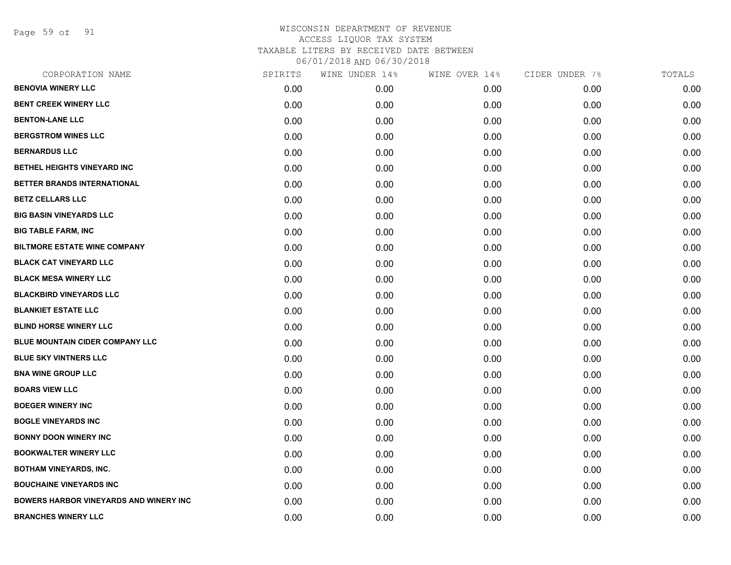Page 59 of 91

| CORPORATION NAME                              | SPIRITS | WINE UNDER 14% | WINE OVER 14% | CIDER UNDER 7% | TOTALS |
|-----------------------------------------------|---------|----------------|---------------|----------------|--------|
| <b>BENOVIA WINERY LLC</b>                     | 0.00    | 0.00           | 0.00          | 0.00           | 0.00   |
| <b>BENT CREEK WINERY LLC</b>                  | 0.00    | 0.00           | 0.00          | 0.00           | 0.00   |
| <b>BENTON-LANE LLC</b>                        | 0.00    | 0.00           | 0.00          | 0.00           | 0.00   |
| <b>BERGSTROM WINES LLC</b>                    | 0.00    | 0.00           | 0.00          | 0.00           | 0.00   |
| <b>BERNARDUS LLC</b>                          | 0.00    | 0.00           | 0.00          | 0.00           | 0.00   |
| BETHEL HEIGHTS VINEYARD INC                   | 0.00    | 0.00           | 0.00          | 0.00           | 0.00   |
| BETTER BRANDS INTERNATIONAL                   | 0.00    | 0.00           | 0.00          | 0.00           | 0.00   |
| <b>BETZ CELLARS LLC</b>                       | 0.00    | 0.00           | 0.00          | 0.00           | 0.00   |
| <b>BIG BASIN VINEYARDS LLC</b>                | 0.00    | 0.00           | 0.00          | 0.00           | 0.00   |
| <b>BIG TABLE FARM, INC</b>                    | 0.00    | 0.00           | 0.00          | 0.00           | 0.00   |
| <b>BILTMORE ESTATE WINE COMPANY</b>           | 0.00    | 0.00           | 0.00          | 0.00           | 0.00   |
| <b>BLACK CAT VINEYARD LLC</b>                 | 0.00    | 0.00           | 0.00          | 0.00           | 0.00   |
| <b>BLACK MESA WINERY LLC</b>                  | 0.00    | 0.00           | 0.00          | 0.00           | 0.00   |
| <b>BLACKBIRD VINEYARDS LLC</b>                | 0.00    | 0.00           | 0.00          | 0.00           | 0.00   |
| <b>BLANKIET ESTATE LLC</b>                    | 0.00    | 0.00           | 0.00          | 0.00           | 0.00   |
| <b>BLIND HORSE WINERY LLC</b>                 | 0.00    | 0.00           | 0.00          | 0.00           | 0.00   |
| <b>BLUE MOUNTAIN CIDER COMPANY LLC</b>        | 0.00    | 0.00           | 0.00          | 0.00           | 0.00   |
| <b>BLUE SKY VINTNERS LLC</b>                  | 0.00    | 0.00           | 0.00          | 0.00           | 0.00   |
| <b>BNA WINE GROUP LLC</b>                     | 0.00    | 0.00           | 0.00          | 0.00           | 0.00   |
| <b>BOARS VIEW LLC</b>                         | 0.00    | 0.00           | 0.00          | 0.00           | 0.00   |
| <b>BOEGER WINERY INC</b>                      | 0.00    | 0.00           | 0.00          | 0.00           | 0.00   |
| <b>BOGLE VINEYARDS INC</b>                    | 0.00    | 0.00           | 0.00          | 0.00           | 0.00   |
| <b>BONNY DOON WINERY INC</b>                  | 0.00    | 0.00           | 0.00          | 0.00           | 0.00   |
| <b>BOOKWALTER WINERY LLC</b>                  | 0.00    | 0.00           | 0.00          | 0.00           | 0.00   |
| <b>BOTHAM VINEYARDS, INC.</b>                 | 0.00    | 0.00           | 0.00          | 0.00           | 0.00   |
| <b>BOUCHAINE VINEYARDS INC</b>                | 0.00    | 0.00           | 0.00          | 0.00           | 0.00   |
| <b>BOWERS HARBOR VINEYARDS AND WINERY INC</b> | 0.00    | 0.00           | 0.00          | 0.00           | 0.00   |
| <b>BRANCHES WINERY LLC</b>                    | 0.00    | 0.00           | 0.00          | 0.00           | 0.00   |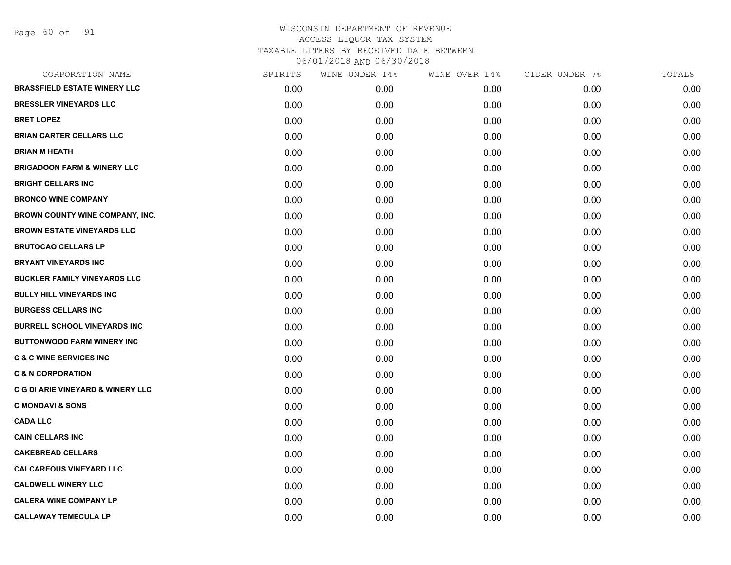Page 60 of 91

| CORPORATION NAME                             | SPIRITS | WINE UNDER 14% | WINE OVER 14% | CIDER UNDER 7% | TOTALS |
|----------------------------------------------|---------|----------------|---------------|----------------|--------|
| <b>BRASSFIELD ESTATE WINERY LLC</b>          | 0.00    | 0.00           | 0.00          | 0.00           | 0.00   |
| <b>BRESSLER VINEYARDS LLC</b>                | 0.00    | 0.00           | 0.00          | 0.00           | 0.00   |
| <b>BRET LOPEZ</b>                            | 0.00    | 0.00           | 0.00          | 0.00           | 0.00   |
| <b>BRIAN CARTER CELLARS LLC</b>              | 0.00    | 0.00           | 0.00          | 0.00           | 0.00   |
| <b>BRIAN M HEATH</b>                         | 0.00    | 0.00           | 0.00          | 0.00           | 0.00   |
| <b>BRIGADOON FARM &amp; WINERY LLC</b>       | 0.00    | 0.00           | 0.00          | 0.00           | 0.00   |
| <b>BRIGHT CELLARS INC</b>                    | 0.00    | 0.00           | 0.00          | 0.00           | 0.00   |
| <b>BRONCO WINE COMPANY</b>                   | 0.00    | 0.00           | 0.00          | 0.00           | 0.00   |
| BROWN COUNTY WINE COMPANY, INC.              | 0.00    | 0.00           | 0.00          | 0.00           | 0.00   |
| <b>BROWN ESTATE VINEYARDS LLC</b>            | 0.00    | 0.00           | 0.00          | 0.00           | 0.00   |
| <b>BRUTOCAO CELLARS LP</b>                   | 0.00    | 0.00           | 0.00          | 0.00           | 0.00   |
| <b>BRYANT VINEYARDS INC</b>                  | 0.00    | 0.00           | 0.00          | 0.00           | 0.00   |
| <b>BUCKLER FAMILY VINEYARDS LLC</b>          | 0.00    | 0.00           | 0.00          | 0.00           | 0.00   |
| <b>BULLY HILL VINEYARDS INC</b>              | 0.00    | 0.00           | 0.00          | 0.00           | 0.00   |
| <b>BURGESS CELLARS INC</b>                   | 0.00    | 0.00           | 0.00          | 0.00           | 0.00   |
| <b>BURRELL SCHOOL VINEYARDS INC</b>          | 0.00    | 0.00           | 0.00          | 0.00           | 0.00   |
| <b>BUTTONWOOD FARM WINERY INC</b>            | 0.00    | 0.00           | 0.00          | 0.00           | 0.00   |
| <b>C &amp; C WINE SERVICES INC</b>           | 0.00    | 0.00           | 0.00          | 0.00           | 0.00   |
| <b>C &amp; N CORPORATION</b>                 | 0.00    | 0.00           | 0.00          | 0.00           | 0.00   |
| <b>C G DI ARIE VINEYARD &amp; WINERY LLC</b> | 0.00    | 0.00           | 0.00          | 0.00           | 0.00   |
| <b>C MONDAVI &amp; SONS</b>                  | 0.00    | 0.00           | 0.00          | 0.00           | 0.00   |
| <b>CADA LLC</b>                              | 0.00    | 0.00           | 0.00          | 0.00           | 0.00   |
| <b>CAIN CELLARS INC</b>                      | 0.00    | 0.00           | 0.00          | 0.00           | 0.00   |
| <b>CAKEBREAD CELLARS</b>                     | 0.00    | 0.00           | 0.00          | 0.00           | 0.00   |
| <b>CALCAREOUS VINEYARD LLC</b>               | 0.00    | 0.00           | 0.00          | 0.00           | 0.00   |
| <b>CALDWELL WINERY LLC</b>                   | 0.00    | 0.00           | 0.00          | 0.00           | 0.00   |
| <b>CALERA WINE COMPANY LP</b>                | 0.00    | 0.00           | 0.00          | 0.00           | 0.00   |
| <b>CALLAWAY TEMECULA LP</b>                  | 0.00    | 0.00           | 0.00          | 0.00           | 0.00   |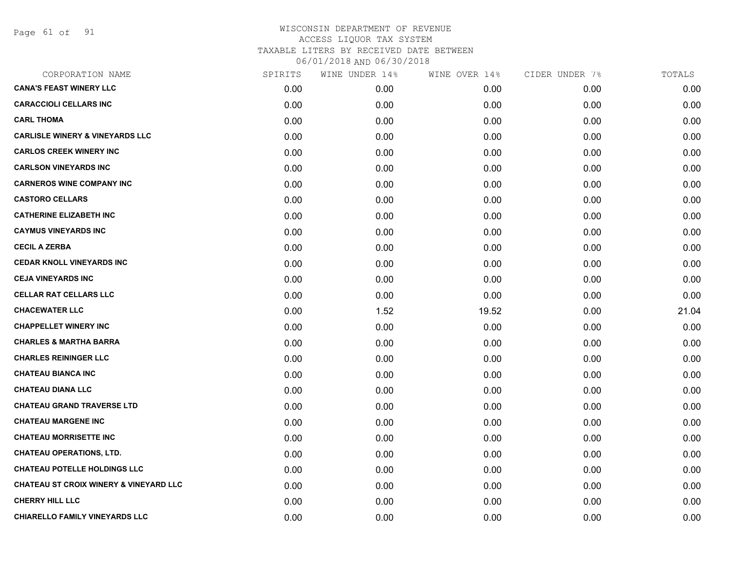Page 61 of 91

| CORPORATION NAME                                  | SPIRITS | WINE UNDER 14% | WINE OVER 14% | CIDER UNDER 7% | TOTALS |
|---------------------------------------------------|---------|----------------|---------------|----------------|--------|
| <b>CANA'S FEAST WINERY LLC</b>                    | 0.00    | 0.00           | 0.00          | 0.00           | 0.00   |
| <b>CARACCIOLI CELLARS INC</b>                     | 0.00    | 0.00           | 0.00          | 0.00           | 0.00   |
| <b>CARL THOMA</b>                                 | 0.00    | 0.00           | 0.00          | 0.00           | 0.00   |
| <b>CARLISLE WINERY &amp; VINEYARDS LLC</b>        | 0.00    | 0.00           | 0.00          | 0.00           | 0.00   |
| <b>CARLOS CREEK WINERY INC</b>                    | 0.00    | 0.00           | 0.00          | 0.00           | 0.00   |
| <b>CARLSON VINEYARDS INC</b>                      | 0.00    | 0.00           | 0.00          | 0.00           | 0.00   |
| <b>CARNEROS WINE COMPANY INC</b>                  | 0.00    | 0.00           | 0.00          | 0.00           | 0.00   |
| <b>CASTORO CELLARS</b>                            | 0.00    | 0.00           | 0.00          | 0.00           | 0.00   |
| <b>CATHERINE ELIZABETH INC</b>                    | 0.00    | 0.00           | 0.00          | 0.00           | 0.00   |
| <b>CAYMUS VINEYARDS INC</b>                       | 0.00    | 0.00           | 0.00          | 0.00           | 0.00   |
| <b>CECIL A ZERBA</b>                              | 0.00    | 0.00           | 0.00          | 0.00           | 0.00   |
| <b>CEDAR KNOLL VINEYARDS INC</b>                  | 0.00    | 0.00           | 0.00          | 0.00           | 0.00   |
| <b>CEJA VINEYARDS INC</b>                         | 0.00    | 0.00           | 0.00          | 0.00           | 0.00   |
| <b>CELLAR RAT CELLARS LLC</b>                     | 0.00    | 0.00           | 0.00          | 0.00           | 0.00   |
| <b>CHACEWATER LLC</b>                             | 0.00    | 1.52           | 19.52         | 0.00           | 21.04  |
| <b>CHAPPELLET WINERY INC</b>                      | 0.00    | 0.00           | 0.00          | 0.00           | 0.00   |
| <b>CHARLES &amp; MARTHA BARRA</b>                 | 0.00    | 0.00           | 0.00          | 0.00           | 0.00   |
| <b>CHARLES REININGER LLC</b>                      | 0.00    | 0.00           | 0.00          | 0.00           | 0.00   |
| <b>CHATEAU BIANCA INC</b>                         | 0.00    | 0.00           | 0.00          | 0.00           | 0.00   |
| <b>CHATEAU DIANA LLC</b>                          | 0.00    | 0.00           | 0.00          | 0.00           | 0.00   |
| <b>CHATEAU GRAND TRAVERSE LTD</b>                 | 0.00    | 0.00           | 0.00          | 0.00           | 0.00   |
| <b>CHATEAU MARGENE INC</b>                        | 0.00    | 0.00           | 0.00          | 0.00           | 0.00   |
| <b>CHATEAU MORRISETTE INC</b>                     | 0.00    | 0.00           | 0.00          | 0.00           | 0.00   |
| <b>CHATEAU OPERATIONS, LTD.</b>                   | 0.00    | 0.00           | 0.00          | 0.00           | 0.00   |
| <b>CHATEAU POTELLE HOLDINGS LLC</b>               | 0.00    | 0.00           | 0.00          | 0.00           | 0.00   |
| <b>CHATEAU ST CROIX WINERY &amp; VINEYARD LLC</b> | 0.00    | 0.00           | 0.00          | 0.00           | 0.00   |
| <b>CHERRY HILL LLC</b>                            | 0.00    | 0.00           | 0.00          | 0.00           | 0.00   |
| CHIARELLO FAMILY VINEYARDS LLC                    | 0.00    | 0.00           | 0.00          | 0.00           | 0.00   |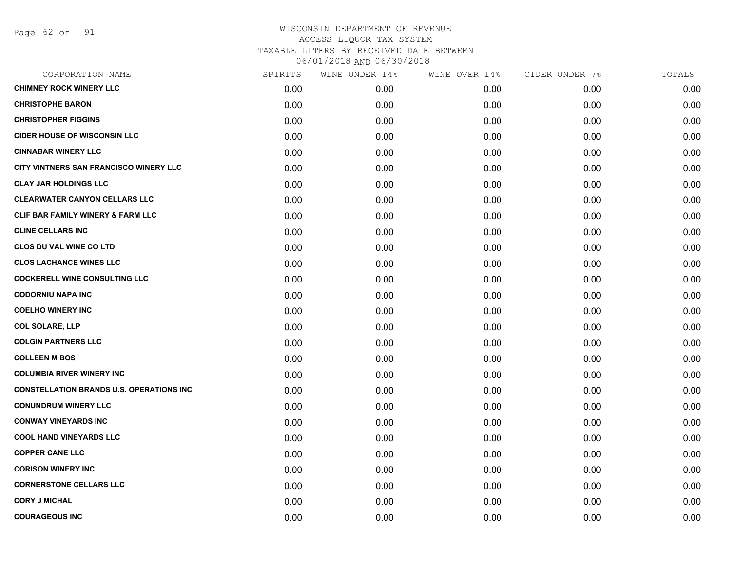Page 62 of 91

| CORPORATION NAME                                | SPIRITS | WINE UNDER 14% | WINE OVER 14% | CIDER UNDER 7% | TOTALS |
|-------------------------------------------------|---------|----------------|---------------|----------------|--------|
| <b>CHIMNEY ROCK WINERY LLC</b>                  | 0.00    | 0.00           | 0.00          | 0.00           | 0.00   |
| <b>CHRISTOPHE BARON</b>                         | 0.00    | 0.00           | 0.00          | 0.00           | 0.00   |
| <b>CHRISTOPHER FIGGINS</b>                      | 0.00    | 0.00           | 0.00          | 0.00           | 0.00   |
| <b>CIDER HOUSE OF WISCONSIN LLC</b>             | 0.00    | 0.00           | 0.00          | 0.00           | 0.00   |
| <b>CINNABAR WINERY LLC</b>                      | 0.00    | 0.00           | 0.00          | 0.00           | 0.00   |
| CITY VINTNERS SAN FRANCISCO WINERY LLC          | 0.00    | 0.00           | 0.00          | 0.00           | 0.00   |
| <b>CLAY JAR HOLDINGS LLC</b>                    | 0.00    | 0.00           | 0.00          | 0.00           | 0.00   |
| <b>CLEARWATER CANYON CELLARS LLC</b>            | 0.00    | 0.00           | 0.00          | 0.00           | 0.00   |
| <b>CLIF BAR FAMILY WINERY &amp; FARM LLC</b>    | 0.00    | 0.00           | 0.00          | 0.00           | 0.00   |
| <b>CLINE CELLARS INC</b>                        | 0.00    | 0.00           | 0.00          | 0.00           | 0.00   |
| <b>CLOS DU VAL WINE CO LTD</b>                  | 0.00    | 0.00           | 0.00          | 0.00           | 0.00   |
| <b>CLOS LACHANCE WINES LLC</b>                  | 0.00    | 0.00           | 0.00          | 0.00           | 0.00   |
| <b>COCKERELL WINE CONSULTING LLC</b>            | 0.00    | 0.00           | 0.00          | 0.00           | 0.00   |
| <b>CODORNIU NAPA INC</b>                        | 0.00    | 0.00           | 0.00          | 0.00           | 0.00   |
| <b>COELHO WINERY INC</b>                        | 0.00    | 0.00           | 0.00          | 0.00           | 0.00   |
| <b>COL SOLARE, LLP</b>                          | 0.00    | 0.00           | 0.00          | 0.00           | 0.00   |
| <b>COLGIN PARTNERS LLC</b>                      | 0.00    | 0.00           | 0.00          | 0.00           | 0.00   |
| <b>COLLEEN M BOS</b>                            | 0.00    | 0.00           | 0.00          | 0.00           | 0.00   |
| <b>COLUMBIA RIVER WINERY INC</b>                | 0.00    | 0.00           | 0.00          | 0.00           | 0.00   |
| <b>CONSTELLATION BRANDS U.S. OPERATIONS INC</b> | 0.00    | 0.00           | 0.00          | 0.00           | 0.00   |
| <b>CONUNDRUM WINERY LLC</b>                     | 0.00    | 0.00           | 0.00          | 0.00           | 0.00   |
| <b>CONWAY VINEYARDS INC</b>                     | 0.00    | 0.00           | 0.00          | 0.00           | 0.00   |
| <b>COOL HAND VINEYARDS LLC</b>                  | 0.00    | 0.00           | 0.00          | 0.00           | 0.00   |
| <b>COPPER CANE LLC</b>                          | 0.00    | 0.00           | 0.00          | 0.00           | 0.00   |
| <b>CORISON WINERY INC</b>                       | 0.00    | 0.00           | 0.00          | 0.00           | 0.00   |
| <b>CORNERSTONE CELLARS LLC</b>                  | 0.00    | 0.00           | 0.00          | 0.00           | 0.00   |
| <b>CORY J MICHAL</b>                            | 0.00    | 0.00           | 0.00          | 0.00           | 0.00   |
| <b>COURAGEOUS INC</b>                           | 0.00    | 0.00           | 0.00          | 0.00           | 0.00   |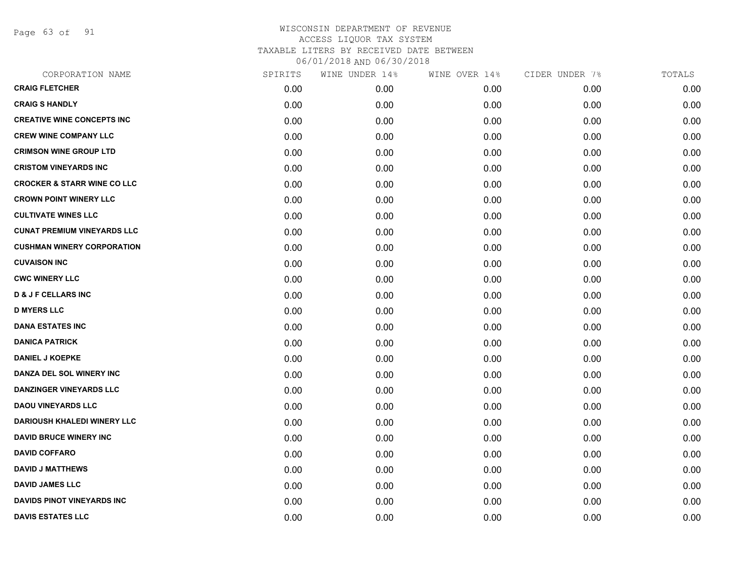Page 63 of 91

| CORPORATION NAME                       | SPIRITS | WINE UNDER 14% | WINE OVER 14% | CIDER UNDER 7% | TOTALS |
|----------------------------------------|---------|----------------|---------------|----------------|--------|
| <b>CRAIG FLETCHER</b>                  | 0.00    | 0.00           | 0.00          | 0.00           | 0.00   |
| <b>CRAIG S HANDLY</b>                  | 0.00    | 0.00           | 0.00          | 0.00           | 0.00   |
| <b>CREATIVE WINE CONCEPTS INC</b>      | 0.00    | 0.00           | 0.00          | 0.00           | 0.00   |
| <b>CREW WINE COMPANY LLC</b>           | 0.00    | 0.00           | 0.00          | 0.00           | 0.00   |
| <b>CRIMSON WINE GROUP LTD</b>          | 0.00    | 0.00           | 0.00          | 0.00           | 0.00   |
| <b>CRISTOM VINEYARDS INC</b>           | 0.00    | 0.00           | 0.00          | 0.00           | 0.00   |
| <b>CROCKER &amp; STARR WINE CO LLC</b> | 0.00    | 0.00           | 0.00          | 0.00           | 0.00   |
| <b>CROWN POINT WINERY LLC</b>          | 0.00    | 0.00           | 0.00          | 0.00           | 0.00   |
| <b>CULTIVATE WINES LLC</b>             | 0.00    | 0.00           | 0.00          | 0.00           | 0.00   |
| <b>CUNAT PREMIUM VINEYARDS LLC</b>     | 0.00    | 0.00           | 0.00          | 0.00           | 0.00   |
| <b>CUSHMAN WINERY CORPORATION</b>      | 0.00    | 0.00           | 0.00          | 0.00           | 0.00   |
| <b>CUVAISON INC</b>                    | 0.00    | 0.00           | 0.00          | 0.00           | 0.00   |
| <b>CWC WINERY LLC</b>                  | 0.00    | 0.00           | 0.00          | 0.00           | 0.00   |
| <b>D &amp; J F CELLARS INC</b>         | 0.00    | 0.00           | 0.00          | 0.00           | 0.00   |
| <b>D MYERS LLC</b>                     | 0.00    | 0.00           | 0.00          | 0.00           | 0.00   |
| <b>DANA ESTATES INC</b>                | 0.00    | 0.00           | 0.00          | 0.00           | 0.00   |
| <b>DANICA PATRICK</b>                  | 0.00    | 0.00           | 0.00          | 0.00           | 0.00   |
| <b>DANIEL J KOEPKE</b>                 | 0.00    | 0.00           | 0.00          | 0.00           | 0.00   |
| DANZA DEL SOL WINERY INC               | 0.00    | 0.00           | 0.00          | 0.00           | 0.00   |
| <b>DANZINGER VINEYARDS LLC</b>         | 0.00    | 0.00           | 0.00          | 0.00           | 0.00   |
| <b>DAOU VINEYARDS LLC</b>              | 0.00    | 0.00           | 0.00          | 0.00           | 0.00   |
| <b>DARIOUSH KHALEDI WINERY LLC</b>     | 0.00    | 0.00           | 0.00          | 0.00           | 0.00   |
| <b>DAVID BRUCE WINERY INC</b>          | 0.00    | 0.00           | 0.00          | 0.00           | 0.00   |
| <b>DAVID COFFARO</b>                   | 0.00    | 0.00           | 0.00          | 0.00           | 0.00   |
| <b>DAVID J MATTHEWS</b>                | 0.00    | 0.00           | 0.00          | 0.00           | 0.00   |
| <b>DAVID JAMES LLC</b>                 | 0.00    | 0.00           | 0.00          | 0.00           | 0.00   |
| <b>DAVIDS PINOT VINEYARDS INC</b>      | 0.00    | 0.00           | 0.00          | 0.00           | 0.00   |
| <b>DAVIS ESTATES LLC</b>               | 0.00    | 0.00           | 0.00          | 0.00           | 0.00   |
|                                        |         |                |               |                |        |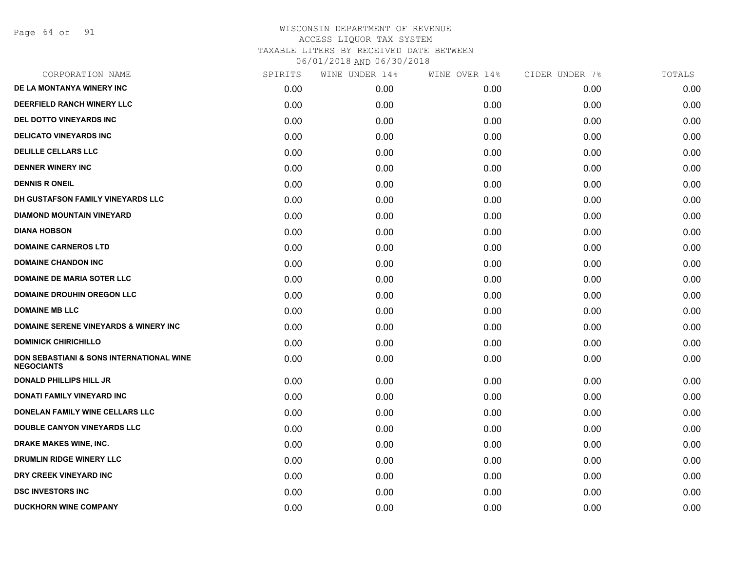Page 64 of 91

| CORPORATION NAME                                                         | SPIRITS | WINE UNDER 14% | WINE OVER 14% | CIDER UNDER 7% | TOTALS |
|--------------------------------------------------------------------------|---------|----------------|---------------|----------------|--------|
| DE LA MONTANYA WINERY INC                                                | 0.00    | 0.00           | 0.00          | 0.00           | 0.00   |
| DEERFIELD RANCH WINERY LLC                                               | 0.00    | 0.00           | 0.00          | 0.00           | 0.00   |
| <b>DEL DOTTO VINEYARDS INC</b>                                           | 0.00    | 0.00           | 0.00          | 0.00           | 0.00   |
| <b>DELICATO VINEYARDS INC</b>                                            | 0.00    | 0.00           | 0.00          | 0.00           | 0.00   |
| <b>DELILLE CELLARS LLC</b>                                               | 0.00    | 0.00           | 0.00          | 0.00           | 0.00   |
| <b>DENNER WINERY INC</b>                                                 | 0.00    | 0.00           | 0.00          | 0.00           | 0.00   |
| <b>DENNIS R ONEIL</b>                                                    | 0.00    | 0.00           | 0.00          | 0.00           | 0.00   |
| DH GUSTAFSON FAMILY VINEYARDS LLC                                        | 0.00    | 0.00           | 0.00          | 0.00           | 0.00   |
| <b>DIAMOND MOUNTAIN VINEYARD</b>                                         | 0.00    | 0.00           | 0.00          | 0.00           | 0.00   |
| <b>DIANA HOBSON</b>                                                      | 0.00    | 0.00           | 0.00          | 0.00           | 0.00   |
| <b>DOMAINE CARNEROS LTD</b>                                              | 0.00    | 0.00           | 0.00          | 0.00           | 0.00   |
| <b>DOMAINE CHANDON INC</b>                                               | 0.00    | 0.00           | 0.00          | 0.00           | 0.00   |
| DOMAINE DE MARIA SOTER LLC                                               | 0.00    | 0.00           | 0.00          | 0.00           | 0.00   |
| <b>DOMAINE DROUHIN OREGON LLC</b>                                        | 0.00    | 0.00           | 0.00          | 0.00           | 0.00   |
| <b>DOMAINE MB LLC</b>                                                    | 0.00    | 0.00           | 0.00          | 0.00           | 0.00   |
| <b>DOMAINE SERENE VINEYARDS &amp; WINERY INC</b>                         | 0.00    | 0.00           | 0.00          | 0.00           | 0.00   |
| <b>DOMINICK CHIRICHILLO</b>                                              | 0.00    | 0.00           | 0.00          | 0.00           | 0.00   |
| <b>DON SEBASTIANI &amp; SONS INTERNATIONAL WINE</b><br><b>NEGOCIANTS</b> | 0.00    | 0.00           | 0.00          | 0.00           | 0.00   |
| <b>DONALD PHILLIPS HILL JR</b>                                           | 0.00    | 0.00           | 0.00          | 0.00           | 0.00   |
| <b>DONATI FAMILY VINEYARD INC</b>                                        | 0.00    | 0.00           | 0.00          | 0.00           | 0.00   |
| DONELAN FAMILY WINE CELLARS LLC                                          | 0.00    | 0.00           | 0.00          | 0.00           | 0.00   |
| <b>DOUBLE CANYON VINEYARDS LLC</b>                                       | 0.00    | 0.00           | 0.00          | 0.00           | 0.00   |
| <b>DRAKE MAKES WINE, INC.</b>                                            | 0.00    | 0.00           | 0.00          | 0.00           | 0.00   |
| <b>DRUMLIN RIDGE WINERY LLC</b>                                          | 0.00    | 0.00           | 0.00          | 0.00           | 0.00   |
| DRY CREEK VINEYARD INC                                                   | 0.00    | 0.00           | 0.00          | 0.00           | 0.00   |
| <b>DSC INVESTORS INC</b>                                                 | 0.00    | 0.00           | 0.00          | 0.00           | 0.00   |
| <b>DUCKHORN WINE COMPANY</b>                                             | 0.00    | 0.00           | 0.00          | 0.00           | 0.00   |
|                                                                          |         |                |               |                |        |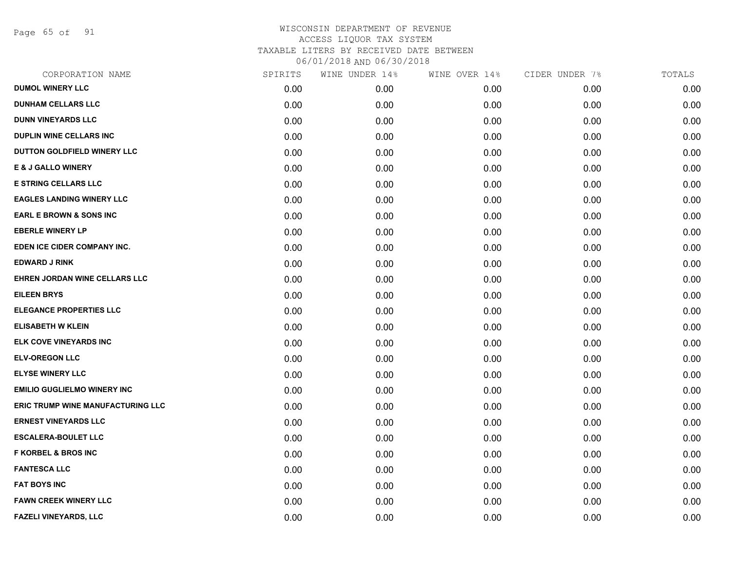Page 65 of 91

| CORPORATION NAME                   | SPIRITS | WINE UNDER 14% | WINE OVER 14% | CIDER UNDER 7% | TOTALS |
|------------------------------------|---------|----------------|---------------|----------------|--------|
| <b>DUMOL WINERY LLC</b>            | 0.00    | 0.00           | 0.00          | 0.00           | 0.00   |
| <b>DUNHAM CELLARS LLC</b>          | 0.00    | 0.00           | 0.00          | 0.00           | 0.00   |
| <b>DUNN VINEYARDS LLC</b>          | 0.00    | 0.00           | 0.00          | 0.00           | 0.00   |
| <b>DUPLIN WINE CELLARS INC</b>     | 0.00    | 0.00           | 0.00          | 0.00           | 0.00   |
| DUTTON GOLDFIELD WINERY LLC        | 0.00    | 0.00           | 0.00          | 0.00           | 0.00   |
| <b>E &amp; J GALLO WINERY</b>      | 0.00    | 0.00           | 0.00          | 0.00           | 0.00   |
| <b>E STRING CELLARS LLC</b>        | 0.00    | 0.00           | 0.00          | 0.00           | 0.00   |
| <b>EAGLES LANDING WINERY LLC</b>   | 0.00    | 0.00           | 0.00          | 0.00           | 0.00   |
| <b>EARL E BROWN &amp; SONS INC</b> | 0.00    | 0.00           | 0.00          | 0.00           | 0.00   |
| <b>EBERLE WINERY LP</b>            | 0.00    | 0.00           | 0.00          | 0.00           | 0.00   |
| EDEN ICE CIDER COMPANY INC.        | 0.00    | 0.00           | 0.00          | 0.00           | 0.00   |
| <b>EDWARD J RINK</b>               | 0.00    | 0.00           | 0.00          | 0.00           | 0.00   |
| EHREN JORDAN WINE CELLARS LLC      | 0.00    | 0.00           | 0.00          | 0.00           | 0.00   |
| <b>EILEEN BRYS</b>                 | 0.00    | 0.00           | 0.00          | 0.00           | 0.00   |
| <b>ELEGANCE PROPERTIES LLC</b>     | 0.00    | 0.00           | 0.00          | 0.00           | 0.00   |
| <b>ELISABETH W KLEIN</b>           | 0.00    | 0.00           | 0.00          | 0.00           | 0.00   |
| ELK COVE VINEYARDS INC             | 0.00    | 0.00           | 0.00          | 0.00           | 0.00   |
| <b>ELV-OREGON LLC</b>              | 0.00    | 0.00           | 0.00          | 0.00           | 0.00   |
| <b>ELYSE WINERY LLC</b>            | 0.00    | 0.00           | 0.00          | 0.00           | 0.00   |
| <b>EMILIO GUGLIELMO WINERY INC</b> | 0.00    | 0.00           | 0.00          | 0.00           | 0.00   |
| ERIC TRUMP WINE MANUFACTURING LLC  | 0.00    | 0.00           | 0.00          | 0.00           | 0.00   |
| <b>ERNEST VINEYARDS LLC</b>        | 0.00    | 0.00           | 0.00          | 0.00           | 0.00   |
| <b>ESCALERA-BOULET LLC</b>         | 0.00    | 0.00           | 0.00          | 0.00           | 0.00   |
| <b>F KORBEL &amp; BROS INC</b>     | 0.00    | 0.00           | 0.00          | 0.00           | 0.00   |
| <b>FANTESCA LLC</b>                | 0.00    | 0.00           | 0.00          | 0.00           | 0.00   |
| <b>FAT BOYS INC</b>                | 0.00    | 0.00           | 0.00          | 0.00           | 0.00   |
| <b>FAWN CREEK WINERY LLC</b>       | 0.00    | 0.00           | 0.00          | 0.00           | 0.00   |
| <b>FAZELI VINEYARDS, LLC</b>       | 0.00    | 0.00           | 0.00          | 0.00           | 0.00   |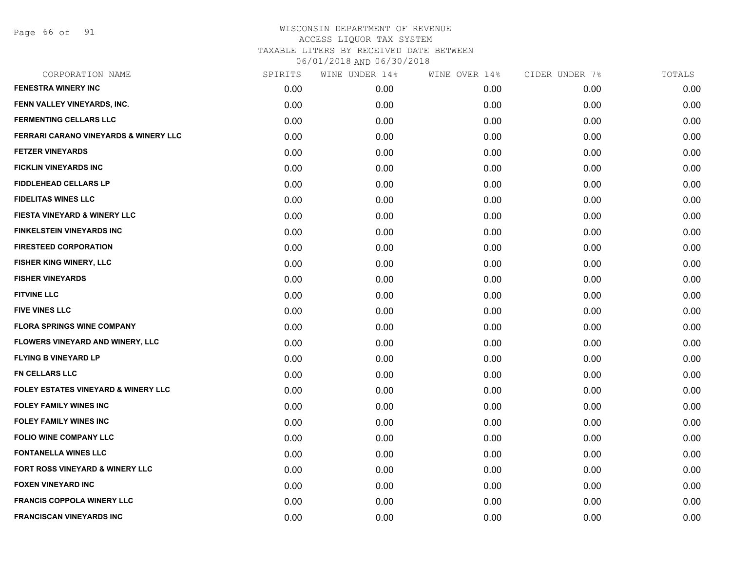Page 66 of 91

| CORPORATION NAME                                 | SPIRITS | WINE UNDER 14% | WINE OVER 14% | CIDER UNDER 7% | TOTALS |
|--------------------------------------------------|---------|----------------|---------------|----------------|--------|
| <b>FENESTRA WINERY INC</b>                       | 0.00    | 0.00           | 0.00          | 0.00           | 0.00   |
| FENN VALLEY VINEYARDS, INC.                      | 0.00    | 0.00           | 0.00          | 0.00           | 0.00   |
| <b>FERMENTING CELLARS LLC</b>                    | 0.00    | 0.00           | 0.00          | 0.00           | 0.00   |
| <b>FERRARI CARANO VINEYARDS &amp; WINERY LLC</b> | 0.00    | 0.00           | 0.00          | 0.00           | 0.00   |
| <b>FETZER VINEYARDS</b>                          | 0.00    | 0.00           | 0.00          | 0.00           | 0.00   |
| FICKLIN VINEYARDS INC                            | 0.00    | 0.00           | 0.00          | 0.00           | 0.00   |
| <b>FIDDLEHEAD CELLARS LP</b>                     | 0.00    | 0.00           | 0.00          | 0.00           | 0.00   |
| <b>FIDELITAS WINES LLC</b>                       | 0.00    | 0.00           | 0.00          | 0.00           | 0.00   |
| FIESTA VINEYARD & WINERY LLC                     | 0.00    | 0.00           | 0.00          | 0.00           | 0.00   |
| <b>FINKELSTEIN VINEYARDS INC</b>                 | 0.00    | 0.00           | 0.00          | 0.00           | 0.00   |
| <b>FIRESTEED CORPORATION</b>                     | 0.00    | 0.00           | 0.00          | 0.00           | 0.00   |
| FISHER KING WINERY, LLC                          | 0.00    | 0.00           | 0.00          | 0.00           | 0.00   |
| <b>FISHER VINEYARDS</b>                          | 0.00    | 0.00           | 0.00          | 0.00           | 0.00   |
| <b>FITVINE LLC</b>                               | 0.00    | 0.00           | 0.00          | 0.00           | 0.00   |
| <b>FIVE VINES LLC</b>                            | 0.00    | 0.00           | 0.00          | 0.00           | 0.00   |
| <b>FLORA SPRINGS WINE COMPANY</b>                | 0.00    | 0.00           | 0.00          | 0.00           | 0.00   |
| FLOWERS VINEYARD AND WINERY, LLC                 | 0.00    | 0.00           | 0.00          | 0.00           | 0.00   |
| <b>FLYING B VINEYARD LP</b>                      | 0.00    | 0.00           | 0.00          | 0.00           | 0.00   |
| <b>FN CELLARS LLC</b>                            | 0.00    | 0.00           | 0.00          | 0.00           | 0.00   |
| FOLEY ESTATES VINEYARD & WINERY LLC              | 0.00    | 0.00           | 0.00          | 0.00           | 0.00   |
| <b>FOLEY FAMILY WINES INC</b>                    | 0.00    | 0.00           | 0.00          | 0.00           | 0.00   |
| <b>FOLEY FAMILY WINES INC</b>                    | 0.00    | 0.00           | 0.00          | 0.00           | 0.00   |
| FOLIO WINE COMPANY LLC                           | 0.00    | 0.00           | 0.00          | 0.00           | 0.00   |
| <b>FONTANELLA WINES LLC</b>                      | 0.00    | 0.00           | 0.00          | 0.00           | 0.00   |
| FORT ROSS VINEYARD & WINERY LLC                  | 0.00    | 0.00           | 0.00          | 0.00           | 0.00   |
| <b>FOXEN VINEYARD INC</b>                        | 0.00    | 0.00           | 0.00          | 0.00           | 0.00   |
| <b>FRANCIS COPPOLA WINERY LLC</b>                | 0.00    | 0.00           | 0.00          | 0.00           | 0.00   |
| <b>FRANCISCAN VINEYARDS INC</b>                  | 0.00    | 0.00           | 0.00          | 0.00           | 0.00   |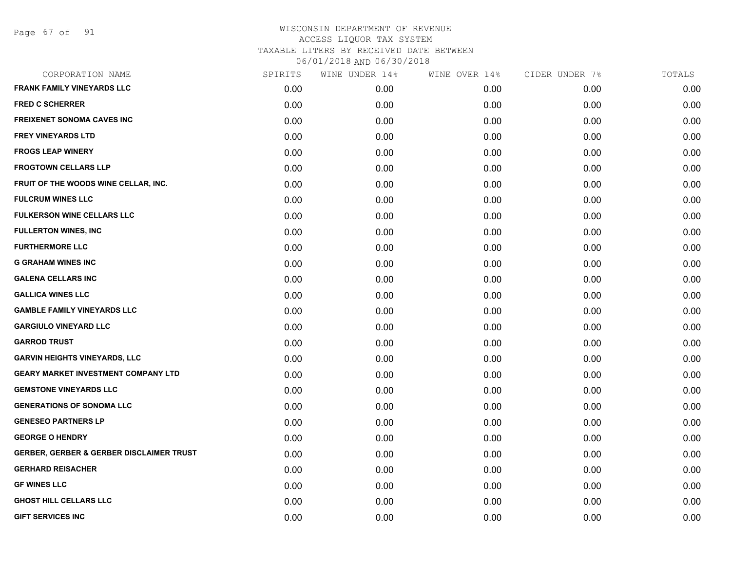Page 67 of 91

| CORPORATION NAME                                    | SPIRITS | WINE UNDER 14% | WINE OVER 14% | CIDER UNDER 7% | TOTALS |
|-----------------------------------------------------|---------|----------------|---------------|----------------|--------|
| <b>FRANK FAMILY VINEYARDS LLC</b>                   | 0.00    | 0.00           | 0.00          | 0.00           | 0.00   |
| <b>FRED C SCHERRER</b>                              | 0.00    | 0.00           | 0.00          | 0.00           | 0.00   |
| <b>FREIXENET SONOMA CAVES INC</b>                   | 0.00    | 0.00           | 0.00          | 0.00           | 0.00   |
| <b>FREY VINEYARDS LTD</b>                           | 0.00    | 0.00           | 0.00          | 0.00           | 0.00   |
| <b>FROGS LEAP WINERY</b>                            | 0.00    | 0.00           | 0.00          | 0.00           | 0.00   |
| <b>FROGTOWN CELLARS LLP</b>                         | 0.00    | 0.00           | 0.00          | 0.00           | 0.00   |
| FRUIT OF THE WOODS WINE CELLAR, INC.                | 0.00    | 0.00           | 0.00          | 0.00           | 0.00   |
| <b>FULCRUM WINES LLC</b>                            | 0.00    | 0.00           | 0.00          | 0.00           | 0.00   |
| <b>FULKERSON WINE CELLARS LLC</b>                   | 0.00    | 0.00           | 0.00          | 0.00           | 0.00   |
| <b>FULLERTON WINES, INC</b>                         | 0.00    | 0.00           | 0.00          | 0.00           | 0.00   |
| <b>FURTHERMORE LLC</b>                              | 0.00    | 0.00           | 0.00          | 0.00           | 0.00   |
| <b>G GRAHAM WINES INC</b>                           | 0.00    | 0.00           | 0.00          | 0.00           | 0.00   |
| <b>GALENA CELLARS INC</b>                           | 0.00    | 0.00           | 0.00          | 0.00           | 0.00   |
| <b>GALLICA WINES LLC</b>                            | 0.00    | 0.00           | 0.00          | 0.00           | 0.00   |
| <b>GAMBLE FAMILY VINEYARDS LLC</b>                  | 0.00    | 0.00           | 0.00          | 0.00           | 0.00   |
| <b>GARGIULO VINEYARD LLC</b>                        | 0.00    | 0.00           | 0.00          | 0.00           | 0.00   |
| <b>GARROD TRUST</b>                                 | 0.00    | 0.00           | 0.00          | 0.00           | 0.00   |
| <b>GARVIN HEIGHTS VINEYARDS, LLC</b>                | 0.00    | 0.00           | 0.00          | 0.00           | 0.00   |
| <b>GEARY MARKET INVESTMENT COMPANY LTD</b>          | 0.00    | 0.00           | 0.00          | 0.00           | 0.00   |
| <b>GEMSTONE VINEYARDS LLC</b>                       | 0.00    | 0.00           | 0.00          | 0.00           | 0.00   |
| <b>GENERATIONS OF SONOMA LLC</b>                    | 0.00    | 0.00           | 0.00          | 0.00           | 0.00   |
| <b>GENESEO PARTNERS LP</b>                          | 0.00    | 0.00           | 0.00          | 0.00           | 0.00   |
| <b>GEORGE O HENDRY</b>                              | 0.00    | 0.00           | 0.00          | 0.00           | 0.00   |
| <b>GERBER, GERBER &amp; GERBER DISCLAIMER TRUST</b> | 0.00    | 0.00           | 0.00          | 0.00           | 0.00   |
| <b>GERHARD REISACHER</b>                            | 0.00    | 0.00           | 0.00          | 0.00           | 0.00   |
| <b>GF WINES LLC</b>                                 | 0.00    | 0.00           | 0.00          | 0.00           | 0.00   |
| <b>GHOST HILL CELLARS LLC</b>                       | 0.00    | 0.00           | 0.00          | 0.00           | 0.00   |
| <b>GIFT SERVICES INC</b>                            | 0.00    | 0.00           | 0.00          | 0.00           | 0.00   |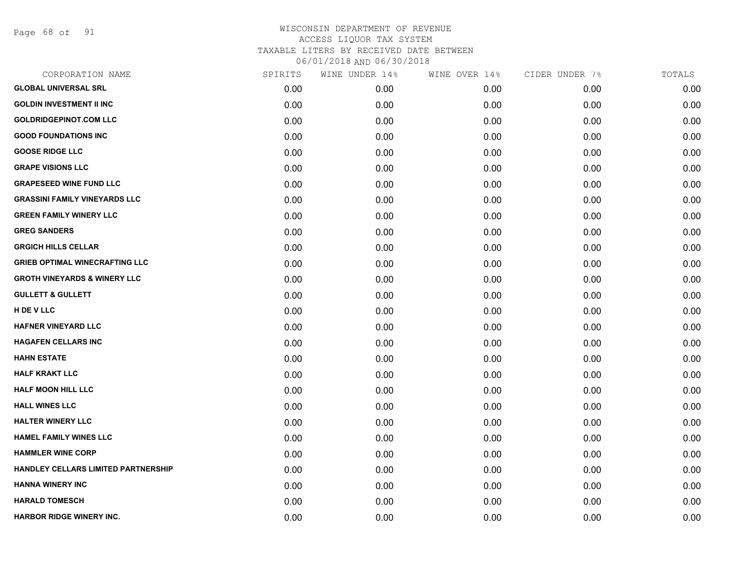Page 68 of 91

| CORPORATION NAME                        | SPIRITS | WINE UNDER 14% | WINE OVER 14% | CIDER UNDER 7% | TOTALS |
|-----------------------------------------|---------|----------------|---------------|----------------|--------|
| <b>GLOBAL UNIVERSAL SRL</b>             | 0.00    | 0.00           | 0.00          | 0.00           | 0.00   |
| <b>GOLDIN INVESTMENT II INC</b>         | 0.00    | 0.00           | 0.00          | 0.00           | 0.00   |
| <b>GOLDRIDGEPINOT.COM LLC</b>           | 0.00    | 0.00           | 0.00          | 0.00           | 0.00   |
| <b>GOOD FOUNDATIONS INC</b>             | 0.00    | 0.00           | 0.00          | 0.00           | 0.00   |
| <b>GOOSE RIDGE LLC</b>                  | 0.00    | 0.00           | 0.00          | 0.00           | 0.00   |
| <b>GRAPE VISIONS LLC</b>                | 0.00    | 0.00           | 0.00          | 0.00           | 0.00   |
| <b>GRAPESEED WINE FUND LLC</b>          | 0.00    | 0.00           | 0.00          | 0.00           | 0.00   |
| <b>GRASSINI FAMILY VINEYARDS LLC</b>    | 0.00    | 0.00           | 0.00          | 0.00           | 0.00   |
| <b>GREEN FAMILY WINERY LLC</b>          | 0.00    | 0.00           | 0.00          | 0.00           | 0.00   |
| <b>GREG SANDERS</b>                     | 0.00    | 0.00           | 0.00          | 0.00           | 0.00   |
| <b>GRGICH HILLS CELLAR</b>              | 0.00    | 0.00           | 0.00          | 0.00           | 0.00   |
| <b>GRIEB OPTIMAL WINECRAFTING LLC</b>   | 0.00    | 0.00           | 0.00          | 0.00           | 0.00   |
| <b>GROTH VINEYARDS &amp; WINERY LLC</b> | 0.00    | 0.00           | 0.00          | 0.00           | 0.00   |
| <b>GULLETT &amp; GULLETT</b>            | 0.00    | 0.00           | 0.00          | 0.00           | 0.00   |
| H DE V LLC                              | 0.00    | 0.00           | 0.00          | 0.00           | 0.00   |
| <b>HAFNER VINEYARD LLC</b>              | 0.00    | 0.00           | 0.00          | 0.00           | 0.00   |
| <b>HAGAFEN CELLARS INC</b>              | 0.00    | 0.00           | 0.00          | 0.00           | 0.00   |
| <b>HAHN ESTATE</b>                      | 0.00    | 0.00           | 0.00          | 0.00           | 0.00   |
| <b>HALF KRAKT LLC</b>                   | 0.00    | 0.00           | 0.00          | 0.00           | 0.00   |
| <b>HALF MOON HILL LLC</b>               | 0.00    | 0.00           | 0.00          | 0.00           | 0.00   |
| <b>HALL WINES LLC</b>                   | 0.00    | 0.00           | 0.00          | 0.00           | 0.00   |
| <b>HALTER WINERY LLC</b>                | 0.00    | 0.00           | 0.00          | 0.00           | 0.00   |
| HAMEL FAMILY WINES LLC                  | 0.00    | 0.00           | 0.00          | 0.00           | 0.00   |
| <b>HAMMLER WINE CORP</b>                | 0.00    | 0.00           | 0.00          | 0.00           | 0.00   |
| HANDLEY CELLARS LIMITED PARTNERSHIP     | 0.00    | 0.00           | 0.00          | 0.00           | 0.00   |
| <b>HANNA WINERY INC</b>                 | 0.00    | 0.00           | 0.00          | 0.00           | 0.00   |
| <b>HARALD TOMESCH</b>                   | 0.00    | 0.00           | 0.00          | 0.00           | 0.00   |
| <b>HARBOR RIDGE WINERY INC.</b>         | 0.00    | 0.00           | 0.00          | 0.00           | 0.00   |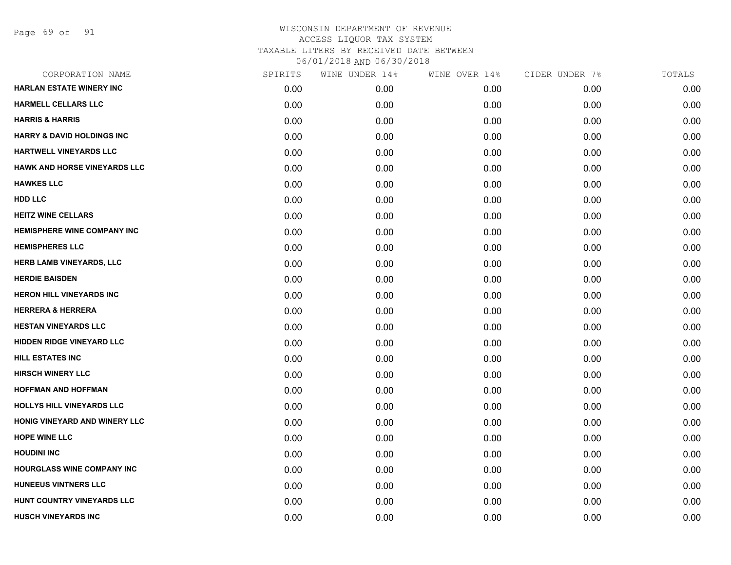Page 69 of 91

| CORPORATION NAME                      | SPIRITS | WINE UNDER 14% | WINE OVER 14% | CIDER UNDER 7% | TOTALS |
|---------------------------------------|---------|----------------|---------------|----------------|--------|
| <b>HARLAN ESTATE WINERY INC</b>       | 0.00    | 0.00           | 0.00          | 0.00           | 0.00   |
| <b>HARMELL CELLARS LLC</b>            | 0.00    | 0.00           | 0.00          | 0.00           | 0.00   |
| <b>HARRIS &amp; HARRIS</b>            | 0.00    | 0.00           | 0.00          | 0.00           | 0.00   |
| <b>HARRY &amp; DAVID HOLDINGS INC</b> | 0.00    | 0.00           | 0.00          | 0.00           | 0.00   |
| HARTWELL VINEYARDS LLC                | 0.00    | 0.00           | 0.00          | 0.00           | 0.00   |
| <b>HAWK AND HORSE VINEYARDS LLC</b>   | 0.00    | 0.00           | 0.00          | 0.00           | 0.00   |
| <b>HAWKES LLC</b>                     | 0.00    | 0.00           | 0.00          | 0.00           | 0.00   |
| <b>HDD LLC</b>                        | 0.00    | 0.00           | 0.00          | 0.00           | 0.00   |
| <b>HEITZ WINE CELLARS</b>             | 0.00    | 0.00           | 0.00          | 0.00           | 0.00   |
| <b>HEMISPHERE WINE COMPANY INC</b>    | 0.00    | 0.00           | 0.00          | 0.00           | 0.00   |
| <b>HEMISPHERES LLC</b>                | 0.00    | 0.00           | 0.00          | 0.00           | 0.00   |
| HERB LAMB VINEYARDS, LLC              | 0.00    | 0.00           | 0.00          | 0.00           | 0.00   |
| <b>HERDIE BAISDEN</b>                 | 0.00    | 0.00           | 0.00          | 0.00           | 0.00   |
| <b>HERON HILL VINEYARDS INC</b>       | 0.00    | 0.00           | 0.00          | 0.00           | 0.00   |
| <b>HERRERA &amp; HERRERA</b>          | 0.00    | 0.00           | 0.00          | 0.00           | 0.00   |
| <b>HESTAN VINEYARDS LLC</b>           | 0.00    | 0.00           | 0.00          | 0.00           | 0.00   |
| <b>HIDDEN RIDGE VINEYARD LLC</b>      | 0.00    | 0.00           | 0.00          | 0.00           | 0.00   |
| <b>HILL ESTATES INC</b>               | 0.00    | 0.00           | 0.00          | 0.00           | 0.00   |
| <b>HIRSCH WINERY LLC</b>              | 0.00    | 0.00           | 0.00          | 0.00           | 0.00   |
| <b>HOFFMAN AND HOFFMAN</b>            | 0.00    | 0.00           | 0.00          | 0.00           | 0.00   |
| HOLLYS HILL VINEYARDS LLC             | 0.00    | 0.00           | 0.00          | 0.00           | 0.00   |
| HONIG VINEYARD AND WINERY LLC         | 0.00    | 0.00           | 0.00          | 0.00           | 0.00   |
| <b>HOPE WINE LLC</b>                  | 0.00    | 0.00           | 0.00          | 0.00           | 0.00   |
| <b>HOUDINI INC</b>                    | 0.00    | 0.00           | 0.00          | 0.00           | 0.00   |
| HOURGLASS WINE COMPANY INC            | 0.00    | 0.00           | 0.00          | 0.00           | 0.00   |
| <b>HUNEEUS VINTNERS LLC</b>           | 0.00    | 0.00           | 0.00          | 0.00           | 0.00   |
| HUNT COUNTRY VINEYARDS LLC            | 0.00    | 0.00           | 0.00          | 0.00           | 0.00   |
| <b>HUSCH VINEYARDS INC</b>            | 0.00    | 0.00           | 0.00          | 0.00           | 0.00   |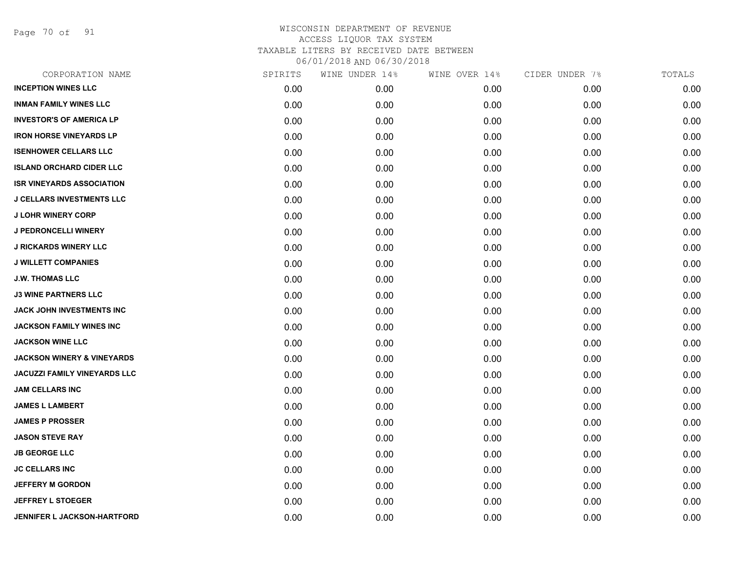Page 70 of 91

| CORPORATION NAME                      | SPIRITS | WINE UNDER 14% | WINE OVER 14% | CIDER UNDER 7% | TOTALS |
|---------------------------------------|---------|----------------|---------------|----------------|--------|
| <b>INCEPTION WINES LLC</b>            | 0.00    | 0.00           | 0.00          | 0.00           | 0.00   |
| <b>INMAN FAMILY WINES LLC</b>         | 0.00    | 0.00           | 0.00          | 0.00           | 0.00   |
| <b>INVESTOR'S OF AMERICA LP</b>       | 0.00    | 0.00           | 0.00          | 0.00           | 0.00   |
| <b>IRON HORSE VINEYARDS LP</b>        | 0.00    | 0.00           | 0.00          | 0.00           | 0.00   |
| <b>ISENHOWER CELLARS LLC</b>          | 0.00    | 0.00           | 0.00          | 0.00           | 0.00   |
| <b>ISLAND ORCHARD CIDER LLC</b>       | 0.00    | 0.00           | 0.00          | 0.00           | 0.00   |
| <b>ISR VINEYARDS ASSOCIATION</b>      | 0.00    | 0.00           | 0.00          | 0.00           | 0.00   |
| <b>J CELLARS INVESTMENTS LLC</b>      | 0.00    | 0.00           | 0.00          | 0.00           | 0.00   |
| <b>J LOHR WINERY CORP</b>             | 0.00    | 0.00           | 0.00          | 0.00           | 0.00   |
| <b>J PEDRONCELLI WINERY</b>           | 0.00    | 0.00           | 0.00          | 0.00           | 0.00   |
| <b>J RICKARDS WINERY LLC</b>          | 0.00    | 0.00           | 0.00          | 0.00           | 0.00   |
| <b>J WILLETT COMPANIES</b>            | 0.00    | 0.00           | 0.00          | 0.00           | 0.00   |
| <b>J.W. THOMAS LLC</b>                | 0.00    | 0.00           | 0.00          | 0.00           | 0.00   |
| <b>J3 WINE PARTNERS LLC</b>           | 0.00    | 0.00           | 0.00          | 0.00           | 0.00   |
| JACK JOHN INVESTMENTS INC             | 0.00    | 0.00           | 0.00          | 0.00           | 0.00   |
| <b>JACKSON FAMILY WINES INC</b>       | 0.00    | 0.00           | 0.00          | 0.00           | 0.00   |
| <b>JACKSON WINE LLC</b>               | 0.00    | 0.00           | 0.00          | 0.00           | 0.00   |
| <b>JACKSON WINERY &amp; VINEYARDS</b> | 0.00    | 0.00           | 0.00          | 0.00           | 0.00   |
| JACUZZI FAMILY VINEYARDS LLC          | 0.00    | 0.00           | 0.00          | 0.00           | 0.00   |
| <b>JAM CELLARS INC</b>                | 0.00    | 0.00           | 0.00          | 0.00           | 0.00   |
| <b>JAMES L LAMBERT</b>                | 0.00    | 0.00           | 0.00          | 0.00           | 0.00   |
| <b>JAMES P PROSSER</b>                | 0.00    | 0.00           | 0.00          | 0.00           | 0.00   |
| <b>JASON STEVE RAY</b>                | 0.00    | 0.00           | 0.00          | 0.00           | 0.00   |
| <b>JB GEORGE LLC</b>                  | 0.00    | 0.00           | 0.00          | 0.00           | 0.00   |
| <b>JC CELLARS INC</b>                 | 0.00    | 0.00           | 0.00          | 0.00           | 0.00   |
| <b>JEFFERY M GORDON</b>               | 0.00    | 0.00           | 0.00          | 0.00           | 0.00   |
| <b>JEFFREY L STOEGER</b>              | 0.00    | 0.00           | 0.00          | 0.00           | 0.00   |
| <b>JENNIFER L JACKSON-HARTFORD</b>    | 0.00    | 0.00           | 0.00          | 0.00           | 0.00   |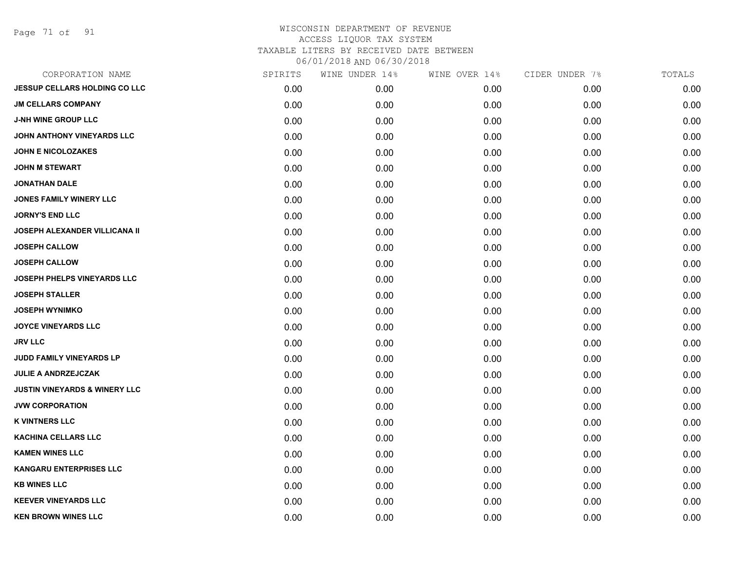Page 71 of 91

| CORPORATION NAME                         | SPIRITS | WINE UNDER 14% | WINE OVER 14% | CIDER UNDER 7% | TOTALS |
|------------------------------------------|---------|----------------|---------------|----------------|--------|
| <b>JESSUP CELLARS HOLDING CO LLC</b>     | 0.00    | 0.00           | 0.00          | 0.00           | 0.00   |
| <b>JM CELLARS COMPANY</b>                | 0.00    | 0.00           | 0.00          | 0.00           | 0.00   |
| <b>J-NH WINE GROUP LLC</b>               | 0.00    | 0.00           | 0.00          | 0.00           | 0.00   |
| JOHN ANTHONY VINEYARDS LLC               | 0.00    | 0.00           | 0.00          | 0.00           | 0.00   |
| <b>JOHN E NICOLOZAKES</b>                | 0.00    | 0.00           | 0.00          | 0.00           | 0.00   |
| <b>JOHN M STEWART</b>                    | 0.00    | 0.00           | 0.00          | 0.00           | 0.00   |
| <b>JONATHAN DALE</b>                     | 0.00    | 0.00           | 0.00          | 0.00           | 0.00   |
| <b>JONES FAMILY WINERY LLC</b>           | 0.00    | 0.00           | 0.00          | 0.00           | 0.00   |
| <b>JORNY'S END LLC</b>                   | 0.00    | 0.00           | 0.00          | 0.00           | 0.00   |
| <b>JOSEPH ALEXANDER VILLICANA II</b>     | 0.00    | 0.00           | 0.00          | 0.00           | 0.00   |
| <b>JOSEPH CALLOW</b>                     | 0.00    | 0.00           | 0.00          | 0.00           | 0.00   |
| <b>JOSEPH CALLOW</b>                     | 0.00    | 0.00           | 0.00          | 0.00           | 0.00   |
| JOSEPH PHELPS VINEYARDS LLC              | 0.00    | 0.00           | 0.00          | 0.00           | 0.00   |
| <b>JOSEPH STALLER</b>                    | 0.00    | 0.00           | 0.00          | 0.00           | 0.00   |
| <b>JOSEPH WYNIMKO</b>                    | 0.00    | 0.00           | 0.00          | 0.00           | 0.00   |
| <b>JOYCE VINEYARDS LLC</b>               | 0.00    | 0.00           | 0.00          | 0.00           | 0.00   |
| <b>JRV LLC</b>                           | 0.00    | 0.00           | 0.00          | 0.00           | 0.00   |
| JUDD FAMILY VINEYARDS LP                 | 0.00    | 0.00           | 0.00          | 0.00           | 0.00   |
| JULIE A ANDRZEJCZAK                      | 0.00    | 0.00           | 0.00          | 0.00           | 0.00   |
| <b>JUSTIN VINEYARDS &amp; WINERY LLC</b> | 0.00    | 0.00           | 0.00          | 0.00           | 0.00   |
| <b>JVW CORPORATION</b>                   | 0.00    | 0.00           | 0.00          | 0.00           | 0.00   |
| <b>K VINTNERS LLC</b>                    | 0.00    | 0.00           | 0.00          | 0.00           | 0.00   |
| <b>KACHINA CELLARS LLC</b>               | 0.00    | 0.00           | 0.00          | 0.00           | 0.00   |
| <b>KAMEN WINES LLC</b>                   | 0.00    | 0.00           | 0.00          | 0.00           | 0.00   |
| <b>KANGARU ENTERPRISES LLC</b>           | 0.00    | 0.00           | 0.00          | 0.00           | 0.00   |
| <b>KB WINES LLC</b>                      | 0.00    | 0.00           | 0.00          | 0.00           | 0.00   |
| <b>KEEVER VINEYARDS LLC</b>              | 0.00    | 0.00           | 0.00          | 0.00           | 0.00   |
| <b>KEN BROWN WINES LLC</b>               | 0.00    | 0.00           | 0.00          | 0.00           | 0.00   |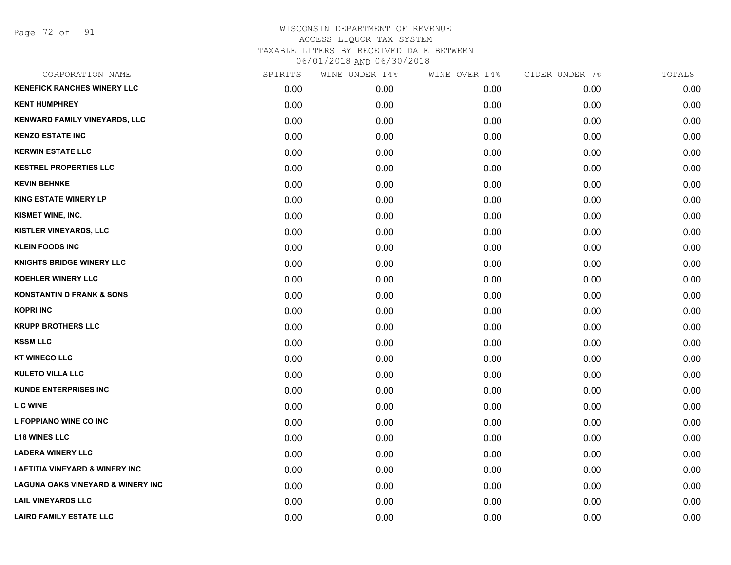Page 72 of 91

| CORPORATION NAME                             | SPIRITS | WINE UNDER 14% | WINE OVER 14% | CIDER UNDER 7% | TOTALS |
|----------------------------------------------|---------|----------------|---------------|----------------|--------|
| <b>KENEFICK RANCHES WINERY LLC</b>           | 0.00    | 0.00           | 0.00          | 0.00           | 0.00   |
| <b>KENT HUMPHREY</b>                         | 0.00    | 0.00           | 0.00          | 0.00           | 0.00   |
| KENWARD FAMILY VINEYARDS, LLC                | 0.00    | 0.00           | 0.00          | 0.00           | 0.00   |
| <b>KENZO ESTATE INC</b>                      | 0.00    | 0.00           | 0.00          | 0.00           | 0.00   |
| <b>KERWIN ESTATE LLC</b>                     | 0.00    | 0.00           | 0.00          | 0.00           | 0.00   |
| <b>KESTREL PROPERTIES LLC</b>                | 0.00    | 0.00           | 0.00          | 0.00           | 0.00   |
| <b>KEVIN BEHNKE</b>                          | 0.00    | 0.00           | 0.00          | 0.00           | 0.00   |
| <b>KING ESTATE WINERY LP</b>                 | 0.00    | 0.00           | 0.00          | 0.00           | 0.00   |
| KISMET WINE, INC.                            | 0.00    | 0.00           | 0.00          | 0.00           | 0.00   |
| KISTLER VINEYARDS, LLC                       | 0.00    | 0.00           | 0.00          | 0.00           | 0.00   |
| <b>KLEIN FOODS INC</b>                       | 0.00    | 0.00           | 0.00          | 0.00           | 0.00   |
| <b>KNIGHTS BRIDGE WINERY LLC</b>             | 0.00    | 0.00           | 0.00          | 0.00           | 0.00   |
| <b>KOEHLER WINERY LLC</b>                    | 0.00    | 0.00           | 0.00          | 0.00           | 0.00   |
| <b>KONSTANTIN D FRANK &amp; SONS</b>         | 0.00    | 0.00           | 0.00          | 0.00           | 0.00   |
| <b>KOPRI INC</b>                             | 0.00    | 0.00           | 0.00          | 0.00           | 0.00   |
| <b>KRUPP BROTHERS LLC</b>                    | 0.00    | 0.00           | 0.00          | 0.00           | 0.00   |
| <b>KSSM LLC</b>                              | 0.00    | 0.00           | 0.00          | 0.00           | 0.00   |
| <b>KT WINECO LLC</b>                         | 0.00    | 0.00           | 0.00          | 0.00           | 0.00   |
| <b>KULETO VILLA LLC</b>                      | 0.00    | 0.00           | 0.00          | 0.00           | 0.00   |
| <b>KUNDE ENTERPRISES INC</b>                 | 0.00    | 0.00           | 0.00          | 0.00           | 0.00   |
| <b>LC WINE</b>                               | 0.00    | 0.00           | 0.00          | 0.00           | 0.00   |
| L FOPPIANO WINE CO INC                       | 0.00    | 0.00           | 0.00          | 0.00           | 0.00   |
| <b>L18 WINES LLC</b>                         | 0.00    | 0.00           | 0.00          | 0.00           | 0.00   |
| <b>LADERA WINERY LLC</b>                     | 0.00    | 0.00           | 0.00          | 0.00           | 0.00   |
| <b>LAETITIA VINEYARD &amp; WINERY INC</b>    | 0.00    | 0.00           | 0.00          | 0.00           | 0.00   |
| <b>LAGUNA OAKS VINEYARD &amp; WINERY INC</b> | 0.00    | 0.00           | 0.00          | 0.00           | 0.00   |
| <b>LAIL VINEYARDS LLC</b>                    | 0.00    | 0.00           | 0.00          | 0.00           | 0.00   |
| <b>LAIRD FAMILY ESTATE LLC</b>               | 0.00    | 0.00           | 0.00          | 0.00           | 0.00   |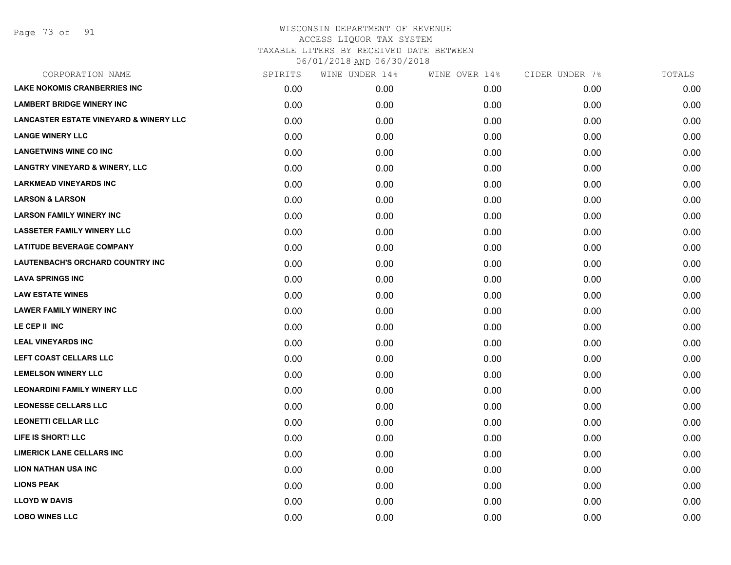| CORPORATION NAME                                  | SPIRITS | WINE UNDER 14% | WINE OVER 14% | CIDER UNDER 7% | TOTALS |
|---------------------------------------------------|---------|----------------|---------------|----------------|--------|
| <b>LAKE NOKOMIS CRANBERRIES INC</b>               | 0.00    | 0.00           | 0.00          | 0.00           | 0.00   |
| <b>LAMBERT BRIDGE WINERY INC</b>                  | 0.00    | 0.00           | 0.00          | 0.00           | 0.00   |
| <b>LANCASTER ESTATE VINEYARD &amp; WINERY LLC</b> | 0.00    | 0.00           | 0.00          | 0.00           | 0.00   |
| <b>LANGE WINERY LLC</b>                           | 0.00    | 0.00           | 0.00          | 0.00           | 0.00   |
| <b>LANGETWINS WINE CO INC</b>                     | 0.00    | 0.00           | 0.00          | 0.00           | 0.00   |
| <b>LANGTRY VINEYARD &amp; WINERY, LLC</b>         | 0.00    | 0.00           | 0.00          | 0.00           | 0.00   |
| <b>LARKMEAD VINEYARDS INC</b>                     | 0.00    | 0.00           | 0.00          | 0.00           | 0.00   |
| <b>LARSON &amp; LARSON</b>                        | 0.00    | 0.00           | 0.00          | 0.00           | 0.00   |
| <b>LARSON FAMILY WINERY INC</b>                   | 0.00    | 0.00           | 0.00          | 0.00           | 0.00   |
| <b>LASSETER FAMILY WINERY LLC</b>                 | 0.00    | 0.00           | 0.00          | 0.00           | 0.00   |
| <b>LATITUDE BEVERAGE COMPANY</b>                  | 0.00    | 0.00           | 0.00          | 0.00           | 0.00   |
| LAUTENBACH'S ORCHARD COUNTRY INC                  | 0.00    | 0.00           | 0.00          | 0.00           | 0.00   |
| <b>LAVA SPRINGS INC</b>                           | 0.00    | 0.00           | 0.00          | 0.00           | 0.00   |
| <b>LAW ESTATE WINES</b>                           | 0.00    | 0.00           | 0.00          | 0.00           | 0.00   |
| <b>LAWER FAMILY WINERY INC</b>                    | 0.00    | 0.00           | 0.00          | 0.00           | 0.00   |
| LE CEP II INC                                     | 0.00    | 0.00           | 0.00          | 0.00           | 0.00   |
| <b>LEAL VINEYARDS INC</b>                         | 0.00    | 0.00           | 0.00          | 0.00           | 0.00   |
| LEFT COAST CELLARS LLC                            | 0.00    | 0.00           | 0.00          | 0.00           | 0.00   |
| <b>LEMELSON WINERY LLC</b>                        | 0.00    | 0.00           | 0.00          | 0.00           | 0.00   |
| <b>LEONARDINI FAMILY WINERY LLC</b>               | 0.00    | 0.00           | 0.00          | 0.00           | 0.00   |
| <b>LEONESSE CELLARS LLC</b>                       | 0.00    | 0.00           | 0.00          | 0.00           | 0.00   |
| <b>LEONETTI CELLAR LLC</b>                        | 0.00    | 0.00           | 0.00          | 0.00           | 0.00   |
| LIFE IS SHORT! LLC                                | 0.00    | 0.00           | 0.00          | 0.00           | 0.00   |
| <b>LIMERICK LANE CELLARS INC</b>                  | 0.00    | 0.00           | 0.00          | 0.00           | 0.00   |
| <b>LION NATHAN USA INC</b>                        | 0.00    | 0.00           | 0.00          | 0.00           | 0.00   |
| <b>LIONS PEAK</b>                                 | 0.00    | 0.00           | 0.00          | 0.00           | 0.00   |
| <b>LLOYD W DAVIS</b>                              | 0.00    | 0.00           | 0.00          | 0.00           | 0.00   |
| <b>LOBO WINES LLC</b>                             | 0.00    | 0.00           | 0.00          | 0.00           | 0.00   |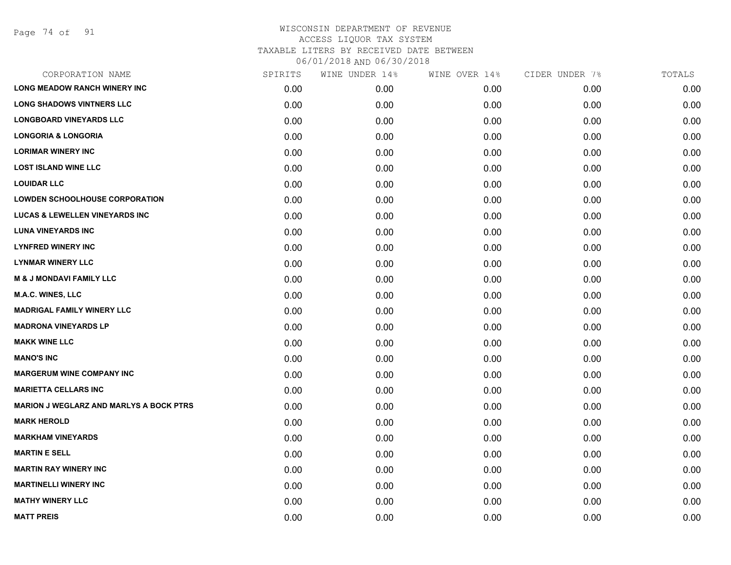Page 74 of 91

| CORPORATION NAME                               | SPIRITS | WINE UNDER 14% | WINE OVER 14% | CIDER UNDER 7% | TOTALS |
|------------------------------------------------|---------|----------------|---------------|----------------|--------|
| <b>LONG MEADOW RANCH WINERY INC</b>            | 0.00    | 0.00           | 0.00          | 0.00           | 0.00   |
| <b>LONG SHADOWS VINTNERS LLC</b>               | 0.00    | 0.00           | 0.00          | 0.00           | 0.00   |
| <b>LONGBOARD VINEYARDS LLC</b>                 | 0.00    | 0.00           | 0.00          | 0.00           | 0.00   |
| <b>LONGORIA &amp; LONGORIA</b>                 | 0.00    | 0.00           | 0.00          | 0.00           | 0.00   |
| <b>LORIMAR WINERY INC</b>                      | 0.00    | 0.00           | 0.00          | 0.00           | 0.00   |
| <b>LOST ISLAND WINE LLC</b>                    | 0.00    | 0.00           | 0.00          | 0.00           | 0.00   |
| <b>LOUIDAR LLC</b>                             | 0.00    | 0.00           | 0.00          | 0.00           | 0.00   |
| <b>LOWDEN SCHOOLHOUSE CORPORATION</b>          | 0.00    | 0.00           | 0.00          | 0.00           | 0.00   |
| <b>LUCAS &amp; LEWELLEN VINEYARDS INC</b>      | 0.00    | 0.00           | 0.00          | 0.00           | 0.00   |
| <b>LUNA VINEYARDS INC</b>                      | 0.00    | 0.00           | 0.00          | 0.00           | 0.00   |
| <b>LYNFRED WINERY INC</b>                      | 0.00    | 0.00           | 0.00          | 0.00           | 0.00   |
| <b>LYNMAR WINERY LLC</b>                       | 0.00    | 0.00           | 0.00          | 0.00           | 0.00   |
| <b>M &amp; J MONDAVI FAMILY LLC</b>            | 0.00    | 0.00           | 0.00          | 0.00           | 0.00   |
| <b>M.A.C. WINES, LLC</b>                       | 0.00    | 0.00           | 0.00          | 0.00           | 0.00   |
| <b>MADRIGAL FAMILY WINERY LLC</b>              | 0.00    | 0.00           | 0.00          | 0.00           | 0.00   |
| <b>MADRONA VINEYARDS LP</b>                    | 0.00    | 0.00           | 0.00          | 0.00           | 0.00   |
| <b>MAKK WINE LLC</b>                           | 0.00    | 0.00           | 0.00          | 0.00           | 0.00   |
| <b>MANO'S INC</b>                              | 0.00    | 0.00           | 0.00          | 0.00           | 0.00   |
| <b>MARGERUM WINE COMPANY INC</b>               | 0.00    | 0.00           | 0.00          | 0.00           | 0.00   |
| <b>MARIETTA CELLARS INC</b>                    | 0.00    | 0.00           | 0.00          | 0.00           | 0.00   |
| <b>MARION J WEGLARZ AND MARLYS A BOCK PTRS</b> | 0.00    | 0.00           | 0.00          | 0.00           | 0.00   |
| <b>MARK HEROLD</b>                             | 0.00    | 0.00           | 0.00          | 0.00           | 0.00   |
| <b>MARKHAM VINEYARDS</b>                       | 0.00    | 0.00           | 0.00          | 0.00           | 0.00   |
| <b>MARTIN E SELL</b>                           | 0.00    | 0.00           | 0.00          | 0.00           | 0.00   |
| <b>MARTIN RAY WINERY INC</b>                   | 0.00    | 0.00           | 0.00          | 0.00           | 0.00   |
| <b>MARTINELLI WINERY INC</b>                   | 0.00    | 0.00           | 0.00          | 0.00           | 0.00   |
| <b>MATHY WINERY LLC</b>                        | 0.00    | 0.00           | 0.00          | 0.00           | 0.00   |
| <b>MATT PREIS</b>                              | 0.00    | 0.00           | 0.00          | 0.00           | 0.00   |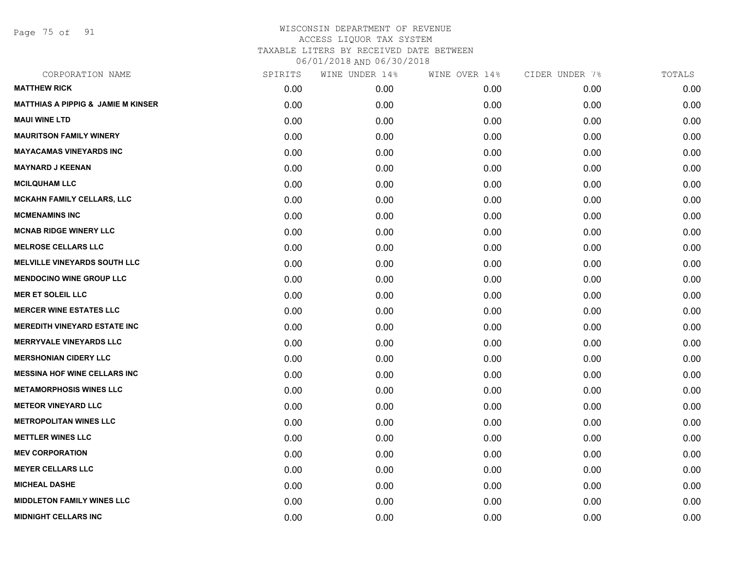Page 75 of 91

| CORPORATION NAME                              | SPIRITS | WINE UNDER 14% | WINE OVER 14% | CIDER UNDER 7% | TOTALS |
|-----------------------------------------------|---------|----------------|---------------|----------------|--------|
| <b>MATTHEW RICK</b>                           | 0.00    | 0.00           | 0.00          | 0.00           | 0.00   |
| <b>MATTHIAS A PIPPIG &amp; JAMIE M KINSER</b> | 0.00    | 0.00           | 0.00          | 0.00           | 0.00   |
| <b>MAUI WINE LTD</b>                          | 0.00    | 0.00           | 0.00          | 0.00           | 0.00   |
| <b>MAURITSON FAMILY WINERY</b>                | 0.00    | 0.00           | 0.00          | 0.00           | 0.00   |
| <b>MAYACAMAS VINEYARDS INC</b>                | 0.00    | 0.00           | 0.00          | 0.00           | 0.00   |
| <b>MAYNARD J KEENAN</b>                       | 0.00    | 0.00           | 0.00          | 0.00           | 0.00   |
| <b>MCILQUHAM LLC</b>                          | 0.00    | 0.00           | 0.00          | 0.00           | 0.00   |
| <b>MCKAHN FAMILY CELLARS, LLC</b>             | 0.00    | 0.00           | 0.00          | 0.00           | 0.00   |
| <b>MCMENAMINS INC</b>                         | 0.00    | 0.00           | 0.00          | 0.00           | 0.00   |
| <b>MCNAB RIDGE WINERY LLC</b>                 | 0.00    | 0.00           | 0.00          | 0.00           | 0.00   |
| <b>MELROSE CELLARS LLC</b>                    | 0.00    | 0.00           | 0.00          | 0.00           | 0.00   |
| <b>MELVILLE VINEYARDS SOUTH LLC</b>           | 0.00    | 0.00           | 0.00          | 0.00           | 0.00   |
| <b>MENDOCINO WINE GROUP LLC</b>               | 0.00    | 0.00           | 0.00          | 0.00           | 0.00   |
| <b>MER ET SOLEIL LLC</b>                      | 0.00    | 0.00           | 0.00          | 0.00           | 0.00   |
| <b>MERCER WINE ESTATES LLC</b>                | 0.00    | 0.00           | 0.00          | 0.00           | 0.00   |
| <b>MEREDITH VINEYARD ESTATE INC</b>           | 0.00    | 0.00           | 0.00          | 0.00           | 0.00   |
| <b>MERRYVALE VINEYARDS LLC</b>                | 0.00    | 0.00           | 0.00          | 0.00           | 0.00   |
| <b>MERSHONIAN CIDERY LLC</b>                  | 0.00    | 0.00           | 0.00          | 0.00           | 0.00   |
| <b>MESSINA HOF WINE CELLARS INC</b>           | 0.00    | 0.00           | 0.00          | 0.00           | 0.00   |
| <b>METAMORPHOSIS WINES LLC</b>                | 0.00    | 0.00           | 0.00          | 0.00           | 0.00   |
| <b>METEOR VINEYARD LLC</b>                    | 0.00    | 0.00           | 0.00          | 0.00           | 0.00   |
| <b>METROPOLITAN WINES LLC</b>                 | 0.00    | 0.00           | 0.00          | 0.00           | 0.00   |
| <b>METTLER WINES LLC</b>                      | 0.00    | 0.00           | 0.00          | 0.00           | 0.00   |
| <b>MEV CORPORATION</b>                        | 0.00    | 0.00           | 0.00          | 0.00           | 0.00   |
| <b>MEYER CELLARS LLC</b>                      | 0.00    | 0.00           | 0.00          | 0.00           | 0.00   |
| <b>MICHEAL DASHE</b>                          | 0.00    | 0.00           | 0.00          | 0.00           | 0.00   |
| <b>MIDDLETON FAMILY WINES LLC</b>             | 0.00    | 0.00           | 0.00          | 0.00           | 0.00   |
| <b>MIDNIGHT CELLARS INC</b>                   | 0.00    | 0.00           | 0.00          | 0.00           | 0.00   |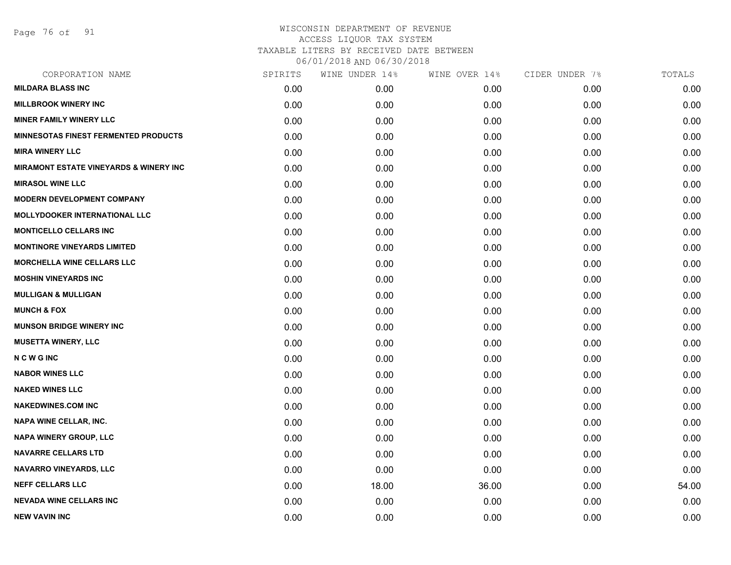Page 76 of 91

| CORPORATION NAME                                  | SPIRITS | WINE UNDER 14% | WINE OVER 14% | CIDER UNDER 7% | TOTALS |
|---------------------------------------------------|---------|----------------|---------------|----------------|--------|
| <b>MILDARA BLASS INC</b>                          | 0.00    | 0.00           | 0.00          | 0.00           | 0.00   |
| <b>MILLBROOK WINERY INC</b>                       | 0.00    | 0.00           | 0.00          | 0.00           | 0.00   |
| <b>MINER FAMILY WINERY LLC</b>                    | 0.00    | 0.00           | 0.00          | 0.00           | 0.00   |
| <b>MINNESOTAS FINEST FERMENTED PRODUCTS</b>       | 0.00    | 0.00           | 0.00          | 0.00           | 0.00   |
| <b>MIRA WINERY LLC</b>                            | 0.00    | 0.00           | 0.00          | 0.00           | 0.00   |
| <b>MIRAMONT ESTATE VINEYARDS &amp; WINERY INC</b> | 0.00    | 0.00           | 0.00          | 0.00           | 0.00   |
| <b>MIRASOL WINE LLC</b>                           | 0.00    | 0.00           | 0.00          | 0.00           | 0.00   |
| <b>MODERN DEVELOPMENT COMPANY</b>                 | 0.00    | 0.00           | 0.00          | 0.00           | 0.00   |
| <b>MOLLYDOOKER INTERNATIONAL LLC</b>              | 0.00    | 0.00           | 0.00          | 0.00           | 0.00   |
| <b>MONTICELLO CELLARS INC</b>                     | 0.00    | 0.00           | 0.00          | 0.00           | 0.00   |
| <b>MONTINORE VINEYARDS LIMITED</b>                | 0.00    | 0.00           | 0.00          | 0.00           | 0.00   |
| MORCHELLA WINE CELLARS LLC                        | 0.00    | 0.00           | 0.00          | 0.00           | 0.00   |
| <b>MOSHIN VINEYARDS INC</b>                       | 0.00    | 0.00           | 0.00          | 0.00           | 0.00   |
| <b>MULLIGAN &amp; MULLIGAN</b>                    | 0.00    | 0.00           | 0.00          | 0.00           | 0.00   |
| <b>MUNCH &amp; FOX</b>                            | 0.00    | 0.00           | 0.00          | 0.00           | 0.00   |
| <b>MUNSON BRIDGE WINERY INC</b>                   | 0.00    | 0.00           | 0.00          | 0.00           | 0.00   |
| <b>MUSETTA WINERY, LLC</b>                        | 0.00    | 0.00           | 0.00          | 0.00           | 0.00   |
| <b>NCWGINC</b>                                    | 0.00    | 0.00           | 0.00          | 0.00           | 0.00   |
| <b>NABOR WINES LLC</b>                            | 0.00    | 0.00           | 0.00          | 0.00           | 0.00   |
| <b>NAKED WINES LLC</b>                            | 0.00    | 0.00           | 0.00          | 0.00           | 0.00   |
| <b>NAKEDWINES.COM INC</b>                         | 0.00    | 0.00           | 0.00          | 0.00           | 0.00   |
| NAPA WINE CELLAR, INC.                            | 0.00    | 0.00           | 0.00          | 0.00           | 0.00   |
| NAPA WINERY GROUP, LLC                            | 0.00    | 0.00           | 0.00          | 0.00           | 0.00   |
| <b>NAVARRE CELLARS LTD</b>                        | 0.00    | 0.00           | 0.00          | 0.00           | 0.00   |
| <b>NAVARRO VINEYARDS, LLC</b>                     | 0.00    | 0.00           | 0.00          | 0.00           | 0.00   |
| <b>NEFF CELLARS LLC</b>                           | 0.00    | 18.00          | 36.00         | 0.00           | 54.00  |
| <b>NEVADA WINE CELLARS INC</b>                    | 0.00    | 0.00           | 0.00          | 0.00           | 0.00   |
| <b>NEW VAVIN INC</b>                              | 0.00    | 0.00           | 0.00          | 0.00           | 0.00   |
|                                                   |         |                |               |                |        |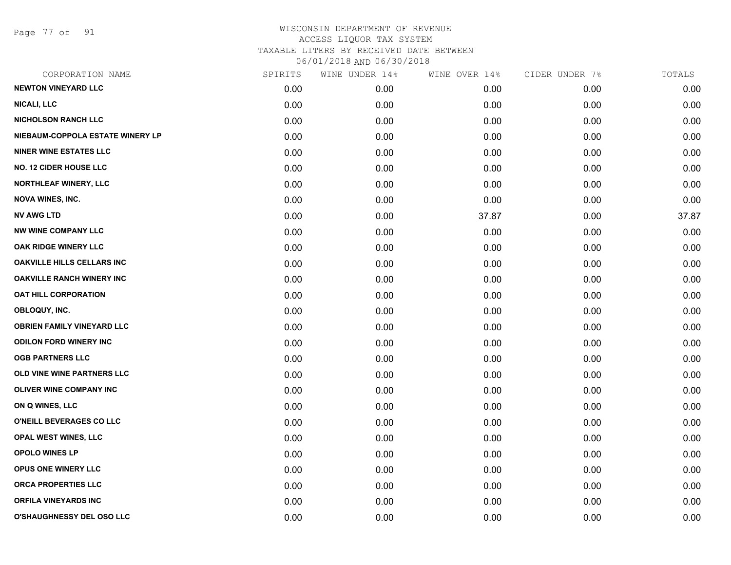Page 77 of 91

| CORPORATION NAME                  | SPIRITS | WINE UNDER 14% | WINE OVER 14% | CIDER UNDER 7% | TOTALS |
|-----------------------------------|---------|----------------|---------------|----------------|--------|
| <b>NEWTON VINEYARD LLC</b>        | 0.00    | 0.00           | 0.00          | 0.00           | 0.00   |
| <b>NICALI, LLC</b>                | 0.00    | 0.00           | 0.00          | 0.00           | 0.00   |
| <b>NICHOLSON RANCH LLC</b>        | 0.00    | 0.00           | 0.00          | 0.00           | 0.00   |
| NIEBAUM-COPPOLA ESTATE WINERY LP  | 0.00    | 0.00           | 0.00          | 0.00           | 0.00   |
| <b>NINER WINE ESTATES LLC</b>     | 0.00    | 0.00           | 0.00          | 0.00           | 0.00   |
| <b>NO. 12 CIDER HOUSE LLC</b>     | 0.00    | 0.00           | 0.00          | 0.00           | 0.00   |
| <b>NORTHLEAF WINERY, LLC</b>      | 0.00    | 0.00           | 0.00          | 0.00           | 0.00   |
| <b>NOVA WINES, INC.</b>           | 0.00    | 0.00           | 0.00          | 0.00           | 0.00   |
| <b>NV AWG LTD</b>                 | 0.00    | 0.00           | 37.87         | 0.00           | 37.87  |
| <b>NW WINE COMPANY LLC</b>        | 0.00    | 0.00           | 0.00          | 0.00           | 0.00   |
| OAK RIDGE WINERY LLC              | 0.00    | 0.00           | 0.00          | 0.00           | 0.00   |
| <b>OAKVILLE HILLS CELLARS INC</b> | 0.00    | 0.00           | 0.00          | 0.00           | 0.00   |
| <b>OAKVILLE RANCH WINERY INC</b>  | 0.00    | 0.00           | 0.00          | 0.00           | 0.00   |
| <b>OAT HILL CORPORATION</b>       | 0.00    | 0.00           | 0.00          | 0.00           | 0.00   |
| OBLOQUY, INC.                     | 0.00    | 0.00           | 0.00          | 0.00           | 0.00   |
| <b>OBRIEN FAMILY VINEYARD LLC</b> | 0.00    | 0.00           | 0.00          | 0.00           | 0.00   |
| <b>ODILON FORD WINERY INC</b>     | 0.00    | 0.00           | 0.00          | 0.00           | 0.00   |
| <b>OGB PARTNERS LLC</b>           | 0.00    | 0.00           | 0.00          | 0.00           | 0.00   |
| OLD VINE WINE PARTNERS LLC        | 0.00    | 0.00           | 0.00          | 0.00           | 0.00   |
| OLIVER WINE COMPANY INC           | 0.00    | 0.00           | 0.00          | 0.00           | 0.00   |
| ON Q WINES, LLC                   | 0.00    | 0.00           | 0.00          | 0.00           | 0.00   |
| O'NEILL BEVERAGES CO LLC          | 0.00    | 0.00           | 0.00          | 0.00           | 0.00   |
| <b>OPAL WEST WINES, LLC</b>       | 0.00    | 0.00           | 0.00          | 0.00           | 0.00   |
| OPOLO WINES LP                    | 0.00    | 0.00           | 0.00          | 0.00           | 0.00   |
| <b>OPUS ONE WINERY LLC</b>        | 0.00    | 0.00           | 0.00          | 0.00           | 0.00   |
| ORCA PROPERTIES LLC               | 0.00    | 0.00           | 0.00          | 0.00           | 0.00   |
| <b>ORFILA VINEYARDS INC</b>       | 0.00    | 0.00           | 0.00          | 0.00           | 0.00   |
| O'SHAUGHNESSY DEL OSO LLC         | 0.00    | 0.00           | 0.00          | 0.00           | 0.00   |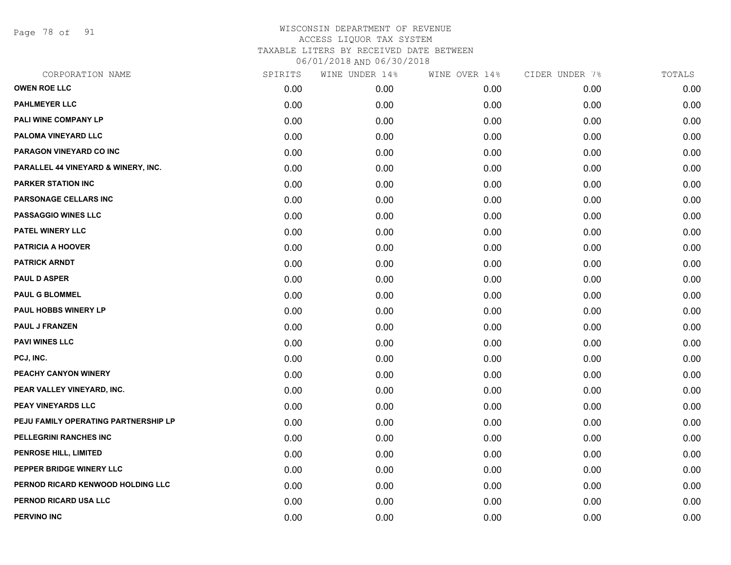Page 78 of 91

| CORPORATION NAME                     | SPIRITS | WINE UNDER 14% | WINE OVER 14% | CIDER UNDER 7% | TOTALS |
|--------------------------------------|---------|----------------|---------------|----------------|--------|
| <b>OWEN ROE LLC</b>                  | 0.00    | 0.00           | 0.00          | 0.00           | 0.00   |
| <b>PAHLMEYER LLC</b>                 | 0.00    | 0.00           | 0.00          | 0.00           | 0.00   |
| PALI WINE COMPANY LP                 | 0.00    | 0.00           | 0.00          | 0.00           | 0.00   |
| PALOMA VINEYARD LLC                  | 0.00    | 0.00           | 0.00          | 0.00           | 0.00   |
| PARAGON VINEYARD CO INC              | 0.00    | 0.00           | 0.00          | 0.00           | 0.00   |
| PARALLEL 44 VINEYARD & WINERY, INC.  | 0.00    | 0.00           | 0.00          | 0.00           | 0.00   |
| <b>PARKER STATION INC</b>            | 0.00    | 0.00           | 0.00          | 0.00           | 0.00   |
| PARSONAGE CELLARS INC                | 0.00    | 0.00           | 0.00          | 0.00           | 0.00   |
| <b>PASSAGGIO WINES LLC</b>           | 0.00    | 0.00           | 0.00          | 0.00           | 0.00   |
| PATEL WINERY LLC                     | 0.00    | 0.00           | 0.00          | 0.00           | 0.00   |
| <b>PATRICIA A HOOVER</b>             | 0.00    | 0.00           | 0.00          | 0.00           | 0.00   |
| <b>PATRICK ARNDT</b>                 | 0.00    | 0.00           | 0.00          | 0.00           | 0.00   |
| <b>PAUL D ASPER</b>                  | 0.00    | 0.00           | 0.00          | 0.00           | 0.00   |
| <b>PAUL G BLOMMEL</b>                | 0.00    | 0.00           | 0.00          | 0.00           | 0.00   |
| PAUL HOBBS WINERY LP                 | 0.00    | 0.00           | 0.00          | 0.00           | 0.00   |
| <b>PAUL J FRANZEN</b>                | 0.00    | 0.00           | 0.00          | 0.00           | 0.00   |
| <b>PAVI WINES LLC</b>                | 0.00    | 0.00           | 0.00          | 0.00           | 0.00   |
| PCJ, INC.                            | 0.00    | 0.00           | 0.00          | 0.00           | 0.00   |
| PEACHY CANYON WINERY                 | 0.00    | 0.00           | 0.00          | 0.00           | 0.00   |
| PEAR VALLEY VINEYARD, INC.           | 0.00    | 0.00           | 0.00          | 0.00           | 0.00   |
| PEAY VINEYARDS LLC                   | 0.00    | 0.00           | 0.00          | 0.00           | 0.00   |
| PEJU FAMILY OPERATING PARTNERSHIP LP | 0.00    | 0.00           | 0.00          | 0.00           | 0.00   |
| PELLEGRINI RANCHES INC               | 0.00    | 0.00           | 0.00          | 0.00           | 0.00   |
| PENROSE HILL, LIMITED                | 0.00    | 0.00           | 0.00          | 0.00           | 0.00   |
| PEPPER BRIDGE WINERY LLC             | 0.00    | 0.00           | 0.00          | 0.00           | 0.00   |
| PERNOD RICARD KENWOOD HOLDING LLC    | 0.00    | 0.00           | 0.00          | 0.00           | 0.00   |
| PERNOD RICARD USA LLC                | 0.00    | 0.00           | 0.00          | 0.00           | 0.00   |
| <b>PERVINO INC</b>                   | 0.00    | 0.00           | 0.00          | 0.00           | 0.00   |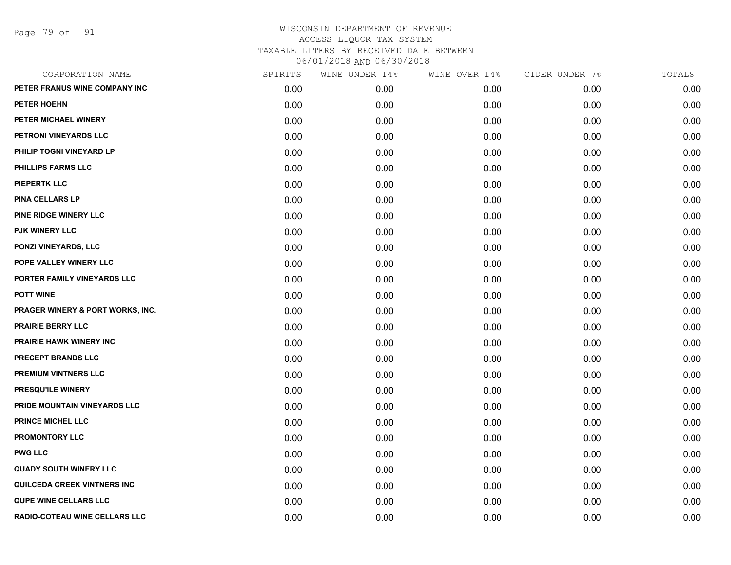Page 79 of 91

| CORPORATION NAME                            | SPIRITS | WINE UNDER 14% | WINE OVER 14% | CIDER UNDER 7% | TOTALS |
|---------------------------------------------|---------|----------------|---------------|----------------|--------|
| PETER FRANUS WINE COMPANY INC               | 0.00    | 0.00           | 0.00          | 0.00           | 0.00   |
| PETER HOEHN                                 | 0.00    | 0.00           | 0.00          | 0.00           | 0.00   |
| PETER MICHAEL WINERY                        | 0.00    | 0.00           | 0.00          | 0.00           | 0.00   |
| PETRONI VINEYARDS LLC                       | 0.00    | 0.00           | 0.00          | 0.00           | 0.00   |
| PHILIP TOGNI VINEYARD LP                    | 0.00    | 0.00           | 0.00          | 0.00           | 0.00   |
| PHILLIPS FARMS LLC                          | 0.00    | 0.00           | 0.00          | 0.00           | 0.00   |
| <b>PIEPERTK LLC</b>                         | 0.00    | 0.00           | 0.00          | 0.00           | 0.00   |
| <b>PINA CELLARS LP</b>                      | 0.00    | 0.00           | 0.00          | 0.00           | 0.00   |
| PINE RIDGE WINERY LLC                       | 0.00    | 0.00           | 0.00          | 0.00           | 0.00   |
| PJK WINERY LLC                              | 0.00    | 0.00           | 0.00          | 0.00           | 0.00   |
| PONZI VINEYARDS, LLC                        | 0.00    | 0.00           | 0.00          | 0.00           | 0.00   |
| POPE VALLEY WINERY LLC                      | 0.00    | 0.00           | 0.00          | 0.00           | 0.00   |
| PORTER FAMILY VINEYARDS LLC                 | 0.00    | 0.00           | 0.00          | 0.00           | 0.00   |
| <b>POTT WINE</b>                            | 0.00    | 0.00           | 0.00          | 0.00           | 0.00   |
| <b>PRAGER WINERY &amp; PORT WORKS, INC.</b> | 0.00    | 0.00           | 0.00          | 0.00           | 0.00   |
| <b>PRAIRIE BERRY LLC</b>                    | 0.00    | 0.00           | 0.00          | 0.00           | 0.00   |
| PRAIRIE HAWK WINERY INC                     | 0.00    | 0.00           | 0.00          | 0.00           | 0.00   |
| <b>PRECEPT BRANDS LLC</b>                   | 0.00    | 0.00           | 0.00          | 0.00           | 0.00   |
| <b>PREMIUM VINTNERS LLC</b>                 | 0.00    | 0.00           | 0.00          | 0.00           | 0.00   |
| PRESQU'ILE WINERY                           | 0.00    | 0.00           | 0.00          | 0.00           | 0.00   |
| PRIDE MOUNTAIN VINEYARDS LLC                | 0.00    | 0.00           | 0.00          | 0.00           | 0.00   |
| <b>PRINCE MICHEL LLC</b>                    | 0.00    | 0.00           | 0.00          | 0.00           | 0.00   |
| <b>PROMONTORY LLC</b>                       | 0.00    | 0.00           | 0.00          | 0.00           | 0.00   |
| <b>PWG LLC</b>                              | 0.00    | 0.00           | 0.00          | 0.00           | 0.00   |
| <b>QUADY SOUTH WINERY LLC</b>               | 0.00    | 0.00           | 0.00          | 0.00           | 0.00   |
| QUILCEDA CREEK VINTNERS INC                 | 0.00    | 0.00           | 0.00          | 0.00           | 0.00   |
| <b>QUPE WINE CELLARS LLC</b>                | 0.00    | 0.00           | 0.00          | 0.00           | 0.00   |
| <b>RADIO-COTEAU WINE CELLARS LLC</b>        | 0.00    | 0.00           | 0.00          | 0.00           | 0.00   |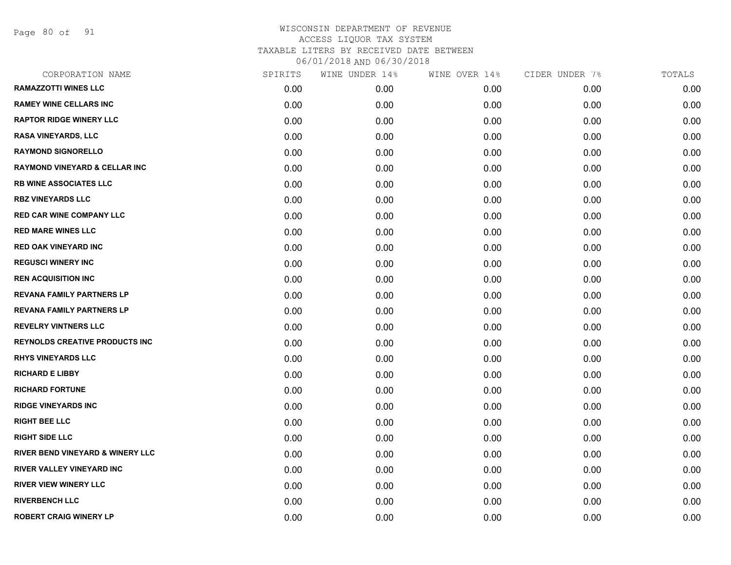Page 80 of 91

| CORPORATION NAME                            | SPIRITS | WINE UNDER 14% | WINE OVER 14% | CIDER UNDER 7% | TOTALS |
|---------------------------------------------|---------|----------------|---------------|----------------|--------|
| <b>RAMAZZOTTI WINES LLC</b>                 | 0.00    | 0.00           | 0.00          | 0.00           | 0.00   |
| <b>RAMEY WINE CELLARS INC</b>               | 0.00    | 0.00           | 0.00          | 0.00           | 0.00   |
| <b>RAPTOR RIDGE WINERY LLC</b>              | 0.00    | 0.00           | 0.00          | 0.00           | 0.00   |
| <b>RASA VINEYARDS, LLC</b>                  | 0.00    | 0.00           | 0.00          | 0.00           | 0.00   |
| <b>RAYMOND SIGNORELLO</b>                   | 0.00    | 0.00           | 0.00          | 0.00           | 0.00   |
| <b>RAYMOND VINEYARD &amp; CELLAR INC</b>    | 0.00    | 0.00           | 0.00          | 0.00           | 0.00   |
| <b>RB WINE ASSOCIATES LLC</b>               | 0.00    | 0.00           | 0.00          | 0.00           | 0.00   |
| <b>RBZ VINEYARDS LLC</b>                    | 0.00    | 0.00           | 0.00          | 0.00           | 0.00   |
| <b>RED CAR WINE COMPANY LLC</b>             | 0.00    | 0.00           | 0.00          | 0.00           | 0.00   |
| <b>RED MARE WINES LLC</b>                   | 0.00    | 0.00           | 0.00          | 0.00           | 0.00   |
| <b>RED OAK VINEYARD INC</b>                 | 0.00    | 0.00           | 0.00          | 0.00           | 0.00   |
| <b>REGUSCI WINERY INC</b>                   | 0.00    | 0.00           | 0.00          | 0.00           | 0.00   |
| <b>REN ACQUISITION INC</b>                  | 0.00    | 0.00           | 0.00          | 0.00           | 0.00   |
| <b>REVANA FAMILY PARTNERS LP</b>            | 0.00    | 0.00           | 0.00          | 0.00           | 0.00   |
| <b>REVANA FAMILY PARTNERS LP</b>            | 0.00    | 0.00           | 0.00          | 0.00           | 0.00   |
| <b>REVELRY VINTNERS LLC</b>                 | 0.00    | 0.00           | 0.00          | 0.00           | 0.00   |
| <b>REYNOLDS CREATIVE PRODUCTS INC</b>       | 0.00    | 0.00           | 0.00          | 0.00           | 0.00   |
| <b>RHYS VINEYARDS LLC</b>                   | 0.00    | 0.00           | 0.00          | 0.00           | 0.00   |
| <b>RICHARD E LIBBY</b>                      | 0.00    | 0.00           | 0.00          | 0.00           | 0.00   |
| <b>RICHARD FORTUNE</b>                      | 0.00    | 0.00           | 0.00          | 0.00           | 0.00   |
| <b>RIDGE VINEYARDS INC</b>                  | 0.00    | 0.00           | 0.00          | 0.00           | 0.00   |
| <b>RIGHT BEE LLC</b>                        | 0.00    | 0.00           | 0.00          | 0.00           | 0.00   |
| <b>RIGHT SIDE LLC</b>                       | 0.00    | 0.00           | 0.00          | 0.00           | 0.00   |
| <b>RIVER BEND VINEYARD &amp; WINERY LLC</b> | 0.00    | 0.00           | 0.00          | 0.00           | 0.00   |
| <b>RIVER VALLEY VINEYARD INC</b>            | 0.00    | 0.00           | 0.00          | 0.00           | 0.00   |
| <b>RIVER VIEW WINERY LLC</b>                | 0.00    | 0.00           | 0.00          | 0.00           | 0.00   |
| <b>RIVERBENCH LLC</b>                       | 0.00    | 0.00           | 0.00          | 0.00           | 0.00   |
| <b>ROBERT CRAIG WINERY LP</b>               | 0.00    | 0.00           | 0.00          | 0.00           | 0.00   |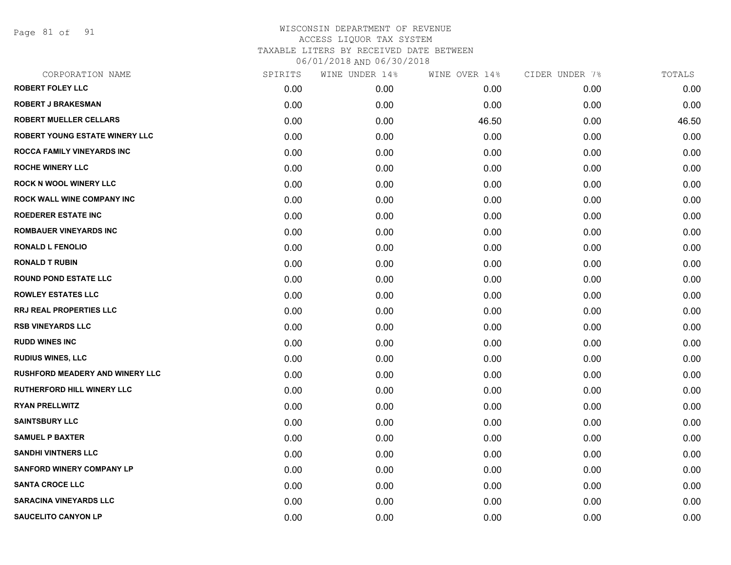Page 81 of 91

| CORPORATION NAME                       | SPIRITS | WINE UNDER 14% | WINE OVER 14% | CIDER UNDER 7% | TOTALS |
|----------------------------------------|---------|----------------|---------------|----------------|--------|
| <b>ROBERT FOLEY LLC</b>                | 0.00    | 0.00           | 0.00          | 0.00           | 0.00   |
| <b>ROBERT J BRAKESMAN</b>              | 0.00    | 0.00           | 0.00          | 0.00           | 0.00   |
| <b>ROBERT MUELLER CELLARS</b>          | 0.00    | 0.00           | 46.50         | 0.00           | 46.50  |
| <b>ROBERT YOUNG ESTATE WINERY LLC</b>  | 0.00    | 0.00           | 0.00          | 0.00           | 0.00   |
| <b>ROCCA FAMILY VINEYARDS INC</b>      | 0.00    | 0.00           | 0.00          | 0.00           | 0.00   |
| <b>ROCHE WINERY LLC</b>                | 0.00    | 0.00           | 0.00          | 0.00           | 0.00   |
| <b>ROCK N WOOL WINERY LLC</b>          | 0.00    | 0.00           | 0.00          | 0.00           | 0.00   |
| <b>ROCK WALL WINE COMPANY INC</b>      | 0.00    | 0.00           | 0.00          | 0.00           | 0.00   |
| <b>ROEDERER ESTATE INC</b>             | 0.00    | 0.00           | 0.00          | 0.00           | 0.00   |
| <b>ROMBAUER VINEYARDS INC</b>          | 0.00    | 0.00           | 0.00          | 0.00           | 0.00   |
| <b>RONALD L FENOLIO</b>                | 0.00    | 0.00           | 0.00          | 0.00           | 0.00   |
| <b>RONALD T RUBIN</b>                  | 0.00    | 0.00           | 0.00          | 0.00           | 0.00   |
| <b>ROUND POND ESTATE LLC</b>           | 0.00    | 0.00           | 0.00          | 0.00           | 0.00   |
| <b>ROWLEY ESTATES LLC</b>              | 0.00    | 0.00           | 0.00          | 0.00           | 0.00   |
| <b>RRJ REAL PROPERTIES LLC</b>         | 0.00    | 0.00           | 0.00          | 0.00           | 0.00   |
| <b>RSB VINEYARDS LLC</b>               | 0.00    | 0.00           | 0.00          | 0.00           | 0.00   |
| <b>RUDD WINES INC</b>                  | 0.00    | 0.00           | 0.00          | 0.00           | 0.00   |
| <b>RUDIUS WINES, LLC</b>               | 0.00    | 0.00           | 0.00          | 0.00           | 0.00   |
| <b>RUSHFORD MEADERY AND WINERY LLC</b> | 0.00    | 0.00           | 0.00          | 0.00           | 0.00   |
| <b>RUTHERFORD HILL WINERY LLC</b>      | 0.00    | 0.00           | 0.00          | 0.00           | 0.00   |
| <b>RYAN PRELLWITZ</b>                  | 0.00    | 0.00           | 0.00          | 0.00           | 0.00   |
| <b>SAINTSBURY LLC</b>                  | 0.00    | 0.00           | 0.00          | 0.00           | 0.00   |
| <b>SAMUEL P BAXTER</b>                 | 0.00    | 0.00           | 0.00          | 0.00           | 0.00   |
| <b>SANDHI VINTNERS LLC</b>             | 0.00    | 0.00           | 0.00          | 0.00           | 0.00   |
| <b>SANFORD WINERY COMPANY LP</b>       | 0.00    | 0.00           | 0.00          | 0.00           | 0.00   |
| <b>SANTA CROCE LLC</b>                 | 0.00    | 0.00           | 0.00          | 0.00           | 0.00   |
| <b>SARACINA VINEYARDS LLC</b>          | 0.00    | 0.00           | 0.00          | 0.00           | 0.00   |
| <b>SAUCELITO CANYON LP</b>             | 0.00    | 0.00           | 0.00          | 0.00           | 0.00   |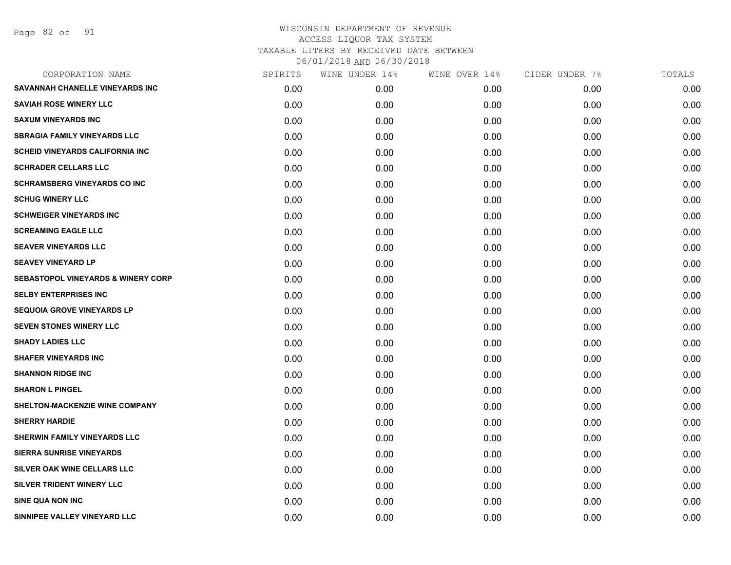Page 82 of 91

| CORPORATION NAME                              | SPIRITS | WINE UNDER 14% | WINE OVER 14% | CIDER UNDER 7% | TOTALS |
|-----------------------------------------------|---------|----------------|---------------|----------------|--------|
| SAVANNAH CHANELLE VINEYARDS INC               | 0.00    | 0.00           | 0.00          | 0.00           | 0.00   |
| <b>SAVIAH ROSE WINERY LLC</b>                 | 0.00    | 0.00           | 0.00          | 0.00           | 0.00   |
| <b>SAXUM VINEYARDS INC</b>                    | 0.00    | 0.00           | 0.00          | 0.00           | 0.00   |
| <b>SBRAGIA FAMILY VINEYARDS LLC</b>           | 0.00    | 0.00           | 0.00          | 0.00           | 0.00   |
| <b>SCHEID VINEYARDS CALIFORNIA INC</b>        | 0.00    | 0.00           | 0.00          | 0.00           | 0.00   |
| <b>SCHRADER CELLARS LLC</b>                   | 0.00    | 0.00           | 0.00          | 0.00           | 0.00   |
| <b>SCHRAMSBERG VINEYARDS CO INC</b>           | 0.00    | 0.00           | 0.00          | 0.00           | 0.00   |
| <b>SCHUG WINERY LLC</b>                       | 0.00    | 0.00           | 0.00          | 0.00           | 0.00   |
| <b>SCHWEIGER VINEYARDS INC</b>                | 0.00    | 0.00           | 0.00          | 0.00           | 0.00   |
| <b>SCREAMING EAGLE LLC</b>                    | 0.00    | 0.00           | 0.00          | 0.00           | 0.00   |
| <b>SEAVER VINEYARDS LLC</b>                   | 0.00    | 0.00           | 0.00          | 0.00           | 0.00   |
| <b>SEAVEY VINEYARD LP</b>                     | 0.00    | 0.00           | 0.00          | 0.00           | 0.00   |
| <b>SEBASTOPOL VINEYARDS &amp; WINERY CORP</b> | 0.00    | 0.00           | 0.00          | 0.00           | 0.00   |
| <b>SELBY ENTERPRISES INC</b>                  | 0.00    | 0.00           | 0.00          | 0.00           | 0.00   |
| <b>SEQUOIA GROVE VINEYARDS LP</b>             | 0.00    | 0.00           | 0.00          | 0.00           | 0.00   |
| <b>SEVEN STONES WINERY LLC</b>                | 0.00    | 0.00           | 0.00          | 0.00           | 0.00   |
| <b>SHADY LADIES LLC</b>                       | 0.00    | 0.00           | 0.00          | 0.00           | 0.00   |
| <b>SHAFER VINEYARDS INC</b>                   | 0.00    | 0.00           | 0.00          | 0.00           | 0.00   |
| <b>SHANNON RIDGE INC</b>                      | 0.00    | 0.00           | 0.00          | 0.00           | 0.00   |
| <b>SHARON L PINGEL</b>                        | 0.00    | 0.00           | 0.00          | 0.00           | 0.00   |
| SHELTON-MACKENZIE WINE COMPANY                | 0.00    | 0.00           | 0.00          | 0.00           | 0.00   |
| <b>SHERRY HARDIE</b>                          | 0.00    | 0.00           | 0.00          | 0.00           | 0.00   |
| SHERWIN FAMILY VINEYARDS LLC                  | 0.00    | 0.00           | 0.00          | 0.00           | 0.00   |
| <b>SIERRA SUNRISE VINEYARDS</b>               | 0.00    | 0.00           | 0.00          | 0.00           | 0.00   |
| SILVER OAK WINE CELLARS LLC                   | 0.00    | 0.00           | 0.00          | 0.00           | 0.00   |
| SILVER TRIDENT WINERY LLC                     | 0.00    | 0.00           | 0.00          | 0.00           | 0.00   |
| <b>SINE QUA NON INC</b>                       | 0.00    | 0.00           | 0.00          | 0.00           | 0.00   |
| SINNIPEE VALLEY VINEYARD LLC                  | 0.00    | 0.00           | 0.00          | 0.00           | 0.00   |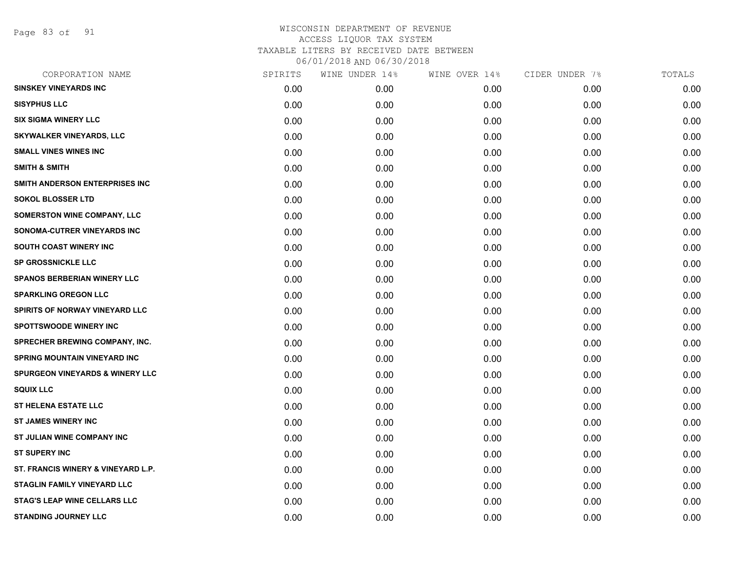Page 83 of 91

| CORPORATION NAME                           | SPIRITS | WINE UNDER 14% | WINE OVER 14% | CIDER UNDER 7% | TOTALS |
|--------------------------------------------|---------|----------------|---------------|----------------|--------|
| <b>SINSKEY VINEYARDS INC</b>               | 0.00    | 0.00           | 0.00          | 0.00           | 0.00   |
| <b>SISYPHUS LLC</b>                        | 0.00    | 0.00           | 0.00          | 0.00           | 0.00   |
| <b>SIX SIGMA WINERY LLC</b>                | 0.00    | 0.00           | 0.00          | 0.00           | 0.00   |
| <b>SKYWALKER VINEYARDS, LLC</b>            | 0.00    | 0.00           | 0.00          | 0.00           | 0.00   |
| <b>SMALL VINES WINES INC</b>               | 0.00    | 0.00           | 0.00          | 0.00           | 0.00   |
| <b>SMITH &amp; SMITH</b>                   | 0.00    | 0.00           | 0.00          | 0.00           | 0.00   |
| SMITH ANDERSON ENTERPRISES INC             | 0.00    | 0.00           | 0.00          | 0.00           | 0.00   |
| <b>SOKOL BLOSSER LTD</b>                   | 0.00    | 0.00           | 0.00          | 0.00           | 0.00   |
| <b>SOMERSTON WINE COMPANY, LLC</b>         | 0.00    | 0.00           | 0.00          | 0.00           | 0.00   |
| SONOMA-CUTRER VINEYARDS INC                | 0.00    | 0.00           | 0.00          | 0.00           | 0.00   |
| SOUTH COAST WINERY INC                     | 0.00    | 0.00           | 0.00          | 0.00           | 0.00   |
| <b>SP GROSSNICKLE LLC</b>                  | 0.00    | 0.00           | 0.00          | 0.00           | 0.00   |
| <b>SPANOS BERBERIAN WINERY LLC</b>         | 0.00    | 0.00           | 0.00          | 0.00           | 0.00   |
| <b>SPARKLING OREGON LLC</b>                | 0.00    | 0.00           | 0.00          | 0.00           | 0.00   |
| SPIRITS OF NORWAY VINEYARD LLC             | 0.00    | 0.00           | 0.00          | 0.00           | 0.00   |
| <b>SPOTTSWOODE WINERY INC</b>              | 0.00    | 0.00           | 0.00          | 0.00           | 0.00   |
| SPRECHER BREWING COMPANY, INC.             | 0.00    | 0.00           | 0.00          | 0.00           | 0.00   |
| <b>SPRING MOUNTAIN VINEYARD INC</b>        | 0.00    | 0.00           | 0.00          | 0.00           | 0.00   |
| <b>SPURGEON VINEYARDS &amp; WINERY LLC</b> | 0.00    | 0.00           | 0.00          | 0.00           | 0.00   |
| <b>SQUIX LLC</b>                           | 0.00    | 0.00           | 0.00          | 0.00           | 0.00   |
| <b>ST HELENA ESTATE LLC</b>                | 0.00    | 0.00           | 0.00          | 0.00           | 0.00   |
| <b>ST JAMES WINERY INC</b>                 | 0.00    | 0.00           | 0.00          | 0.00           | 0.00   |
| ST JULIAN WINE COMPANY INC                 | 0.00    | 0.00           | 0.00          | 0.00           | 0.00   |
| <b>ST SUPERY INC</b>                       | 0.00    | 0.00           | 0.00          | 0.00           | 0.00   |
| ST. FRANCIS WINERY & VINEYARD L.P.         | 0.00    | 0.00           | 0.00          | 0.00           | 0.00   |
| STAGLIN FAMILY VINEYARD LLC                | 0.00    | 0.00           | 0.00          | 0.00           | 0.00   |
| <b>STAG'S LEAP WINE CELLARS LLC</b>        | 0.00    | 0.00           | 0.00          | 0.00           | 0.00   |
| <b>STANDING JOURNEY LLC</b>                | 0.00    | 0.00           | 0.00          | 0.00           | 0.00   |
|                                            |         |                |               |                |        |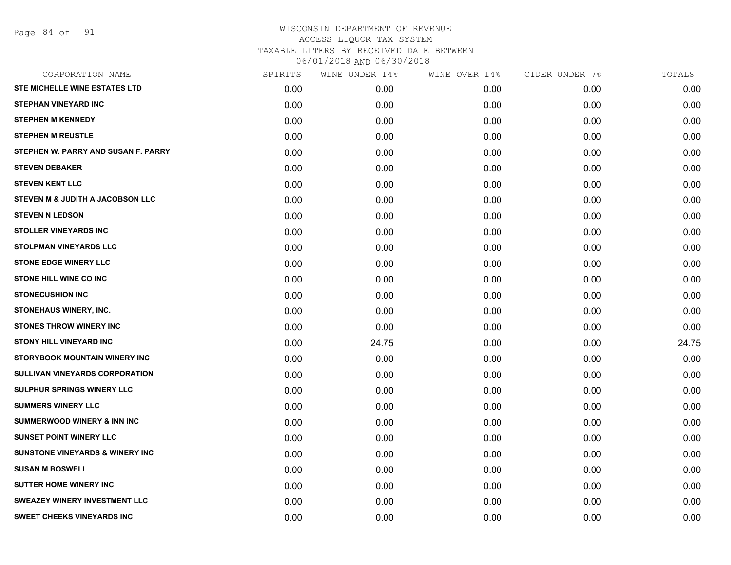Page 84 of 91

| CORPORATION NAME                            | SPIRITS | WINE UNDER 14% | WINE OVER 14% | CIDER UNDER 7% | TOTALS |
|---------------------------------------------|---------|----------------|---------------|----------------|--------|
| STE MICHELLE WINE ESTATES LTD               | 0.00    | 0.00           | 0.00          | 0.00           | 0.00   |
| <b>STEPHAN VINEYARD INC</b>                 | 0.00    | 0.00           | 0.00          | 0.00           | 0.00   |
| <b>STEPHEN M KENNEDY</b>                    | 0.00    | 0.00           | 0.00          | 0.00           | 0.00   |
| <b>STEPHEN M REUSTLE</b>                    | 0.00    | 0.00           | 0.00          | 0.00           | 0.00   |
| STEPHEN W. PARRY AND SUSAN F. PARRY         | 0.00    | 0.00           | 0.00          | 0.00           | 0.00   |
| <b>STEVEN DEBAKER</b>                       | 0.00    | 0.00           | 0.00          | 0.00           | 0.00   |
| <b>STEVEN KENT LLC</b>                      | 0.00    | 0.00           | 0.00          | 0.00           | 0.00   |
| <b>STEVEN M &amp; JUDITH A JACOBSON LLC</b> | 0.00    | 0.00           | 0.00          | 0.00           | 0.00   |
| <b>STEVEN N LEDSON</b>                      | 0.00    | 0.00           | 0.00          | 0.00           | 0.00   |
| <b>STOLLER VINEYARDS INC</b>                | 0.00    | 0.00           | 0.00          | 0.00           | 0.00   |
| <b>STOLPMAN VINEYARDS LLC</b>               | 0.00    | 0.00           | 0.00          | 0.00           | 0.00   |
| <b>STONE EDGE WINERY LLC</b>                | 0.00    | 0.00           | 0.00          | 0.00           | 0.00   |
| <b>STONE HILL WINE CO INC</b>               | 0.00    | 0.00           | 0.00          | 0.00           | 0.00   |
| <b>STONECUSHION INC</b>                     | 0.00    | 0.00           | 0.00          | 0.00           | 0.00   |
| <b>STONEHAUS WINERY, INC.</b>               | 0.00    | 0.00           | 0.00          | 0.00           | 0.00   |
| STONES THROW WINERY INC                     | 0.00    | 0.00           | 0.00          | 0.00           | 0.00   |
| <b>STONY HILL VINEYARD INC</b>              | 0.00    | 24.75          | 0.00          | 0.00           | 24.75  |
| STORYBOOK MOUNTAIN WINERY INC               | 0.00    | 0.00           | 0.00          | 0.00           | 0.00   |
| SULLIVAN VINEYARDS CORPORATION              | 0.00    | 0.00           | 0.00          | 0.00           | 0.00   |
| SULPHUR SPRINGS WINERY LLC                  | 0.00    | 0.00           | 0.00          | 0.00           | 0.00   |
| <b>SUMMERS WINERY LLC</b>                   | 0.00    | 0.00           | 0.00          | 0.00           | 0.00   |
| <b>SUMMERWOOD WINERY &amp; INN INC</b>      | 0.00    | 0.00           | 0.00          | 0.00           | 0.00   |
| <b>SUNSET POINT WINERY LLC</b>              | 0.00    | 0.00           | 0.00          | 0.00           | 0.00   |
| <b>SUNSTONE VINEYARDS &amp; WINERY INC</b>  | 0.00    | 0.00           | 0.00          | 0.00           | 0.00   |
| <b>SUSAN M BOSWELL</b>                      | 0.00    | 0.00           | 0.00          | 0.00           | 0.00   |
| <b>SUTTER HOME WINERY INC</b>               | 0.00    | 0.00           | 0.00          | 0.00           | 0.00   |
| <b>SWEAZEY WINERY INVESTMENT LLC</b>        | 0.00    | 0.00           | 0.00          | 0.00           | 0.00   |
| <b>SWEET CHEEKS VINEYARDS INC</b>           | 0.00    | 0.00           | 0.00          | 0.00           | 0.00   |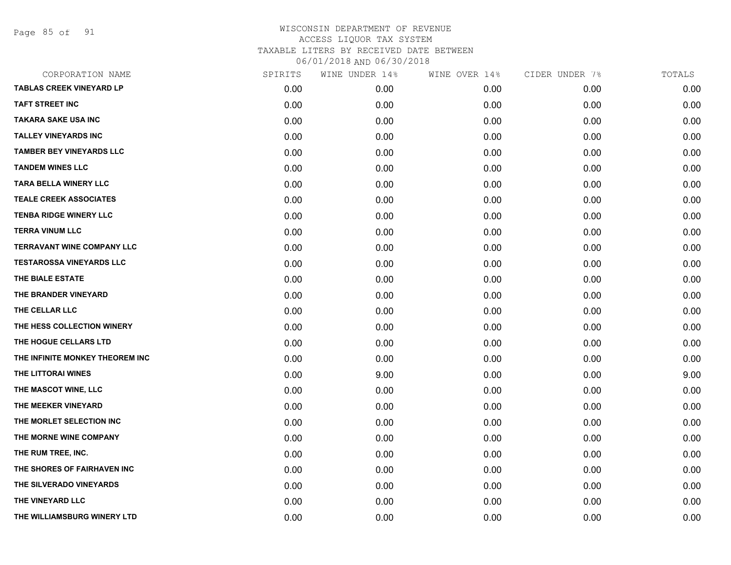Page 85 of 91

| CORPORATION NAME                  | SPIRITS | WINE UNDER 14% | WINE OVER 14% | CIDER UNDER 7% | TOTALS |
|-----------------------------------|---------|----------------|---------------|----------------|--------|
| <b>TABLAS CREEK VINEYARD LP</b>   | 0.00    | 0.00           | 0.00          | 0.00           | 0.00   |
| <b>TAFT STREET INC</b>            | 0.00    | 0.00           | 0.00          | 0.00           | 0.00   |
| <b>TAKARA SAKE USA INC</b>        | 0.00    | 0.00           | 0.00          | 0.00           | 0.00   |
| <b>TALLEY VINEYARDS INC</b>       | 0.00    | 0.00           | 0.00          | 0.00           | 0.00   |
| <b>TAMBER BEY VINEYARDS LLC</b>   | 0.00    | 0.00           | 0.00          | 0.00           | 0.00   |
| <b>TANDEM WINES LLC</b>           | 0.00    | 0.00           | 0.00          | 0.00           | 0.00   |
| <b>TARA BELLA WINERY LLC</b>      | 0.00    | 0.00           | 0.00          | 0.00           | 0.00   |
| <b>TEALE CREEK ASSOCIATES</b>     | 0.00    | 0.00           | 0.00          | 0.00           | 0.00   |
| <b>TENBA RIDGE WINERY LLC</b>     | 0.00    | 0.00           | 0.00          | 0.00           | 0.00   |
| <b>TERRA VINUM LLC</b>            | 0.00    | 0.00           | 0.00          | 0.00           | 0.00   |
| <b>TERRAVANT WINE COMPANY LLC</b> | 0.00    | 0.00           | 0.00          | 0.00           | 0.00   |
| <b>TESTAROSSA VINEYARDS LLC</b>   | 0.00    | 0.00           | 0.00          | 0.00           | 0.00   |
| THE BIALE ESTATE                  | 0.00    | 0.00           | 0.00          | 0.00           | 0.00   |
| THE BRANDER VINEYARD              | 0.00    | 0.00           | 0.00          | 0.00           | 0.00   |
| THE CELLAR LLC                    | 0.00    | 0.00           | 0.00          | 0.00           | 0.00   |
| THE HESS COLLECTION WINERY        | 0.00    | 0.00           | 0.00          | 0.00           | 0.00   |
| THE HOGUE CELLARS LTD             | 0.00    | 0.00           | 0.00          | 0.00           | 0.00   |
| THE INFINITE MONKEY THEOREM INC   | 0.00    | 0.00           | 0.00          | 0.00           | 0.00   |
| THE LITTORAI WINES                | 0.00    | 9.00           | 0.00          | 0.00           | 9.00   |
| THE MASCOT WINE, LLC              | 0.00    | 0.00           | 0.00          | 0.00           | 0.00   |
| THE MEEKER VINEYARD               | 0.00    | 0.00           | 0.00          | 0.00           | 0.00   |
| THE MORLET SELECTION INC          | 0.00    | 0.00           | 0.00          | 0.00           | 0.00   |
| THE MORNE WINE COMPANY            | 0.00    | 0.00           | 0.00          | 0.00           | 0.00   |
| THE RUM TREE, INC.                | 0.00    | 0.00           | 0.00          | 0.00           | 0.00   |
| THE SHORES OF FAIRHAVEN INC       | 0.00    | 0.00           | 0.00          | 0.00           | 0.00   |
| THE SILVERADO VINEYARDS           | 0.00    | 0.00           | 0.00          | 0.00           | 0.00   |
| THE VINEYARD LLC                  | 0.00    | 0.00           | 0.00          | 0.00           | 0.00   |
| THE WILLIAMSBURG WINERY LTD       | 0.00    | 0.00           | 0.00          | 0.00           | 0.00   |
|                                   |         |                |               |                |        |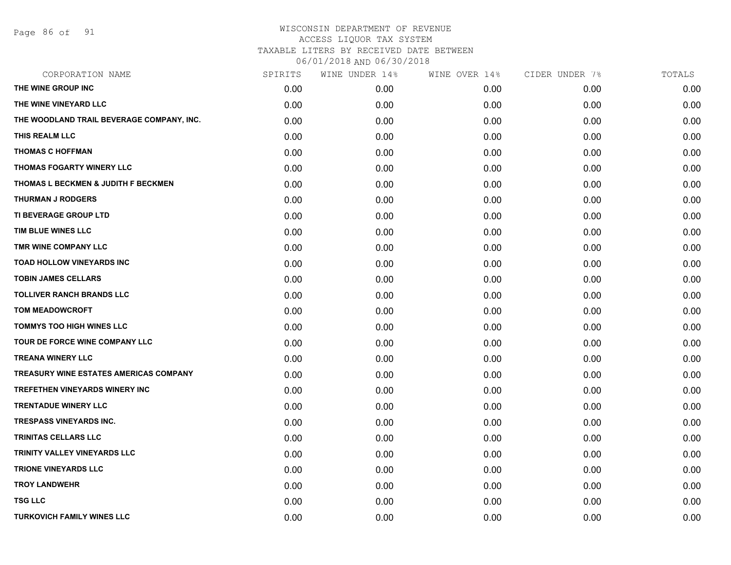Page 86 of 91

# WISCONSIN DEPARTMENT OF REVENUE ACCESS LIQUOR TAX SYSTEM TAXABLE LITERS BY RECEIVED DATE BETWEEN

06/01/2018 AND 06/30/2018

| CORPORATION NAME                              | SPIRITS | WINE UNDER 14% | WINE OVER 14% | CIDER UNDER 7% | TOTALS |
|-----------------------------------------------|---------|----------------|---------------|----------------|--------|
| THE WINE GROUP INC                            | 0.00    | 0.00           | 0.00          | 0.00           | 0.00   |
| THE WINE VINEYARD LLC                         | 0.00    | 0.00           | 0.00          | 0.00           | 0.00   |
| THE WOODLAND TRAIL BEVERAGE COMPANY, INC.     | 0.00    | 0.00           | 0.00          | 0.00           | 0.00   |
| THIS REALM LLC                                | 0.00    | 0.00           | 0.00          | 0.00           | 0.00   |
| <b>THOMAS C HOFFMAN</b>                       | 0.00    | 0.00           | 0.00          | 0.00           | 0.00   |
| THOMAS FOGARTY WINERY LLC                     | 0.00    | 0.00           | 0.00          | 0.00           | 0.00   |
| THOMAS L BECKMEN & JUDITH F BECKMEN           | 0.00    | 0.00           | 0.00          | 0.00           | 0.00   |
| <b>THURMAN J RODGERS</b>                      | 0.00    | 0.00           | 0.00          | 0.00           | 0.00   |
| TI BEVERAGE GROUP LTD                         | 0.00    | 0.00           | 0.00          | 0.00           | 0.00   |
| TIM BLUE WINES LLC                            | 0.00    | 0.00           | 0.00          | 0.00           | 0.00   |
| TMR WINE COMPANY LLC                          | 0.00    | 0.00           | 0.00          | 0.00           | 0.00   |
| TOAD HOLLOW VINEYARDS INC                     | 0.00    | 0.00           | 0.00          | 0.00           | 0.00   |
| <b>TOBIN JAMES CELLARS</b>                    | 0.00    | 0.00           | 0.00          | 0.00           | 0.00   |
| <b>TOLLIVER RANCH BRANDS LLC</b>              | 0.00    | 0.00           | 0.00          | 0.00           | 0.00   |
| <b>TOM MEADOWCROFT</b>                        | 0.00    | 0.00           | 0.00          | 0.00           | 0.00   |
| <b>TOMMYS TOO HIGH WINES LLC</b>              | 0.00    | 0.00           | 0.00          | 0.00           | 0.00   |
| TOUR DE FORCE WINE COMPANY LLC                | 0.00    | 0.00           | 0.00          | 0.00           | 0.00   |
| <b>TREANA WINERY LLC</b>                      | 0.00    | 0.00           | 0.00          | 0.00           | 0.00   |
| <b>TREASURY WINE ESTATES AMERICAS COMPANY</b> | 0.00    | 0.00           | 0.00          | 0.00           | 0.00   |
| <b>TREFETHEN VINEYARDS WINERY INC</b>         | 0.00    | 0.00           | 0.00          | 0.00           | 0.00   |
| <b>TRENTADUE WINERY LLC</b>                   | 0.00    | 0.00           | 0.00          | 0.00           | 0.00   |
| <b>TRESPASS VINEYARDS INC.</b>                | 0.00    | 0.00           | 0.00          | 0.00           | 0.00   |
| <b>TRINITAS CELLARS LLC</b>                   | 0.00    | 0.00           | 0.00          | 0.00           | 0.00   |
| <b>TRINITY VALLEY VINEYARDS LLC</b>           | 0.00    | 0.00           | 0.00          | 0.00           | 0.00   |
| <b>TRIONE VINEYARDS LLC</b>                   | 0.00    | 0.00           | 0.00          | 0.00           | 0.00   |
| <b>TROY LANDWEHR</b>                          | 0.00    | 0.00           | 0.00          | 0.00           | 0.00   |
| <b>TSG LLC</b>                                | 0.00    | 0.00           | 0.00          | 0.00           | 0.00   |
| <b>TURKOVICH FAMILY WINES LLC</b>             | 0.00    | 0.00           | 0.00          | 0.00           | 0.00   |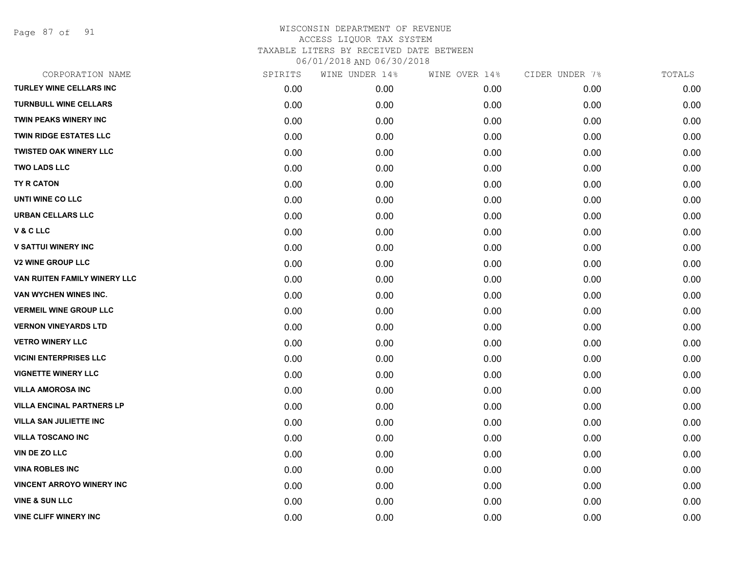Page 87 of 91

| CORPORATION NAME                 | SPIRITS | WINE UNDER 14% | WINE OVER 14% | CIDER UNDER 7% | TOTALS |
|----------------------------------|---------|----------------|---------------|----------------|--------|
| <b>TURLEY WINE CELLARS INC</b>   | 0.00    | 0.00           | 0.00          | 0.00           | 0.00   |
| <b>TURNBULL WINE CELLARS</b>     | 0.00    | 0.00           | 0.00          | 0.00           | 0.00   |
| <b>TWIN PEAKS WINERY INC</b>     | 0.00    | 0.00           | 0.00          | 0.00           | 0.00   |
| <b>TWIN RIDGE ESTATES LLC</b>    | 0.00    | 0.00           | 0.00          | 0.00           | 0.00   |
| <b>TWISTED OAK WINERY LLC</b>    | 0.00    | 0.00           | 0.00          | 0.00           | 0.00   |
| <b>TWO LADS LLC</b>              | 0.00    | 0.00           | 0.00          | 0.00           | 0.00   |
| TY R CATON                       | 0.00    | 0.00           | 0.00          | 0.00           | 0.00   |
| UNTI WINE CO LLC                 | 0.00    | 0.00           | 0.00          | 0.00           | 0.00   |
| <b>URBAN CELLARS LLC</b>         | 0.00    | 0.00           | 0.00          | 0.00           | 0.00   |
| V&CLLC                           | 0.00    | 0.00           | 0.00          | 0.00           | 0.00   |
| <b>V SATTUI WINERY INC</b>       | 0.00    | 0.00           | 0.00          | 0.00           | 0.00   |
| <b>V2 WINE GROUP LLC</b>         | 0.00    | 0.00           | 0.00          | 0.00           | 0.00   |
| VAN RUITEN FAMILY WINERY LLC     | 0.00    | 0.00           | 0.00          | 0.00           | 0.00   |
| VAN WYCHEN WINES INC.            | 0.00    | 0.00           | 0.00          | 0.00           | 0.00   |
| <b>VERMEIL WINE GROUP LLC</b>    | 0.00    | 0.00           | 0.00          | 0.00           | 0.00   |
| <b>VERNON VINEYARDS LTD</b>      | 0.00    | 0.00           | 0.00          | 0.00           | 0.00   |
| <b>VETRO WINERY LLC</b>          | 0.00    | 0.00           | 0.00          | 0.00           | 0.00   |
| <b>VICINI ENTERPRISES LLC</b>    | 0.00    | 0.00           | 0.00          | 0.00           | 0.00   |
| <b>VIGNETTE WINERY LLC</b>       | 0.00    | 0.00           | 0.00          | 0.00           | 0.00   |
| <b>VILLA AMOROSA INC</b>         | 0.00    | 0.00           | 0.00          | 0.00           | 0.00   |
| <b>VILLA ENCINAL PARTNERS LP</b> | 0.00    | 0.00           | 0.00          | 0.00           | 0.00   |
| <b>VILLA SAN JULIETTE INC</b>    | 0.00    | 0.00           | 0.00          | 0.00           | 0.00   |
| <b>VILLA TOSCANO INC</b>         | 0.00    | 0.00           | 0.00          | 0.00           | 0.00   |
| VIN DE ZO LLC                    | 0.00    | 0.00           | 0.00          | 0.00           | 0.00   |
| <b>VINA ROBLES INC</b>           | 0.00    | 0.00           | 0.00          | 0.00           | 0.00   |
| <b>VINCENT ARROYO WINERY INC</b> | 0.00    | 0.00           | 0.00          | 0.00           | 0.00   |
| <b>VINE &amp; SUN LLC</b>        | 0.00    | 0.00           | 0.00          | 0.00           | 0.00   |
| <b>VINE CLIFF WINERY INC</b>     | 0.00    | 0.00           | 0.00          | 0.00           | 0.00   |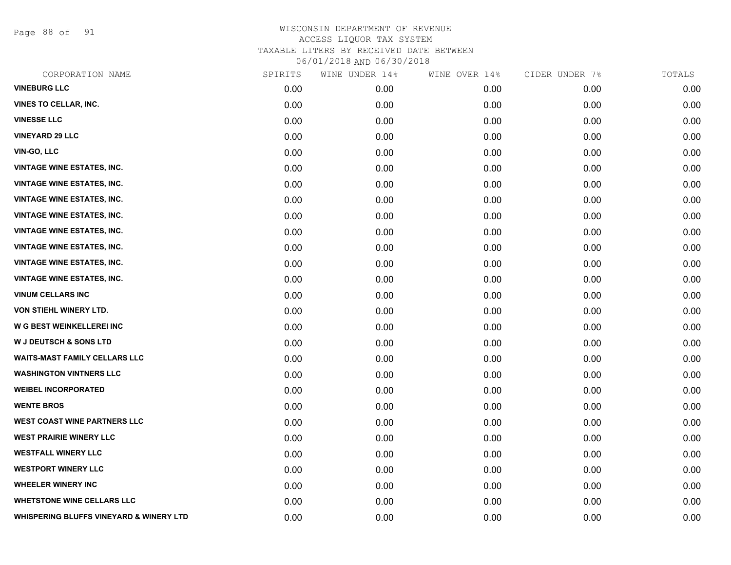Page 88 of 91

| CORPORATION NAME                        | SPIRITS | WINE UNDER 14% | WINE OVER 14% | CIDER UNDER 7% | TOTALS |
|-----------------------------------------|---------|----------------|---------------|----------------|--------|
| <b>VINEBURG LLC</b>                     | 0.00    | 0.00           | 0.00          | 0.00           | 0.00   |
| <b>VINES TO CELLAR, INC.</b>            | 0.00    | 0.00           | 0.00          | 0.00           | 0.00   |
| <b>VINESSE LLC</b>                      | 0.00    | 0.00           | 0.00          | 0.00           | 0.00   |
| <b>VINEYARD 29 LLC</b>                  | 0.00    | 0.00           | 0.00          | 0.00           | 0.00   |
| <b>VIN-GO, LLC</b>                      | 0.00    | 0.00           | 0.00          | 0.00           | 0.00   |
| <b>VINTAGE WINE ESTATES, INC.</b>       | 0.00    | 0.00           | 0.00          | 0.00           | 0.00   |
| <b>VINTAGE WINE ESTATES, INC.</b>       | 0.00    | 0.00           | 0.00          | 0.00           | 0.00   |
| <b>VINTAGE WINE ESTATES, INC.</b>       | 0.00    | 0.00           | 0.00          | 0.00           | 0.00   |
| <b>VINTAGE WINE ESTATES, INC.</b>       | 0.00    | 0.00           | 0.00          | 0.00           | 0.00   |
| <b>VINTAGE WINE ESTATES, INC.</b>       | 0.00    | 0.00           | 0.00          | 0.00           | 0.00   |
| <b>VINTAGE WINE ESTATES, INC.</b>       | 0.00    | 0.00           | 0.00          | 0.00           | 0.00   |
| <b>VINTAGE WINE ESTATES, INC.</b>       | 0.00    | 0.00           | 0.00          | 0.00           | 0.00   |
| <b>VINTAGE WINE ESTATES, INC.</b>       | 0.00    | 0.00           | 0.00          | 0.00           | 0.00   |
| <b>VINUM CELLARS INC</b>                | 0.00    | 0.00           | 0.00          | 0.00           | 0.00   |
| VON STIEHL WINERY LTD.                  | 0.00    | 0.00           | 0.00          | 0.00           | 0.00   |
| <b>W G BEST WEINKELLEREI INC</b>        | 0.00    | 0.00           | 0.00          | 0.00           | 0.00   |
| <b>W J DEUTSCH &amp; SONS LTD</b>       | 0.00    | 0.00           | 0.00          | 0.00           | 0.00   |
| <b>WAITS-MAST FAMILY CELLARS LLC</b>    | 0.00    | 0.00           | 0.00          | 0.00           | 0.00   |
| <b>WASHINGTON VINTNERS LLC</b>          | 0.00    | 0.00           | 0.00          | 0.00           | 0.00   |
| <b>WEIBEL INCORPORATED</b>              | 0.00    | 0.00           | 0.00          | 0.00           | 0.00   |
| <b>WENTE BROS</b>                       | 0.00    | 0.00           | 0.00          | 0.00           | 0.00   |
| <b>WEST COAST WINE PARTNERS LLC</b>     | 0.00    | 0.00           | 0.00          | 0.00           | 0.00   |
| <b>WEST PRAIRIE WINERY LLC</b>          | 0.00    | 0.00           | 0.00          | 0.00           | 0.00   |
| <b>WESTFALL WINERY LLC</b>              | 0.00    | 0.00           | 0.00          | 0.00           | 0.00   |
| <b>WESTPORT WINERY LLC</b>              | 0.00    | 0.00           | 0.00          | 0.00           | 0.00   |
| <b>WHEELER WINERY INC</b>               | 0.00    | 0.00           | 0.00          | 0.00           | 0.00   |
| <b>WHETSTONE WINE CELLARS LLC</b>       | 0.00    | 0.00           | 0.00          | 0.00           | 0.00   |
| WHISPERING BLUFFS VINEYARD & WINERY LTD | 0.00    | 0.00           | 0.00          | 0.00           | 0.00   |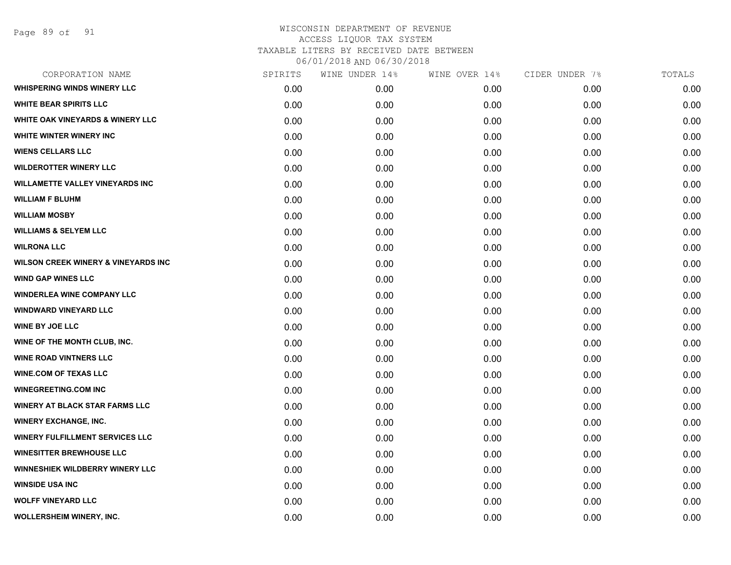| CORPORATION NAME                               | SPIRITS | WINE UNDER 14% | WINE OVER 14% | CIDER UNDER 7% | TOTALS |
|------------------------------------------------|---------|----------------|---------------|----------------|--------|
| <b>WHISPERING WINDS WINERY LLC</b>             | 0.00    | 0.00           | 0.00          | 0.00           | 0.00   |
| <b>WHITE BEAR SPIRITS LLC</b>                  | 0.00    | 0.00           | 0.00          | 0.00           | 0.00   |
| <b>WHITE OAK VINEYARDS &amp; WINERY LLC</b>    | 0.00    | 0.00           | 0.00          | 0.00           | 0.00   |
| WHITE WINTER WINERY INC                        | 0.00    | 0.00           | 0.00          | 0.00           | 0.00   |
| <b>WIENS CELLARS LLC</b>                       | 0.00    | 0.00           | 0.00          | 0.00           | 0.00   |
| <b>WILDEROTTER WINERY LLC</b>                  | 0.00    | 0.00           | 0.00          | 0.00           | 0.00   |
| <b>WILLAMETTE VALLEY VINEYARDS INC</b>         | 0.00    | 0.00           | 0.00          | 0.00           | 0.00   |
| <b>WILLIAM F BLUHM</b>                         | 0.00    | 0.00           | 0.00          | 0.00           | 0.00   |
| <b>WILLIAM MOSBY</b>                           | 0.00    | 0.00           | 0.00          | 0.00           | 0.00   |
| <b>WILLIAMS &amp; SELYEM LLC</b>               | 0.00    | 0.00           | 0.00          | 0.00           | 0.00   |
| <b>WILRONA LLC</b>                             | 0.00    | 0.00           | 0.00          | 0.00           | 0.00   |
| <b>WILSON CREEK WINERY &amp; VINEYARDS INC</b> | 0.00    | 0.00           | 0.00          | 0.00           | 0.00   |
| <b>WIND GAP WINES LLC</b>                      | 0.00    | 0.00           | 0.00          | 0.00           | 0.00   |
| <b>WINDERLEA WINE COMPANY LLC</b>              | 0.00    | 0.00           | 0.00          | 0.00           | 0.00   |
| <b>WINDWARD VINEYARD LLC</b>                   | 0.00    | 0.00           | 0.00          | 0.00           | 0.00   |
| <b>WINE BY JOE LLC</b>                         | 0.00    | 0.00           | 0.00          | 0.00           | 0.00   |
| WINE OF THE MONTH CLUB, INC.                   | 0.00    | 0.00           | 0.00          | 0.00           | 0.00   |
| <b>WINE ROAD VINTNERS LLC</b>                  | 0.00    | 0.00           | 0.00          | 0.00           | 0.00   |
| <b>WINE.COM OF TEXAS LLC</b>                   | 0.00    | 0.00           | 0.00          | 0.00           | 0.00   |
| <b>WINEGREETING.COM INC</b>                    | 0.00    | 0.00           | 0.00          | 0.00           | 0.00   |
| <b>WINERY AT BLACK STAR FARMS LLC</b>          | 0.00    | 0.00           | 0.00          | 0.00           | 0.00   |
| <b>WINERY EXCHANGE, INC.</b>                   | 0.00    | 0.00           | 0.00          | 0.00           | 0.00   |
| <b>WINERY FULFILLMENT SERVICES LLC</b>         | 0.00    | 0.00           | 0.00          | 0.00           | 0.00   |
| <b>WINESITTER BREWHOUSE LLC</b>                | 0.00    | 0.00           | 0.00          | 0.00           | 0.00   |
| WINNESHIEK WILDBERRY WINERY LLC                | 0.00    | 0.00           | 0.00          | 0.00           | 0.00   |
| <b>WINSIDE USA INC</b>                         | 0.00    | 0.00           | 0.00          | 0.00           | 0.00   |
| <b>WOLFF VINEYARD LLC</b>                      | 0.00    | 0.00           | 0.00          | 0.00           | 0.00   |
| WOLLERSHEIM WINERY, INC.                       | 0.00    | 0.00           | 0.00          | 0.00           | 0.00   |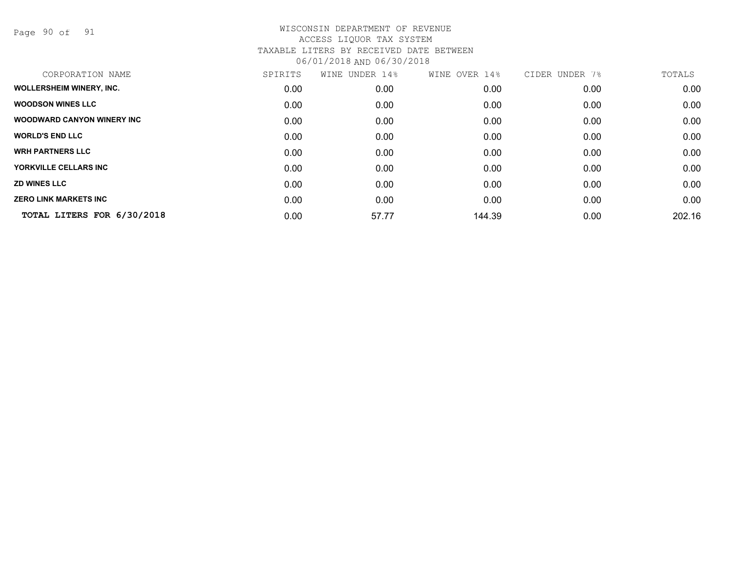Page 90 of 91

| CORPORATION NAME                  | SPIRITS | WINE UNDER 14% | WINE OVER 14% | CIDER UNDER 7% | TOTALS |
|-----------------------------------|---------|----------------|---------------|----------------|--------|
| <b>WOLLERSHEIM WINERY, INC.</b>   | 0.00    | 0.00           | 0.00          | 0.00           | 0.00   |
| <b>WOODSON WINES LLC</b>          | 0.00    | 0.00           | 0.00          | 0.00           | 0.00   |
| <b>WOODWARD CANYON WINERY INC</b> | 0.00    | 0.00           | 0.00          | 0.00           | 0.00   |
| <b>WORLD'S END LLC</b>            | 0.00    | 0.00           | 0.00          | 0.00           | 0.00   |
| <b>WRH PARTNERS LLC</b>           | 0.00    | 0.00           | 0.00          | 0.00           | 0.00   |
| YORKVILLE CELLARS INC             | 0.00    | 0.00           | 0.00          | 0.00           | 0.00   |
| <b>ZD WINES LLC</b>               | 0.00    | 0.00           | 0.00          | 0.00           | 0.00   |
| <b>ZERO LINK MARKETS INC</b>      | 0.00    | 0.00           | 0.00          | 0.00           | 0.00   |
| TOTAL LITERS FOR 6/30/2018        | 0.00    | 57.77          | 144.39        | 0.00           | 202.16 |